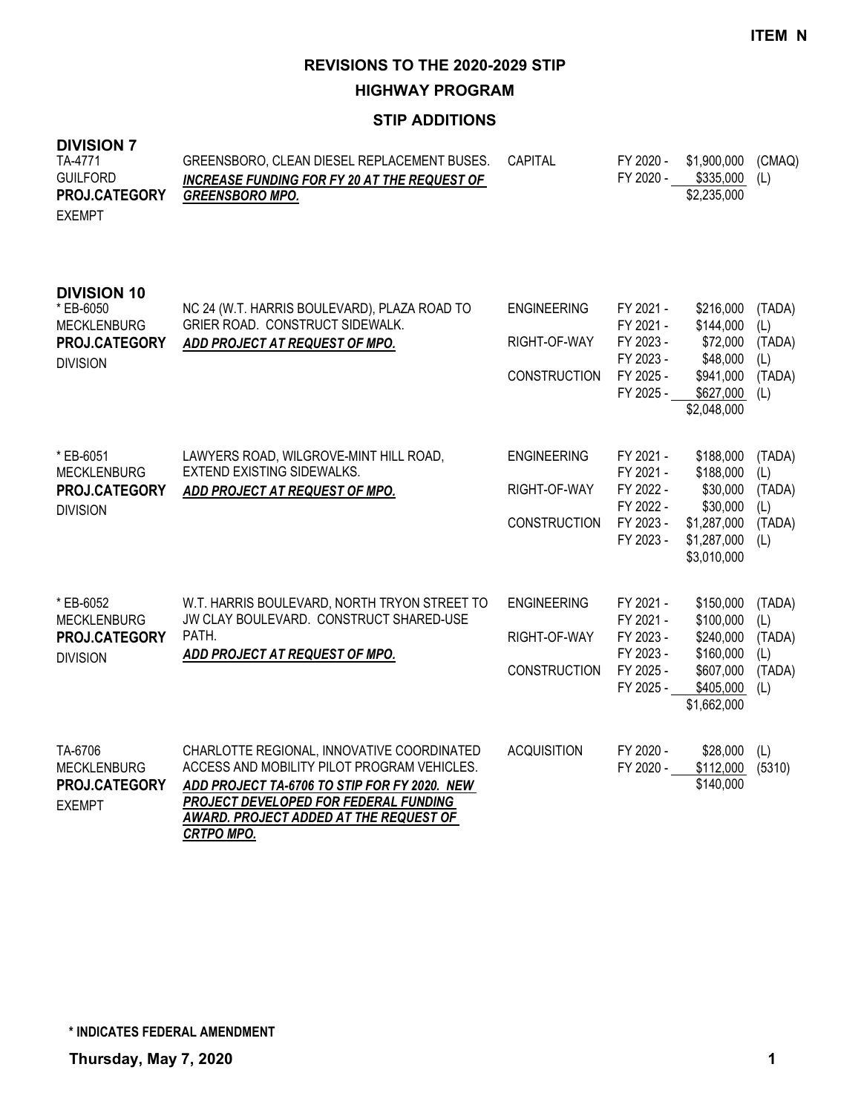**HIGHWAY PROGRAM**

# **STIP ADDITIONS**

| <b>DIVISION 7</b><br>TA-4771<br><b>GUILFORD</b><br>PROJ.CATEGORY<br><b>EXEMPT</b>         | GREENSBORO, CLEAN DIESEL REPLACEMENT BUSES.<br><b>INCREASE FUNDING FOR FY 20 AT THE REQUEST OF</b><br><b>GREENSBORO MPO.</b>                                                                                                                      | CAPITAL                                                   | FY 2020 -<br>FY 2020 -                                                     | \$1,900,000<br>\$335,000<br>\$2,235,000                                                     | (CMAQ)<br>(L)                                   |
|-------------------------------------------------------------------------------------------|---------------------------------------------------------------------------------------------------------------------------------------------------------------------------------------------------------------------------------------------------|-----------------------------------------------------------|----------------------------------------------------------------------------|---------------------------------------------------------------------------------------------|-------------------------------------------------|
| <b>DIVISION 10</b><br>* EB-6050<br><b>MECKLENBURG</b><br>PROJ.CATEGORY<br><b>DIVISION</b> | NC 24 (W.T. HARRIS BOULEVARD), PLAZA ROAD TO<br>GRIER ROAD. CONSTRUCT SIDEWALK.<br>ADD PROJECT AT REQUEST OF MPO.                                                                                                                                 | <b>ENGINEERING</b><br>RIGHT-OF-WAY<br><b>CONSTRUCTION</b> | FY 2021 -<br>FY 2021 -<br>FY 2023 -<br>FY 2023 -<br>FY 2025 -<br>FY 2025 - | \$216,000<br>\$144,000<br>\$72,000<br>\$48,000<br>\$941,000<br>\$627,000<br>\$2,048,000     | (TADA)<br>(L)<br>(TADA)<br>(L)<br>(TADA)<br>(L) |
| * EB-6051<br><b>MECKLENBURG</b><br>PROJ.CATEGORY<br><b>DIVISION</b>                       | LAWYERS ROAD, WILGROVE-MINT HILL ROAD,<br><b>EXTEND EXISTING SIDEWALKS.</b><br>ADD PROJECT AT REQUEST OF MPO.                                                                                                                                     | <b>ENGINEERING</b><br>RIGHT-OF-WAY<br><b>CONSTRUCTION</b> | FY 2021 -<br>FY 2021 -<br>FY 2022 -<br>FY 2022 -<br>FY 2023 -<br>FY 2023 - | \$188,000<br>\$188,000<br>\$30,000<br>\$30,000<br>\$1,287,000<br>\$1,287,000<br>\$3,010,000 | (TADA)<br>(L)<br>(TADA)<br>(L)<br>(TADA)<br>(L) |
| * EB-6052<br><b>MECKLENBURG</b><br>PROJ.CATEGORY<br><b>DIVISION</b>                       | W.T. HARRIS BOULEVARD, NORTH TRYON STREET TO<br>JW CLAY BOULEVARD. CONSTRUCT SHARED-USE<br>PATH.<br>ADD PROJECT AT REQUEST OF MPO.                                                                                                                | <b>ENGINEERING</b><br>RIGHT-OF-WAY<br><b>CONSTRUCTION</b> | FY 2021 -<br>FY 2021 -<br>FY 2023 -<br>FY 2023 -<br>FY 2025 -<br>FY 2025 - | \$150,000<br>\$100,000<br>\$240,000<br>\$160,000<br>\$607,000<br>\$405,000<br>\$1,662,000   | (TADA)<br>(L)<br>(TADA)<br>(L)<br>(TADA)<br>(L) |
| TA-6706<br><b>MECKLENBURG</b><br>PROJ.CATEGORY<br><b>EXEMPT</b>                           | CHARLOTTE REGIONAL, INNOVATIVE COORDINATED<br>ACCESS AND MOBILITY PILOT PROGRAM VEHICLES.<br>ADD PROJECT TA-6706 TO STIP FOR FY 2020. NEW<br>PROJECT DEVELOPED FOR FEDERAL FUNDING<br>AWARD. PROJECT ADDED AT THE REQUEST OF<br><b>CRTPO MPO.</b> | <b>ACQUISITION</b>                                        | FY 2020 -<br>FY 2020 -                                                     | \$28,000<br>\$112,000<br>\$140,000                                                          | (L)<br>(5310)                                   |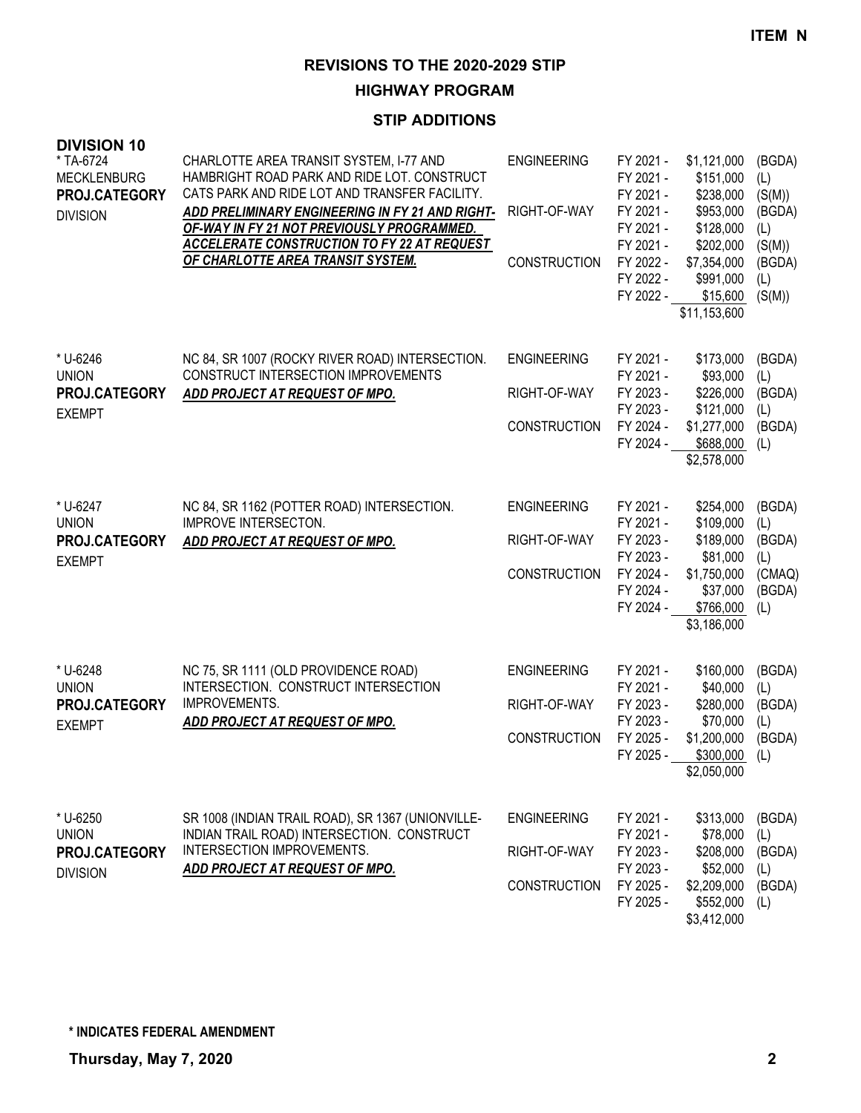# **HIGHWAY PROGRAM**

# **STIP ADDITIONS**

| <b>DIVISION 10</b><br>* TA-6724<br><b>MECKLENBURG</b><br>PROJ.CATEGORY<br><b>DIVISION</b> | CHARLOTTE AREA TRANSIT SYSTEM, I-77 AND<br>HAMBRIGHT ROAD PARK AND RIDE LOT. CONSTRUCT<br>CATS PARK AND RIDE LOT AND TRANSFER FACILITY.<br>ADD PRELIMINARY ENGINEERING IN FY 21 AND RIGHT-<br>OF-WAY IN FY 21 NOT PREVIOUSLY PROGRAMMED.<br><b>ACCELERATE CONSTRUCTION TO FY 22 AT REQUEST</b><br>OF CHARLOTTE AREA TRANSIT SYSTEM. | <b>ENGINEERING</b><br>RIGHT-OF-WAY<br><b>CONSTRUCTION</b> | FY 2021 -<br>FY 2021 -<br>FY 2021 -<br>FY 2021 -<br>FY 2021 -<br>FY 2021 -<br>FY 2022 -<br>FY 2022 -<br>FY 2022 - | \$1,121,000<br>\$151,000<br>\$238,000<br>\$953,000<br>\$128,000<br>\$202,000<br>\$7,354,000<br>\$991,000<br>\$15,600<br>\$11,153,600 | (BGDA)<br>(L)<br>(S(M))<br>(BGDA)<br>(L)<br>(S(M))<br>(BGDA)<br>(L)<br>(S(M)) |
|-------------------------------------------------------------------------------------------|-------------------------------------------------------------------------------------------------------------------------------------------------------------------------------------------------------------------------------------------------------------------------------------------------------------------------------------|-----------------------------------------------------------|-------------------------------------------------------------------------------------------------------------------|--------------------------------------------------------------------------------------------------------------------------------------|-------------------------------------------------------------------------------|
| * U-6246<br><b>UNION</b><br>PROJ.CATEGORY<br><b>EXEMPT</b>                                | NC 84, SR 1007 (ROCKY RIVER ROAD) INTERSECTION.<br>CONSTRUCT INTERSECTION IMPROVEMENTS<br>ADD PROJECT AT REQUEST OF MPO.                                                                                                                                                                                                            | <b>ENGINEERING</b><br>RIGHT-OF-WAY<br><b>CONSTRUCTION</b> | FY 2021 -<br>FY 2021 -<br>FY 2023 -<br>FY 2023 -<br>FY 2024 -<br>FY 2024 -                                        | \$173,000<br>\$93,000<br>\$226,000<br>\$121,000<br>\$1,277,000<br>\$688,000<br>\$2,578,000                                           | (BGDA)<br>(L)<br>(BGDA)<br>(L)<br>(BGDA)<br>(L)                               |
| * U-6247<br><b>UNION</b><br>PROJ.CATEGORY<br><b>EXEMPT</b>                                | NC 84, SR 1162 (POTTER ROAD) INTERSECTION.<br><b>IMPROVE INTERSECTON.</b><br><b>ADD PROJECT AT REQUEST OF MPO.</b>                                                                                                                                                                                                                  | <b>ENGINEERING</b><br>RIGHT-OF-WAY<br><b>CONSTRUCTION</b> | FY 2021 -<br>FY 2021 -<br>FY 2023 -<br>FY 2023 -<br>FY 2024 -<br>FY 2024 -<br>FY 2024 -                           | \$254,000<br>\$109,000<br>\$189,000<br>\$81,000<br>\$1,750,000<br>\$37,000<br>\$766,000<br>\$3,186,000                               | (BGDA)<br>(L)<br>(BGDA)<br>(L)<br>(CMAQ)<br>(BGDA)<br>(L)                     |
| * U-6248<br><b>UNION</b><br>PROJ.CATEGORY<br><b>EXEMPT</b>                                | NC 75, SR 1111 (OLD PROVIDENCE ROAD)<br>INTERSECTION. CONSTRUCT INTERSECTION<br>IMPROVEMENTS.<br>ADD PROJECT AT REQUEST OF MPO.                                                                                                                                                                                                     | <b>ENGINEERING</b><br>RIGHT-OF-WAY<br><b>CONSTRUCTION</b> | FY 2021 -<br>FY 2021 -<br>FY 2023 -<br>FY 2023 -<br>FY 2025 -<br>FY 2025 -                                        | \$160,000<br>\$40,000<br>\$280,000<br>\$70,000<br>\$1,200,000<br>\$300,000<br>\$2,050,000                                            | (BGDA)<br>(L)<br>(BGDA)<br>(L)<br>(BGDA)<br>(L)                               |
| * U-6250<br><b>UNION</b><br>PROJ.CATEGORY<br><b>DIVISION</b>                              | SR 1008 (INDIAN TRAIL ROAD), SR 1367 (UNIONVILLE-<br>INDIAN TRAIL ROAD) INTERSECTION. CONSTRUCT<br>INTERSECTION IMPROVEMENTS.<br><b>ADD PROJECT AT REQUEST OF MPO.</b>                                                                                                                                                              | <b>ENGINEERING</b><br>RIGHT-OF-WAY<br><b>CONSTRUCTION</b> | FY 2021 -<br>FY 2021 -<br>FY 2023 -<br>FY 2023 -<br>FY 2025 -<br>FY 2025 -                                        | \$313,000<br>\$78,000<br>\$208,000<br>\$52,000<br>\$2,209,000<br>\$552,000<br>\$3,412,000                                            | (BGDA)<br>(L)<br>(BGDA)<br>(L)<br>(BGDA)<br>(L)                               |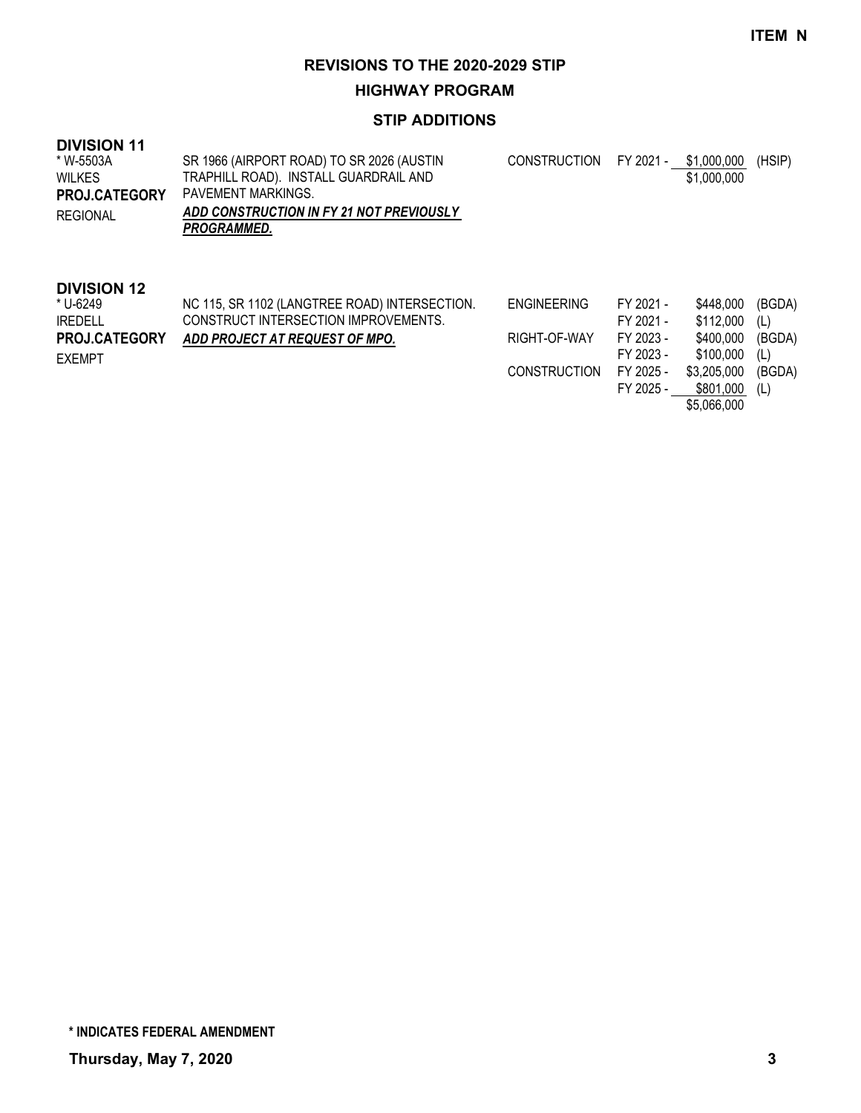**HIGHWAY PROGRAM**

#### **STIP ADDITIONS**

| <b>DIVISION 11</b><br>* W-5503A<br><b>WILKES</b><br><b>PROJ.CATEGORY</b><br>REGIONAL      | SR 1966 (AIRPORT ROAD) TO SR 2026 (AUSTIN<br>TRAPHILL ROAD). INSTALL GUARDRAIL AND<br>PAVEMENT MARKINGS.<br>ADD CONSTRUCTION IN FY 21 NOT PREVIOUSLY<br><b>PROGRAMMED.</b> | <b>CONSTRUCTION</b>                | FY 2021 -                                        | \$1,000,000<br>\$1,000,000                       | (HSIP)                         |
|-------------------------------------------------------------------------------------------|----------------------------------------------------------------------------------------------------------------------------------------------------------------------------|------------------------------------|--------------------------------------------------|--------------------------------------------------|--------------------------------|
| <b>DIVISION 12</b><br>* U-6249<br><b>IREDELL</b><br><b>PROJ.CATEGORY</b><br><b>EXEMPT</b> | NC 115, SR 1102 (LANGTREE ROAD) INTERSECTION.<br>CONSTRUCT INTERSECTION IMPROVEMENTS.<br>ADD PROJECT AT REQUEST OF MPO.                                                    | <b>ENGINEERING</b><br>RIGHT-OF-WAY | FY 2021 -<br>FY 2021 -<br>FY 2023 -<br>FY 2023 - | \$448,000<br>\$112,000<br>\$400,000<br>\$100,000 | (BGDA)<br>(L)<br>(BGDA)<br>(L) |

FY 2023 - \$100,000 (L) CONSTRUCTION FY 2025 - \$3,205,000 (BGDA) FY 2025 - \$801,000 (L) \$5,066,000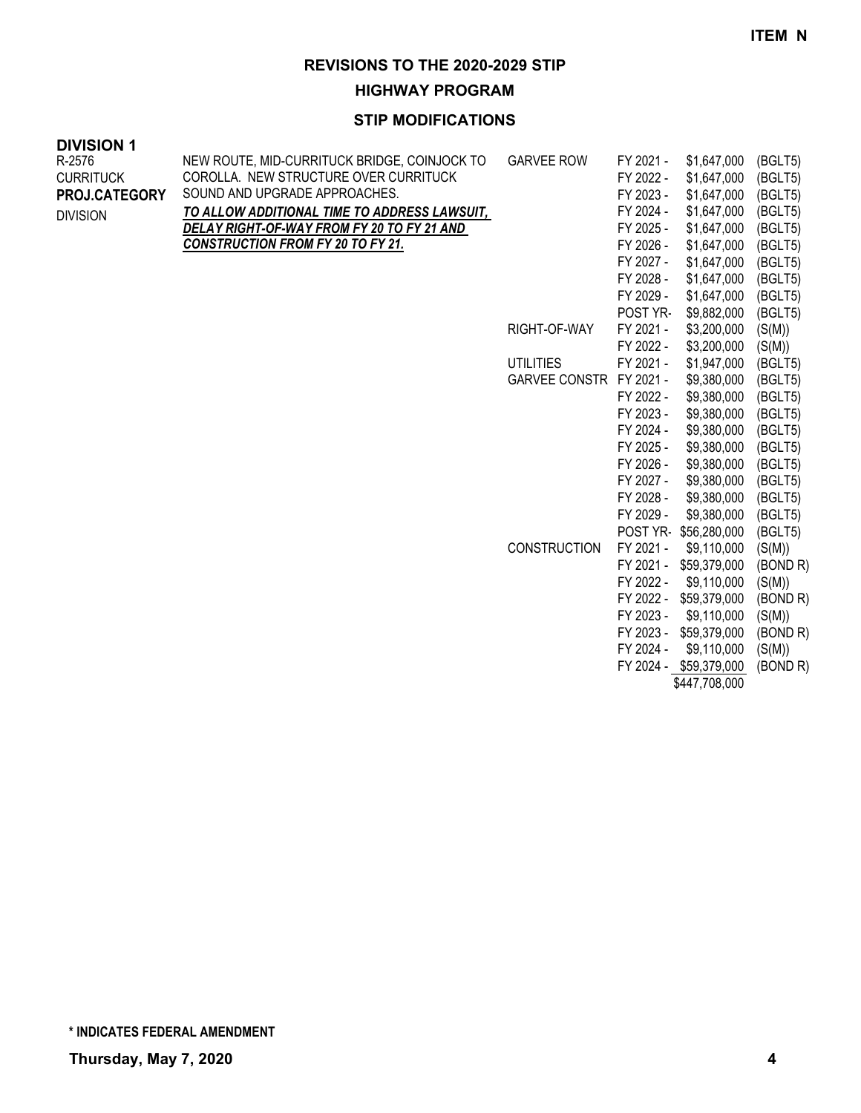**HIGHWAY PROGRAM**

| <b>DIVISION 1</b> |                                              |                         |                        |                            |                    |
|-------------------|----------------------------------------------|-------------------------|------------------------|----------------------------|--------------------|
| R-2576            | NEW ROUTE, MID-CURRITUCK BRIDGE, COINJOCK TO | <b>GARVEE ROW</b>       | FY 2021 -              | \$1,647,000                | (BGLT5)            |
| <b>CURRITUCK</b>  | COROLLA. NEW STRUCTURE OVER CURRITUCK        |                         | FY 2022 -              | \$1,647,000                | (BGLT5)            |
| PROJ.CATEGORY     | SOUND AND UPGRADE APPROACHES.                |                         | FY 2023 -              | \$1,647,000                | (BGLT5)            |
| <b>DIVISION</b>   | TO ALLOW ADDITIONAL TIME TO ADDRESS LAWSUIT, |                         | FY 2024 -              | \$1,647,000                | (BGLT5)            |
|                   | DELAY RIGHT-OF-WAY FROM FY 20 TO FY 21 AND   |                         | FY 2025 -              | \$1,647,000                | (BGLT5)            |
|                   | <b>CONSTRUCTION FROM FY 20 TO FY 21.</b>     |                         | FY 2026 -              | \$1,647,000                | (BGLT5)            |
|                   |                                              |                         | FY 2027 -              | \$1,647,000                | (BGLT5)            |
|                   |                                              |                         | FY 2028 -              | \$1,647,000                | (BGLT5)            |
|                   |                                              |                         | FY 2029 -              | \$1,647,000                | (BGLT5)            |
|                   |                                              |                         | POST YR-               | \$9,882,000                | (BGLT5)            |
|                   |                                              | RIGHT-OF-WAY            | FY 2021 -              | \$3,200,000                | (S(M))             |
|                   |                                              |                         | FY 2022 -              | \$3,200,000                | (S(M))             |
|                   |                                              | <b>UTILITIES</b>        | FY 2021 -              | \$1,947,000                | (BGLT5)            |
|                   |                                              | GARVEE CONSTR FY 2021 - |                        | \$9,380,000                | (BGLT5)            |
|                   |                                              |                         | FY 2022 -              | \$9,380,000                | (BGLT5)            |
|                   |                                              |                         | FY 2023 -<br>FY 2024 - | \$9,380,000                | (BGLT5)            |
|                   |                                              |                         | FY 2025 -              | \$9,380,000<br>\$9,380,000 | (BGLT5)<br>(BGLT5) |
|                   |                                              |                         | FY 2026 -              | \$9,380,000                | (BGLT5)            |
|                   |                                              |                         | FY 2027 -              | \$9,380,000                | (BGLT5)            |
|                   |                                              |                         | FY 2028 -              | \$9,380,000                | (BGLT5)            |
|                   |                                              |                         | FY 2029 -              | \$9,380,000                | (BGLT5)            |
|                   |                                              |                         | POST YR-               | \$56,280,000               | (BGLT5)            |
|                   |                                              | <b>CONSTRUCTION</b>     | FY 2021 -              | \$9,110,000                | (S(M))             |
|                   |                                              |                         | FY 2021 -              | \$59,379,000               | (BOND R)           |
|                   |                                              |                         | FY 2022 -              | \$9,110,000                | (S(M))             |
|                   |                                              |                         | FY 2022 -              | \$59,379,000               | (BOND R)           |
|                   |                                              |                         | FY 2023 -              | \$9,110,000                | (S(M))             |
|                   |                                              |                         | FY 2023 -              | \$59,379,000               | (BOND R)           |
|                   |                                              |                         | FY 2024 -              | \$9,110,000                | (S(M))             |
|                   |                                              |                         |                        | FY 2024 - \$59,379,000     | (BOND R)           |
|                   |                                              |                         |                        | \$447,708,000              |                    |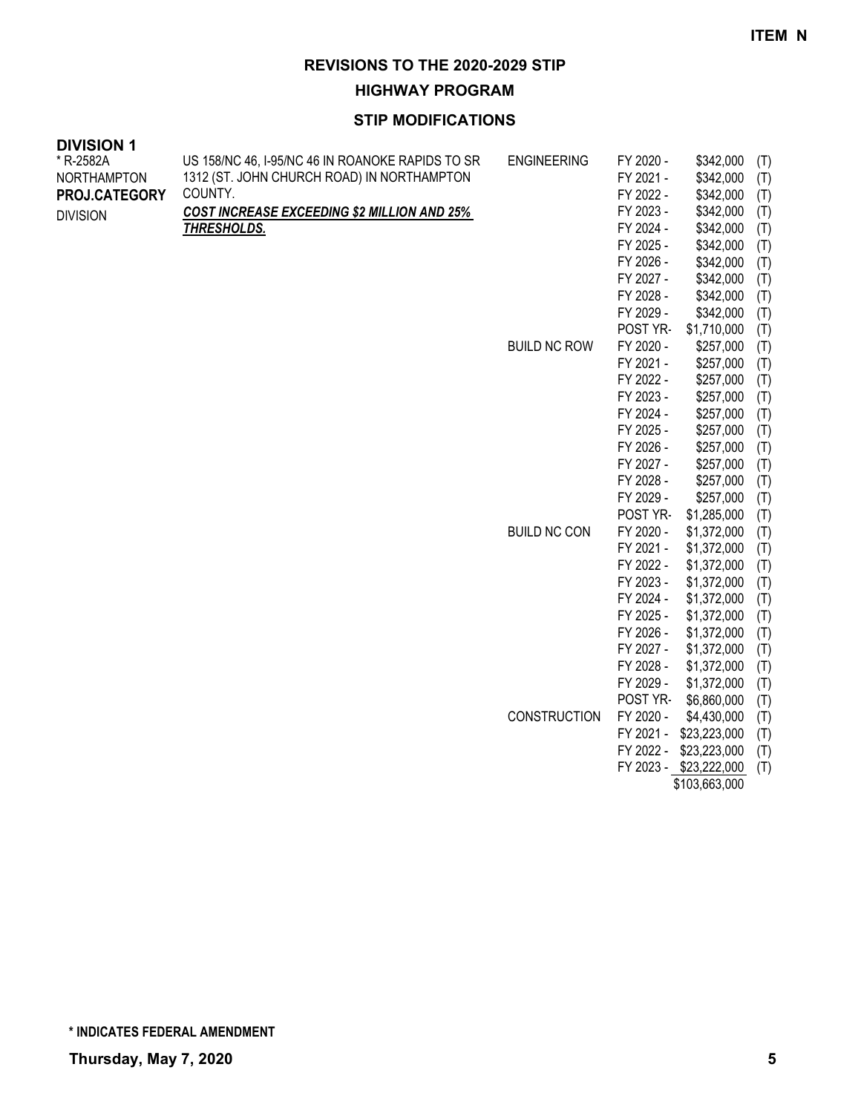**HIGHWAY PROGRAM**

### **STIP MODIFICATIONS**

| <b>DIVISION 1</b>  |                                                    |                     |           |                        |     |
|--------------------|----------------------------------------------------|---------------------|-----------|------------------------|-----|
| * R-2582A          | US 158/NC 46, I-95/NC 46 IN ROANOKE RAPIDS TO SR   | <b>ENGINEERING</b>  | FY 2020 - | \$342,000              | (T) |
| <b>NORTHAMPTON</b> | 1312 (ST. JOHN CHURCH ROAD) IN NORTHAMPTON         |                     | FY 2021 - | \$342,000              | (T) |
| PROJ.CATEGORY      | COUNTY.                                            |                     | FY 2022 - | \$342,000              | (T) |
| <b>DIVISION</b>    | <b>COST INCREASE EXCEEDING \$2 MILLION AND 25%</b> |                     | FY 2023 - | \$342,000              | (T) |
|                    | <b>THRESHOLDS.</b>                                 |                     | FY 2024 - | \$342,000              | (T) |
|                    |                                                    |                     | FY 2025 - | \$342,000              | (T) |
|                    |                                                    |                     | FY 2026 - | \$342,000              | (T) |
|                    |                                                    |                     | FY 2027 - | \$342,000              | (T) |
|                    |                                                    |                     | FY 2028 - | \$342,000              | (T) |
|                    |                                                    |                     | FY 2029 - | \$342,000              | (T) |
|                    |                                                    |                     | POST YR-  | \$1,710,000            | (T) |
|                    |                                                    | <b>BUILD NC ROW</b> | FY 2020 - | \$257,000              | (T) |
|                    |                                                    |                     | FY 2021 - | \$257,000              | (T) |
|                    |                                                    |                     | FY 2022 - | \$257,000              | (T) |
|                    |                                                    |                     | FY 2023 - | \$257,000              | (T) |
|                    |                                                    |                     | FY 2024 - | \$257,000              | (T) |
|                    |                                                    |                     | FY 2025 - | \$257,000              | (T) |
|                    |                                                    |                     | FY 2026 - | \$257,000              | (T) |
|                    |                                                    |                     | FY 2027 - | \$257,000              | (T) |
|                    |                                                    |                     | FY 2028 - | \$257,000              | (T) |
|                    |                                                    |                     | FY 2029 - | \$257,000              | (T) |
|                    |                                                    |                     | POST YR-  | \$1,285,000            | (T) |
|                    |                                                    | <b>BUILD NC CON</b> | FY 2020 - | \$1,372,000            | (T) |
|                    |                                                    |                     | FY 2021 - | \$1,372,000            | (T) |
|                    |                                                    |                     | FY 2022 - | \$1,372,000            | (T) |
|                    |                                                    |                     | FY 2023 - | \$1,372,000            | (T) |
|                    |                                                    |                     | FY 2024 - | \$1,372,000            | (T) |
|                    |                                                    |                     | FY 2025 - | \$1,372,000            | (T) |
|                    |                                                    |                     | FY 2026 - | \$1,372,000            | (T) |
|                    |                                                    |                     | FY 2027 - | \$1,372,000            | (T) |
|                    |                                                    |                     | FY 2028 - | \$1,372,000            | (T) |
|                    |                                                    |                     | FY 2029 - | \$1,372,000            | (T) |
|                    |                                                    |                     | POST YR-  | \$6,860,000            | (T) |
|                    |                                                    | <b>CONSTRUCTION</b> | FY 2020 - | \$4,430,000            | (T) |
|                    |                                                    |                     | FY 2021 - | \$23,223,000           | (T) |
|                    |                                                    |                     | FY 2022 - | \$23,223,000           | (T) |
|                    |                                                    |                     |           | FY 2023 - \$23,222,000 | (T) |

\$103,663,000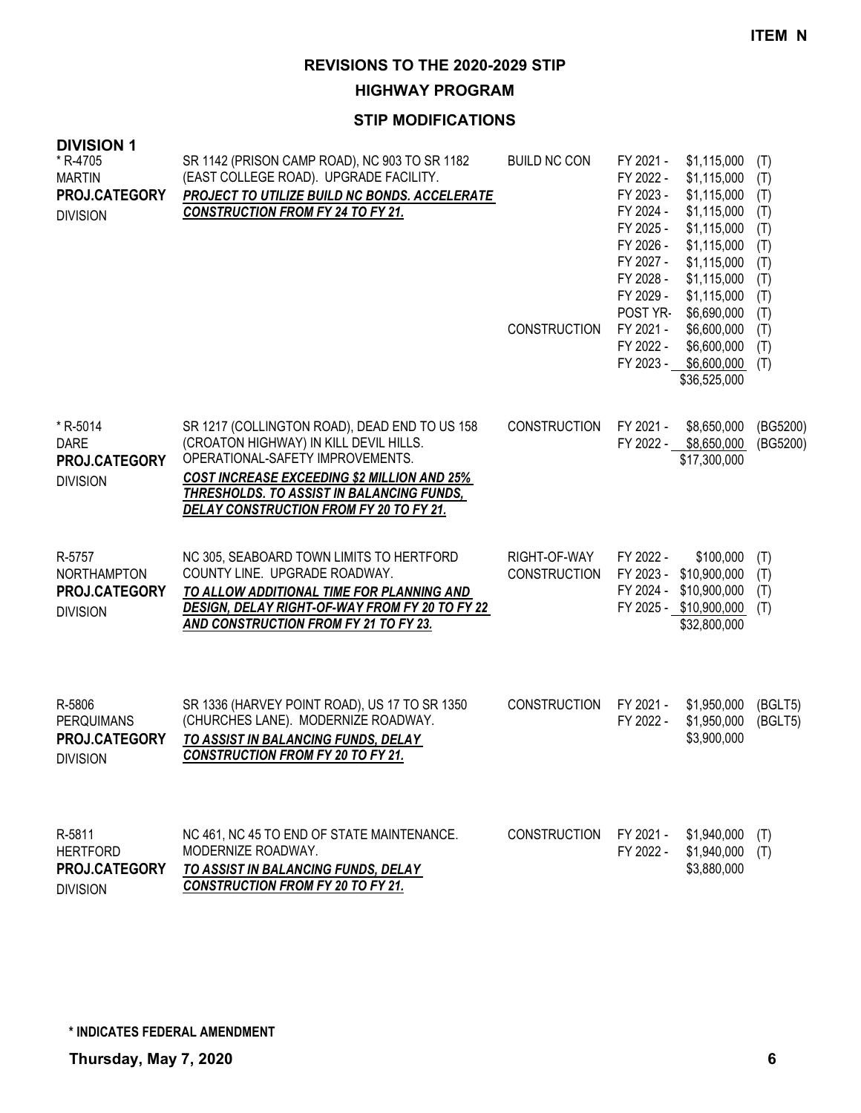**HIGHWAY PROGRAM**

#### **STIP MODIFICATIONS**

| ו ושושועו<br>* R-4705<br><b>MARTIN</b><br>PROJ.CATEGORY<br><b>DIVISION</b> | SR 1142 (PRISON CAMP ROAD), NC 903 TO SR 1182<br>(EAST COLLEGE ROAD). UPGRADE FACILITY.<br>PROJECT TO UTILIZE BUILD NC BONDS. ACCELERATE<br><b>CONSTRUCTION FROM FY 24 TO FY 21.</b>                                                                                      | <b>BUILD NC CON</b><br>CONSTRUCTION | FY 2021 -<br>FY 2022 -<br>FY 2023 -<br>FY 2024 -<br>FY 2025 -<br>FY 2026 -<br>FY 2027 -<br>FY 2028 -<br>FY 2029 -<br>POST YR-<br>FY 2021 -<br>FY 2022 -<br>FY 2023 - | \$1,115,000<br>\$1,115,000<br>\$1,115,000<br>\$1,115,000<br>\$1,115,000<br>\$1,115,000<br>\$1,115,000<br>\$1,115,000<br>\$1,115,000<br>\$6,690,000<br>\$6,600,000<br>\$6,600,000<br>\$6,600,000<br>\$36,525,000 | (T)<br>(T)<br>(T)<br>(T)<br>(T)<br>(T)<br>(T)<br>(T)<br>(T)<br>(T)<br>(T)<br>(T)<br>(T) |
|----------------------------------------------------------------------------|---------------------------------------------------------------------------------------------------------------------------------------------------------------------------------------------------------------------------------------------------------------------------|-------------------------------------|----------------------------------------------------------------------------------------------------------------------------------------------------------------------|-----------------------------------------------------------------------------------------------------------------------------------------------------------------------------------------------------------------|-----------------------------------------------------------------------------------------|
| * R-5014<br><b>DARE</b><br>PROJ.CATEGORY<br><b>DIVISION</b>                | SR 1217 (COLLINGTON ROAD), DEAD END TO US 158<br>(CROATON HIGHWAY) IN KILL DEVIL HILLS.<br>OPERATIONAL-SAFETY IMPROVEMENTS.<br><b>COST INCREASE EXCEEDING \$2 MILLION AND 25%</b><br>THRESHOLDS. TO ASSIST IN BALANCING FUNDS,<br>DELAY CONSTRUCTION FROM FY 20 TO FY 21. | <b>CONSTRUCTION</b>                 | FY 2021 -                                                                                                                                                            | \$8,650,000<br>FY 2022 - \$8,650,000<br>\$17,300,000                                                                                                                                                            | (BG5200)<br>(BG5200)                                                                    |
| R-5757<br>NORTHAMPTON<br>PROJ.CATEGORY<br><b>DIVISION</b>                  | NC 305, SEABOARD TOWN LIMITS TO HERTFORD<br>COUNTY LINE. UPGRADE ROADWAY.<br>TO ALLOW ADDITIONAL TIME FOR PLANNING AND<br>DESIGN, DELAY RIGHT-OF-WAY FROM FY 20 TO FY 22<br>AND CONSTRUCTION FROM FY 21 TO FY 23.                                                         | RIGHT-OF-WAY<br><b>CONSTRUCTION</b> | FY 2022 -<br>FY 2023 -<br>FY 2024 -                                                                                                                                  | \$100,000<br>\$10,900,000<br>\$10,900,000<br>FY 2025 - \$10,900,000<br>\$32,800,000                                                                                                                             | (T)<br>(T)<br>(T)<br>(T)                                                                |
| R-5806<br><b>PERQUIMANS</b><br>PROJ.CATEGORY<br><b>DIVISION</b>            | SR 1336 (HARVEY POINT ROAD), US 17 TO SR 1350<br>(CHURCHES LANE). MODERNIZE ROADWAY.<br>TO ASSIST IN BALANCING FUNDS, DELAY<br><b>CONSTRUCTION FROM FY 20 TO FY 21.</b>                                                                                                   | <b>CONSTRUCTION</b>                 | FY 2021 -<br>FY 2022 -                                                                                                                                               | \$1,950,000<br>\$1,950,000<br>\$3,900,000                                                                                                                                                                       | (BGLT5)<br>(BGLT5)                                                                      |
| R-5811<br><b>HERTFORD</b><br>PROJ.CATEGORY                                 | NC 461, NC 45 TO END OF STATE MAINTENANCE.<br>MODERNIZE ROADWAY.<br>TO ASSIST IN BALANCING FUNDS, DELAY                                                                                                                                                                   | <b>CONSTRUCTION</b>                 | FY 2021 -<br>FY 2022 -                                                                                                                                               | \$1,940,000<br>\$1,940,000<br>\$3,880,000                                                                                                                                                                       | (T)<br>(T)                                                                              |

**\* INDICATES FEDERAL AMENDMENT**

*CONSTRUCTION FROM FY 20 TO FY 21.*

DIVISION

**DIVISION 1**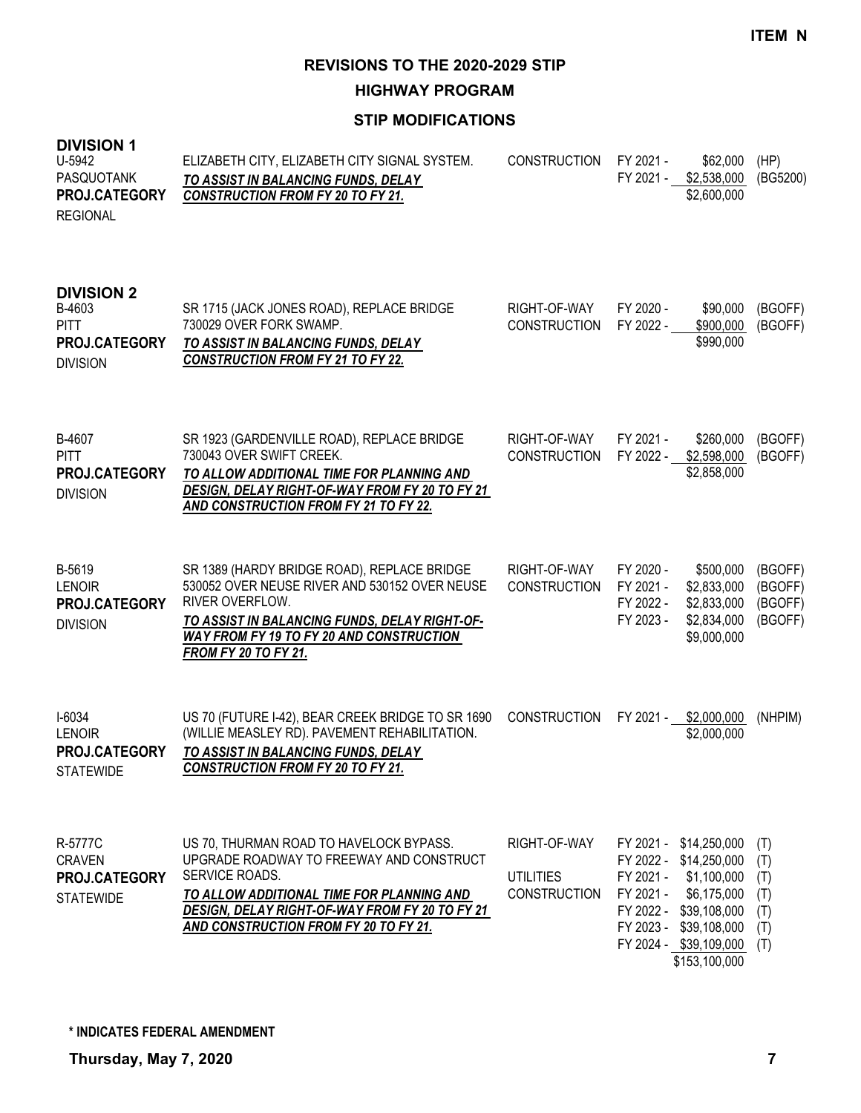**HIGHWAY PROGRAM**

| <b>DIVISION 1</b><br>U-5942<br>PASQUOTANK<br>PROJ.CATEGORY<br><b>REGIONAL</b>  | ELIZABETH CITY, ELIZABETH CITY SIGNAL SYSTEM.<br>TO ASSIST IN BALANCING FUNDS, DELAY<br><b>CONSTRUCTION FROM FY 20 TO FY 21.</b>                                                                                                                   | <b>CONSTRUCTION</b>                                     | FY 2021 -<br>FY 2021 -                           | \$62,000<br>\$2,538,000<br>\$2,600,000                                                                                                                              | (HP)<br>(BG5200)                              |
|--------------------------------------------------------------------------------|----------------------------------------------------------------------------------------------------------------------------------------------------------------------------------------------------------------------------------------------------|---------------------------------------------------------|--------------------------------------------------|---------------------------------------------------------------------------------------------------------------------------------------------------------------------|-----------------------------------------------|
| <b>DIVISION 2</b><br>B-4603<br><b>PITT</b><br>PROJ.CATEGORY<br><b>DIVISION</b> | SR 1715 (JACK JONES ROAD), REPLACE BRIDGE<br>730029 OVER FORK SWAMP.<br>TO ASSIST IN BALANCING FUNDS, DELAY<br><b>CONSTRUCTION FROM FY 21 TO FY 22.</b>                                                                                            | RIGHT-OF-WAY<br><b>CONSTRUCTION</b>                     | FY 2020 -<br>FY 2022 -                           | \$90,000<br>\$900,000<br>\$990,000                                                                                                                                  | (BGOFF)<br>(BGOFF)                            |
| B-4607<br><b>PITT</b><br><b>PROJ.CATEGORY</b><br><b>DIVISION</b>               | SR 1923 (GARDENVILLE ROAD), REPLACE BRIDGE<br>730043 OVER SWIFT CREEK.<br>TO ALLOW ADDITIONAL TIME FOR PLANNING AND<br>DESIGN, DELAY RIGHT-OF-WAY FROM FY 20 TO FY 21<br>AND CONSTRUCTION FROM FY 21 TO FY 22.                                     | RIGHT-OF-WAY<br><b>CONSTRUCTION</b>                     | FY 2021 -<br>FY 2022 -                           | \$260,000<br>\$2,598,000<br>\$2,858,000                                                                                                                             | (BGOFF)<br>(BGOFF)                            |
| B-5619<br><b>LENOIR</b><br>PROJ.CATEGORY<br><b>DIVISION</b>                    | SR 1389 (HARDY BRIDGE ROAD), REPLACE BRIDGE<br>530052 OVER NEUSE RIVER AND 530152 OVER NEUSE<br>RIVER OVERFLOW.<br>TO ASSIST IN BALANCING FUNDS, DELAY RIGHT-OF-<br><b>WAY FROM FY 19 TO FY 20 AND CONSTRUCTION</b><br><b>FROM FY 20 TO FY 21.</b> | RIGHT-OF-WAY<br><b>CONSTRUCTION</b>                     | FY 2020 -<br>FY 2021 -<br>FY 2022 -<br>FY 2023 - | \$500,000<br>\$2,833,000<br>\$2,833,000<br>\$2,834,000<br>\$9,000,000                                                                                               | (BGOFF)<br>(BGOFF)<br>(BGOFF)<br>(BGOFF)      |
| $I-6034$<br><b>LENOIR</b><br><b>PROJ.CATEGORY</b><br><b>STATEWIDE</b>          | US 70 (FUTURE I-42), BEAR CREEK BRIDGE TO SR 1690<br>(WILLIE MEASLEY RD). PAVEMENT REHABILITATION.<br>TO ASSIST IN BALANCING FUNDS, DELAY<br><b>CONSTRUCTION FROM FY 20 TO FY 21.</b>                                                              | <b>CONSTRUCTION</b>                                     | FY 2021 -                                        | \$2,000,000<br>\$2,000,000                                                                                                                                          | (NHPIM)                                       |
| R-5777C<br><b>CRAVEN</b><br>PROJ.CATEGORY<br><b>STATEWIDE</b>                  | US 70, THURMAN ROAD TO HAVELOCK BYPASS.<br>UPGRADE ROADWAY TO FREEWAY AND CONSTRUCT<br>SERVICE ROADS.<br>TO ALLOW ADDITIONAL TIME FOR PLANNING AND<br>DESIGN, DELAY RIGHT-OF-WAY FROM FY 20 TO FY 21<br>AND CONSTRUCTION FROM FY 20 TO FY 21.      | RIGHT-OF-WAY<br><b>UTILITIES</b><br><b>CONSTRUCTION</b> | FY 2021 -<br>FY 2021 -<br>FY 2021 -              | \$14,250,000<br>FY 2022 - \$14,250,000<br>\$1,100,000<br>\$6,175,000<br>FY 2022 - \$39,108,000<br>FY 2023 - \$39,108,000<br>FY 2024 - \$39,109,000<br>\$153,100,000 | (T)<br>(T)<br>(T)<br>(T)<br>(T)<br>(T)<br>(T) |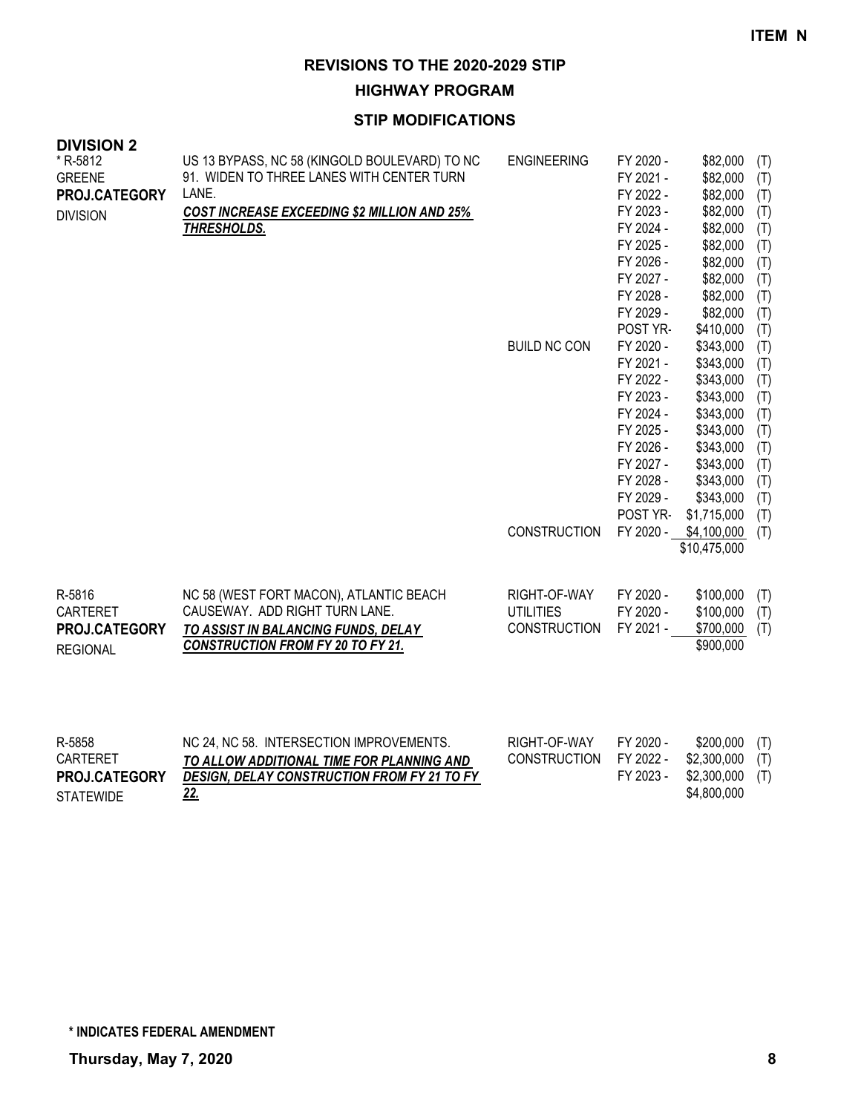**HIGHWAY PROGRAM**

| <b>DIVISION 2</b> |                                                    |                     |                        |                        |            |
|-------------------|----------------------------------------------------|---------------------|------------------------|------------------------|------------|
| * R-5812          | US 13 BYPASS, NC 58 (KINGOLD BOULEVARD) TO NC      | <b>ENGINEERING</b>  | FY 2020 -              | \$82,000               | (T)        |
| <b>GREENE</b>     | 91. WIDEN TO THREE LANES WITH CENTER TURN          |                     | FY 2021 -              | \$82,000               | (T)        |
| PROJ.CATEGORY     | LANE.                                              |                     | FY 2022 -              | \$82,000               | (T)        |
| <b>DIVISION</b>   | <b>COST INCREASE EXCEEDING \$2 MILLION AND 25%</b> |                     | FY 2023 -              | \$82,000               | (T)        |
|                   | THRESHOLDS.                                        |                     | FY 2024 -<br>FY 2025 - | \$82,000               | (T)        |
|                   |                                                    |                     | FY 2026 -              | \$82,000<br>\$82,000   | (T)<br>(T) |
|                   |                                                    |                     | FY 2027 -              | \$82,000               | (T)        |
|                   |                                                    |                     | FY 2028 -              | \$82,000               | (T)        |
|                   |                                                    |                     | FY 2029 -              | \$82,000               | (T)        |
|                   |                                                    |                     | POST YR-               | \$410,000              | (T)        |
|                   |                                                    | <b>BUILD NC CON</b> | FY 2020 -              | \$343,000              | (T)        |
|                   |                                                    |                     | FY 2021 -              | \$343,000              | (T)        |
|                   |                                                    |                     | FY 2022 -              | \$343,000              | (T)        |
|                   |                                                    |                     | FY 2023 -              | \$343,000              | (T)        |
|                   |                                                    |                     | FY 2024 -              | \$343,000              | (T)        |
|                   |                                                    |                     | FY 2025 -<br>FY 2026 - | \$343,000              | (T)        |
|                   |                                                    |                     | FY 2027 -              | \$343,000<br>\$343,000 | (T)<br>(T) |
|                   |                                                    |                     | FY 2028 -              | \$343,000              | (T)        |
|                   |                                                    |                     | FY 2029 -              | \$343,000              | (T)        |
|                   |                                                    |                     | POST YR-               | \$1,715,000            | (T)        |
|                   |                                                    | CONSTRUCTION        | FY 2020 -              | \$4,100,000            | (T)        |
|                   |                                                    |                     |                        | \$10,475,000           |            |
|                   |                                                    |                     |                        |                        |            |
| R-5816            | NC 58 (WEST FORT MACON), ATLANTIC BEACH            | RIGHT-OF-WAY        | FY 2020 -              | \$100,000              | (T)        |
| CARTERET          | CAUSEWAY. ADD RIGHT TURN LANE.                     | <b>UTILITIES</b>    | FY 2020 -              | \$100,000              | (T)        |
| PROJ.CATEGORY     | TO ASSIST IN BALANCING FUNDS, DELAY                | <b>CONSTRUCTION</b> | FY 2021 -              | \$700,000              | (T)        |
| <b>REGIONAL</b>   | <b>CONSTRUCTION FROM FY 20 TO FY 21.</b>           |                     |                        | \$900,000              |            |
|                   |                                                    |                     |                        |                        |            |
|                   |                                                    |                     |                        |                        |            |
|                   |                                                    |                     |                        |                        |            |
|                   |                                                    |                     |                        |                        |            |
| R-5858            | NC 24, NC 58. INTERSECTION IMPROVEMENTS.           | RIGHT-OF-WAY        | FY 2020 -              | \$200,000              | (T)        |
| <b>CARTERET</b>   | TO ALLOW ADDITIONAL TIME FOR PLANNING AND          | <b>CONSTRUCTION</b> | FY 2022 -              | \$2,300,000            | (T)        |
| PROJ.CATEGORY     | DESIGN, DELAY CONSTRUCTION FROM FY 21 TO FY        |                     | FY 2023 -              | \$2,300,000            | (T)        |
| <b>STATEWIDE</b>  | 22.                                                |                     |                        | \$4,800,000            |            |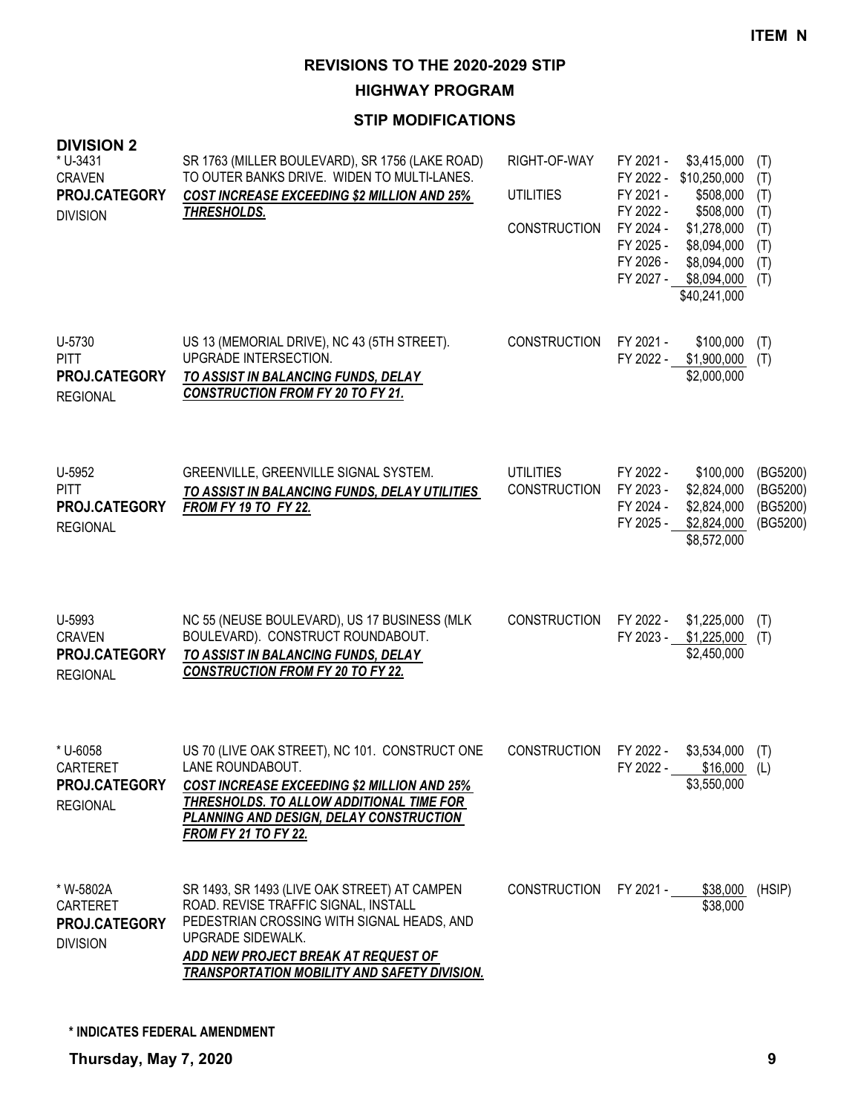**HIGHWAY PROGRAM**

# **STIP MODIFICATIONS**

| א וטוטוע<br>* U-3431<br><b>CRAVEN</b><br>PROJ.CATEGORY<br><b>DIVISION</b> | SR 1763 (MILLER BOULEVARD), SR 1756 (LAKE ROAD)<br>TO OUTER BANKS DRIVE. WIDEN TO MULTI-LANES.<br><b>COST INCREASE EXCEEDING \$2 MILLION AND 25%</b><br><b>THRESHOLDS.</b>                                                                            | RIGHT-OF-WAY<br><b>UTILITIES</b><br><b>CONSTRUCTION</b> | FY 2021 -<br>\$3,415,000<br>FY 2022 -<br>\$10,250,000<br>FY 2021 -<br>\$508,000<br>FY 2022 -<br>\$508,000<br>FY 2024 -<br>\$1,278,000<br>FY 2025 -<br>\$8,094,000<br>FY 2026 -<br>\$8,094,000<br>FY 2027 - \$8,094,000<br>\$40,241,000 | (T)<br>(T)<br>(T)<br>(T)<br>(T)<br>(T)<br>(T)<br>(T) |
|---------------------------------------------------------------------------|-------------------------------------------------------------------------------------------------------------------------------------------------------------------------------------------------------------------------------------------------------|---------------------------------------------------------|----------------------------------------------------------------------------------------------------------------------------------------------------------------------------------------------------------------------------------------|------------------------------------------------------|
| U-5730<br><b>PITT</b><br>PROJ.CATEGORY<br><b>REGIONAL</b>                 | US 13 (MEMORIAL DRIVE), NC 43 (5TH STREET).<br>UPGRADE INTERSECTION.<br>TO ASSIST IN BALANCING FUNDS, DELAY<br><b>CONSTRUCTION FROM FY 20 TO FY 21.</b>                                                                                               | <b>CONSTRUCTION</b>                                     | FY 2021 -<br>\$100,000<br>FY 2022 - \$1,900,000<br>\$2,000,000                                                                                                                                                                         | (T)<br>(T)                                           |
| U-5952<br><b>PITT</b><br>PROJ.CATEGORY<br><b>REGIONAL</b>                 | GREENVILLE, GREENVILLE SIGNAL SYSTEM.<br>TO ASSIST IN BALANCING FUNDS, DELAY UTILITIES<br><b>FROM FY 19 TO FY 22.</b>                                                                                                                                 | <b>UTILITIES</b><br><b>CONSTRUCTION</b>                 | FY 2022 -<br>\$100,000<br>FY 2023 -<br>\$2,824,000<br>FY 2024 -<br>\$2,824,000<br>FY 2025 -<br>\$2,824,000<br>\$8,572,000                                                                                                              | (BG5200)<br>(BG5200)<br>(BG5200)<br>(BG5200)         |
| U-5993<br><b>CRAVEN</b><br>PROJ.CATEGORY<br><b>REGIONAL</b>               | NC 55 (NEUSE BOULEVARD), US 17 BUSINESS (MLK<br>BOULEVARD). CONSTRUCT ROUNDABOUT.<br>TO ASSIST IN BALANCING FUNDS, DELAY<br><b>CONSTRUCTION FROM FY 20 TO FY 22.</b>                                                                                  | <b>CONSTRUCTION</b>                                     | FY 2022 -<br>\$1,225,000<br>FY 2023 -<br>\$1,225,000<br>\$2,450,000                                                                                                                                                                    | (T)<br>(T)                                           |
| * U-6058<br><b>CARTERET</b><br>PROJ.CATEGORY<br><b>REGIONAL</b>           | US 70 (LIVE OAK STREET), NC 101. CONSTRUCT ONE<br>LANE ROUNDABOUT.<br>COST INCREASE EXCEEDING \$2 MILLION AND 25%<br>THRESHOLDS. TO ALLOW ADDITIONAL TIME FOR<br>PLANNING AND DESIGN, DELAY CONSTRUCTION<br><b>FROM FY 21 TO FY 22.</b>               | <b>CONSTRUCTION</b>                                     | FY 2022 -<br>\$3,534,000<br>FY 2022 -<br>\$16,000<br>\$3,550,000                                                                                                                                                                       | (T)<br>(L)                                           |
| * W-5802A<br><b>CARTERET</b><br>PROJ.CATEGORY<br><b>DIVISION</b>          | SR 1493, SR 1493 (LIVE OAK STREET) AT CAMPEN<br>ROAD. REVISE TRAFFIC SIGNAL, INSTALL<br>PEDESTRIAN CROSSING WITH SIGNAL HEADS, AND<br>UPGRADE SIDEWALK.<br>ADD NEW PROJECT BREAK AT REQUEST OF<br><b>TRANSPORTATION MOBILITY AND SAFETY DIVISION.</b> | <b>CONSTRUCTION</b>                                     | FY 2021 -<br>\$38,000<br>\$38,000                                                                                                                                                                                                      | (HSIP)                                               |

**DIVISION 2**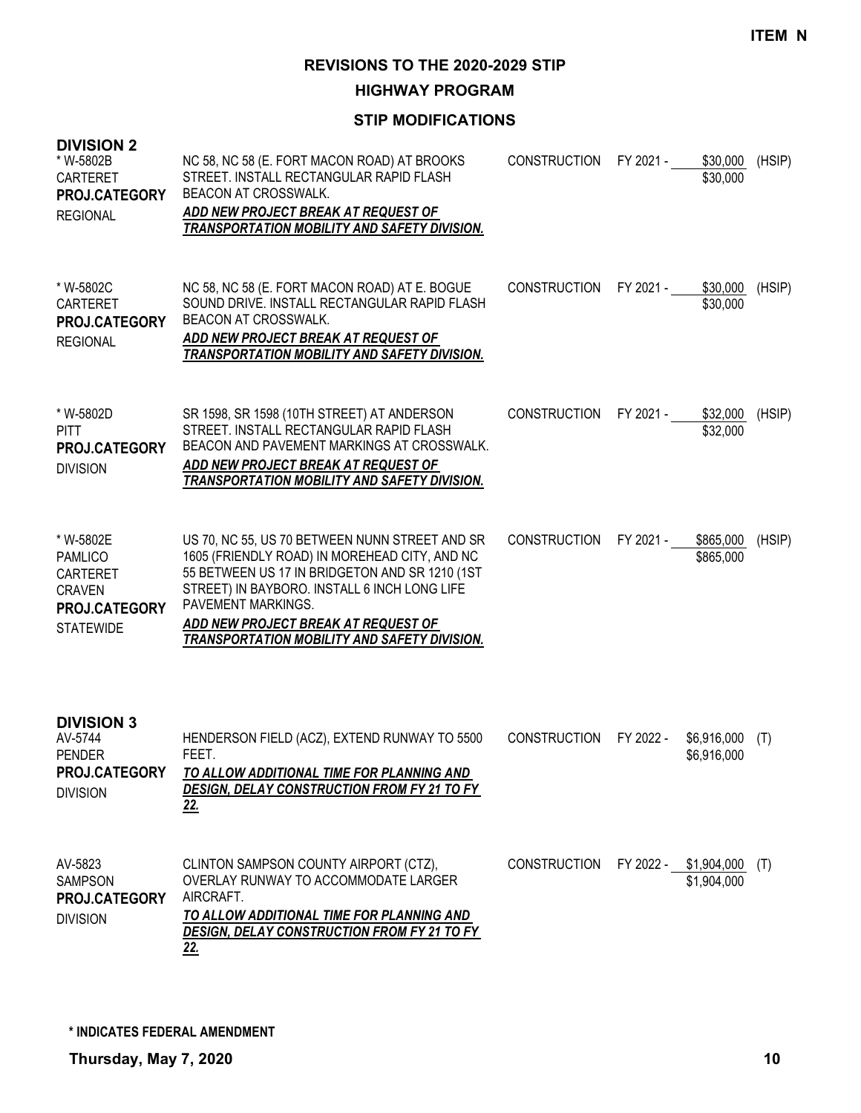**HIGHWAY PROGRAM**

| <b>DIVISION 2</b><br>* W-5802B<br><b>CARTERET</b><br>PROJ.CATEGORY<br><b>REGIONAL</b>                | NC 58, NC 58 (E. FORT MACON ROAD) AT BROOKS<br>STREET. INSTALL RECTANGULAR RAPID FLASH<br><b>BEACON AT CROSSWALK.</b><br>ADD NEW PROJECT BREAK AT REQUEST OF<br>TRANSPORTATION MOBILITY AND SAFETY DIVISION.                                                                                                   | <b>CONSTRUCTION</b> | FY 2021 -             | \$30,000<br>\$30,000       | (HSIP) |
|------------------------------------------------------------------------------------------------------|----------------------------------------------------------------------------------------------------------------------------------------------------------------------------------------------------------------------------------------------------------------------------------------------------------------|---------------------|-----------------------|----------------------------|--------|
| * W-5802C<br><b>CARTERET</b><br>PROJ.CATEGORY<br><b>REGIONAL</b>                                     | NC 58, NC 58 (E. FORT MACON ROAD) AT E. BOGUE<br>SOUND DRIVE. INSTALL RECTANGULAR RAPID FLASH<br><b>BEACON AT CROSSWALK.</b><br>ADD NEW PROJECT BREAK AT REQUEST OF<br>TRANSPORTATION MOBILITY AND SAFETY DIVISION.                                                                                            | <b>CONSTRUCTION</b> | FY 2021 -             | \$30,000<br>\$30,000       | (HSIP) |
| * W-5802D<br><b>PITT</b><br><b>PROJ.CATEGORY</b><br><b>DIVISION</b>                                  | SR 1598, SR 1598 (10TH STREET) AT ANDERSON<br>STREET. INSTALL RECTANGULAR RAPID FLASH<br>BEACON AND PAVEMENT MARKINGS AT CROSSWALK.<br>ADD NEW PROJECT BREAK AT REQUEST OF<br><b>TRANSPORTATION MOBILITY AND SAFETY DIVISION.</b>                                                                              | <b>CONSTRUCTION</b> | FY 2021 -             | \$32,000<br>\$32,000       | (HSIP) |
| * W-5802E<br><b>PAMLICO</b><br><b>CARTERET</b><br><b>CRAVEN</b><br>PROJ.CATEGORY<br><b>STATEWIDE</b> | US 70, NC 55, US 70 BETWEEN NUNN STREET AND SR<br>1605 (FRIENDLY ROAD) IN MOREHEAD CITY, AND NC<br>55 BETWEEN US 17 IN BRIDGETON AND SR 1210 (1ST<br>STREET) IN BAYBORO. INSTALL 6 INCH LONG LIFE<br>PAVEMENT MARKINGS.<br>ADD NEW PROJECT BREAK AT REQUEST OF<br>TRANSPORTATION MOBILITY AND SAFETY DIVISION. | <b>CONSTRUCTION</b> | FY 2021 -             | \$865,000<br>\$865,000     | (HSIP) |
| <b>DIVISION 3</b><br>AV-5744<br><b>PENDER</b><br>PROJ.CATEGORY<br><b>DIVISION</b>                    | HENDERSON FIELD (ACZ), EXTEND RUNWAY TO 5500<br>FEET.<br>TO ALLOW ADDITIONAL TIME FOR PLANNING AND<br>DESIGN, DELAY CONSTRUCTION FROM FY 21 TO FY<br><u>22.</u>                                                                                                                                                | <b>CONSTRUCTION</b> | FY 2022 -             | \$6,916,000<br>\$6,916,000 | (T)    |
| AV-5823<br><b>SAMPSON</b><br>PROJ.CATEGORY<br><b>DIVISION</b>                                        | CLINTON SAMPSON COUNTY AIRPORT (CTZ),<br>OVERLAY RUNWAY TO ACCOMMODATE LARGER<br>AIRCRAFT.<br>TO ALLOW ADDITIONAL TIME FOR PLANNING AND<br>DESIGN, DELAY CONSTRUCTION FROM FY 21 TO FY<br><u>22.</u>                                                                                                           | <b>CONSTRUCTION</b> | FY 2022 - \$1,904,000 | \$1,904,000                | (T)    |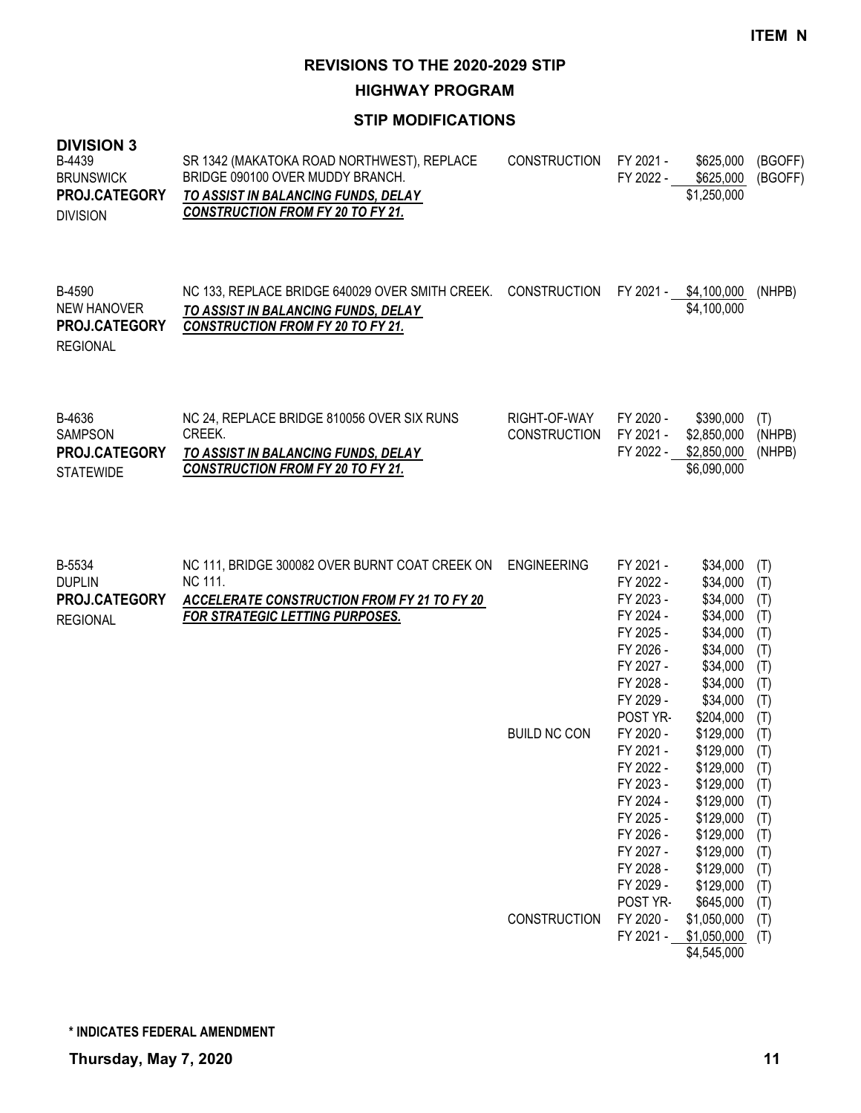**HIGHWAY PROGRAM**

#### **STIP MODIFICATIONS**

| <b>DIVISION 3</b><br>B-4439<br><b>BRUNSWICK</b><br>PROJ.CATEGORY<br><b>DIVISION</b> | SR 1342 (MAKATOKA ROAD NORTHWEST), REPLACE<br>BRIDGE 090100 OVER MUDDY BRANCH.<br>TO ASSIST IN BALANCING FUNDS, DELAY<br><b>CONSTRUCTION FROM FY 20 TO FY 21.</b> | <b>CONSTRUCTION</b> | FY 2021 -<br>FY 2022 - | \$625,000<br>\$625,000<br>\$1,250,000 | (BGOFF)<br>(BGOFF) |
|-------------------------------------------------------------------------------------|-------------------------------------------------------------------------------------------------------------------------------------------------------------------|---------------------|------------------------|---------------------------------------|--------------------|
| B-4590<br>NEW HANOVER                                                               | NC 133, REPLACE BRIDGE 640029 OVER SMITH CREEK.<br>TO ASSIST IN BALANCING FUNDS. DELAY                                                                            | CONSTRUCTION        | FY 2021 -              | \$4,100,000<br>\$4,100,000            | (NHPB)             |

*CONSTRUCTION FROM FY 20 TO FY 21.* **PROJ.CATEGORY** REGIONAL

| B-4636                                   | NC 24. REPLACE BRIDGE 810056 OVER SIX RUNS                                      | RIGHT-OF-WAY | FY 2020 - | \$390.000                  | (T)    |
|------------------------------------------|---------------------------------------------------------------------------------|--------------|-----------|----------------------------|--------|
| <b>SAMPSON</b>                           | CREEK.                                                                          | CONSTRUCTION | FY 2021 - | \$2.850.000                | (NHPB) |
| <b>PROJ.CATEGORY</b><br><b>STATEWIDE</b> | TO ASSIST IN BALANCING FUNDS, DELAY<br><b>CONSTRUCTION FROM FY 20 TO FY 21.</b> |              | FY 2022 - | \$2.850.000<br>\$6,090,000 | (NHPB) |

| B-5534<br><b>DUPLIN</b> | NC 111, BRIDGE 300082 OVER BURNT COAT CREEK ON<br>NC 111. | <b>ENGINEERING</b>  | FY 2021 -<br>FY 2022 - | \$34,000<br>\$34,000 | (T)<br>(T) |
|-------------------------|-----------------------------------------------------------|---------------------|------------------------|----------------------|------------|
| PROJ.CATEGORY           | <b>ACCELERATE CONSTRUCTION FROM FY 21 TO FY 20</b>        |                     | FY 2023 -              | \$34,000             | (T)        |
| <b>REGIONAL</b>         | <b>FOR STRATEGIC LETTING PURPOSES.</b>                    |                     | FY 2024 -              | \$34,000             | (T)        |
|                         |                                                           |                     | FY 2025 -              | \$34,000             | (T)        |
|                         |                                                           |                     | FY 2026 -              | \$34,000             | (T)        |
|                         |                                                           |                     | FY 2027 -              | \$34,000             | (T)        |
|                         |                                                           |                     | FY 2028 -              | \$34,000             | (T)        |
|                         |                                                           |                     | FY 2029 -              | \$34,000             | (T)        |
|                         |                                                           |                     | POST YR-               | \$204,000            | (T)        |
|                         |                                                           | <b>BUILD NC CON</b> | FY 2020 -              | \$129,000            | (T)        |
|                         |                                                           |                     | FY 2021 -              | \$129,000            | (T)        |
|                         |                                                           |                     | FY 2022 -              | \$129,000            | (T)        |
|                         |                                                           |                     | FY 2023 -              | \$129,000            | (T)        |
|                         |                                                           |                     | FY 2024 -              | \$129,000            | (T)        |
|                         |                                                           |                     | FY 2025 -              | \$129,000            | (T)        |
|                         |                                                           |                     | FY 2026 -              | \$129,000            | (T)        |
|                         |                                                           |                     | FY 2027 -              | \$129,000            | (T)        |
|                         |                                                           |                     | FY 2028 -              | \$129,000            | (T)        |
|                         |                                                           |                     | FY 2029 -              | \$129,000            | (T)        |
|                         |                                                           |                     | POST YR-               | \$645,000            | (T)        |
|                         |                                                           | <b>CONSTRUCTION</b> | FY 2020 -              | \$1,050,000          | (T)        |
|                         |                                                           |                     | FY 2021 -              | \$1,050,000          | (T)        |
|                         |                                                           |                     |                        | \$4,545,000          |            |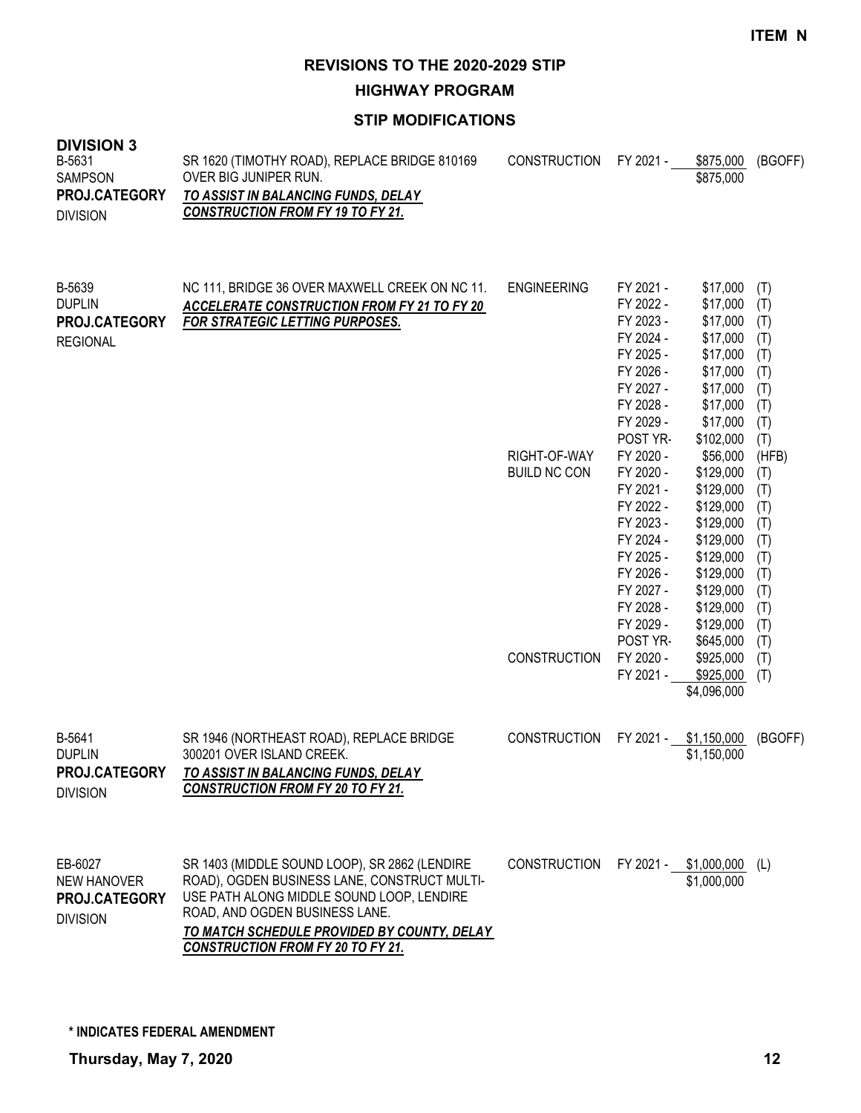**HIGHWAY PROGRAM**

#### **STIP MODIFICATIONS**

| <b>DIVISION 3</b><br>B-5631<br><b>SAMPSON</b><br>PROJ.CATEGORY<br><b>DIVISION</b> | SR 1620 (TIMOTHY ROAD), REPLACE BRIDGE 810169<br>OVER BIG JUNIPER RUN.<br>TO ASSIST IN BALANCING FUNDS, DELAY<br><b>CONSTRUCTION FROM FY 19 TO FY 21.</b>                                                                                                               | <b>CONSTRUCTION</b>                 | FY 2021 -                                                                                                                                               | \$875,000<br>\$875,000                                                                                                                                  | (BGOFF)                                                                     |
|-----------------------------------------------------------------------------------|-------------------------------------------------------------------------------------------------------------------------------------------------------------------------------------------------------------------------------------------------------------------------|-------------------------------------|---------------------------------------------------------------------------------------------------------------------------------------------------------|---------------------------------------------------------------------------------------------------------------------------------------------------------|-----------------------------------------------------------------------------|
| B-5639<br><b>DUPLIN</b><br>PROJ.CATEGORY<br><b>REGIONAL</b>                       | NC 111, BRIDGE 36 OVER MAXWELL CREEK ON NC 11.<br><b>ACCELERATE CONSTRUCTION FROM FY 21 TO FY 20</b><br>FOR STRATEGIC LETTING PURPOSES.                                                                                                                                 | <b>ENGINEERING</b>                  | FY 2021 -<br>FY 2022 -<br>FY 2023 -<br>FY 2024 -<br>FY 2025 -<br>FY 2026 -<br>FY 2027 -<br>FY 2028 -<br>FY 2029 -<br>POST YR-                           | \$17,000<br>\$17,000<br>\$17,000<br>\$17,000<br>\$17,000<br>\$17,000<br>\$17,000<br>\$17,000<br>\$17,000<br>\$102,000                                   | (T)<br>(T)<br>(T)<br>(T)<br>(T)<br>(T)<br>(T)<br>(T)<br>(T)<br>(T)          |
|                                                                                   |                                                                                                                                                                                                                                                                         | RIGHT-OF-WAY<br><b>BUILD NC CON</b> | FY 2020 -<br>FY 2020 -<br>FY 2021 -<br>FY 2022 -<br>FY 2023 -<br>FY 2024 -<br>FY 2025 -<br>FY 2026 -<br>FY 2027 -<br>FY 2028 -<br>FY 2029 -<br>POST YR- | \$56,000<br>\$129,000<br>\$129,000<br>\$129,000<br>\$129,000<br>\$129,000<br>\$129,000<br>\$129,000<br>\$129,000<br>\$129,000<br>\$129,000<br>\$645,000 | (HFB)<br>(T)<br>(T)<br>(T)<br>(T)<br>(T)<br>(T)<br>(T)<br>(T)<br>(T)<br>(T) |
|                                                                                   |                                                                                                                                                                                                                                                                         | <b>CONSTRUCTION</b>                 | FY 2020 -<br>FY 2021 -                                                                                                                                  | \$925,000<br>\$925,000<br>\$4,096,000                                                                                                                   | (T)<br>(T)<br>(T)                                                           |
| B-5641<br><b>DUPLIN</b><br>PROJ.CATEGORY<br><b>DIVISION</b>                       | SR 1946 (NORTHEAST ROAD), REPLACE BRIDGE<br>300201 OVER ISLAND CREEK.<br>TO ASSIST IN BALANCING FUNDS, DELAY<br><b>CONSTRUCTION FROM FY 20 TO FY 21.</b>                                                                                                                | <b>CONSTRUCTION</b>                 | FY 2021 -                                                                                                                                               | \$1,150,000<br>\$1,150,000                                                                                                                              | (BGOFF)                                                                     |
| EB-6027<br><b>NEW HANOVER</b><br>PROJ.CATEGORY<br><b>DIVISION</b>                 | SR 1403 (MIDDLE SOUND LOOP), SR 2862 (LENDIRE<br>ROAD), OGDEN BUSINESS LANE, CONSTRUCT MULTI-<br>USE PATH ALONG MIDDLE SOUND LOOP, LENDIRE<br>ROAD, AND OGDEN BUSINESS LANE.<br>TO MATCH SCHEDULE PROVIDED BY COUNTY, DELAY<br><b>CONSTRUCTION FROM FY 20 TO FY 21.</b> | <b>CONSTRUCTION</b>                 | FY 2021 -                                                                                                                                               | \$1,000,000<br>\$1,000,000                                                                                                                              | (L)                                                                         |

**\* INDICATES FEDERAL AMENDMENT**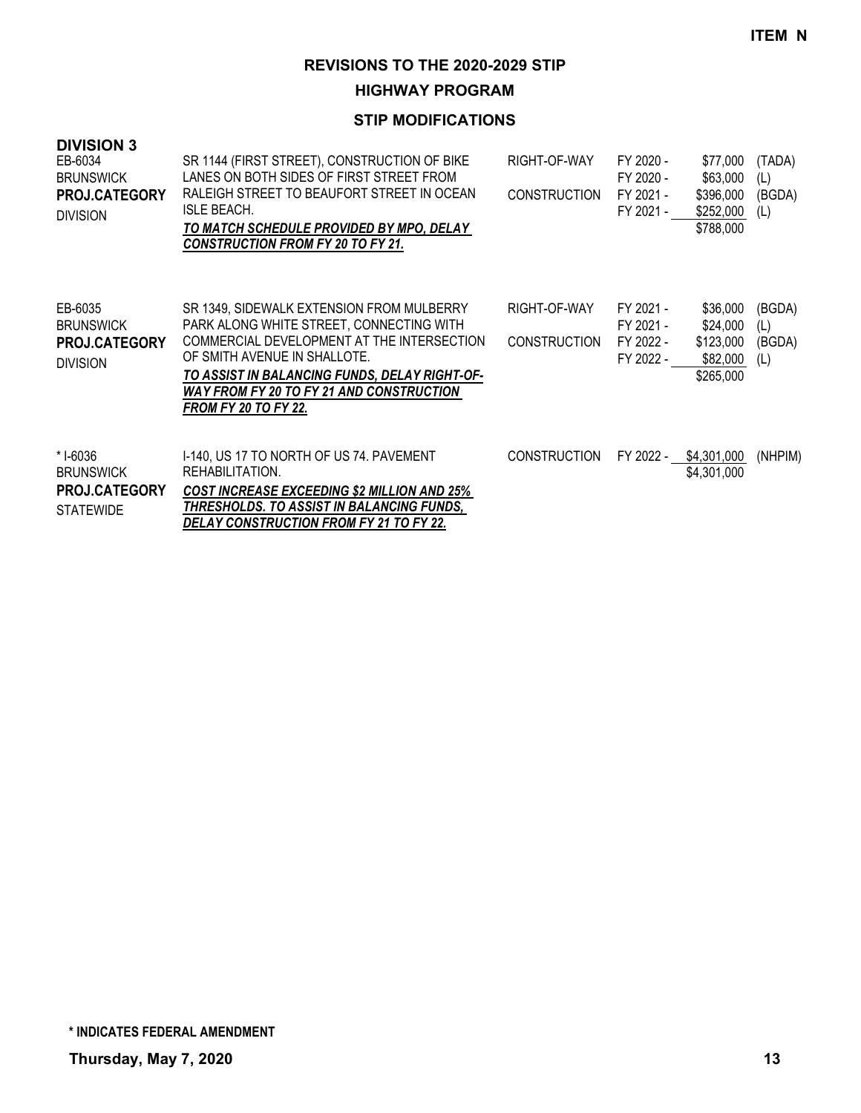# **HIGHWAY PROGRAM**

| <b>DIVISION 3</b><br>EB-6034<br><b>BRUNSWICK</b><br>PROJ.CATEGORY<br><b>DIVISION</b> | SR 1144 (FIRST STREET), CONSTRUCTION OF BIKE<br>LANES ON BOTH SIDES OF FIRST STREET FROM<br>RALEIGH STREET TO BEAUFORT STREET IN OCEAN<br><b>ISLE BEACH.</b><br>TO MATCH SCHEDULE PROVIDED BY MPO, DELAY<br><b>CONSTRUCTION FROM FY 20 TO FY 21.</b>                                                   | RIGHT-OF-WAY<br><b>CONSTRUCTION</b> | FY 2020 -<br>FY 2020 -<br>FY 2021 -<br>FY 2021 - | \$77,000<br>\$63,000<br>\$396,000<br>\$252,000<br>\$788,000 | (TADA)<br>(L)<br>(BGDA)<br>(L) |
|--------------------------------------------------------------------------------------|--------------------------------------------------------------------------------------------------------------------------------------------------------------------------------------------------------------------------------------------------------------------------------------------------------|-------------------------------------|--------------------------------------------------|-------------------------------------------------------------|--------------------------------|
| EB-6035<br><b>BRUNSWICK</b><br><b>PROJ.CATEGORY</b><br><b>DIVISION</b>               | SR 1349, SIDEWALK EXTENSION FROM MULBERRY<br>PARK ALONG WHITE STREET, CONNECTING WITH<br>COMMERCIAL DEVELOPMENT AT THE INTERSECTION<br>OF SMITH AVENUE IN SHALLOTE.<br>TO ASSIST IN BALANCING FUNDS, DELAY RIGHT-OF-<br><b>WAY FROM FY 20 TO FY 21 AND CONSTRUCTION</b><br><b>FROM FY 20 TO FY 22.</b> | RIGHT-OF-WAY<br><b>CONSTRUCTION</b> | FY 2021 -<br>FY 2021 -<br>FY 2022 -<br>FY 2022 - | \$36,000<br>\$24,000<br>\$123,000<br>\$82,000<br>\$265,000  | (BGDA)<br>(L)<br>(BGDA)<br>(L) |
| * I-6036<br><b>BRUNSWICK</b><br>PROJ.CATEGORY<br><b>STATEWIDE</b>                    | 1-140, US 17 TO NORTH OF US 74. PAVEMENT<br>REHABILITATION.<br><b>COST INCREASE EXCEEDING \$2 MILLION AND 25%</b><br>THRESHOLDS. TO ASSIST IN BALANCING FUNDS,<br><b>DELAY CONSTRUCTION FROM FY 21 TO FY 22.</b>                                                                                       | <b>CONSTRUCTION</b>                 | FY 2022 -                                        | \$4,301,000<br>\$4,301,000                                  | (NHPIM)                        |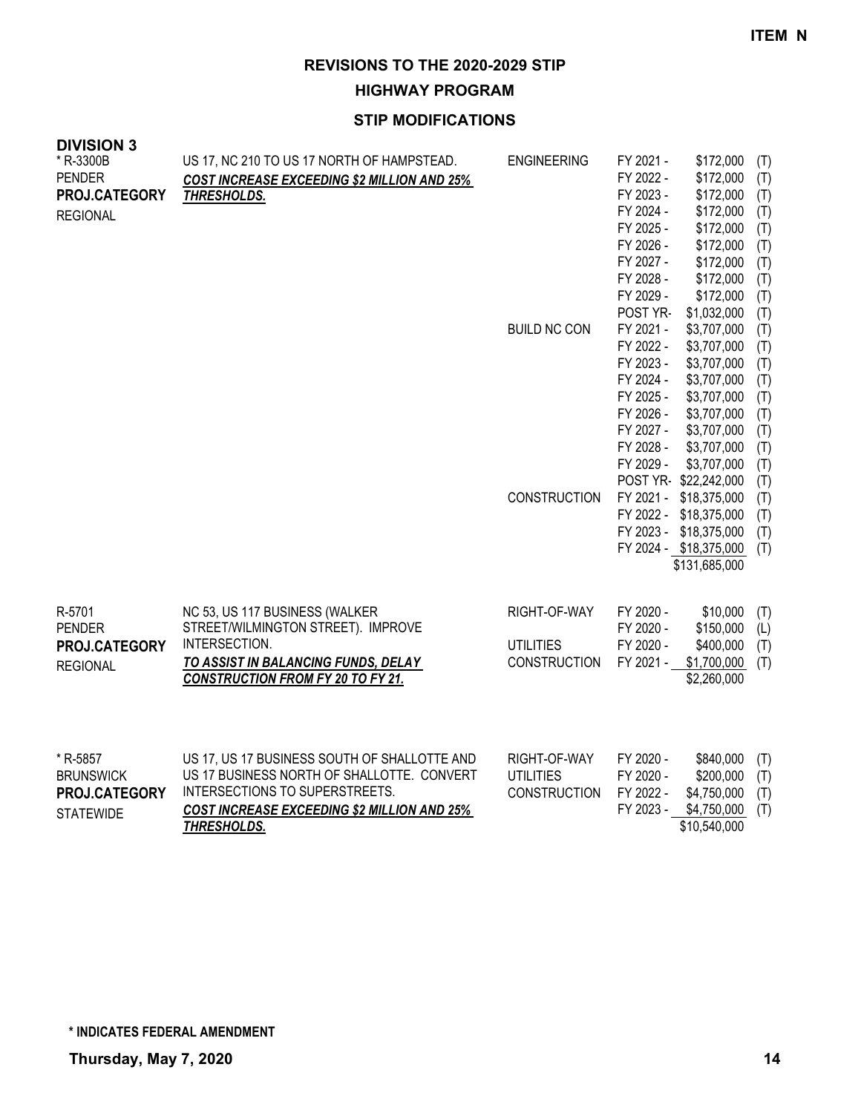# **HIGHWAY PROGRAM**

| <b>DIVISION 3</b><br>* R-3300B | US 17, NC 210 TO US 17 NORTH OF HAMPSTEAD.                                      | <b>ENGINEERING</b>  | FY 2021 -              | \$172,000                    | (T)        |
|--------------------------------|---------------------------------------------------------------------------------|---------------------|------------------------|------------------------------|------------|
| <b>PENDER</b><br>PROJ.CATEGORY | COST INCREASE EXCEEDING \$2 MILLION AND 25%<br>THRESHOLDS.                      |                     | FY 2022 -<br>FY 2023 - | \$172,000<br>\$172,000       | (T)<br>(T) |
| <b>REGIONAL</b>                |                                                                                 |                     | FY 2024 -<br>FY 2025 - | \$172,000<br>\$172,000       | (T)<br>(T) |
|                                |                                                                                 |                     | FY 2026 -              | \$172,000                    | (T)        |
|                                |                                                                                 |                     | FY 2027 -              | \$172,000                    | (T)        |
|                                |                                                                                 |                     | FY 2028 -<br>FY 2029 - | \$172,000<br>\$172,000       | (T)        |
|                                |                                                                                 |                     | POST YR-               | \$1,032,000                  | (T)<br>(T) |
|                                |                                                                                 | <b>BUILD NC CON</b> | FY 2021 -              | \$3,707,000                  | (T)        |
|                                |                                                                                 |                     | FY 2022 -              | \$3,707,000                  | (T)        |
|                                |                                                                                 |                     | FY 2023 -              | \$3,707,000                  | (T)        |
|                                |                                                                                 |                     | FY 2024 -              | \$3,707,000                  | (T)        |
|                                |                                                                                 |                     | FY 2025 -<br>FY 2026 - | \$3,707,000<br>\$3,707,000   | (T)<br>(T) |
|                                |                                                                                 |                     | FY 2027 -              | \$3,707,000                  | (T)        |
|                                |                                                                                 |                     | FY 2028 -              | \$3,707,000                  | (T)        |
|                                |                                                                                 |                     | FY 2029 -              | \$3,707,000                  | (T)        |
|                                |                                                                                 |                     |                        | POST YR-\$22,242,000         | (T)        |
|                                |                                                                                 | <b>CONSTRUCTION</b> | FY 2021 -<br>FY 2022 - | \$18,375,000<br>\$18,375,000 | (T)<br>(T) |
|                                |                                                                                 |                     | FY 2023 -              | \$18,375,000                 | (T)        |
|                                |                                                                                 |                     |                        | FY 2024 - \$18,375,000       | (T)        |
|                                |                                                                                 |                     |                        | \$131,685,000                |            |
|                                |                                                                                 |                     |                        |                              |            |
| R-5701                         | NC 53, US 117 BUSINESS (WALKER                                                  | RIGHT-OF-WAY        | FY 2020 -              | \$10,000                     | (T)        |
| <b>PENDER</b>                  | STREET/WILMINGTON STREET). IMPROVE                                              |                     | FY 2020 -              | \$150,000                    | (L)        |
| PROJ.CATEGORY                  | INTERSECTION.                                                                   | <b>UTILITIES</b>    | FY 2020 -              | \$400,000                    | (T)        |
| <b>REGIONAL</b>                | TO ASSIST IN BALANCING FUNDS, DELAY<br><b>CONSTRUCTION FROM FY 20 TO FY 21.</b> | <b>CONSTRUCTION</b> | FY 2021 -              | \$1,700,000                  | (T)        |
|                                |                                                                                 |                     |                        | \$2,260,000                  |            |
|                                |                                                                                 |                     |                        |                              |            |
| * R-5857                       | US 17, US 17 BUSINESS SOUTH OF SHALLOTTE AND                                    | RIGHT-OF-WAY        | FY 2020 -              | \$840,000                    | (T)        |
| <b>BRUNSWICK</b>               | US 17 BUSINESS NORTH OF SHALLOTTE. CONVERT                                      | <b>UTILITIES</b>    | FY 2020 -              | \$200,000                    | (T)        |
| PROJ.CATEGORY                  | INTERSECTIONS TO SUPERSTREETS.                                                  | <b>CONSTRUCTION</b> | FY 2022 -              | \$4,750,000                  | (T)        |
| <b>STATEWIDE</b>               | <b>COST INCREASE EXCEEDING \$2 MILLION AND 25%</b>                              |                     | FY 2023 -              | \$4,750,000                  | (T)        |
|                                | <b>THRESHOLDS.</b>                                                              |                     |                        | \$10,540,000                 |            |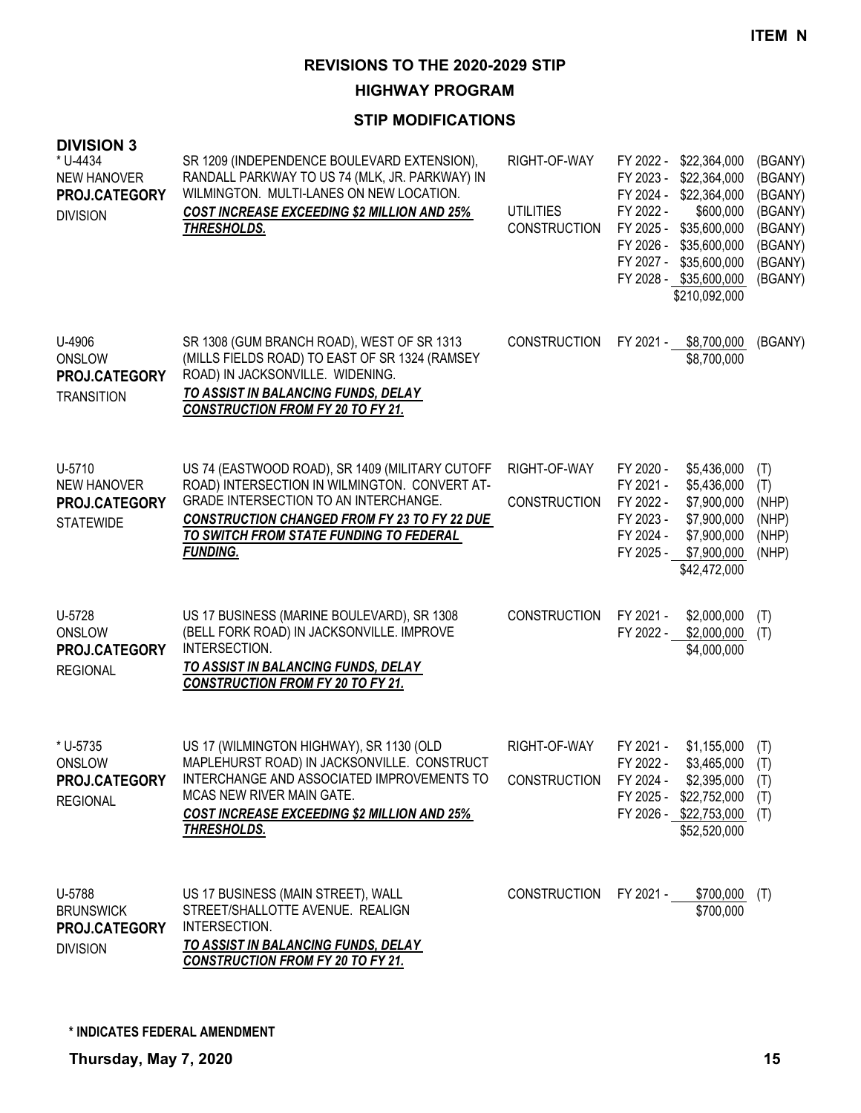**HIGHWAY PROGRAM**

| <b>DIVISION 3</b><br>* U-4434<br><b>NEW HANOVER</b><br>PROJ.CATEGORY<br><b>DIVISION</b> | SR 1209 (INDEPENDENCE BOULEVARD EXTENSION),<br>RANDALL PARKWAY TO US 74 (MLK, JR. PARKWAY) IN<br>WILMINGTON. MULTI-LANES ON NEW LOCATION.<br><b>COST INCREASE EXCEEDING \$2 MILLION AND 25%</b><br><b>THRESHOLDS.</b>                                          | RIGHT-OF-WAY<br><b>UTILITIES</b><br><b>CONSTRUCTION</b> | FY 2022 - \$22,364,000<br>FY 2023 -<br>\$22,364,000<br>FY 2024 -<br>\$22,364,000<br>FY 2022 -<br>\$600,000<br>FY 2025 -<br>\$35,600,000<br>FY 2026 -<br>\$35,600,000<br>FY 2027 -<br>\$35,600,000<br>FY 2028 - \$35,600,000<br>\$210,092,000 | (BGANY)<br>(BGANY)<br>(BGANY)<br>(BGANY)<br>(BGANY)<br>(BGANY)<br>(BGANY)<br>(BGANY) |
|-----------------------------------------------------------------------------------------|----------------------------------------------------------------------------------------------------------------------------------------------------------------------------------------------------------------------------------------------------------------|---------------------------------------------------------|----------------------------------------------------------------------------------------------------------------------------------------------------------------------------------------------------------------------------------------------|--------------------------------------------------------------------------------------|
| U-4906<br>ONSLOW<br>PROJ.CATEGORY<br><b>TRANSITION</b>                                  | SR 1308 (GUM BRANCH ROAD), WEST OF SR 1313<br>(MILLS FIELDS ROAD) TO EAST OF SR 1324 (RAMSEY<br>ROAD) IN JACKSONVILLE. WIDENING.<br>TO ASSIST IN BALANCING FUNDS, DELAY<br><b>CONSTRUCTION FROM FY 20 TO FY 21.</b>                                            | <b>CONSTRUCTION</b>                                     | FY 2021 -<br>\$8,700,000<br>\$8,700,000                                                                                                                                                                                                      | (BGANY)                                                                              |
| U-5710<br><b>NEW HANOVER</b><br>PROJ.CATEGORY<br><b>STATEWIDE</b>                       | US 74 (EASTWOOD ROAD), SR 1409 (MILITARY CUTOFF<br>ROAD) INTERSECTION IN WILMINGTON. CONVERT AT-<br>GRADE INTERSECTION TO AN INTERCHANGE.<br><b>CONSTRUCTION CHANGED FROM FY 23 TO FY 22 DUE</b><br>TO SWITCH FROM STATE FUNDING TO FEDERAL<br><b>FUNDING.</b> | RIGHT-OF-WAY<br><b>CONSTRUCTION</b>                     | FY 2020 -<br>\$5,436,000<br>FY 2021 -<br>\$5,436,000<br>FY 2022 -<br>\$7,900,000<br>FY 2023 -<br>\$7,900,000<br>FY 2024 -<br>\$7,900,000<br>\$7,900,000<br>FY 2025 -<br>\$42,472,000                                                         | (T)<br>(T)<br>(NHP)<br>(NHP)<br>(NHP)<br>(NHP)                                       |
| U-5728<br>ONSLOW<br>PROJ.CATEGORY<br><b>REGIONAL</b>                                    | US 17 BUSINESS (MARINE BOULEVARD), SR 1308<br>(BELL FORK ROAD) IN JACKSONVILLE. IMPROVE<br>INTERSECTION.<br>TO ASSIST IN BALANCING FUNDS, DELAY<br><b>CONSTRUCTION FROM FY 20 TO FY 21.</b>                                                                    | <b>CONSTRUCTION</b>                                     | FY 2021 -<br>\$2,000,000<br>\$2,000,000<br>FY 2022 -<br>\$4,000,000                                                                                                                                                                          | (T)<br>(T)                                                                           |
| * U-5735<br>ONSLOW<br>PROJ.CATEGORY<br><b>REGIONAL</b>                                  | US 17 (WILMINGTON HIGHWAY), SR 1130 (OLD<br>MAPLEHURST ROAD) IN JACKSONVILLE. CONSTRUCT<br>INTERCHANGE AND ASSOCIATED IMPROVEMENTS TO<br>MCAS NEW RIVER MAIN GATE.<br><b>COST INCREASE EXCEEDING \$2 MILLION AND 25%</b><br>THRESHOLDS.                        | RIGHT-OF-WAY<br><b>CONSTRUCTION</b>                     | \$1,155,000<br>FY 2021 -<br>FY 2022 -<br>$$3,465,000$ (T)<br>FY 2024 -<br>\$2,395,000<br>FY 2025 - \$22,752,000<br>FY 2026 - \$22,753,000 (T)<br>\$52,520,000                                                                                | (T)<br>(T)<br>(T)                                                                    |
| U-5788<br><b>BRUNSWICK</b><br>PROJ.CATEGORY<br><b>DIVISION</b>                          | US 17 BUSINESS (MAIN STREET), WALL<br>STREET/SHALLOTTE AVENUE. REALIGN<br>INTERSECTION.<br>TO ASSIST IN BALANCING FUNDS, DELAY<br><b>CONSTRUCTION FROM FY 20 TO FY 21.</b>                                                                                     |                                                         | CONSTRUCTION FY 2021 - \$700,000<br>\$700,000                                                                                                                                                                                                | (T)                                                                                  |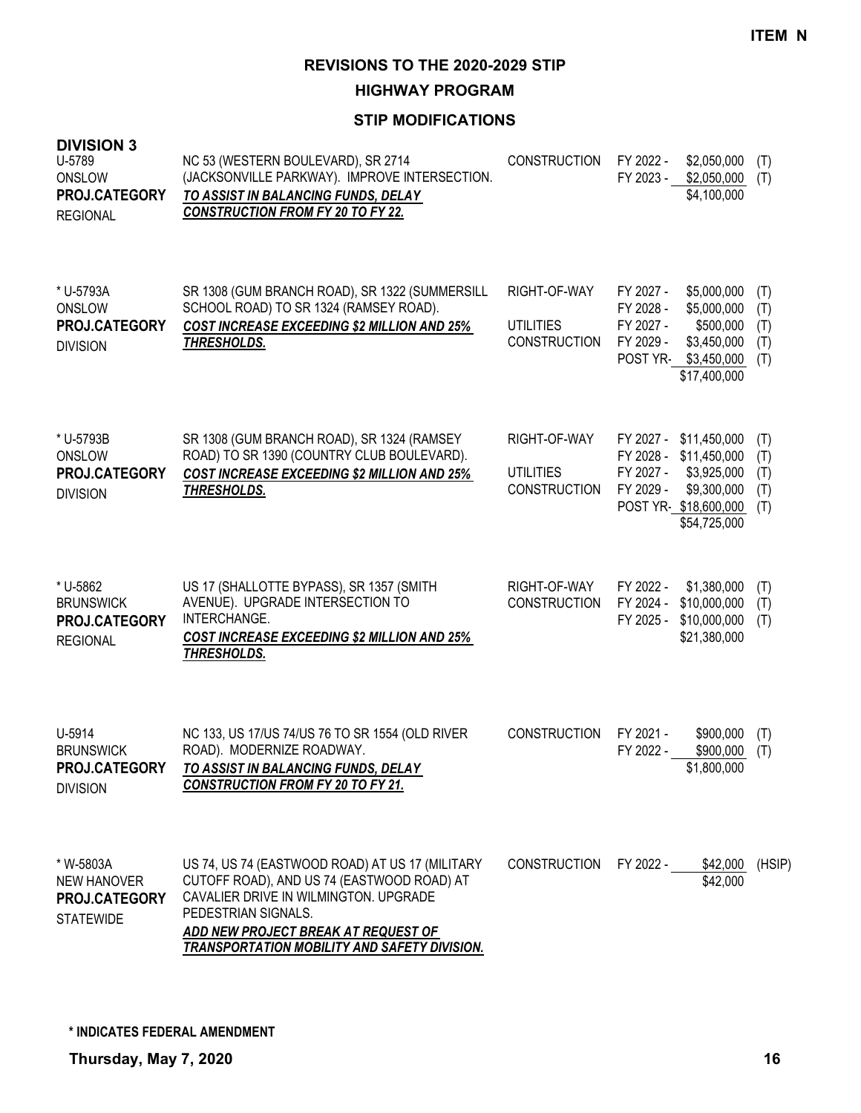**HIGHWAY PROGRAM**

#### **STIP MODIFICATIONS**

| ט ויטוטוע<br>U-5789<br>ONSLOW<br>PROJ.CATEGORY<br><b>REGIONAL</b>    | NC 53 (WESTERN BOULEVARD), SR 2714<br>(JACKSONVILLE PARKWAY). IMPROVE INTERSECTION.<br>TO ASSIST IN BALANCING FUNDS, DELAY<br><b>CONSTRUCTION FROM FY 20 TO FY 22.</b>                                                                                      | <b>CONSTRUCTION</b>                                     | FY 2022 -<br>\$2,050,000<br>FY 2023 -<br>\$2,050,000<br>\$4,100,000                                                                                    | (T)<br>(T)                      |
|----------------------------------------------------------------------|-------------------------------------------------------------------------------------------------------------------------------------------------------------------------------------------------------------------------------------------------------------|---------------------------------------------------------|--------------------------------------------------------------------------------------------------------------------------------------------------------|---------------------------------|
| * U-5793A<br>ONSLOW<br>PROJ.CATEGORY<br><b>DIVISION</b>              | SR 1308 (GUM BRANCH ROAD), SR 1322 (SUMMERSILL<br>SCHOOL ROAD) TO SR 1324 (RAMSEY ROAD).<br>COST INCREASE EXCEEDING \$2 MILLION AND 25%<br>THRESHOLDS.                                                                                                      | RIGHT-OF-WAY<br><b>UTILITIES</b><br><b>CONSTRUCTION</b> | FY 2027 -<br>\$5,000,000<br>FY 2028 -<br>\$5,000,000<br>FY 2027 -<br>\$500,000<br>FY 2029 -<br>\$3,450,000<br>POST YR-<br>\$3,450,000<br>\$17,400,000  | (T)<br>(T)<br>(T)<br>(T)<br>(T) |
| * U-5793B<br>ONSLOW<br>PROJ.CATEGORY<br><b>DIVISION</b>              | SR 1308 (GUM BRANCH ROAD), SR 1324 (RAMSEY<br>ROAD) TO SR 1390 (COUNTRY CLUB BOULEVARD).<br><b>COST INCREASE EXCEEDING \$2 MILLION AND 25%</b><br>THRESHOLDS.                                                                                               | RIGHT-OF-WAY<br><b>UTILITIES</b><br><b>CONSTRUCTION</b> | FY 2027 -<br>\$11,450,000<br>FY 2028 -<br>\$11,450,000<br>FY 2027 -<br>\$3,925,000<br>FY 2029 -<br>\$9,300,000<br>POST YR \$18,600,000<br>\$54,725,000 | (T)<br>(T)<br>(T)<br>(T)<br>(T) |
| * U-5862<br><b>BRUNSWICK</b><br>PROJ.CATEGORY<br><b>REGIONAL</b>     | US 17 (SHALLOTTE BYPASS), SR 1357 (SMITH<br>AVENUE). UPGRADE INTERSECTION TO<br>INTERCHANGE.<br><b>COST INCREASE EXCEEDING \$2 MILLION AND 25%</b><br><b>THRESHOLDS.</b>                                                                                    | RIGHT-OF-WAY<br><b>CONSTRUCTION</b>                     | FY 2022 -<br>\$1,380,000<br>FY 2024 -<br>\$10,000,000<br>FY 2025 -<br>\$10,000,000<br>\$21,380,000                                                     | (T)<br>(T)<br>(T)               |
| U-5914<br><b>BRUNSWICK</b><br>PROJ.CATEGORY<br><b>DIVISION</b>       | NC 133, US 17/US 74/US 76 TO SR 1554 (OLD RIVER<br>ROAD). MODERNIZE ROADWAY.<br>TO ASSIST IN BALANCING FUNDS, DELAY<br><b>CONSTRUCTION FROM FY 20 TO FY 21.</b>                                                                                             | <b>CONSTRUCTION</b>                                     | FY 2021 -<br>\$900,000<br>FY 2022 -<br>\$900,000<br>\$1,800,000                                                                                        | (T)<br>(T)                      |
| * W-5803A<br><b>NEW HANOVER</b><br>PROJ.CATEGORY<br><b>STATEWIDE</b> | US 74, US 74 (EASTWOOD ROAD) AT US 17 (MILITARY<br>CUTOFF ROAD), AND US 74 (EASTWOOD ROAD) AT<br>CAVALIER DRIVE IN WILMINGTON. UPGRADE<br>PEDESTRIAN SIGNALS.<br>ADD NEW PROJECT BREAK AT REQUEST OF<br><b>TRANSPORTATION MOBILITY AND SAFETY DIVISION.</b> | <b>CONSTRUCTION</b>                                     | FY 2022 -<br>\$42,000<br>\$42,000                                                                                                                      | (HSIP)                          |

**DIVISION 3**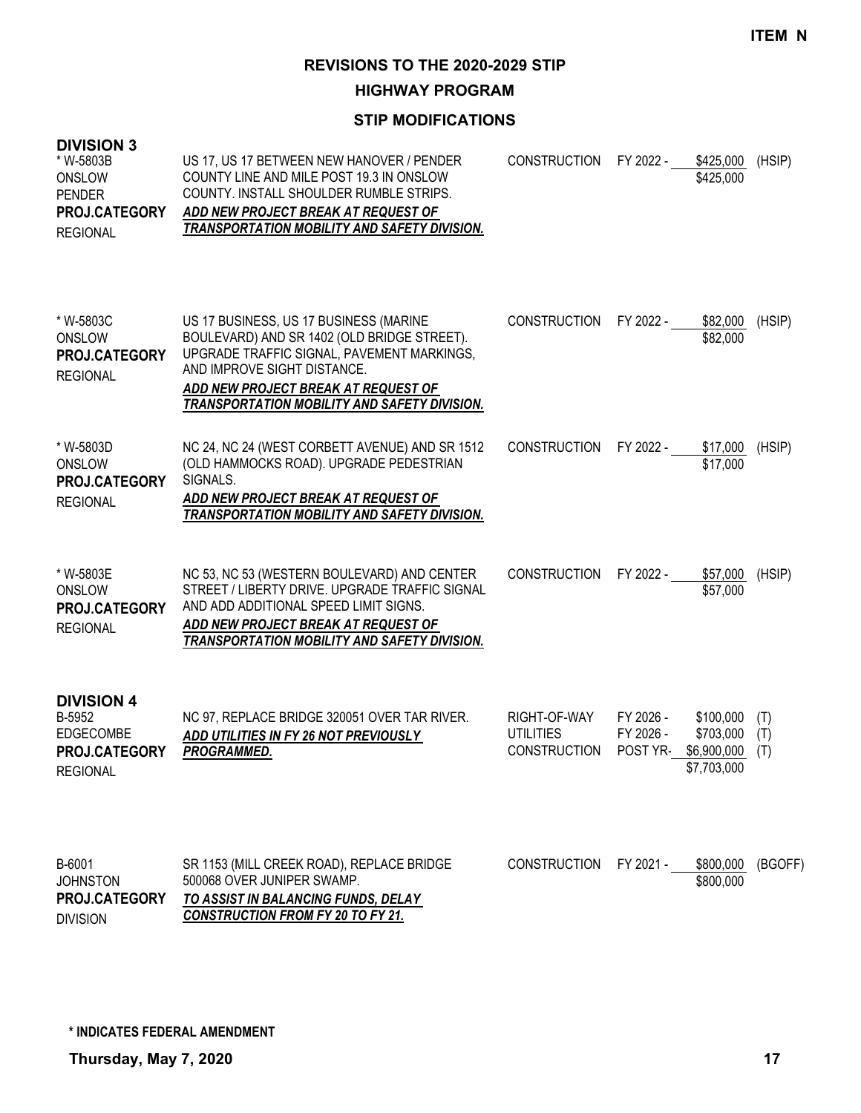**HIGHWAY PROGRAM**

### **STIP MODIFICATIONS**

| <b>DIVISION 3</b><br>* W-5803B<br>ONSLOW<br><b>PENDER</b><br>PROJ.CATEGORY<br><b>REGIONAL</b> | US 17, US 17 BETWEEN NEW HANOVER / PENDER<br>COUNTY LINE AND MILE POST 19.3 IN ONSLOW<br>COUNTY. INSTALL SHOULDER RUMBLE STRIPS.<br>ADD NEW PROJECT BREAK AT REQUEST OF<br>TRANSPORTATION MOBILITY AND SAFETY DIVISION.                                          | <b>CONSTRUCTION</b>                                     | FY 2022 -                          | \$425,000<br>\$425,000                               | (HSIP)            |
|-----------------------------------------------------------------------------------------------|------------------------------------------------------------------------------------------------------------------------------------------------------------------------------------------------------------------------------------------------------------------|---------------------------------------------------------|------------------------------------|------------------------------------------------------|-------------------|
| * W-5803C<br>ONSLOW<br>PROJ.CATEGORY<br><b>REGIONAL</b>                                       | US 17 BUSINESS, US 17 BUSINESS (MARINE<br>BOULEVARD) AND SR 1402 (OLD BRIDGE STREET).<br>UPGRADE TRAFFIC SIGNAL, PAVEMENT MARKINGS,<br>AND IMPROVE SIGHT DISTANCE.<br>ADD NEW PROJECT BREAK AT REQUEST OF<br><b>TRANSPORTATION MOBILITY AND SAFETY DIVISION.</b> | <b>CONSTRUCTION</b>                                     | FY 2022 -                          | \$82,000<br>\$82,000                                 | (HSIP)            |
| * W-5803D<br>ONSLOW<br>PROJ.CATEGORY<br><b>REGIONAL</b>                                       | NC 24, NC 24 (WEST CORBETT AVENUE) AND SR 1512<br>(OLD HAMMOCKS ROAD). UPGRADE PEDESTRIAN<br>SIGNALS.<br>ADD NEW PROJECT BREAK AT REQUEST OF<br><b>TRANSPORTATION MOBILITY AND SAFETY DIVISION.</b>                                                              | <b>CONSTRUCTION</b>                                     | FY 2022 -                          | \$17,000<br>\$17,000                                 | (HSIP)            |
| * W-5803E<br>ONSLOW<br>PROJ.CATEGORY<br><b>REGIONAL</b>                                       | NC 53, NC 53 (WESTERN BOULEVARD) AND CENTER<br>STREET / LIBERTY DRIVE. UPGRADE TRAFFIC SIGNAL<br>AND ADD ADDITIONAL SPEED LIMIT SIGNS.<br>ADD NEW PROJECT BREAK AT REQUEST OF<br><b>TRANSPORTATION MOBILITY AND SAFETY DIVISION.</b>                             | <b>CONSTRUCTION</b>                                     | FY 2022 -                          | \$57,000<br>\$57,000                                 | (HSIP)            |
| <b>DIVISION 4</b><br>B-5952<br><b>EDGECOMBE</b><br>PROJ.CATEGORY<br><b>REGIONAL</b>           | NC 97, REPLACE BRIDGE 320051 OVER TAR RIVER.<br>ADD UTILITIES IN FY 26 NOT PREVIOUSLY<br>PROGRAMMED.                                                                                                                                                             | RIGHT-OF-WAY<br><b>UTILITIES</b><br><b>CONSTRUCTION</b> | FY 2026 -<br>FY 2026 -<br>POST YR- | \$100,000<br>\$703,000<br>\$6,900,000<br>\$7,703,000 | (T)<br>(T)<br>(T) |
| B-6001<br><b>JOHNSTON</b><br>PROJ.CATEGORY                                                    | SR 1153 (MILL CREEK ROAD), REPLACE BRIDGE<br>500068 OVER JUNIPER SWAMP.<br>TO ASSIST IN BALANCING FUNDS, DELAY                                                                                                                                                   | <b>CONSTRUCTION</b>                                     | FY 2021 -                          | \$800,000<br>\$800,000                               | (BGOFF)           |

*CONSTRUCTION FROM FY 20 TO FY 21.* DIVISION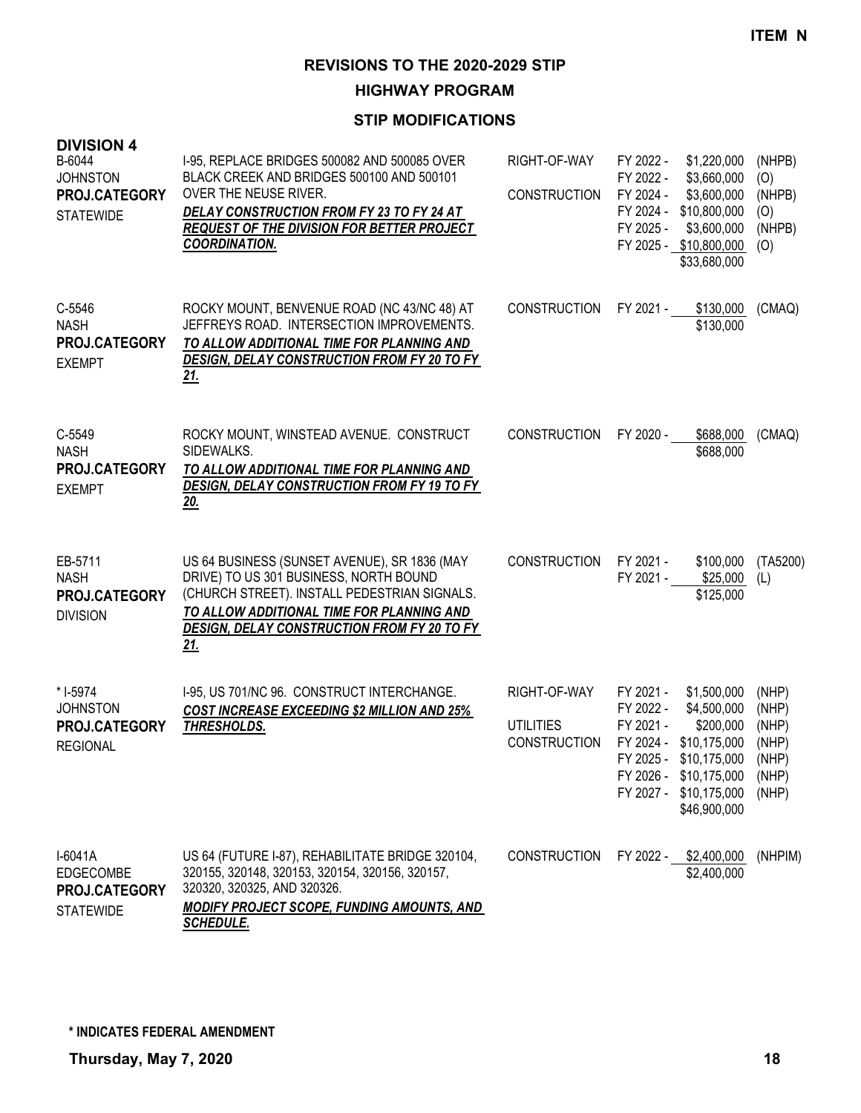**HIGHWAY PROGRAM**

| <b>DIVISION 4</b><br>B-6044<br><b>JOHNSTON</b><br>PROJ.CATEGORY<br><b>STATEWIDE</b> | I-95, REPLACE BRIDGES 500082 AND 500085 OVER<br>BLACK CREEK AND BRIDGES 500100 AND 500101<br>OVER THE NEUSE RIVER.<br>DELAY CONSTRUCTION FROM FY 23 TO FY 24 AT<br>REQUEST OF THE DIVISION FOR BETTER PROJECT<br><b>COORDINATION.</b>            | RIGHT-OF-WAY<br><b>CONSTRUCTION</b>                     | FY 2022 -<br>FY 2022 -<br>FY 2024 -<br>FY 2024 -<br>FY 2025 - | \$1,220,000<br>\$3,660,000<br>\$3,600,000<br>\$10,800,000<br>\$3,600,000<br>FY 2025 - \$10,800,000<br>\$33,680,000                                                    | (NHPB)<br>(O)<br>(NHPB)<br>(O)<br>(NHPB)<br>(O)    |
|-------------------------------------------------------------------------------------|--------------------------------------------------------------------------------------------------------------------------------------------------------------------------------------------------------------------------------------------------|---------------------------------------------------------|---------------------------------------------------------------|-----------------------------------------------------------------------------------------------------------------------------------------------------------------------|----------------------------------------------------|
| C-5546<br><b>NASH</b><br>PROJ.CATEGORY<br><b>EXEMPT</b>                             | ROCKY MOUNT, BENVENUE ROAD (NC 43/NC 48) AT<br>JEFFREYS ROAD. INTERSECTION IMPROVEMENTS.<br>TO ALLOW ADDITIONAL TIME FOR PLANNING AND<br><b>DESIGN, DELAY CONSTRUCTION FROM FY 20 TO FY</b><br>21.                                               | <b>CONSTRUCTION</b>                                     | FY 2021 -                                                     | \$130,000<br>\$130,000                                                                                                                                                | (CMAQ)                                             |
| C-5549<br><b>NASH</b><br>PROJ.CATEGORY<br><b>EXEMPT</b>                             | ROCKY MOUNT, WINSTEAD AVENUE. CONSTRUCT<br>SIDEWALKS.<br>TO ALLOW ADDITIONAL TIME FOR PLANNING AND<br><b>DESIGN, DELAY CONSTRUCTION FROM FY 19 TO FY</b><br>20.                                                                                  | <b>CONSTRUCTION</b>                                     | FY 2020 -                                                     | \$688,000<br>\$688,000                                                                                                                                                | (CMAQ)                                             |
| EB-5711<br><b>NASH</b><br>PROJ.CATEGORY<br><b>DIVISION</b>                          | US 64 BUSINESS (SUNSET AVENUE), SR 1836 (MAY<br>DRIVE) TO US 301 BUSINESS, NORTH BOUND<br>(CHURCH STREET). INSTALL PEDESTRIAN SIGNALS.<br>TO ALLOW ADDITIONAL TIME FOR PLANNING AND<br>DESIGN, DELAY CONSTRUCTION FROM FY 20 TO FY<br><u>21.</u> | <b>CONSTRUCTION</b>                                     | FY 2021 -<br>FY 2021 -                                        | \$100,000<br>\$25,000<br>\$125,000                                                                                                                                    | (TA5200)<br>(L)                                    |
| * I-5974<br><b>JOHNSTON</b><br>PROJ.CATEGORY<br><b>REGIONAL</b>                     | I-95, US 701/NC 96. CONSTRUCT INTERCHANGE.<br><b>COST INCREASE EXCEEDING \$2 MILLION AND 25%</b><br>THRESHOLDS.                                                                                                                                  | RIGHT-OF-WAY<br><b>UTILITIES</b><br><b>CONSTRUCTION</b> | FY 2021 -<br>FY 2022 -<br>FY 2021 -                           | \$1,500,000<br>\$4,500,000<br>\$200,000<br>FY 2024 - \$10,175,000<br>FY 2025 - \$10,175,000 (NHP)<br>FY 2026 - \$10,175,000<br>FY 2027 - \$10,175,000<br>\$46,900,000 | (NHP)<br>(NHP)<br>(NHP)<br>(NHP)<br>(NHP)<br>(NHP) |
| $I-6041A$<br>EDGECOMBE<br>PROJ.CATEGORY<br><b>STATEWIDE</b>                         | US 64 (FUTURE I-87), REHABILITATE BRIDGE 320104,<br>320155, 320148, 320153, 320154, 320156, 320157,<br>320320, 320325, AND 320326.<br><b>MODIFY PROJECT SCOPE, FUNDING AMOUNTS, AND</b><br><b>SCHEDULE.</b>                                      | <b>CONSTRUCTION</b>                                     |                                                               | FY 2022 - \$2,400,000<br>\$2,400,000                                                                                                                                  | (NHPIM)                                            |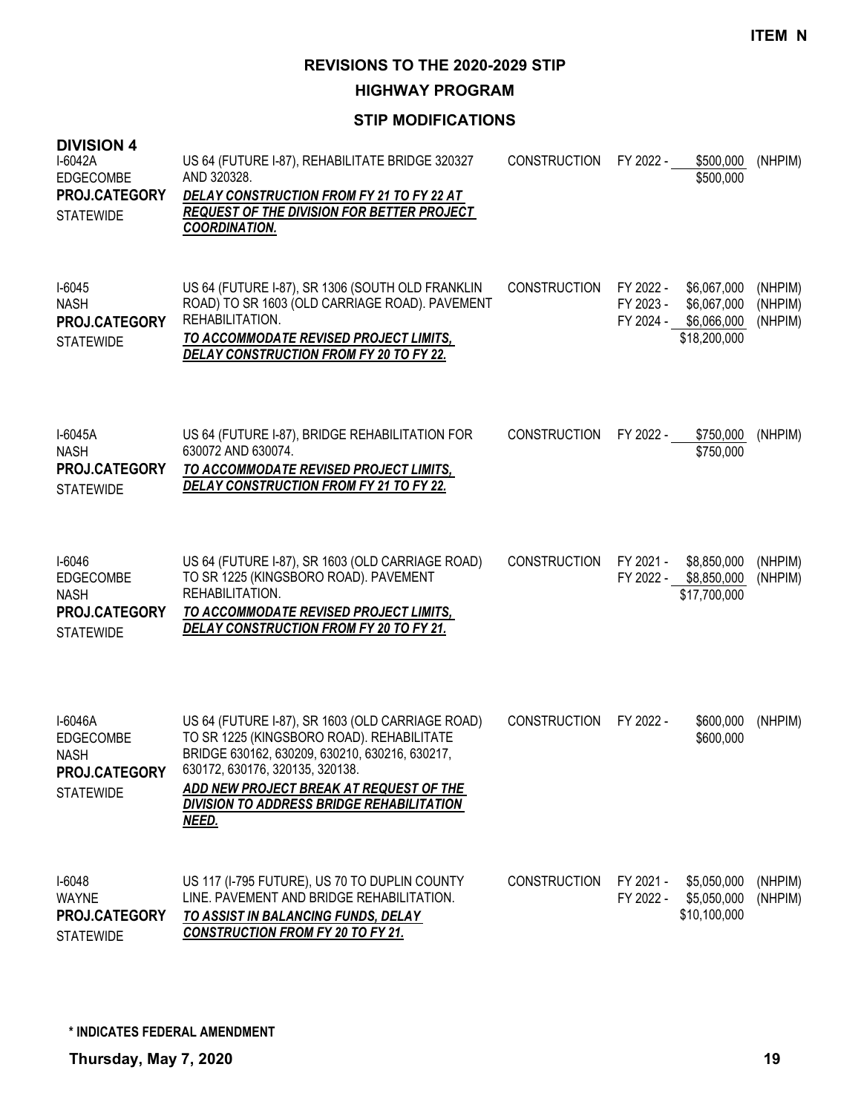**HIGHWAY PROGRAM**

| <b>DIVISION 4</b><br>I-6042A<br><b>EDGECOMBE</b><br>PROJ.CATEGORY<br><b>STATEWIDE</b>  | US 64 (FUTURE I-87), REHABILITATE BRIDGE 320327<br>AND 320328.<br>DELAY CONSTRUCTION FROM FY 21 TO FY 22 AT<br><b>REQUEST OF THE DIVISION FOR BETTER PROJECT</b><br><b>COORDINATION.</b>                                                                                                   | <b>CONSTRUCTION</b> | FY 2022 -                           | \$500,000<br>\$500,000                                    | (NHPIM)                       |
|----------------------------------------------------------------------------------------|--------------------------------------------------------------------------------------------------------------------------------------------------------------------------------------------------------------------------------------------------------------------------------------------|---------------------|-------------------------------------|-----------------------------------------------------------|-------------------------------|
| $I-6045$<br><b>NASH</b><br>PROJ.CATEGORY<br><b>STATEWIDE</b>                           | US 64 (FUTURE I-87), SR 1306 (SOUTH OLD FRANKLIN<br>ROAD) TO SR 1603 (OLD CARRIAGE ROAD). PAVEMENT<br>REHABILITATION.<br>TO ACCOMMODATE REVISED PROJECT LIMITS,<br>DELAY CONSTRUCTION FROM FY 20 TO FY 22.                                                                                 | <b>CONSTRUCTION</b> | FY 2022 -<br>FY 2023 -<br>FY 2024 - | \$6,067,000<br>\$6,067,000<br>\$6,066,000<br>\$18,200,000 | (NHPIM)<br>(NHPIM)<br>(NHPIM) |
| I-6045A<br><b>NASH</b><br>PROJ.CATEGORY<br><b>STATEWIDE</b>                            | US 64 (FUTURE I-87), BRIDGE REHABILITATION FOR<br>630072 AND 630074.<br>TO ACCOMMODATE REVISED PROJECT LIMITS,<br>DELAY CONSTRUCTION FROM FY 21 TO FY 22.                                                                                                                                  | <b>CONSTRUCTION</b> | FY 2022 -                           | \$750,000<br>\$750,000                                    | (NHPIM)                       |
| I-6046<br>EDGECOMBE<br><b>NASH</b><br>PROJ.CATEGORY<br><b>STATEWIDE</b>                | US 64 (FUTURE I-87), SR 1603 (OLD CARRIAGE ROAD)<br>TO SR 1225 (KINGSBORO ROAD). PAVEMENT<br>REHABILITATION.<br>TO ACCOMMODATE REVISED PROJECT LIMITS,<br>DELAY CONSTRUCTION FROM FY 20 TO FY 21.                                                                                          | <b>CONSTRUCTION</b> | FY 2021 -<br>FY 2022 -              | \$8,850,000<br>\$8,850,000<br>\$17,700,000                | (NHPIM)<br>(NHPIM)            |
| I-6046A<br><b>EDGECOMBE</b><br><b>NASH</b><br><b>PROJ.CATEGORY</b><br><b>STATEWIDE</b> | US 64 (FUTURE I-87), SR 1603 (OLD CARRIAGE ROAD)<br>TO SR 1225 (KINGSBORO ROAD). REHABILITATE<br>BRIDGE 630162, 630209, 630210, 630216, 630217,<br>630172, 630176, 320135, 320138.<br>ADD NEW PROJECT BREAK AT REQUEST OF THE<br><b>DIVISION TO ADDRESS BRIDGE REHABILITATION</b><br>NEED. | <b>CONSTRUCTION</b> | FY 2022 -                           | \$600,000<br>\$600,000                                    | (NHPIM)                       |
| $I-6048$<br><b>WAYNE</b><br>PROJ.CATEGORY<br><b>STATEWIDE</b>                          | US 117 (I-795 FUTURE), US 70 TO DUPLIN COUNTY<br>LINE. PAVEMENT AND BRIDGE REHABILITATION.<br>TO ASSIST IN BALANCING FUNDS, DELAY<br><b>CONSTRUCTION FROM FY 20 TO FY 21.</b>                                                                                                              | <b>CONSTRUCTION</b> | FY 2021 -<br>FY 2022 -              | \$5,050,000<br>\$5,050,000<br>\$10,100,000                | (NHPIM)<br>(NHPIM)            |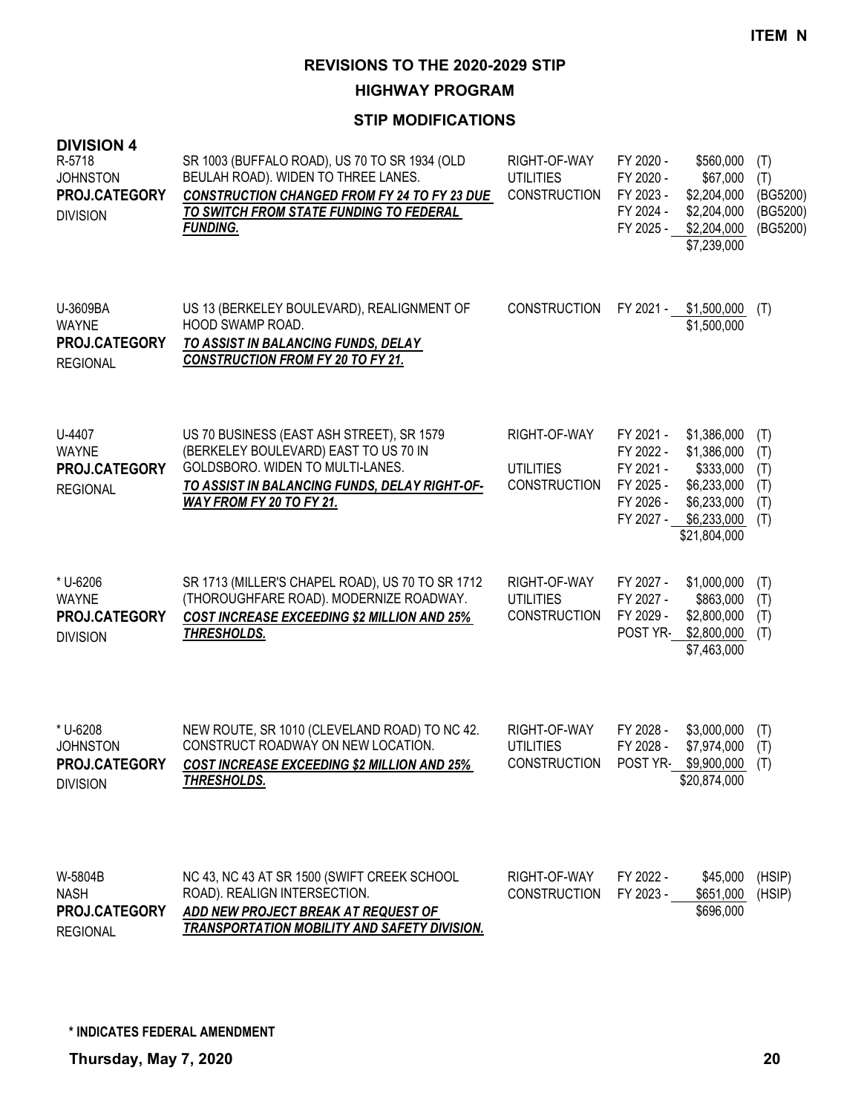**HIGHWAY PROGRAM**

| <b>DIVISION 4</b><br>R-5718<br><b>JOHNSTON</b><br>PROJ.CATEGORY<br><b>DIVISION</b> | SR 1003 (BUFFALO ROAD), US 70 TO SR 1934 (OLD<br>BEULAH ROAD). WIDEN TO THREE LANES.<br><b>CONSTRUCTION CHANGED FROM FY 24 TO FY 23 DUE</b><br>TO SWITCH FROM STATE FUNDING TO FEDERAL<br><b>FUNDING.</b> | RIGHT-OF-WAY<br><b>UTILITIES</b><br><b>CONSTRUCTION</b> | FY 2020 -<br>FY 2020 -<br>FY 2023 -<br>FY 2024 -<br>FY 2025 -              | \$560,000<br>\$67,000<br>\$2,204,000<br>\$2,204,000<br>\$2,204,000<br>\$7,239,000                    | (T)<br>(T)<br>(BG5200)<br>(BG5200)<br>(BG5200) |
|------------------------------------------------------------------------------------|-----------------------------------------------------------------------------------------------------------------------------------------------------------------------------------------------------------|---------------------------------------------------------|----------------------------------------------------------------------------|------------------------------------------------------------------------------------------------------|------------------------------------------------|
| U-3609BA<br><b>WAYNE</b><br>PROJ.CATEGORY<br><b>REGIONAL</b>                       | US 13 (BERKELEY BOULEVARD), REALIGNMENT OF<br>HOOD SWAMP ROAD.<br>TO ASSIST IN BALANCING FUNDS, DELAY<br><b>CONSTRUCTION FROM FY 20 TO FY 21.</b>                                                         | <b>CONSTRUCTION</b>                                     | FY 2021 -                                                                  | \$1,500,000<br>\$1,500,000                                                                           | (T)                                            |
| U-4407<br><b>WAYNE</b><br>PROJ.CATEGORY<br><b>REGIONAL</b>                         | US 70 BUSINESS (EAST ASH STREET), SR 1579<br>(BERKELEY BOULEVARD) EAST TO US 70 IN<br>GOLDSBORO. WIDEN TO MULTI-LANES.<br>TO ASSIST IN BALANCING FUNDS, DELAY RIGHT-OF-<br>WAY FROM FY 20 TO FY 21.       | RIGHT-OF-WAY<br><b>UTILITIES</b><br><b>CONSTRUCTION</b> | FY 2021 -<br>FY 2022 -<br>FY 2021 -<br>FY 2025 -<br>FY 2026 -<br>FY 2027 - | \$1,386,000<br>\$1,386,000<br>\$333,000<br>\$6,233,000<br>\$6,233,000<br>\$6,233,000<br>\$21,804,000 | (T)<br>(T)<br>(T)<br>(T)<br>(T)<br>(T)         |
| * U-6206<br><b>WAYNE</b><br>PROJ.CATEGORY<br><b>DIVISION</b>                       | SR 1713 (MILLER'S CHAPEL ROAD), US 70 TO SR 1712<br>(THOROUGHFARE ROAD). MODERNIZE ROADWAY.<br><b>COST INCREASE EXCEEDING \$2 MILLION AND 25%</b><br><b>THRESHOLDS.</b>                                   | RIGHT-OF-WAY<br><b>UTILITIES</b><br><b>CONSTRUCTION</b> | FY 2027 -<br>FY 2027 -<br>FY 2029 -<br>POST YR-                            | \$1,000,000<br>\$863,000<br>\$2,800,000<br>\$2,800,000<br>\$7,463,000                                | (T)<br>(T)<br>(T)<br>(T)                       |
| * U-6208<br><b>JOHNSTON</b><br>PROJ.CATEGORY<br><b>DIVISION</b>                    | NEW ROUTE, SR 1010 (CLEVELAND ROAD) TO NC 42.<br>CONSTRUCT ROADWAY ON NEW LOCATION.<br>COST INCREASE EXCEEDING \$2 MILLION AND 25%<br>THRESHOLDS.                                                         | RIGHT-OF-WAY<br><b>UTILITIES</b><br><b>CONSTRUCTION</b> | FY 2028 -<br>FY 2028 -<br>POST YR-                                         | \$3,000,000<br>\$7,974,000<br>$$9,900,000$ (T)<br>\$20,874,000                                       | (T)<br>(T)                                     |
| W-5804B<br><b>NASH</b><br>PROJ.CATEGORY<br><b>REGIONAL</b>                         | NC 43, NC 43 AT SR 1500 (SWIFT CREEK SCHOOL<br>ROAD). REALIGN INTERSECTION.<br>ADD NEW PROJECT BREAK AT REQUEST OF<br><b>TRANSPORTATION MOBILITY AND SAFETY DIVISION.</b>                                 | RIGHT-OF-WAY<br><b>CONSTRUCTION</b>                     | FY 2022 -<br>FY 2023 -                                                     | \$45,000<br>\$651,000<br>\$696,000                                                                   | (HSIP)<br>(HSIP)                               |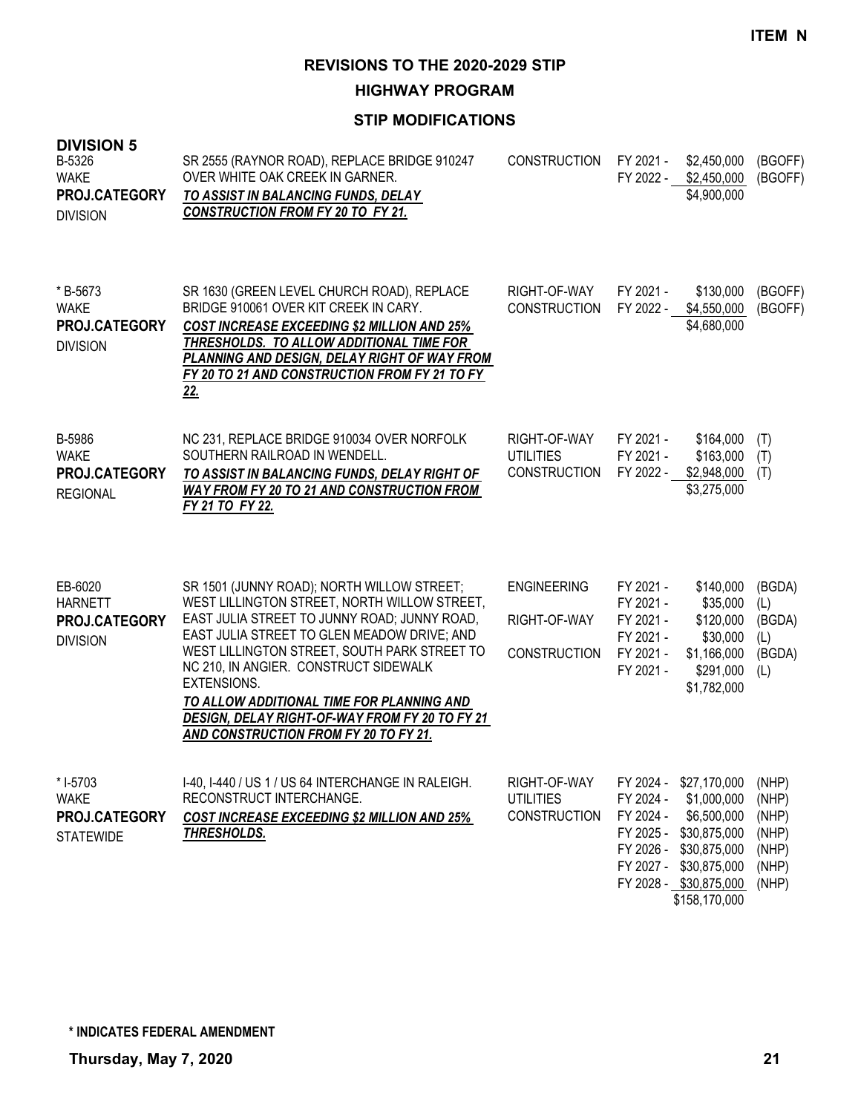**HIGHWAY PROGRAM**

| <b>DIVISION 5</b><br>B-5326<br><b>WAKE</b><br>PROJ.CATEGORY<br><b>DIVISION</b> | SR 2555 (RAYNOR ROAD), REPLACE BRIDGE 910247<br>OVER WHITE OAK CREEK IN GARNER.<br>TO ASSIST IN BALANCING FUNDS, DELAY<br><b>CONSTRUCTION FROM FY 20 TO FY 21.</b>                                                                                                                                                                                                                                                                        | <b>CONSTRUCTION</b>                                       | FY 2021 -<br>FY 2022 -                                                                                                         | \$2,450,000<br>\$2,450,000<br>\$4,900,000                                                 | (BGOFF)<br>(BGOFF)                                          |
|--------------------------------------------------------------------------------|-------------------------------------------------------------------------------------------------------------------------------------------------------------------------------------------------------------------------------------------------------------------------------------------------------------------------------------------------------------------------------------------------------------------------------------------|-----------------------------------------------------------|--------------------------------------------------------------------------------------------------------------------------------|-------------------------------------------------------------------------------------------|-------------------------------------------------------------|
| *B-5673<br><b>WAKE</b><br>PROJ.CATEGORY<br><b>DIVISION</b>                     | SR 1630 (GREEN LEVEL CHURCH ROAD), REPLACE<br>BRIDGE 910061 OVER KIT CREEK IN CARY.<br><b>COST INCREASE EXCEEDING \$2 MILLION AND 25%</b><br>THRESHOLDS. TO ALLOW ADDITIONAL TIME FOR<br>PLANNING AND DESIGN, DELAY RIGHT OF WAY FROM<br>FY 20 TO 21 AND CONSTRUCTION FROM FY 21 TO FY<br><u>22.</u>                                                                                                                                      | RIGHT-OF-WAY<br><b>CONSTRUCTION</b>                       | FY 2021 -<br>FY 2022 -                                                                                                         | \$130,000<br>\$4,550,000<br>\$4,680,000                                                   | (BGOFF)<br>(BGOFF)                                          |
| B-5986<br><b>WAKE</b><br>PROJ.CATEGORY<br><b>REGIONAL</b>                      | NC 231, REPLACE BRIDGE 910034 OVER NORFOLK<br>SOUTHERN RAILROAD IN WENDELL.<br>TO ASSIST IN BALANCING FUNDS, DELAY RIGHT OF<br><b>WAY FROM FY 20 TO 21 AND CONSTRUCTION FROM</b><br>FY 21 TO FY 22.                                                                                                                                                                                                                                       | RIGHT-OF-WAY<br><b>UTILITIES</b><br><b>CONSTRUCTION</b>   | FY 2021 -<br>FY 2021 -<br>FY 2022 -                                                                                            | \$164,000<br>\$163,000<br>\$2,948,000<br>\$3,275,000                                      | (T)<br>(T)<br>(T)                                           |
| EB-6020<br><b>HARNETT</b><br>PROJ.CATEGORY<br><b>DIVISION</b>                  | SR 1501 (JUNNY ROAD); NORTH WILLOW STREET;<br>WEST LILLINGTON STREET, NORTH WILLOW STREET,<br>EAST JULIA STREET TO JUNNY ROAD; JUNNY ROAD,<br>EAST JULIA STREET TO GLEN MEADOW DRIVE; AND<br>WEST LILLINGTON STREET, SOUTH PARK STREET TO<br>NC 210, IN ANGIER. CONSTRUCT SIDEWALK<br>EXTENSIONS.<br>TO ALLOW ADDITIONAL TIME FOR PLANNING AND<br>DESIGN, DELAY RIGHT-OF-WAY FROM FY 20 TO FY 21<br>AND CONSTRUCTION FROM FY 20 TO FY 21. | <b>ENGINEERING</b><br>RIGHT-OF-WAY<br><b>CONSTRUCTION</b> | FY 2021 -<br>FY 2021 -<br>FY 2021 -<br>FY 2021 -<br>FY 2021 -<br>FY 2021 -                                                     | \$140,000<br>\$35,000<br>\$120,000<br>\$30,000<br>\$1,166,000<br>\$291,000<br>\$1,782,000 | (BGDA)<br>(L)<br>(BGDA)<br>(L)<br>(BGDA)<br>(L)             |
| * I-5703<br><b>WAKE</b><br>PROJ.CATEGORY<br><b>STATEWIDE</b>                   | I-40, I-440 / US 1 / US 64 INTERCHANGE IN RALEIGH.<br>RECONSTRUCT INTERCHANGE.<br><b>COST INCREASE EXCEEDING \$2 MILLION AND 25%</b><br><u>THRESHOLDS.</u>                                                                                                                                                                                                                                                                                | RIGHT-OF-WAY<br><b>UTILITIES</b><br><b>CONSTRUCTION</b>   | FY 2024 -<br>FY 2024 -<br>FY 2024 -<br>FY 2025 - \$30,875,000<br>FY 2026 - \$30,875,000<br>FY 2027 -<br>FY 2028 - \$30,875,000 | \$27,170,000<br>\$1,000,000<br>\$6,500,000<br>\$30,875,000<br>\$158,170,000               | (NHP)<br>(NHP)<br>(NHP)<br>(NHP)<br>(NHP)<br>(NHP)<br>(NHP) |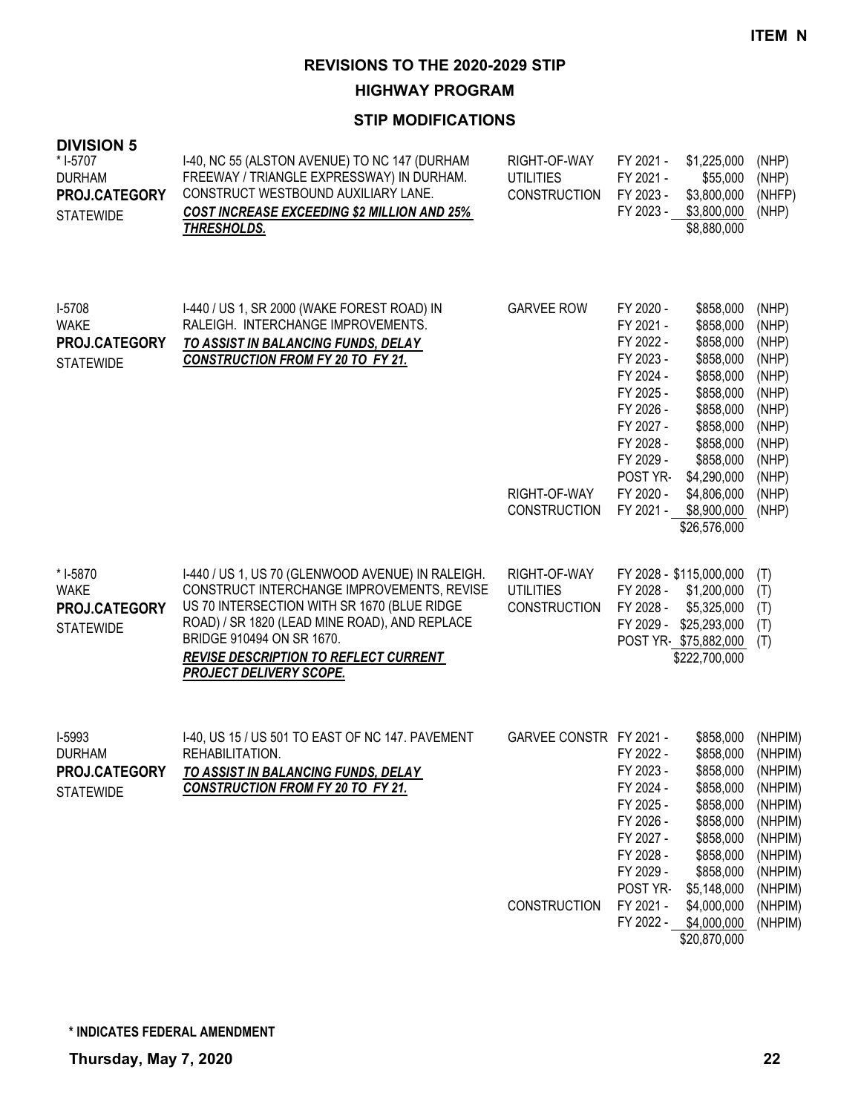# **HIGHWAY PROGRAM**

| <b>DIVISION 5</b><br>* I-5707<br><b>DURHAM</b><br>PROJ.CATEGORY<br><b>STATEWIDE</b> | I-40, NC 55 (ALSTON AVENUE) TO NC 147 (DURHAM<br>FREEWAY / TRIANGLE EXPRESSWAY) IN DURHAM.<br>CONSTRUCT WESTBOUND AUXILIARY LANE.<br><b>COST INCREASE EXCEEDING \$2 MILLION AND 25%</b><br>THRESHOLDS.                                                                                                         | RIGHT-OF-WAY<br><b>UTILITIES</b><br><b>CONSTRUCTION</b>  | FY 2021 -<br>FY 2021 -<br>FY 2023 -<br>FY 2023 -                                                                                                                     | \$1,225,000<br>\$55,000<br>\$3,800,000<br>\$3,800,000<br>\$8,880,000                                                                                                                        | (NHP)<br>(NHP)<br>(NHFP)<br>(NHP)                                                                                                |
|-------------------------------------------------------------------------------------|----------------------------------------------------------------------------------------------------------------------------------------------------------------------------------------------------------------------------------------------------------------------------------------------------------------|----------------------------------------------------------|----------------------------------------------------------------------------------------------------------------------------------------------------------------------|---------------------------------------------------------------------------------------------------------------------------------------------------------------------------------------------|----------------------------------------------------------------------------------------------------------------------------------|
| I-5708<br><b>WAKE</b><br>PROJ.CATEGORY<br><b>STATEWIDE</b>                          | 1-440 / US 1, SR 2000 (WAKE FOREST ROAD) IN<br>RALEIGH. INTERCHANGE IMPROVEMENTS.<br>TO ASSIST IN BALANCING FUNDS, DELAY<br><b>CONSTRUCTION FROM FY 20 TO FY 21.</b>                                                                                                                                           | <b>GARVEE ROW</b><br>RIGHT-OF-WAY<br><b>CONSTRUCTION</b> | FY 2020 -<br>FY 2021 -<br>FY 2022 -<br>FY 2023 -<br>FY 2024 -<br>FY 2025 -<br>FY 2026 -<br>FY 2027 -<br>FY 2028 -<br>FY 2029 -<br>POST YR-<br>FY 2020 -<br>FY 2021 - | \$858,000<br>\$858,000<br>\$858,000<br>\$858,000<br>\$858,000<br>\$858,000<br>\$858,000<br>\$858,000<br>\$858,000<br>\$858,000<br>\$4,290,000<br>\$4,806,000<br>\$8,900,000<br>\$26,576,000 | (NHP)<br>(NHP)<br>(NHP)<br>(NHP)<br>(NHP)<br>(NHP)<br>(NHP)<br>(NHP)<br>(NHP)<br>(NHP)<br>(NHP)<br>(NHP)<br>(NHP)                |
| * I-5870<br><b>WAKE</b><br>PROJ.CATEGORY<br><b>STATEWIDE</b>                        | I-440 / US 1, US 70 (GLENWOOD AVENUE) IN RALEIGH.<br>CONSTRUCT INTERCHANGE IMPROVEMENTS, REVISE<br>US 70 INTERSECTION WITH SR 1670 (BLUE RIDGE<br>ROAD) / SR 1820 (LEAD MINE ROAD), AND REPLACE<br>BRIDGE 910494 ON SR 1670.<br><b>REVISE DESCRIPTION TO REFLECT CURRENT</b><br><b>PROJECT DELIVERY SCOPE.</b> | RIGHT-OF-WAY<br><b>UTILITIES</b><br><b>CONSTRUCTION</b>  | FY 2028 -<br>FY 2028 -<br>FY 2029 -                                                                                                                                  | FY 2028 - \$115,000,000<br>\$1,200,000<br>\$5,325,000<br>\$25,293,000<br>POST YR \$75,882,000<br>\$222,700,000                                                                              | (T)<br>(T)<br>(T)<br>(T)<br>(T)                                                                                                  |
| I-5993<br><b>DURHAM</b><br>PROJ.CATEGORY<br><b>STATEWIDE</b>                        | 1-40, US 15 / US 501 TO EAST OF NC 147. PAVEMENT<br>REHABILITATION.<br>TO ASSIST IN BALANCING FUNDS, DELAY<br><b>CONSTRUCTION FROM FY 20 TO FY 21.</b>                                                                                                                                                         | GARVEE CONSTR FY 2021 -<br>CONSTRUCTION                  | FY 2022 -<br>FY 2023 -<br>FY 2024 -<br>FY 2025 -<br>FY 2026 -<br>FY 2027 -<br>FY 2028 -<br>FY 2029 -<br>POST YR-<br>FY 2021 -<br>FY 2022 -                           | \$858,000<br>\$858,000<br>\$858,000<br>\$858,000<br>\$858,000<br>\$858,000<br>\$858,000<br>\$858,000<br>\$858,000<br>\$5,148,000<br>\$4,000,000<br>\$4,000,000<br>\$20,870,000              | (NHPIM)<br>(NHPIM)<br>(NHPIM)<br>(NHPIM)<br>(NHPIM)<br>(NHPIM)<br>(NHPIM)<br>(NHPIM)<br>(NHPIM)<br>(NHPIM)<br>(NHPIM)<br>(NHPIM) |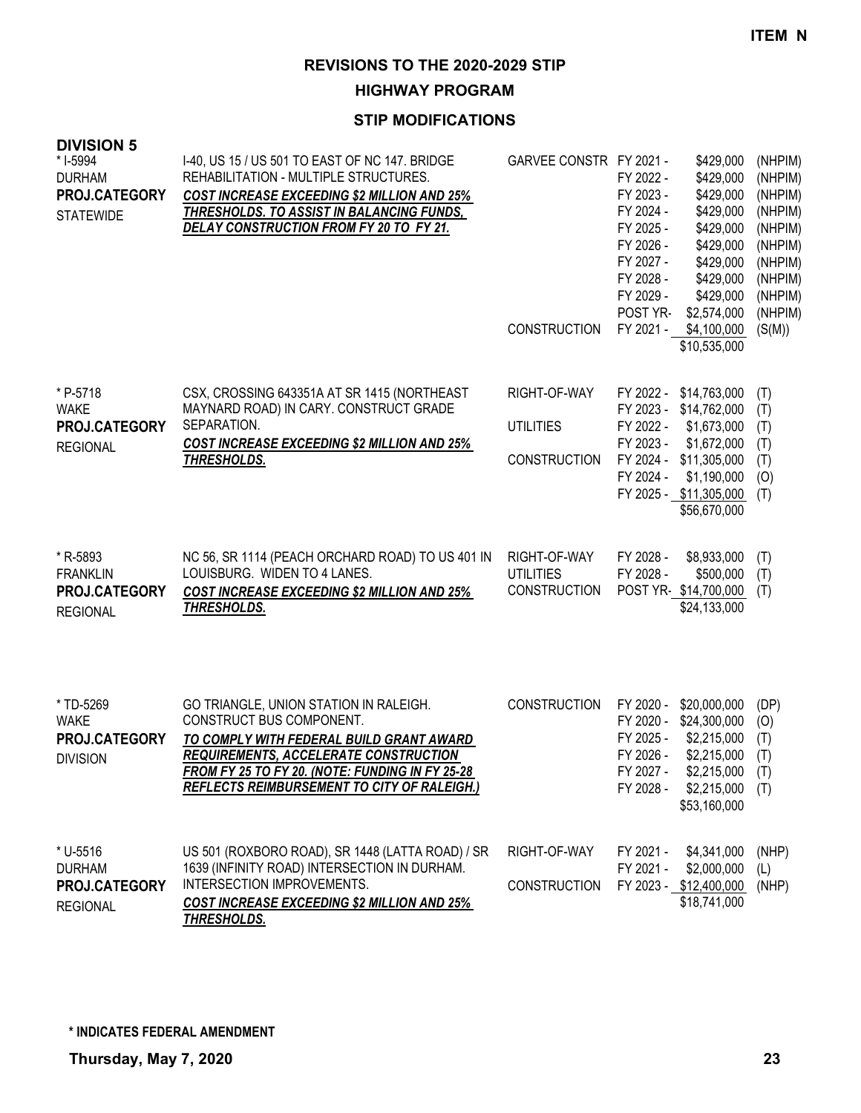# **HIGHWAY PROGRAM**

### **STIP MODIFICATIONS**

| ט ווטוטוז<br>* I-5994<br><b>DURHAM</b><br>PROJ.CATEGORY<br><b>STATEWIDE</b> | I-40, US 15 / US 501 TO EAST OF NC 147. BRIDGE<br>REHABILITATION - MULTIPLE STRUCTURES.<br><b>COST INCREASE EXCEEDING \$2 MILLION AND 25%</b><br>THRESHOLDS. TO ASSIST IN BALANCING FUNDS,<br>DELAY CONSTRUCTION FROM FY 20 TO FY 21.                                   | GARVEE CONSTR FY 2021 -<br><b>CONSTRUCTION</b>          | FY 2022 -<br>FY 2023 -<br>FY 2024 -<br>FY 2025 -<br>FY 2026 -<br>FY 2027 -<br>FY 2028 -<br>FY 2029 -<br>POST YR- | \$429,000<br>\$429,000<br>\$429,000<br>\$429,000<br>\$429,000<br>\$429,000<br>\$429,000<br>\$429,000<br>\$429,000<br>\$2,574,000<br>FY 2021 - \$4,100,000         | (NHPIM)<br>(NHPIM)<br>(NHPIM)<br>(NHPIM)<br>(NHPIM)<br>(NHPIM)<br>(NHPIM)<br>(NHPIM)<br>(NHPIM)<br>(NHPIM)<br>(S(M)) |
|-----------------------------------------------------------------------------|-------------------------------------------------------------------------------------------------------------------------------------------------------------------------------------------------------------------------------------------------------------------------|---------------------------------------------------------|------------------------------------------------------------------------------------------------------------------|-------------------------------------------------------------------------------------------------------------------------------------------------------------------|----------------------------------------------------------------------------------------------------------------------|
|                                                                             |                                                                                                                                                                                                                                                                         |                                                         |                                                                                                                  | \$10,535,000                                                                                                                                                      |                                                                                                                      |
| * P-5718<br><b>WAKE</b><br>PROJ.CATEGORY<br><b>REGIONAL</b>                 | CSX, CROSSING 643351A AT SR 1415 (NORTHEAST<br>MAYNARD ROAD) IN CARY. CONSTRUCT GRADE<br>SEPARATION.<br><b>COST INCREASE EXCEEDING \$2 MILLION AND 25%</b><br><b>THRESHOLDS.</b>                                                                                        | RIGHT-OF-WAY<br><b>UTILITIES</b><br><b>CONSTRUCTION</b> | FY 2022 -<br>FY 2023 -<br>FY 2024 -                                                                              | FY 2022 - \$14,763,000<br>FY 2023 - \$14,762,000<br>\$1,673,000<br>\$1,672,000<br>FY 2024 - \$11,305,000<br>\$1,190,000<br>FY 2025 - \$11,305,000<br>\$56,670,000 | (T)<br>(T)<br>(T)<br>(T)<br>(T)<br>(O)<br>(T)                                                                        |
| * R-5893<br><b>FRANKLIN</b><br>PROJ.CATEGORY<br><b>REGIONAL</b>             | NC 56, SR 1114 (PEACH ORCHARD ROAD) TO US 401 IN<br>LOUISBURG. WIDEN TO 4 LANES.<br><b>COST INCREASE EXCEEDING \$2 MILLION AND 25%</b><br>THRESHOLDS.                                                                                                                   | RIGHT-OF-WAY<br><b>UTILITIES</b><br><b>CONSTRUCTION</b> | FY 2028 -<br>FY 2028 -                                                                                           | \$8,933,000<br>\$500,000<br>POST YR \$14,700,000<br>\$24,133,000                                                                                                  | (T)<br>(T)<br>(T)                                                                                                    |
| * TD-5269<br><b>WAKE</b><br>PROJ.CATEGORY<br><b>DIVISION</b>                | GO TRIANGLE, UNION STATION IN RALEIGH.<br>CONSTRUCT BUS COMPONENT.<br>TO COMPLY WITH FEDERAL BUILD GRANT AWARD<br><b>REQUIREMENTS, ACCELERATE CONSTRUCTION</b><br>FROM FY 25 TO FY 20. (NOTE: FUNDING IN FY 25-28<br><b>REFLECTS REIMBURSEMENT TO CITY OF RALEIGH.)</b> | <b>CONSTRUCTION</b>                                     | FY 2020 -<br>FY 2025 -<br>FY 2026 -<br>FY 2027 -<br>FY 2028 -                                                    | \$20,000,000<br>FY 2020 - \$24,300,000<br>\$2,215,000<br>\$2,215,000<br>\$2,215,000<br>$$2,215,000$ (T)<br>\$53,160,000                                           | (DP)<br>(O)<br>(T)<br>(T)<br>(T)                                                                                     |
| * U-5516<br><b>DURHAM</b><br>PROJ.CATEGORY<br><b>REGIONAL</b>               | US 501 (ROXBORO ROAD), SR 1448 (LATTA ROAD) / SR<br>1639 (INFINITY ROAD) INTERSECTION IN DURHAM.<br>INTERSECTION IMPROVEMENTS.<br><b>COST INCREASE EXCEEDING \$2 MILLION AND 25%</b><br>THRESHOLDS.                                                                     | RIGHT-OF-WAY<br><b>CONSTRUCTION</b>                     | FY 2021 -<br>FY 2021 -                                                                                           | \$4,341,000<br>\$2,000,000<br>FY 2023 - \$12,400,000<br>\$18,741,000                                                                                              | (NHP)<br>(L)<br>(NHP)                                                                                                |

**DIVISION 5**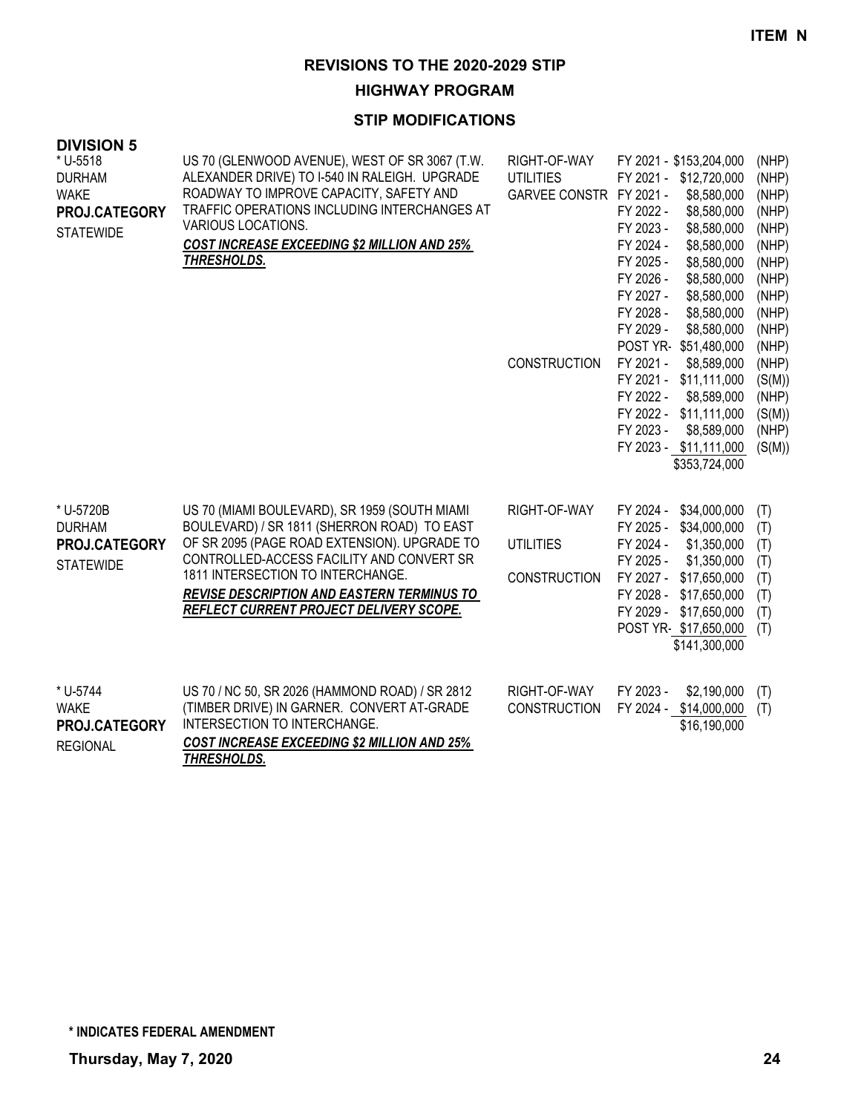# **HIGHWAY PROGRAM**

| <b>DIVISION 5</b>                                                             |                                                                                                                                                                                                                                                                                                                                       |                                                                                    |                                                                                                                                                                                                                                                                                                                                                                                                                                                                                                                       |                                                                                                                                                                   |
|-------------------------------------------------------------------------------|---------------------------------------------------------------------------------------------------------------------------------------------------------------------------------------------------------------------------------------------------------------------------------------------------------------------------------------|------------------------------------------------------------------------------------|-----------------------------------------------------------------------------------------------------------------------------------------------------------------------------------------------------------------------------------------------------------------------------------------------------------------------------------------------------------------------------------------------------------------------------------------------------------------------------------------------------------------------|-------------------------------------------------------------------------------------------------------------------------------------------------------------------|
| * U-5518<br><b>DURHAM</b><br><b>WAKE</b><br>PROJ.CATEGORY<br><b>STATEWIDE</b> | US 70 (GLENWOOD AVENUE), WEST OF SR 3067 (T.W.<br>ALEXANDER DRIVE) TO I-540 IN RALEIGH. UPGRADE<br>ROADWAY TO IMPROVE CAPACITY, SAFETY AND<br>TRAFFIC OPERATIONS INCLUDING INTERCHANGES AT<br>VARIOUS LOCATIONS.<br>COST INCREASE EXCEEDING \$2 MILLION AND 25%<br><u>THRESHOLDS.</u>                                                 | RIGHT-OF-WAY<br><b>UTILITIES</b><br>GARVEE CONSTR FY 2021 -<br><b>CONSTRUCTION</b> | FY 2021 - \$153,204,000<br>FY 2021 - \$12,720,000<br>\$8,580,000<br>FY 2022 -<br>\$8,580,000<br>\$8,580,000<br>FY 2023 -<br>FY 2024 -<br>\$8,580,000<br>FY 2025 -<br>\$8,580,000<br>FY 2026 -<br>\$8,580,000<br>FY 2027 -<br>\$8,580,000<br>FY 2028 -<br>\$8,580,000<br>FY 2029 -<br>\$8,580,000<br>POST YR-<br>\$51,480,000<br>FY 2021 -<br>\$8,589,000<br>FY 2021 -<br>\$11,111,000<br>FY 2022 -<br>\$8,589,000<br>FY 2022 -<br>\$11,111,000<br>FY 2023 -<br>\$8,589,000<br>FY 2023 - \$11,111,000<br>\$353,724,000 | (NHP)<br>(NHP)<br>(NHP)<br>(NHP)<br>(NHP)<br>(NHP)<br>(NHP)<br>(NHP)<br>(NHP)<br>(NHP)<br>(NHP)<br>(NHP)<br>(NHP)<br>(S(M))<br>(NHP)<br>(S(M))<br>(NHP)<br>(S(M)) |
| * U-5720B<br><b>DURHAM</b><br>PROJ.CATEGORY<br><b>STATEWIDE</b>               | US 70 (MIAMI BOULEVARD), SR 1959 (SOUTH MIAMI<br>BOULEVARD) / SR 1811 (SHERRON ROAD) TO EAST<br>OF SR 2095 (PAGE ROAD EXTENSION). UPGRADE TO<br>CONTROLLED-ACCESS FACILITY AND CONVERT SR<br>1811 INTERSECTION TO INTERCHANGE.<br><b>REVISE DESCRIPTION AND EASTERN TERMINUS TO</b><br><u>REFLECT CURRENT PROJECT DELIVERY SCOPE.</u> | RIGHT-OF-WAY<br><b>UTILITIES</b><br><b>CONSTRUCTION</b>                            | FY 2024 -<br>\$34,000,000<br>FY 2025 -<br>\$34,000,000<br>FY 2024 -<br>\$1,350,000<br>FY 2025 -<br>\$1,350,000<br>FY 2027 -<br>\$17,650,000<br>FY 2028 -<br>\$17,650,000<br>FY 2029 -<br>\$17,650,000<br>POST YR \$17,650,000<br>\$141,300,000                                                                                                                                                                                                                                                                        | (T)<br>(T)<br>(T)<br>(T)<br>(T)<br>(T)<br>(T)<br>(T)                                                                                                              |
| * U-5744<br><b>WAKE</b><br>PROJ.CATEGORY<br><b>REGIONAL</b>                   | US 70 / NC 50, SR 2026 (HAMMOND ROAD) / SR 2812<br>(TIMBER DRIVE) IN GARNER. CONVERT AT-GRADE<br>INTERSECTION TO INTERCHANGE.<br>COST INCREASE EXCEEDING \$2 MILLION AND 25%<br>THRESHOLDS.                                                                                                                                           | RIGHT-OF-WAY<br><b>CONSTRUCTION</b>                                                | FY 2023 -<br>\$2,190,000<br>FY 2024 - \$14,000,000<br>\$16,190,000                                                                                                                                                                                                                                                                                                                                                                                                                                                    | (T)<br>(T)                                                                                                                                                        |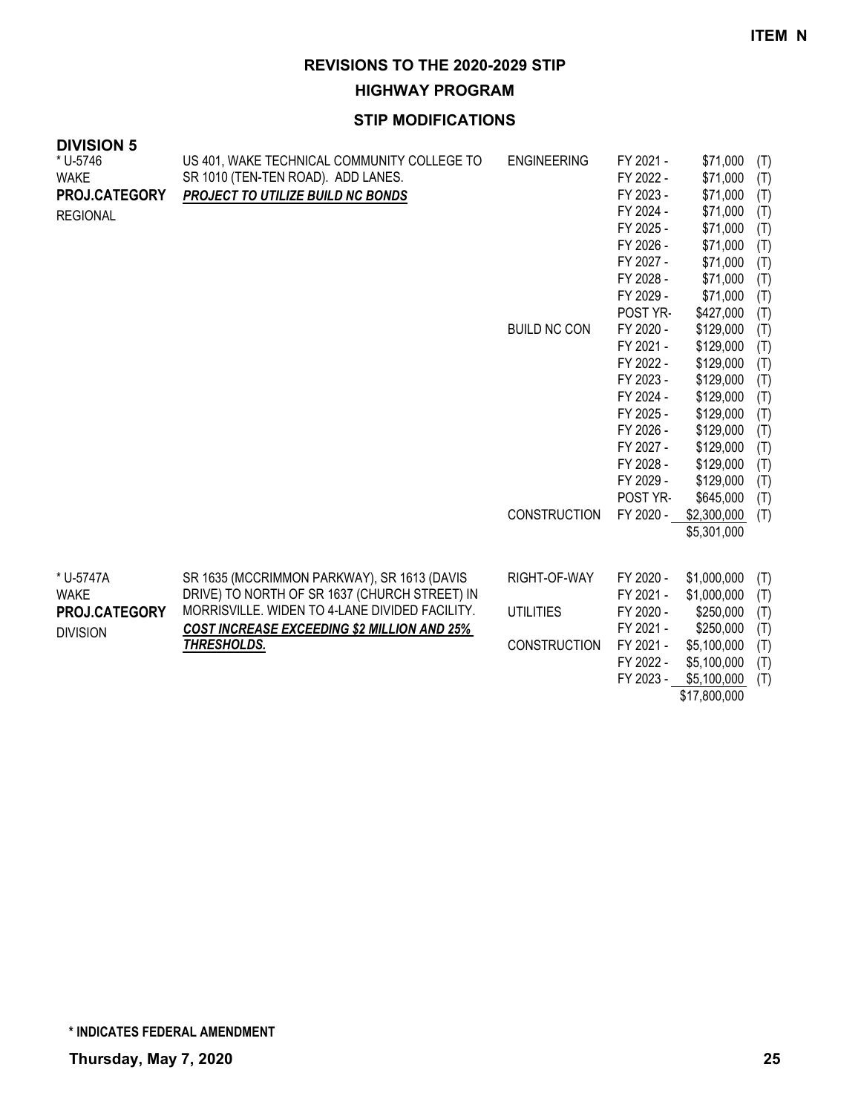**HIGHWAY PROGRAM**

| <b>DIVISION 5</b> |                                                    |                     |           |              |     |
|-------------------|----------------------------------------------------|---------------------|-----------|--------------|-----|
| * U-5746          | US 401, WAKE TECHNICAL COMMUNITY COLLEGE TO        | <b>ENGINEERING</b>  | FY 2021 - | \$71,000     | (T) |
| <b>WAKE</b>       | SR 1010 (TEN-TEN ROAD). ADD LANES.                 |                     | FY 2022 - | \$71,000     | (T) |
| PROJ.CATEGORY     | PROJECT TO UTILIZE BUILD NC BONDS                  |                     | FY 2023 - | \$71,000     | (T) |
| <b>REGIONAL</b>   |                                                    |                     | FY 2024 - | \$71,000     | (T) |
|                   |                                                    |                     | FY 2025 - | \$71,000     | (T) |
|                   |                                                    |                     | FY 2026 - | \$71,000     | (T) |
|                   |                                                    |                     | FY 2027 - | \$71,000     | (T) |
|                   |                                                    |                     | FY 2028 - | \$71,000     | (T) |
|                   |                                                    |                     | FY 2029 - | \$71,000     | (T) |
|                   |                                                    |                     | POST YR-  | \$427,000    | (T) |
|                   |                                                    | <b>BUILD NC CON</b> | FY 2020 - | \$129,000    | (T) |
|                   |                                                    |                     | FY 2021 - | \$129,000    | (T) |
|                   |                                                    |                     | FY 2022 - | \$129,000    | (T) |
|                   |                                                    |                     | FY 2023 - | \$129,000    | (T) |
|                   |                                                    |                     | FY 2024 - | \$129,000    | (T) |
|                   |                                                    |                     | FY 2025 - | \$129,000    | (T) |
|                   |                                                    |                     | FY 2026 - | \$129,000    | (T) |
|                   |                                                    |                     | FY 2027 - | \$129,000    | (T) |
|                   |                                                    |                     | FY 2028 - | \$129,000    | (T) |
|                   |                                                    |                     | FY 2029 - | \$129,000    | (T) |
|                   |                                                    |                     | POST YR-  | \$645,000    | (T) |
|                   |                                                    | <b>CONSTRUCTION</b> | FY 2020 - | \$2,300,000  | (T) |
|                   |                                                    |                     |           | \$5,301,000  |     |
|                   |                                                    |                     |           |              |     |
| * U-5747A         | SR 1635 (MCCRIMMON PARKWAY), SR 1613 (DAVIS        | RIGHT-OF-WAY        | FY 2020 - | \$1,000,000  | (T) |
| <b>WAKE</b>       | DRIVE) TO NORTH OF SR 1637 (CHURCH STREET) IN      |                     | FY 2021 - | \$1,000,000  | (T) |
| PROJ.CATEGORY     | MORRISVILLE. WIDEN TO 4-LANE DIVIDED FACILITY.     | <b>UTILITIES</b>    | FY 2020 - | \$250,000    | (T) |
| <b>DIVISION</b>   | <b>COST INCREASE EXCEEDING \$2 MILLION AND 25%</b> |                     | FY 2021 - | \$250,000    | (T) |
|                   | THRESHOLDS.                                        | <b>CONSTRUCTION</b> | FY 2021 - | \$5,100,000  | (T) |
|                   |                                                    |                     | FY 2022 - | \$5,100,000  | (T) |
|                   |                                                    |                     | FY 2023 - | \$5,100,000  | (T) |
|                   |                                                    |                     |           | \$17,800,000 |     |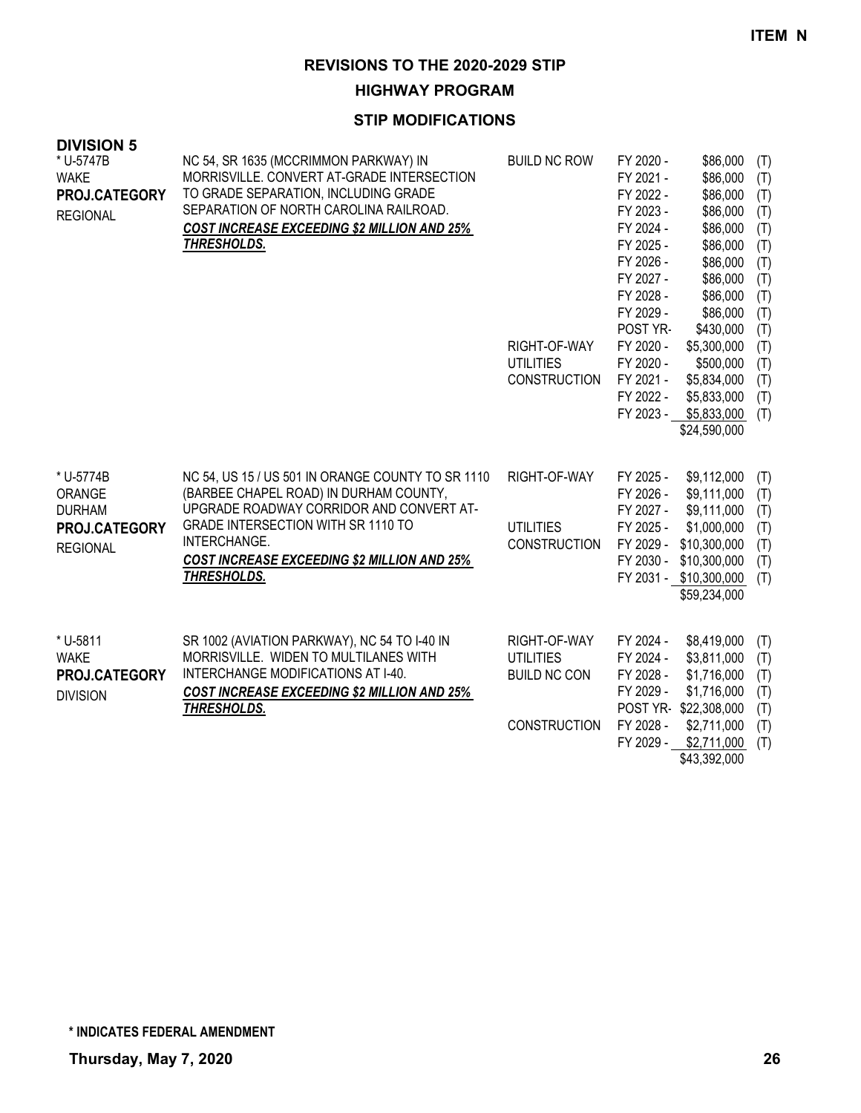**HIGHWAY PROGRAM**

#### **STIP MODIFICATIONS**

| ט ווטוטוע<br>* U-5747B<br><b>WAKE</b><br>PROJ.CATEGORY<br><b>REGIONAL</b> | NC 54, SR 1635 (MCCRIMMON PARKWAY) IN<br>MORRISVILLE. CONVERT AT-GRADE INTERSECTION<br>TO GRADE SEPARATION, INCLUDING GRADE<br>SEPARATION OF NORTH CAROLINA RAILROAD.<br><b>COST INCREASE EXCEEDING \$2 MILLION AND 25%</b><br>THRESHOLDS.                         | <b>BUILD NC ROW</b><br>RIGHT-OF-WAY<br><b>UTILITIES</b><br><b>CONSTRUCTION</b> | FY 2020 -<br>FY 2021 -<br>FY 2022 -<br>FY 2023 -<br>FY 2024 -<br>FY 2025 -<br>FY 2026 -<br>FY 2027 -<br>FY 2028 -<br>FY 2029 -<br>POST YR-<br>FY 2020 -<br>FY 2020 -<br>FY 2021 -<br>FY 2022 -<br>FY 2023 - | \$86,000<br>\$86,000<br>\$86,000<br>\$86,000<br>\$86,000<br>\$86,000<br>\$86,000<br>\$86,000<br>\$86,000<br>\$86,000<br>\$430,000<br>\$5,300,000<br>\$500,000<br>\$5,834,000<br>\$5,833,000<br>\$5,833,000<br>\$24,590,000 | (T)<br>(T)<br>(T)<br>(T)<br>(T)<br>(T)<br>(T)<br>(T)<br>(T)<br>(T)<br>(T)<br>(T)<br>(T)<br>(T)<br>(T)<br>(T) |
|---------------------------------------------------------------------------|--------------------------------------------------------------------------------------------------------------------------------------------------------------------------------------------------------------------------------------------------------------------|--------------------------------------------------------------------------------|-------------------------------------------------------------------------------------------------------------------------------------------------------------------------------------------------------------|----------------------------------------------------------------------------------------------------------------------------------------------------------------------------------------------------------------------------|--------------------------------------------------------------------------------------------------------------|
| * U-5774B<br>ORANGE<br><b>DURHAM</b><br>PROJ.CATEGORY<br><b>REGIONAL</b>  | NC 54, US 15 / US 501 IN ORANGE COUNTY TO SR 1110<br>(BARBEE CHAPEL ROAD) IN DURHAM COUNTY,<br>UPGRADE ROADWAY CORRIDOR AND CONVERT AT-<br>GRADE INTERSECTION WITH SR 1110 TO<br>INTERCHANGE.<br><b>COST INCREASE EXCEEDING \$2 MILLION AND 25%</b><br>THRESHOLDS. | RIGHT-OF-WAY<br><b>UTILITIES</b><br><b>CONSTRUCTION</b>                        | FY 2025 -<br>FY 2026 -<br>FY 2027 -<br>FY 2025 -<br>FY 2029 -<br>FY 2030 -                                                                                                                                  | \$9,112,000<br>\$9,111,000<br>\$9,111,000<br>\$1,000,000<br>\$10,300,000<br>\$10,300,000<br>FY 2031 - \$10,300,000<br>\$59,234,000                                                                                         | (T)<br>(T)<br>(T)<br>(T)<br>(T)<br>(T)<br>(T)                                                                |
| * U-5811<br><b>WAKE</b><br>PROJ.CATEGORY<br><b>DIVISION</b>               | SR 1002 (AVIATION PARKWAY), NC 54 TO I-40 IN<br>MORRISVILLE. WIDEN TO MULTILANES WITH<br>INTERCHANGE MODIFICATIONS AT I-40.<br><b>COST INCREASE EXCEEDING \$2 MILLION AND 25%</b><br>THRESHOLDS.                                                                   | RIGHT-OF-WAY<br><b>UTILITIES</b><br><b>BUILD NC CON</b><br><b>CONSTRUCTION</b> | FY 2024 -<br>FY 2024 -<br>FY 2028 -<br>FY 2029 -<br>FY 2028 -<br>FY 2029 -                                                                                                                                  | \$8,419,000<br>\$3,811,000<br>\$1,716,000<br>\$1,716,000<br>POST YR-\$22,308,000<br>\$2,711,000<br>\$2,711,000<br>\$43,392,000                                                                                             | (T)<br>(T)<br>(T)<br>(T)<br>(T)<br>(T)<br>(T)                                                                |

**DIVISION 5**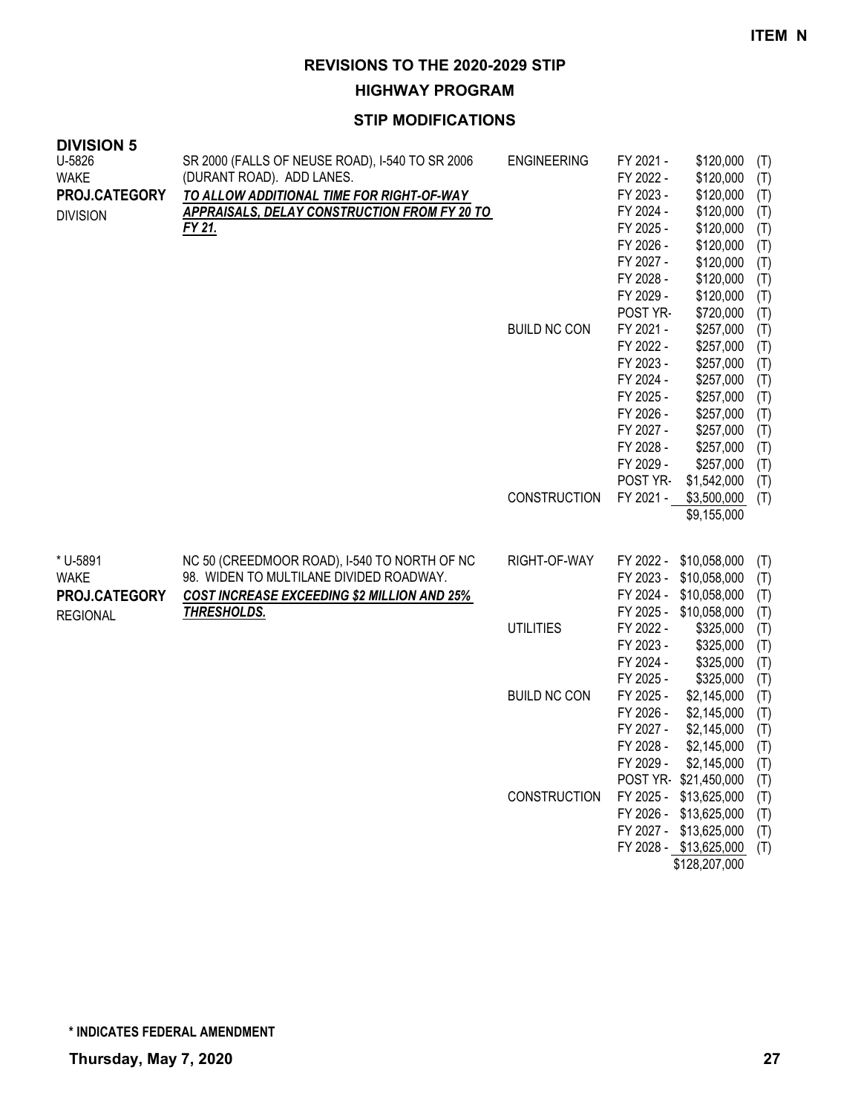**HIGHWAY PROGRAM**

| <b>DIVISION 5</b> |                                                                          |                     |                        |                           |            |
|-------------------|--------------------------------------------------------------------------|---------------------|------------------------|---------------------------|------------|
| U-5826            | SR 2000 (FALLS OF NEUSE ROAD), I-540 TO SR 2006                          | <b>ENGINEERING</b>  | FY 2021 -              | \$120,000                 | (T)        |
| <b>WAKE</b>       | (DURANT ROAD). ADD LANES.                                                |                     | FY 2022 -              | \$120,000                 | (T)        |
| PROJ.CATEGORY     | TO ALLOW ADDITIONAL TIME FOR RIGHT-OF-WAY                                |                     | FY 2023 -              | \$120,000                 | (T)        |
|                   | <b>APPRAISALS, DELAY CONSTRUCTION FROM FY 20 TO</b>                      |                     | FY 2024 -              | \$120,000                 | (T)        |
| <b>DIVISION</b>   | FY 21.                                                                   |                     | FY 2025 -              | \$120,000                 | (T)        |
|                   |                                                                          |                     | FY 2026 -              | \$120,000                 | (T)        |
|                   |                                                                          |                     | FY 2027 -              | \$120,000                 | (T)        |
|                   |                                                                          |                     | FY 2028 -              | \$120,000                 | (T)        |
|                   |                                                                          |                     | FY 2029 -              | \$120,000                 | (T)        |
|                   |                                                                          |                     | POST YR-               | \$720,000                 | (T)        |
|                   |                                                                          | <b>BUILD NC CON</b> | FY 2021 -              | \$257,000                 |            |
|                   |                                                                          |                     | FY 2022 -              | \$257,000                 | (T)        |
|                   |                                                                          |                     | FY 2023 -              |                           | (T)        |
|                   |                                                                          |                     | FY 2024 -              | \$257,000                 | (T)        |
|                   |                                                                          |                     |                        | \$257,000                 | (T)        |
|                   |                                                                          |                     | FY 2025 -              | \$257,000                 | (T)        |
|                   |                                                                          |                     | FY 2026 -<br>FY 2027 - | \$257,000                 | (T)        |
|                   |                                                                          |                     |                        | \$257,000                 | (T)        |
|                   |                                                                          |                     | FY 2028 -              | \$257,000                 | (T)        |
|                   |                                                                          |                     | FY 2029 -              | \$257,000                 | (T)        |
|                   |                                                                          |                     | POST YR-               | \$1,542,000               | (T)        |
|                   |                                                                          | <b>CONSTRUCTION</b> | FY 2021 -              | \$3,500,000               | (T)        |
|                   |                                                                          |                     |                        | \$9,155,000               |            |
| * U-5891          | NC 50 (CREEDMOOR ROAD), I-540 TO NORTH OF NC                             | RIGHT-OF-WAY        |                        | FY 2022 - \$10,058,000    |            |
| <b>WAKE</b>       | 98. WIDEN TO MULTILANE DIVIDED ROADWAY.                                  |                     |                        | FY 2023 - \$10,058,000    | (T)<br>(T) |
| PROJ.CATEGORY     |                                                                          |                     |                        | FY 2024 - \$10,058,000    | (T)        |
|                   | <b>COST INCREASE EXCEEDING \$2 MILLION AND 25%</b><br><b>THRESHOLDS.</b> |                     |                        | FY 2025 - \$10,058,000    | (T)        |
| <b>REGIONAL</b>   |                                                                          | <b>UTILITIES</b>    | FY 2022 -              | \$325,000                 | (T)        |
|                   |                                                                          |                     | FY 2023 -              | \$325,000                 | (T)        |
|                   |                                                                          |                     | FY 2024 -              | \$325,000                 | (T)        |
|                   |                                                                          |                     | FY 2025 -              | \$325,000                 | (T)        |
|                   |                                                                          | <b>BUILD NC CON</b> | FY 2025 -              | \$2,145,000               | (T)        |
|                   |                                                                          |                     | FY 2026 -              | \$2,145,000               | (T)        |
|                   |                                                                          |                     | FY 2027 -              | \$2,145,000               | (T)        |
|                   |                                                                          |                     | FY 2028 -              | \$2,145,000               | (T)        |
|                   |                                                                          |                     |                        | FY 2029 - \$2,145,000 (T) |            |
|                   |                                                                          |                     |                        | POST YR \$21,450,000      | (T)        |
|                   |                                                                          | <b>CONSTRUCTION</b> |                        | FY 2025 - \$13,625,000    | (T)        |
|                   |                                                                          |                     |                        | FY 2026 - \$13,625,000    | (T)        |
|                   |                                                                          |                     |                        | FY 2027 - \$13,625,000    | (T)        |
|                   |                                                                          |                     |                        | FY 2028 - \$13,625,000    | (T)        |
|                   |                                                                          |                     |                        | \$128,207,000             |            |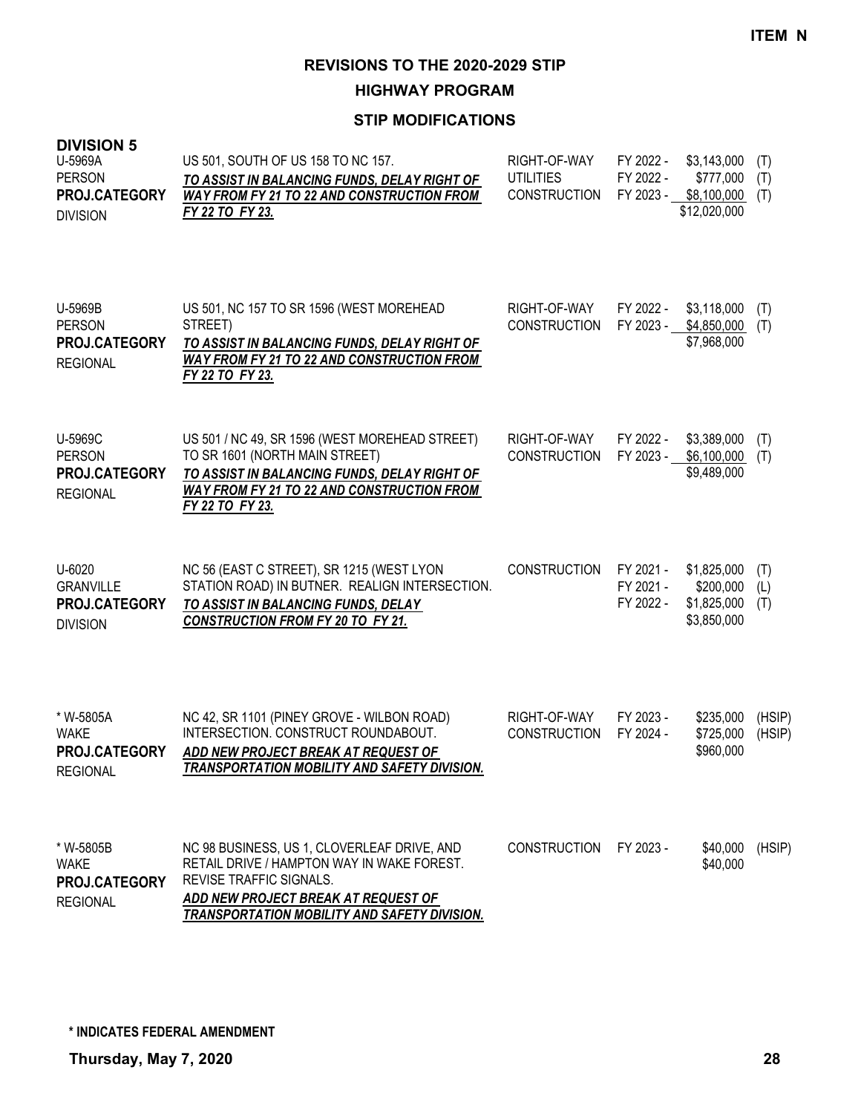**HIGHWAY PROGRAM**

| <b>DIVISION 5</b><br>U-5969A<br><b>PERSON</b><br>PROJ.CATEGORY<br><b>DIVISION</b> | US 501, SOUTH OF US 158 TO NC 157.<br>TO ASSIST IN BALANCING FUNDS, DELAY RIGHT OF<br><b>WAY FROM FY 21 TO 22 AND CONSTRUCTION FROM</b><br>FY 22 TO FY 23.                                                         | RIGHT-OF-WAY<br><b>UTILITIES</b><br><b>CONSTRUCTION</b> | FY 2022 -<br>FY 2022 -<br>FY 2023 - | \$3,143,000<br>\$777,000<br>\$8,100,000<br>\$12,020,000 | (T)<br>(T)<br>(T) |
|-----------------------------------------------------------------------------------|--------------------------------------------------------------------------------------------------------------------------------------------------------------------------------------------------------------------|---------------------------------------------------------|-------------------------------------|---------------------------------------------------------|-------------------|
| U-5969B<br><b>PERSON</b><br><b>PROJ.CATEGORY</b><br><b>REGIONAL</b>               | US 501, NC 157 TO SR 1596 (WEST MOREHEAD<br>STREET)<br>TO ASSIST IN BALANCING FUNDS, DELAY RIGHT OF<br><b>WAY FROM FY 21 TO 22 AND CONSTRUCTION FROM</b><br>FY 22 TO FY 23.                                        | RIGHT-OF-WAY<br><b>CONSTRUCTION</b>                     | FY 2022 -<br>FY 2023 -              | \$3,118,000<br>\$4,850,000<br>\$7,968,000               | (T)<br>(T)        |
| U-5969C<br><b>PERSON</b><br>PROJ.CATEGORY<br><b>REGIONAL</b>                      | US 501 / NC 49, SR 1596 (WEST MOREHEAD STREET)<br>TO SR 1601 (NORTH MAIN STREET)<br>TO ASSIST IN BALANCING FUNDS, DELAY RIGHT OF<br><b>WAY FROM FY 21 TO 22 AND CONSTRUCTION FROM</b><br>FY 22 TO FY 23.           | RIGHT-OF-WAY<br>CONSTRUCTION                            | FY 2022 -<br>FY 2023 -              | \$3,389,000<br>\$6,100,000<br>\$9,489,000               | (T)<br>(T)        |
| U-6020<br><b>GRANVILLE</b><br>PROJ.CATEGORY<br><b>DIVISION</b>                    | NC 56 (EAST C STREET), SR 1215 (WEST LYON<br>STATION ROAD) IN BUTNER. REALIGN INTERSECTION.<br>TO ASSIST IN BALANCING FUNDS, DELAY<br>CONSTRUCTION FROM FY 20 TO FY 21.                                            | <b>CONSTRUCTION</b>                                     | FY 2021 -<br>FY 2021 -<br>FY 2022 - | \$1,825,000<br>\$200,000<br>\$1,825,000<br>\$3,850,000  | (T)<br>(L)<br>(T) |
| * W-5805A<br><b>WAKE</b><br>PROJ.CATEGORY<br><b>REGIONAL</b>                      | NC 42, SR 1101 (PINEY GROVE - WILBON ROAD)<br>INTERSECTION. CONSTRUCT ROUNDABOUT.<br>ADD NEW PROJECT BREAK AT REQUEST OF<br><b>TRANSPORTATION MOBILITY AND SAFETY DIVISION.</b>                                    | RIGHT-OF-WAY<br><b>CONSTRUCTION</b>                     | FY 2023 -<br>FY 2024 -              | \$235,000<br>\$725,000<br>\$960,000                     | (HSIP)<br>(HSIP)  |
| * W-5805B<br><b>WAKE</b><br>PROJ.CATEGORY<br><b>REGIONAL</b>                      | NC 98 BUSINESS, US 1, CLOVERLEAF DRIVE, AND<br>RETAIL DRIVE / HAMPTON WAY IN WAKE FOREST.<br><b>REVISE TRAFFIC SIGNALS.</b><br>ADD NEW PROJECT BREAK AT REQUEST OF<br>TRANSPORTATION MOBILITY AND SAFETY DIVISION. | <b>CONSTRUCTION</b>                                     | FY 2023 -                           | \$40,000<br>\$40,000                                    | (HSIP)            |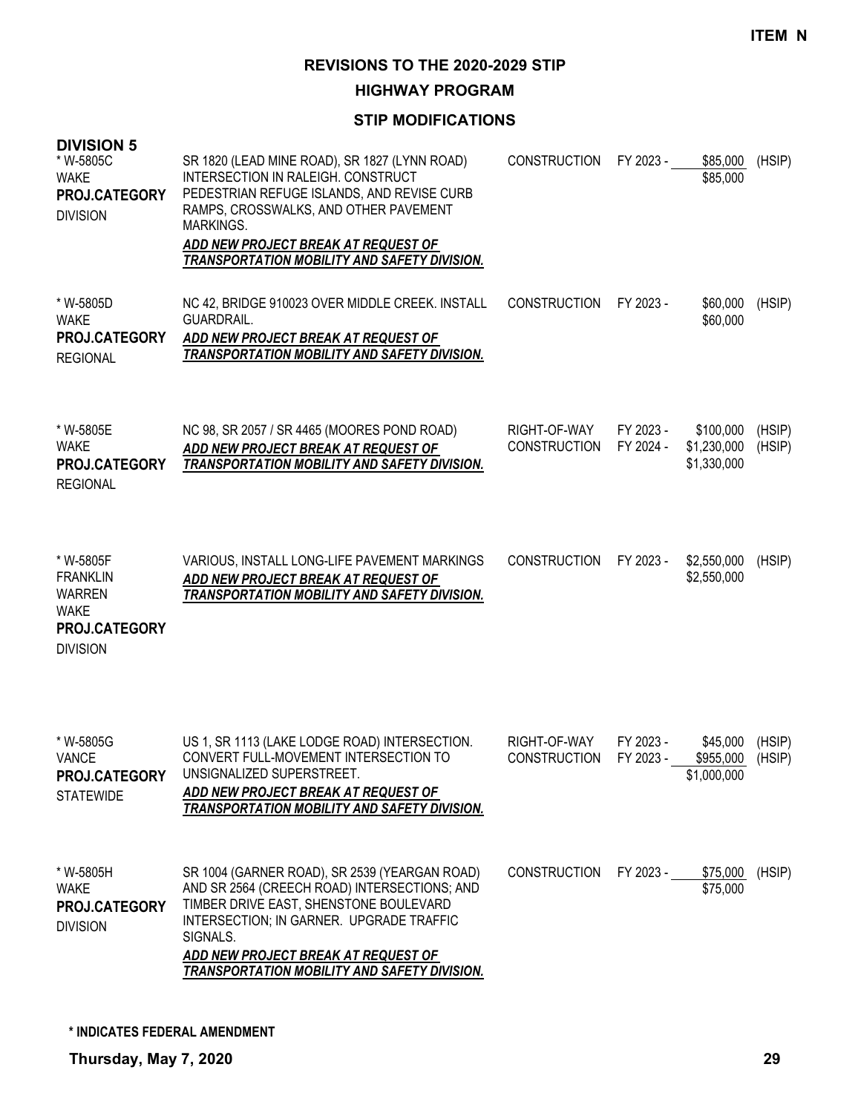**HIGHWAY PROGRAM**

### **STIP MODIFICATIONS**

| ט ווטוטו זע<br>* W-5805C<br><b>WAKE</b><br>PROJ.CATEGORY<br><b>DIVISION</b>                      | SR 1820 (LEAD MINE ROAD), SR 1827 (LYNN ROAD)<br><b>INTERSECTION IN RALEIGH. CONSTRUCT</b><br>PEDESTRIAN REFUGE ISLANDS, AND REVISE CURB<br>RAMPS, CROSSWALKS, AND OTHER PAVEMENT<br><b>MARKINGS.</b><br>ADD NEW PROJECT BREAK AT REQUEST OF<br><b>TRANSPORTATION MOBILITY AND SAFETY DIVISION.</b> | <b>CONSTRUCTION</b>                 | FY 2023 -              | \$85,000<br>\$85,000                    | (HSIP)           |
|--------------------------------------------------------------------------------------------------|-----------------------------------------------------------------------------------------------------------------------------------------------------------------------------------------------------------------------------------------------------------------------------------------------------|-------------------------------------|------------------------|-----------------------------------------|------------------|
| * W-5805D<br><b>WAKE</b><br>PROJ.CATEGORY<br><b>REGIONAL</b>                                     | NC 42, BRIDGE 910023 OVER MIDDLE CREEK. INSTALL<br>GUARDRAIL.<br>ADD NEW PROJECT BREAK AT REQUEST OF<br>TRANSPORTATION MOBILITY AND SAFETY DIVISION.                                                                                                                                                | <b>CONSTRUCTION</b>                 | FY 2023 -              | \$60,000<br>\$60,000                    | (HSIP)           |
| * W-5805E<br><b>WAKE</b><br>PROJ.CATEGORY<br><b>REGIONAL</b>                                     | NC 98, SR 2057 / SR 4465 (MOORES POND ROAD)<br>ADD NEW PROJECT BREAK AT REQUEST OF<br>TRANSPORTATION MOBILITY AND SAFETY DIVISION.                                                                                                                                                                  | RIGHT-OF-WAY<br><b>CONSTRUCTION</b> | FY 2023 -<br>FY 2024 - | \$100,000<br>\$1,230,000<br>\$1,330,000 | (HSIP)<br>(HSIP) |
| * W-5805F<br><b>FRANKLIN</b><br><b>WARREN</b><br><b>WAKE</b><br>PROJ.CATEGORY<br><b>DIVISION</b> | VARIOUS, INSTALL LONG-LIFE PAVEMENT MARKINGS<br>ADD NEW PROJECT BREAK AT REQUEST OF<br>TRANSPORTATION MOBILITY AND SAFETY DIVISION.                                                                                                                                                                 | <b>CONSTRUCTION</b>                 | FY 2023 -              | \$2,550,000<br>\$2,550,000              | (HSIP)           |
| * W-5805G<br><b>VANCE</b><br><b>PROJ.CATEGORY</b><br><b>STATEWIDE</b>                            | US 1, SR 1113 (LAKE LODGE ROAD) INTERSECTION.<br>CONVERT FULL-MOVEMENT INTERSECTION TO<br>UNSIGNALIZED SUPERSTREET.<br>ADD NEW PROJECT BREAK AT REQUEST OF<br><b>TRANSPORTATION MOBILITY AND SAFETY DIVISION.</b>                                                                                   | RIGHT-OF-WAY<br><b>CONSTRUCTION</b> | FY 2023 -<br>FY 2023 - | \$45,000<br>\$955,000<br>\$1,000,000    | (HSIP)<br>(HSIP) |
| * W-5805H<br><b>WAKE</b><br>PROJ.CATEGORY<br><b>DIVISION</b>                                     | SR 1004 (GARNER ROAD), SR 2539 (YEARGAN ROAD)<br>AND SR 2564 (CREECH ROAD) INTERSECTIONS; AND<br>TIMBER DRIVE EAST, SHENSTONE BOULEVARD<br>INTERSECTION; IN GARNER. UPGRADE TRAFFIC<br>SIGNALS.<br>ADD NEW PROJECT BREAK AT REQUEST OF<br>TRANSPORTATION MOBILITY AND SAFETY DIVISION.              | CONSTRUCTION                        | FY 2023 -              | \$75,000<br>\$75,000                    | (HSIP)           |

**DIVISION 5**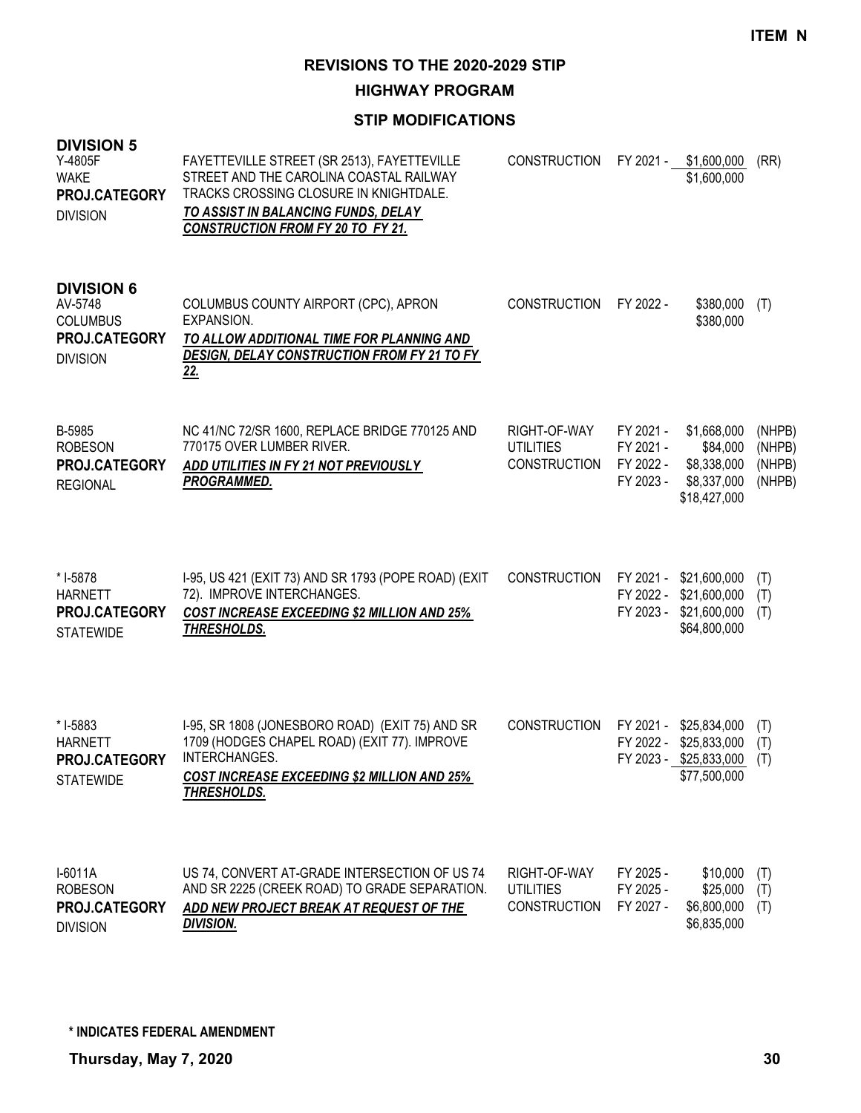**HIGHWAY PROGRAM**

| <b>DIVISION 5</b><br>Y-4805F<br><b>WAKE</b><br>PROJ.CATEGORY<br><b>DIVISION</b>     | FAYETTEVILLE STREET (SR 2513), FAYETTEVILLE<br>STREET AND THE CAROLINA COASTAL RAILWAY<br>TRACKS CROSSING CLOSURE IN KNIGHTDALE.<br>TO ASSIST IN BALANCING FUNDS, DELAY<br><b>CONSTRUCTION FROM FY 20 TO FY 21.</b> | <b>CONSTRUCTION</b>                                     | FY 2021 -                                        | \$1,600,000<br>\$1,600,000                                             | (RR)                                 |
|-------------------------------------------------------------------------------------|---------------------------------------------------------------------------------------------------------------------------------------------------------------------------------------------------------------------|---------------------------------------------------------|--------------------------------------------------|------------------------------------------------------------------------|--------------------------------------|
| <b>DIVISION 6</b><br>AV-5748<br><b>COLUMBUS</b><br>PROJ.CATEGORY<br><b>DIVISION</b> | COLUMBUS COUNTY AIRPORT (CPC), APRON<br><b>EXPANSION.</b><br>TO ALLOW ADDITIONAL TIME FOR PLANNING AND<br><b>DESIGN, DELAY CONSTRUCTION FROM FY 21 TO FY</b><br><u>22.</u>                                          | <b>CONSTRUCTION</b>                                     | FY 2022 -                                        | \$380,000<br>\$380,000                                                 | (T)                                  |
| B-5985<br><b>ROBESON</b><br><b>PROJ.CATEGORY</b><br><b>REGIONAL</b>                 | NC 41/NC 72/SR 1600, REPLACE BRIDGE 770125 AND<br>770175 OVER LUMBER RIVER.<br>ADD UTILITIES IN FY 21 NOT PREVIOUSLY<br><b>PROGRAMMED.</b>                                                                          | RIGHT-OF-WAY<br><b>UTILITIES</b><br><b>CONSTRUCTION</b> | FY 2021 -<br>FY 2021 -<br>FY 2022 -<br>FY 2023 - | \$1,668,000<br>\$84,000<br>\$8,338,000<br>\$8,337,000<br>\$18,427,000  | (NHPB)<br>(NHPB)<br>(NHPB)<br>(NHPB) |
| * I-5878<br><b>HARNETT</b><br>PROJ.CATEGORY<br><b>STATEWIDE</b>                     | I-95, US 421 (EXIT 73) AND SR 1793 (POPE ROAD) (EXIT<br>72). IMPROVE INTERCHANGES.<br><b>COST INCREASE EXCEEDING \$2 MILLION AND 25%</b><br>THRESHOLDS.                                                             | <b>CONSTRUCTION</b>                                     | FY 2021 -<br>FY 2022 -<br>FY 2023 -              | \$21,600,000<br>\$21,600,000<br>\$21,600,000<br>\$64,800,000           | (T)<br>(T)<br>(T)                    |
| * I-5883<br><b>HARNETT</b><br>PROJ.CATEGORY<br><b>STATEWIDE</b>                     | I-95, SR 1808 (JONESBORO ROAD) (EXIT 75) AND SR<br>1709 (HODGES CHAPEL ROAD) (EXIT 77). IMPROVE<br>INTERCHANGES.<br><b>COST INCREASE EXCEEDING \$2 MILLION AND 25%</b><br>THRESHOLDS.                               | <b>CONSTRUCTION</b>                                     | FY 2021 -<br>FY 2022 -                           | \$25,834,000<br>\$25,833,000<br>FY 2023 - \$25,833,000<br>\$77,500,000 | (T)<br>(T)<br>(T)                    |
| $I-6011A$<br><b>ROBESON</b><br>PROJ.CATEGORY<br><b>DIVISION</b>                     | US 74, CONVERT AT-GRADE INTERSECTION OF US 74<br>AND SR 2225 (CREEK ROAD) TO GRADE SEPARATION.<br>ADD NEW PROJECT BREAK AT REQUEST OF THE<br><b>DIVISION.</b>                                                       | RIGHT-OF-WAY<br><b>UTILITIES</b><br><b>CONSTRUCTION</b> | FY 2025 -<br>FY 2025 -<br>FY 2027 -              | \$10,000<br>\$25,000<br>\$6,800,000<br>\$6,835,000                     | (T)<br>(T)<br>(T)                    |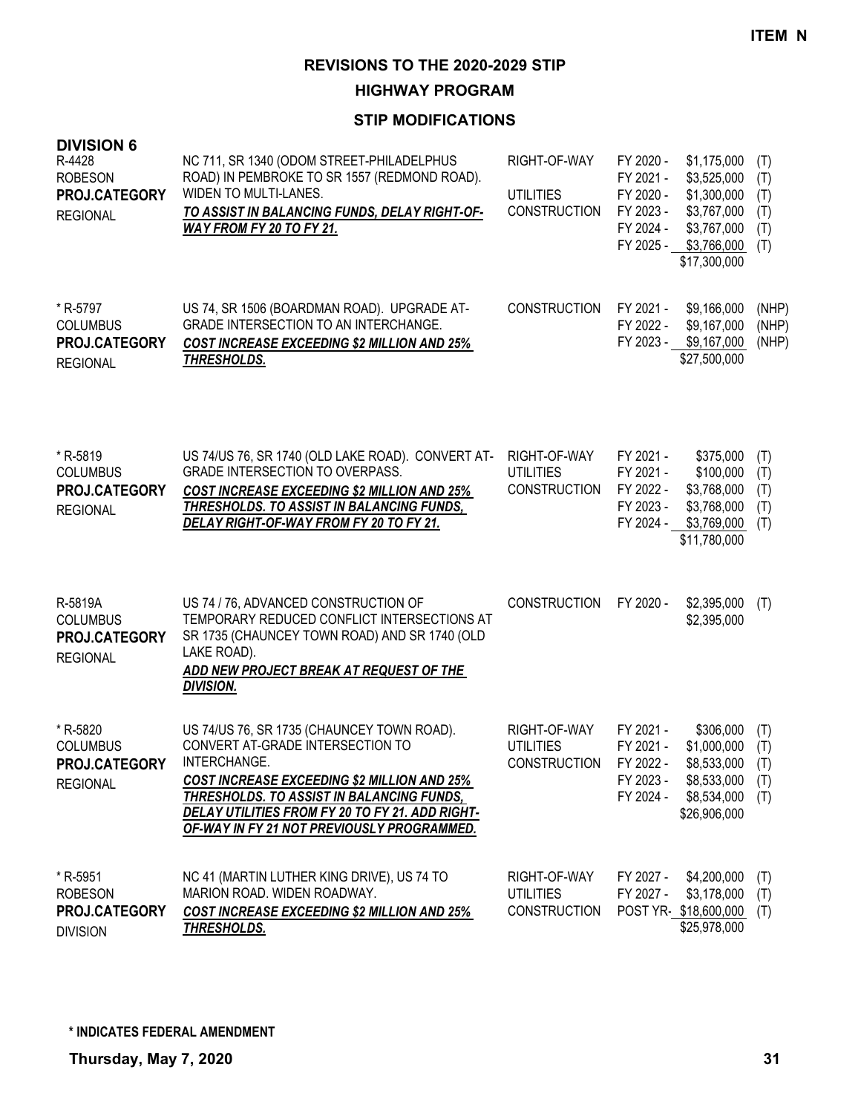**HIGHWAY PROGRAM**

| <b>DIVISION 6</b><br>R-4428<br><b>ROBESON</b><br>PROJ.CATEGORY<br><b>REGIONAL</b> | NC 711, SR 1340 (ODOM STREET-PHILADELPHUS<br>ROAD) IN PEMBROKE TO SR 1557 (REDMOND ROAD).<br>WIDEN TO MULTI-LANES.<br>TO ASSIST IN BALANCING FUNDS, DELAY RIGHT-OF-<br><u>WAY FROM FY 20 TO FY 21.</u>                                                                                             | RIGHT-OF-WAY<br><b>UTILITIES</b><br><b>CONSTRUCTION</b>    | FY 2020 -<br>FY 2021 -<br>FY 2020 -<br>FY 2023 -<br>FY 2024 -<br>FY 2025 - | \$1,175,000<br>\$3,525,000<br>\$1,300,000<br>\$3,767,000<br>\$3,767,000<br>\$3,766,000<br>\$17,300,000 | (T)<br>(T)<br>(T)<br>(T)<br>(T)<br>(T) |
|-----------------------------------------------------------------------------------|----------------------------------------------------------------------------------------------------------------------------------------------------------------------------------------------------------------------------------------------------------------------------------------------------|------------------------------------------------------------|----------------------------------------------------------------------------|--------------------------------------------------------------------------------------------------------|----------------------------------------|
| * R-5797<br><b>COLUMBUS</b><br>PROJ.CATEGORY<br><b>REGIONAL</b>                   | US 74, SR 1506 (BOARDMAN ROAD). UPGRADE AT-<br><b>GRADE INTERSECTION TO AN INTERCHANGE.</b><br><b>COST INCREASE EXCEEDING \$2 MILLION AND 25%</b><br>THRESHOLDS.                                                                                                                                   | <b>CONSTRUCTION</b>                                        | FY 2021 -<br>FY 2022 -<br>FY 2023 -                                        | \$9,166,000<br>\$9,167,000<br>\$9,167,000<br>\$27,500,000                                              | (NHP)<br>(NHP)<br>(NHP)                |
| * R-5819<br><b>COLUMBUS</b><br>PROJ.CATEGORY<br><b>REGIONAL</b>                   | US 74/US 76, SR 1740 (OLD LAKE ROAD). CONVERT AT-<br><b>GRADE INTERSECTION TO OVERPASS.</b><br><b>COST INCREASE EXCEEDING \$2 MILLION AND 25%</b><br>THRESHOLDS. TO ASSIST IN BALANCING FUNDS,<br>DELAY RIGHT-OF-WAY FROM FY 20 TO FY 21.                                                          | RIGHT-OF-WAY<br><b>UTILITIES</b><br><b>CONSTRUCTION</b>    | FY 2021 -<br>FY 2021 -<br>FY 2022 -<br>FY 2023 -<br>FY 2024 -              | \$375,000<br>\$100,000<br>\$3,768,000<br>\$3,768,000<br>\$3,769,000<br>\$11,780,000                    | (T)<br>(T)<br>(T)<br>(T)<br>(T)        |
| R-5819A<br><b>COLUMBUS</b><br>PROJ.CATEGORY<br><b>REGIONAL</b>                    | US 74 / 76, ADVANCED CONSTRUCTION OF<br>TEMPORARY REDUCED CONFLICT INTERSECTIONS AT<br>SR 1735 (CHAUNCEY TOWN ROAD) AND SR 1740 (OLD<br>LAKE ROAD).<br>ADD NEW PROJECT BREAK AT REQUEST OF THE<br><b>DIVISION.</b>                                                                                 | <b>CONSTRUCTION</b>                                        | FY 2020 -                                                                  | \$2,395,000<br>\$2,395,000                                                                             | (T)                                    |
| * R-5820<br><b>COLUMBUS</b><br>PROJ.CATEGORY<br><b>REGIONAL</b>                   | US 74/US 76, SR 1735 (CHAUNCEY TOWN ROAD).<br>CONVERT AT-GRADE INTERSECTION TO<br>INTERCHANGE.<br><b>COST INCREASE EXCEEDING \$2 MILLION AND 25%</b><br>THRESHOLDS. TO ASSIST IN BALANCING FUNDS,<br>DELAY UTILITIES FROM FY 20 TO FY 21. ADD RIGHT-<br>OF-WAY IN FY 21 NOT PREVIOUSLY PROGRAMMED. | RIGHT-OF-WAY<br><b>UTILITIES</b><br>CONSTRUCTION FY 2022 - | FY 2021 -<br>FY 2021 -<br>FY 2023 -<br>FY 2024 -                           | \$306,000<br>\$1,000,000<br>$$8,533,000$ (T)<br>\$8,533,000<br>\$8,534,000<br>\$26,906,000             | (T)<br>(T)<br>(T)<br>(T)               |
| * R-5951<br><b>ROBESON</b><br>PROJ.CATEGORY<br><b>DIVISION</b>                    | NC 41 (MARTIN LUTHER KING DRIVE), US 74 TO<br>MARION ROAD. WIDEN ROADWAY.<br><b>COST INCREASE EXCEEDING \$2 MILLION AND 25%</b><br><b>THRESHOLDS.</b>                                                                                                                                              | RIGHT-OF-WAY<br><b>UTILITIES</b><br><b>CONSTRUCTION</b>    | FY 2027 -<br>FY 2027 -                                                     | \$4,200,000<br>\$3,178,000<br>POST YR-\$18,600,000<br>\$25,978,000                                     | (T)<br>(T)<br>(T)                      |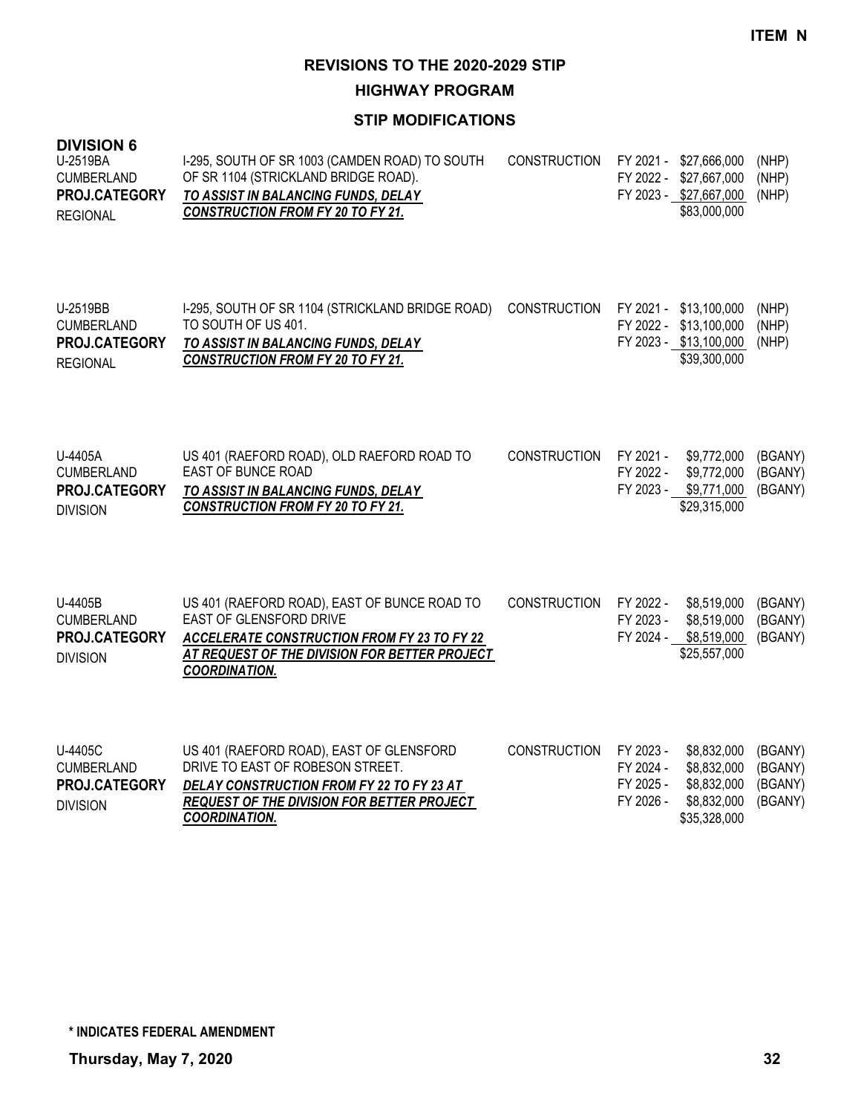**HIGHWAY PROGRAM**

| <b>DIVISION 6</b><br>U-2519BA<br><b>CUMBERLAND</b><br>PROJ.CATEGORY<br><b>REGIONAL</b> | I-295, SOUTH OF SR 1003 (CAMDEN ROAD) TO SOUTH<br>OF SR 1104 (STRICKLAND BRIDGE ROAD).<br>TO ASSIST IN BALANCING FUNDS, DELAY<br><b>CONSTRUCTION FROM FY 20 TO FY 21.</b>                                     | <b>CONSTRUCTION</b> | FY 2021 -<br>FY 2022 -                           | \$27,666,000<br>\$27,667,000<br>FY 2023 - \$27,667,000<br>\$83,000,000           | (NHP)<br>(NHP)<br>(NHP)                  |
|----------------------------------------------------------------------------------------|---------------------------------------------------------------------------------------------------------------------------------------------------------------------------------------------------------------|---------------------|--------------------------------------------------|----------------------------------------------------------------------------------|------------------------------------------|
| U-2519BB<br><b>CUMBERLAND</b><br>PROJ.CATEGORY<br><b>REGIONAL</b>                      | I-295, SOUTH OF SR 1104 (STRICKLAND BRIDGE ROAD)<br>TO SOUTH OF US 401.<br>TO ASSIST IN BALANCING FUNDS, DELAY<br><b>CONSTRUCTION FROM FY 20 TO FY 21.</b>                                                    | <b>CONSTRUCTION</b> | FY 2021 -                                        | \$13,100,000<br>FY 2022 - \$13,100,000<br>FY 2023 - \$13,100,000<br>\$39,300,000 | (NHP)<br>(NHP)<br>(NHP)                  |
| U-4405A<br><b>CUMBERLAND</b><br>PROJ.CATEGORY<br><b>DIVISION</b>                       | US 401 (RAEFORD ROAD), OLD RAEFORD ROAD TO<br><b>EAST OF BUNCE ROAD</b><br>TO ASSIST IN BALANCING FUNDS, DELAY<br><b>CONSTRUCTION FROM FY 20 TO FY 21.</b>                                                    | <b>CONSTRUCTION</b> | FY 2021 -<br>FY 2022 -<br>FY 2023 -              | \$9,772,000<br>\$9,772,000<br>\$9,771,000<br>\$29,315,000                        | (BGANY)<br>(BGANY)<br>(BGANY)            |
| U-4405B<br><b>CUMBERLAND</b><br>PROJ.CATEGORY<br><b>DIVISION</b>                       | US 401 (RAEFORD ROAD), EAST OF BUNCE ROAD TO<br><b>EAST OF GLENSFORD DRIVE</b><br><b>ACCELERATE CONSTRUCTION FROM FY 23 TO FY 22</b><br>AT REQUEST OF THE DIVISION FOR BETTER PROJECT<br><b>COORDINATION.</b> | <b>CONSTRUCTION</b> | FY 2022 -<br>FY 2023 -<br>FY 2024 -              | \$8,519,000<br>\$8,519,000<br>\$8,519,000<br>\$25,557,000                        | (BGANY)<br>(BGANY)<br>(BGANY)            |
| U-4405C<br><b>CUMBERLAND</b><br>PROJ.CATEGORY<br><b>DIVISION</b>                       | US 401 (RAEFORD ROAD), EAST OF GLENSFORD<br>DRIVE TO EAST OF ROBESON STREET.<br>DELAY CONSTRUCTION FROM FY 22 TO FY 23 AT<br>REQUEST OF THE DIVISION FOR BETTER PROJECT<br><b>COORDINATION.</b>               | <b>CONSTRUCTION</b> | FY 2023 -<br>FY 2024 -<br>FY 2025 -<br>FY 2026 - | \$8,832,000<br>\$8,832,000<br>\$8,832,000<br>\$8,832,000<br>\$35,328,000         | (BGANY)<br>(BGANY)<br>(BGANY)<br>(BGANY) |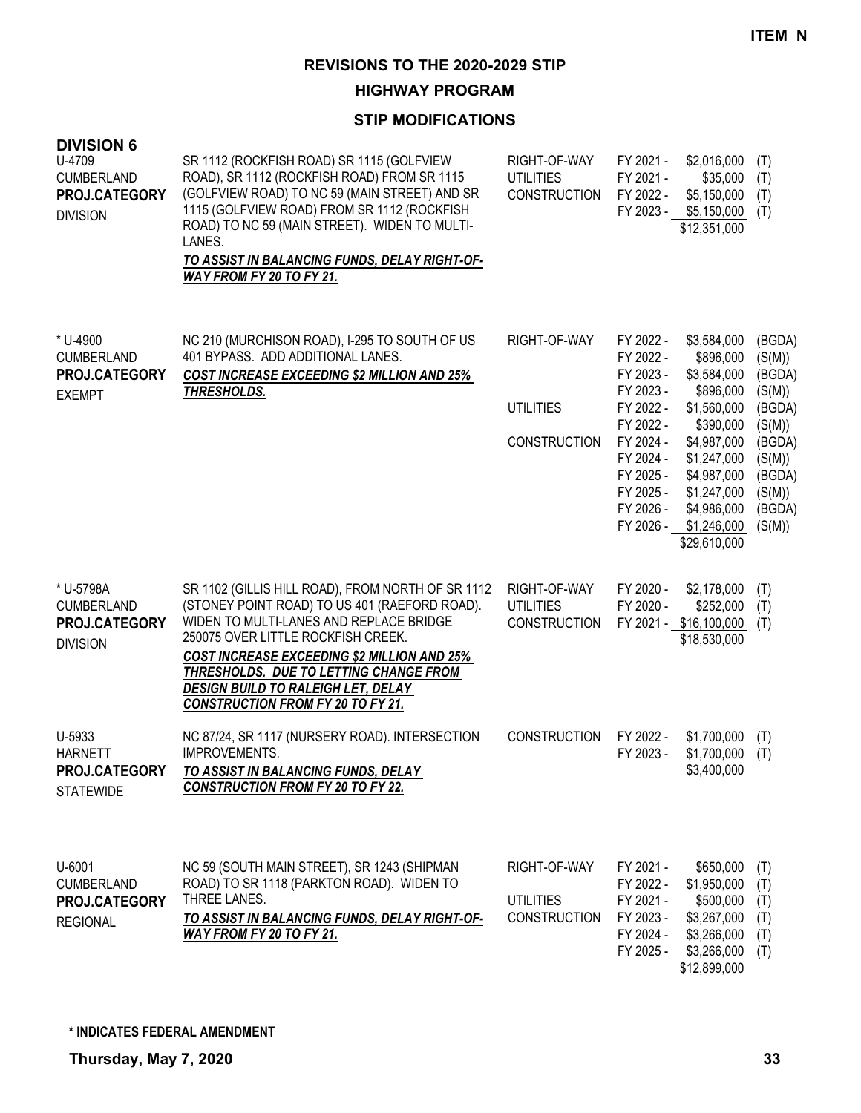**HIGHWAY PROGRAM**

| <b>DIVISION 6</b><br>U-4709<br><b>CUMBERLAND</b><br>PROJ.CATEGORY<br><b>DIVISION</b> | SR 1112 (ROCKFISH ROAD) SR 1115 (GOLFVIEW<br>ROAD), SR 1112 (ROCKFISH ROAD) FROM SR 1115<br>(GOLFVIEW ROAD) TO NC 59 (MAIN STREET) AND SR<br>1115 (GOLFVIEW ROAD) FROM SR 1112 (ROCKFISH<br>ROAD) TO NC 59 (MAIN STREET). WIDEN TO MULTI-<br>LANES.<br>TO ASSIST IN BALANCING FUNDS, DELAY RIGHT-OF-<br>WAY FROM FY 20 TO FY 21.                                             | RIGHT-OF-WAY<br><b>UTILITIES</b><br><b>CONSTRUCTION</b> | FY 2021 -<br>FY 2021 -<br>FY 2022 -                                                                                                                      | \$2,016,000<br>\$35,000<br>\$5,150,000<br>FY 2023 - \$5,150,000<br>\$12,351,000                                                                                                            | (T)<br>(T)<br>(T)<br>(T)                                                                                             |
|--------------------------------------------------------------------------------------|------------------------------------------------------------------------------------------------------------------------------------------------------------------------------------------------------------------------------------------------------------------------------------------------------------------------------------------------------------------------------|---------------------------------------------------------|----------------------------------------------------------------------------------------------------------------------------------------------------------|--------------------------------------------------------------------------------------------------------------------------------------------------------------------------------------------|----------------------------------------------------------------------------------------------------------------------|
| * U-4900<br><b>CUMBERLAND</b><br>PROJ.CATEGORY<br><b>EXEMPT</b>                      | NC 210 (MURCHISON ROAD), I-295 TO SOUTH OF US<br>401 BYPASS. ADD ADDITIONAL LANES.<br>COST INCREASE EXCEEDING \$2 MILLION AND 25%<br>THRESHOLDS.                                                                                                                                                                                                                             | RIGHT-OF-WAY<br><b>UTILITIES</b><br><b>CONSTRUCTION</b> | FY 2022 -<br>FY 2022 -<br>FY 2023 -<br>FY 2023 -<br>FY 2022 -<br>FY 2022 -<br>FY 2024 -<br>FY 2024 -<br>FY 2025 -<br>FY 2025 -<br>FY 2026 -<br>FY 2026 - | \$3,584,000<br>\$896,000<br>\$3,584,000<br>\$896,000<br>\$1,560,000<br>\$390,000<br>\$4,987,000<br>\$1,247,000<br>\$4,987,000<br>\$1,247,000<br>\$4,986,000<br>\$1,246,000<br>\$29,610,000 | (BGDA)<br>(S(M))<br>(BGDA)<br>(S(M))<br>(BGDA)<br>(S(M))<br>(BGDA)<br>(S(M))<br>(BGDA)<br>(S(M))<br>(BGDA)<br>(S(M)) |
| * U-5798A<br><b>CUMBERLAND</b><br>PROJ.CATEGORY<br><b>DIVISION</b>                   | SR 1102 (GILLIS HILL ROAD), FROM NORTH OF SR 1112<br>(STONEY POINT ROAD) TO US 401 (RAEFORD ROAD).<br>WIDEN TO MULTI-LANES AND REPLACE BRIDGE<br>250075 OVER LITTLE ROCKFISH CREEK.<br><b>COST INCREASE EXCEEDING \$2 MILLION AND 25%</b><br>THRESHOLDS. DUE TO LETTING CHANGE FROM<br><u>DESIGN BUILD TO RALEIGH LET, DELAY</u><br><b>CONSTRUCTION FROM FY 20 TO FY 21.</b> | RIGHT-OF-WAY<br><b>UTILITIES</b><br><b>CONSTRUCTION</b> | FY 2020 -<br>FY 2020 -                                                                                                                                   | \$2,178,000<br>\$252,000<br>FY 2021 - \$16,100,000<br>\$18,530,000                                                                                                                         | (T)<br>(T)<br>(T)                                                                                                    |
| U-5933<br><b>HARNETT</b><br>PROJ.CATEGORY<br><b>STATEWIDE</b>                        | NC 87/24, SR 1117 (NURSERY ROAD). INTERSECTION<br><b>IMPROVEMENTS.</b><br>TO ASSIST IN BALANCING FUNDS, DELAY<br><b>CONSTRUCTION FROM FY 20 TO FY 22.</b>                                                                                                                                                                                                                    | <b>CONSTRUCTION</b>                                     | FY 2022 -<br>FY 2023 -                                                                                                                                   | \$1,700,000<br>\$1,700,000<br>\$3,400,000                                                                                                                                                  | (T)<br>(T)                                                                                                           |
| U-6001<br><b>CUMBERLAND</b><br>PROJ.CATEGORY<br><b>REGIONAL</b>                      | NC 59 (SOUTH MAIN STREET), SR 1243 (SHIPMAN<br>ROAD) TO SR 1118 (PARKTON ROAD). WIDEN TO<br>THREE LANES.<br>TO ASSIST IN BALANCING FUNDS, DELAY RIGHT-OF-<br><u>WAY FROM FY 20 TO FY 21.</u>                                                                                                                                                                                 | RIGHT-OF-WAY<br><b>UTILITIES</b><br><b>CONSTRUCTION</b> | FY 2021 -<br>FY 2022 -<br>FY 2021 -<br>FY 2023 -<br>FY 2024 -<br>FY 2025 -                                                                               | \$650,000<br>\$1,950,000<br>\$500,000<br>\$3,267,000<br>\$3,266,000<br>\$3,266,000<br>\$12,899,000                                                                                         | (T)<br>(T)<br>(T)<br>(T)<br>(T)<br>(T)                                                                               |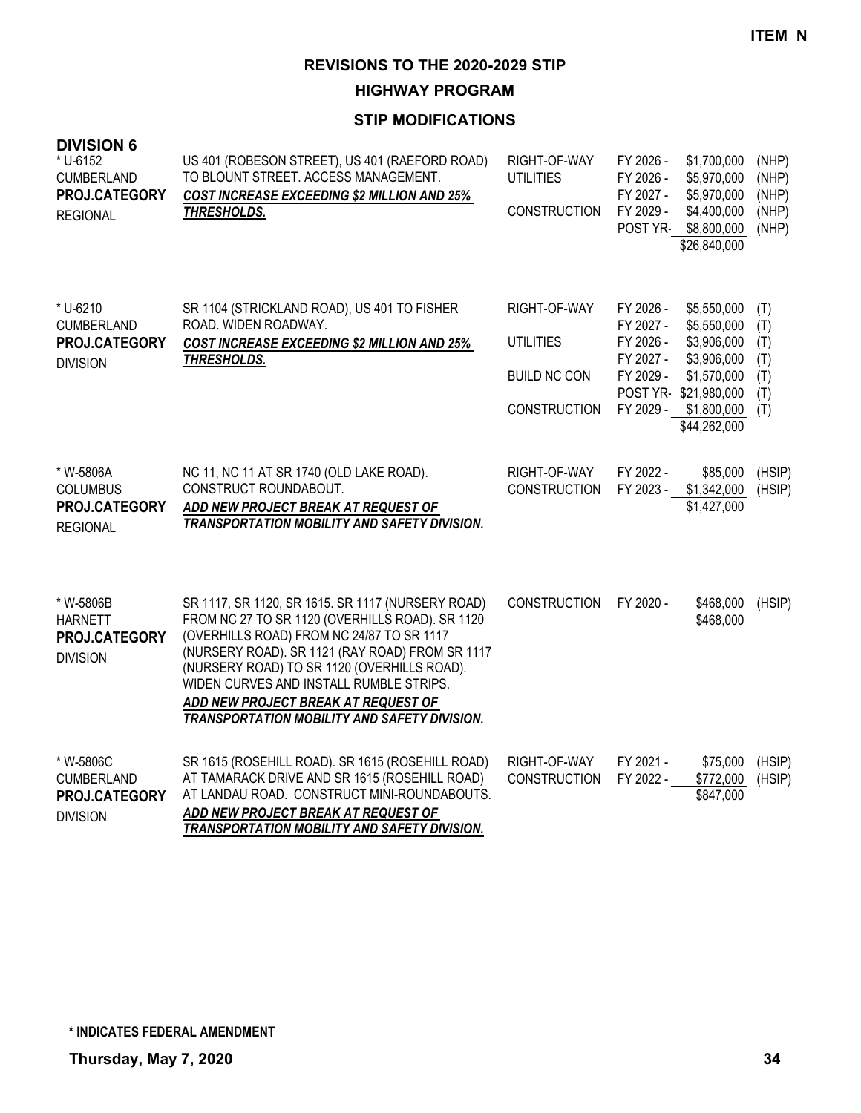**HIGHWAY PROGRAM**

| <b>DIVISION 6</b><br>* U-6152<br><b>CUMBERLAND</b><br>PROJ.CATEGORY<br><b>REGIONAL</b> | US 401 (ROBESON STREET), US 401 (RAEFORD ROAD)<br>TO BLOUNT STREET. ACCESS MANAGEMENT.<br><b>COST INCREASE EXCEEDING \$2 MILLION AND 25%</b><br><b>THRESHOLDS.</b>                                                                                                                                                                                                                    | RIGHT-OF-WAY<br><b>UTILITIES</b><br><b>CONSTRUCTION</b>                 | FY 2026 -<br>FY 2026 -<br>FY 2027 -<br>FY 2029 -<br>POST YR-               | \$1,700,000<br>\$5,970,000<br>\$5,970,000<br>\$4,400,000<br>\$8,800,000<br>\$26,840,000                                        | (NHP)<br>(NHP)<br>(NHP)<br>(NHP)<br>(NHP)     |
|----------------------------------------------------------------------------------------|---------------------------------------------------------------------------------------------------------------------------------------------------------------------------------------------------------------------------------------------------------------------------------------------------------------------------------------------------------------------------------------|-------------------------------------------------------------------------|----------------------------------------------------------------------------|--------------------------------------------------------------------------------------------------------------------------------|-----------------------------------------------|
| * U-6210<br><b>CUMBERLAND</b><br>PROJ.CATEGORY<br><b>DIVISION</b>                      | SR 1104 (STRICKLAND ROAD), US 401 TO FISHER<br>ROAD. WIDEN ROADWAY.<br><b>COST INCREASE EXCEEDING \$2 MILLION AND 25%</b><br>THRESHOLDS.                                                                                                                                                                                                                                              | RIGHT-OF-WAY<br>UTILITIES<br><b>BUILD NC CON</b><br><b>CONSTRUCTION</b> | FY 2026 -<br>FY 2027 -<br>FY 2026 -<br>FY 2027 -<br>FY 2029 -<br>FY 2029 - | \$5,550,000<br>\$5,550,000<br>\$3,906,000<br>\$3,906,000<br>\$1,570,000<br>POST YR-\$21,980,000<br>\$1,800,000<br>\$44,262,000 | (T)<br>(T)<br>(T)<br>(T)<br>(T)<br>(T)<br>(T) |
| * W-5806A<br><b>COLUMBUS</b><br>PROJ.CATEGORY<br><b>REGIONAL</b>                       | NC 11, NC 11 AT SR 1740 (OLD LAKE ROAD).<br>CONSTRUCT ROUNDABOUT.<br>ADD NEW PROJECT BREAK AT REQUEST OF<br><b>TRANSPORTATION MOBILITY AND SAFETY DIVISION.</b>                                                                                                                                                                                                                       | RIGHT-OF-WAY<br><b>CONSTRUCTION</b>                                     | FY 2022 -<br>FY 2023 -                                                     | \$85,000<br>\$1,342,000<br>\$1,427,000                                                                                         | (HSIP)<br>(HSIP)                              |
| * W-5806B<br><b>HARNETT</b><br>PROJ.CATEGORY<br><b>DIVISION</b>                        | SR 1117, SR 1120, SR 1615. SR 1117 (NURSERY ROAD)<br>FROM NC 27 TO SR 1120 (OVERHILLS ROAD). SR 1120<br>(OVERHILLS ROAD) FROM NC 24/87 TO SR 1117<br>(NURSERY ROAD). SR 1121 (RAY ROAD) FROM SR 1117<br>(NURSERY ROAD) TO SR 1120 (OVERHILLS ROAD).<br>WIDEN CURVES AND INSTALL RUMBLE STRIPS.<br>ADD NEW PROJECT BREAK AT REQUEST OF<br>TRANSPORTATION MOBILITY AND SAFETY DIVISION. | <b>CONSTRUCTION</b>                                                     | FY 2020 -                                                                  | \$468,000<br>\$468,000                                                                                                         | (HSIP)                                        |
| * W-5806C<br><b>CUMBERLAND</b><br>PROJ.CATEGORY<br><b>DIVISION</b>                     | SR 1615 (ROSEHILL ROAD). SR 1615 (ROSEHILL ROAD)<br>AT TAMARACK DRIVE AND SR 1615 (ROSEHILL ROAD)<br>AT LANDAU ROAD. CONSTRUCT MINI-ROUNDABOUTS.<br>ADD NEW PROJECT BREAK AT REQUEST OF<br>TRANSPORTATION MOBILITY AND SAFETY DIVISION.                                                                                                                                               | RIGHT-OF-WAY<br><b>CONSTRUCTION</b>                                     | FY 2021 -<br>FY 2022 -                                                     | \$75,000<br>\$772,000<br>\$847,000                                                                                             | (HSIP)<br>(HSIP)                              |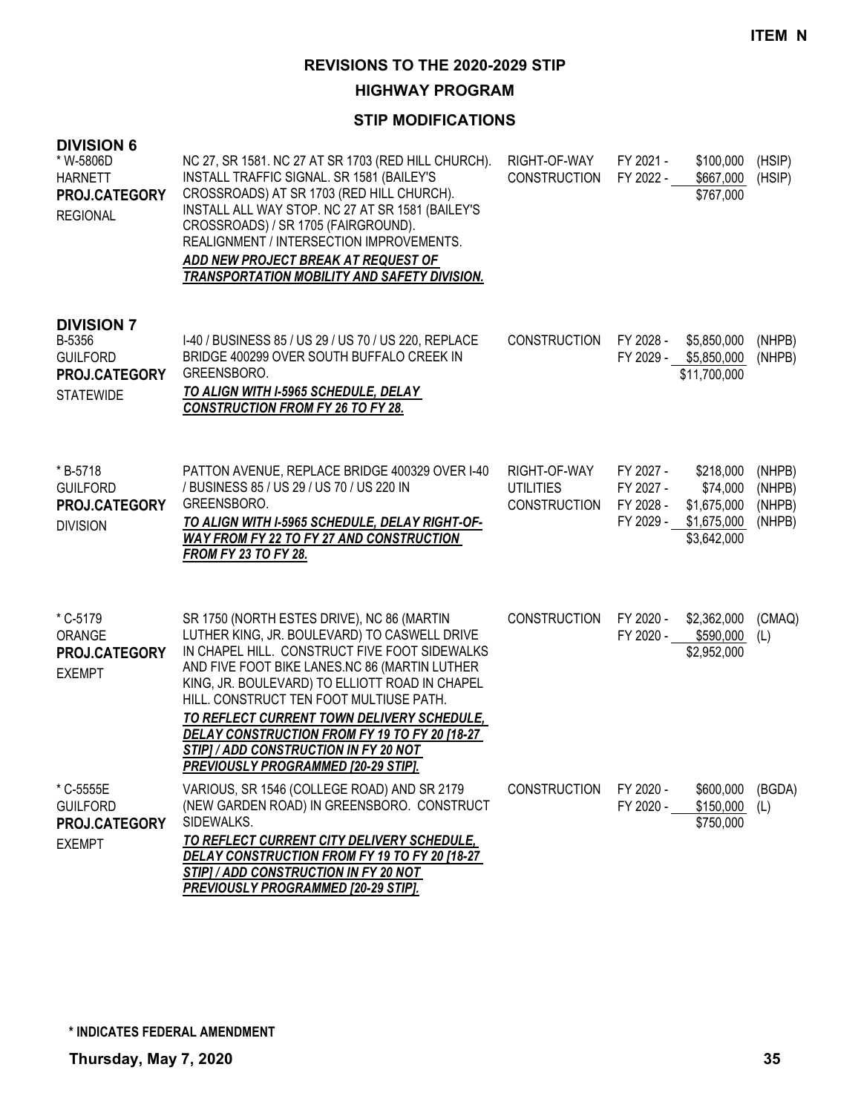**HIGHWAY PROGRAM**

| <b>DIVISION 6</b><br>* W-5806D<br><b>HARNETT</b><br>PROJ.CATEGORY<br><b>REGIONAL</b> | NC 27, SR 1581. NC 27 AT SR 1703 (RED HILL CHURCH).<br><b>INSTALL TRAFFIC SIGNAL. SR 1581 (BAILEY'S</b><br>CROSSROADS) AT SR 1703 (RED HILL CHURCH).<br>INSTALL ALL WAY STOP. NC 27 AT SR 1581 (BAILEY'S<br>CROSSROADS) / SR 1705 (FAIRGROUND).<br>REALIGNMENT / INTERSECTION IMPROVEMENTS.<br>ADD NEW PROJECT BREAK AT REQUEST OF<br><b>TRANSPORTATION MOBILITY AND SAFETY DIVISION.</b>                                                                                       | RIGHT-OF-WAY<br><b>CONSTRUCTION</b>                     | FY 2021 -<br>FY 2022 -                           | \$100,000<br>\$667,000<br>\$767,000                                | (HSIP)<br>(HSIP)                     |
|--------------------------------------------------------------------------------------|---------------------------------------------------------------------------------------------------------------------------------------------------------------------------------------------------------------------------------------------------------------------------------------------------------------------------------------------------------------------------------------------------------------------------------------------------------------------------------|---------------------------------------------------------|--------------------------------------------------|--------------------------------------------------------------------|--------------------------------------|
| <b>DIVISION 7</b><br>B-5356<br><b>GUILFORD</b><br>PROJ.CATEGORY<br><b>STATEWIDE</b>  | I-40 / BUSINESS 85 / US 29 / US 70 / US 220, REPLACE<br>BRIDGE 400299 OVER SOUTH BUFFALO CREEK IN<br>GREENSBORO.<br>TO ALIGN WITH I-5965 SCHEDULE, DELAY<br><b>CONSTRUCTION FROM FY 26 TO FY 28.</b>                                                                                                                                                                                                                                                                            | <b>CONSTRUCTION</b>                                     | FY 2028 -                                        | \$5,850,000<br>FY 2029 - \$5,850,000<br>\$11,700,000               | (NHPB)<br>(NHPB)                     |
| * B-5718<br><b>GUILFORD</b><br>PROJ.CATEGORY<br><b>DIVISION</b>                      | PATTON AVENUE, REPLACE BRIDGE 400329 OVER I-40<br>/ BUSINESS 85 / US 29 / US 70 / US 220 IN<br>GREENSBORO.<br>TO ALIGN WITH I-5965 SCHEDULE, DELAY RIGHT-OF-<br><b>WAY FROM FY 22 TO FY 27 AND CONSTRUCTION</b><br><b>FROM FY 23 TO FY 28.</b>                                                                                                                                                                                                                                  | RIGHT-OF-WAY<br><b>UTILITIES</b><br><b>CONSTRUCTION</b> | FY 2027 -<br>FY 2027 -<br>FY 2028 -<br>FY 2029 - | \$218,000<br>\$74,000<br>\$1,675,000<br>\$1,675,000<br>\$3,642,000 | (NHPB)<br>(NHPB)<br>(NHPB)<br>(NHPB) |
| * C-5179<br>ORANGE<br>PROJ.CATEGORY<br><b>EXEMPT</b>                                 | SR 1750 (NORTH ESTES DRIVE), NC 86 (MARTIN<br>LUTHER KING, JR. BOULEVARD) TO CASWELL DRIVE<br>IN CHAPEL HILL. CONSTRUCT FIVE FOOT SIDEWALKS<br>AND FIVE FOOT BIKE LANES.NC 86 (MARTIN LUTHER<br>KING, JR. BOULEVARD) TO ELLIOTT ROAD IN CHAPEL<br>HILL. CONSTRUCT TEN FOOT MULTIUSE PATH.<br>TO REFLECT CURRENT TOWN DELIVERY SCHEDULE,<br>DELAY CONSTRUCTION FROM FY 19 TO FY 20 [18-27<br>STIP] / ADD CONSTRUCTION IN FY 20 NOT<br><u>PREVIOUSLY PROGRAMMED [20-29 STIP].</u> | <b>CONSTRUCTION</b>                                     | FY 2020 -<br>FY 2020 -                           | \$2,362,000<br>\$590,000<br>\$2,952,000                            | (CMAQ)<br>(L)                        |
| * C-5555E<br><b>GUILFORD</b><br>PROJ.CATEGORY<br><b>EXEMPT</b>                       | VARIOUS, SR 1546 (COLLEGE ROAD) AND SR 2179<br>(NEW GARDEN ROAD) IN GREENSBORO. CONSTRUCT<br>SIDEWALKS.<br>TO REFLECT CURRENT CITY DELIVERY SCHEDULE,<br>DELAY CONSTRUCTION FROM FY 19 TO FY 20 [18-27<br>STIP] / ADD CONSTRUCTION IN FY 20 NOT<br>PREVIOUSLY PROGRAMMED [20-29 STIP].                                                                                                                                                                                          | <b>CONSTRUCTION</b>                                     | FY 2020 -<br>FY 2020 -                           | \$600,000<br>\$150,000<br>\$750,000                                | (BGDA)<br>(L)                        |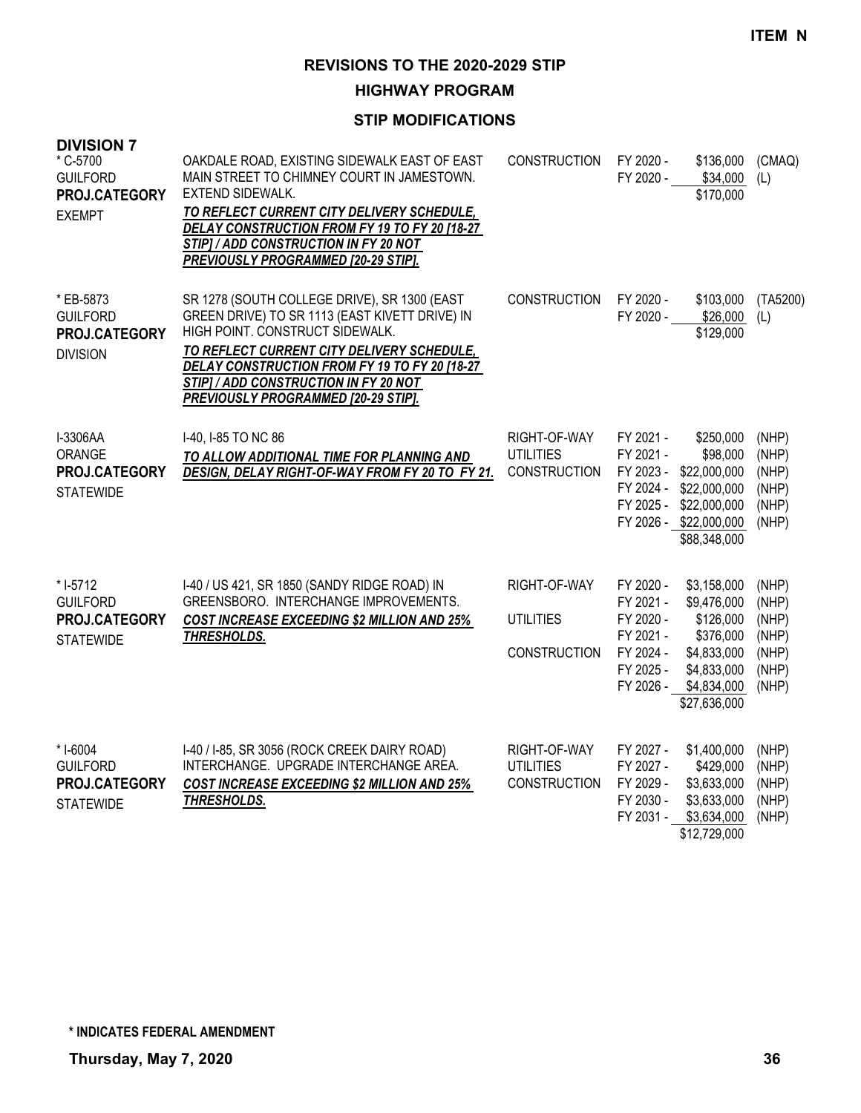**HIGHWAY PROGRAM**

| <b>DIVISION 7</b><br>* C-5700<br><b>GUILFORD</b><br>PROJ.CATEGORY<br><b>EXEMPT</b> | OAKDALE ROAD, EXISTING SIDEWALK EAST OF EAST<br>MAIN STREET TO CHIMNEY COURT IN JAMESTOWN.<br>EXTEND SIDEWALK.<br>TO REFLECT CURRENT CITY DELIVERY SCHEDULE,<br>DELAY CONSTRUCTION FROM FY 19 TO FY 20 [18-27<br>STIP] / ADD CONSTRUCTION IN FY 20 NOT<br><b>PREVIOUSLY PROGRAMMED [20-29 STIP].</b>                    | <b>CONSTRUCTION</b>                                     | FY 2020 -<br>FY 2020 -                                                                  | \$136,000<br>\$34,000<br>\$170,000                                                                                | (CMAQ)<br>(L)                                               |
|------------------------------------------------------------------------------------|-------------------------------------------------------------------------------------------------------------------------------------------------------------------------------------------------------------------------------------------------------------------------------------------------------------------------|---------------------------------------------------------|-----------------------------------------------------------------------------------------|-------------------------------------------------------------------------------------------------------------------|-------------------------------------------------------------|
| * EB-5873<br><b>GUILFORD</b><br>PROJ.CATEGORY<br><b>DIVISION</b>                   | SR 1278 (SOUTH COLLEGE DRIVE), SR 1300 (EAST<br>GREEN DRIVE) TO SR 1113 (EAST KIVETT DRIVE) IN<br>HIGH POINT. CONSTRUCT SIDEWALK.<br>TO REFLECT CURRENT CITY DELIVERY SCHEDULE,<br>DELAY CONSTRUCTION FROM FY 19 TO FY 20 [18-27<br>STIP] / ADD CONSTRUCTION IN FY 20 NOT<br><b>PREVIOUSLY PROGRAMMED [20-29 STIP].</b> | <b>CONSTRUCTION</b>                                     | FY 2020 -<br>FY 2020 -                                                                  | \$103,000<br>\$26,000<br>\$129,000                                                                                | (TA5200)<br>(L)                                             |
| I-3306AA<br>ORANGE<br><b>PROJ.CATEGORY</b><br><b>STATEWIDE</b>                     | I-40, I-85 TO NC 86<br>TO ALLOW ADDITIONAL TIME FOR PLANNING AND<br>DESIGN, DELAY RIGHT-OF-WAY FROM FY 20 TO FY 21.                                                                                                                                                                                                     | RIGHT-OF-WAY<br><b>UTILITIES</b><br><b>CONSTRUCTION</b> | FY 2021 -<br>FY 2021 -<br>FY 2023 -<br>FY 2024 -<br>FY 2025 -                           | \$250,000<br>\$98,000<br>\$22,000,000<br>\$22,000,000<br>\$22,000,000<br>FY 2026 - \$22,000,000<br>\$88,348,000   | (NHP)<br>(NHP)<br>(NHP)<br>(NHP)<br>(NHP)<br>(NHP)          |
| $*1-5712$<br><b>GUILFORD</b><br>PROJ.CATEGORY<br><b>STATEWIDE</b>                  | I-40 / US 421, SR 1850 (SANDY RIDGE ROAD) IN<br>GREENSBORO. INTERCHANGE IMPROVEMENTS.<br><b>COST INCREASE EXCEEDING \$2 MILLION AND 25%</b><br>THRESHOLDS.                                                                                                                                                              | RIGHT-OF-WAY<br><b>UTILITIES</b><br><b>CONSTRUCTION</b> | FY 2020 -<br>FY 2021 -<br>FY 2020 -<br>FY 2021 -<br>FY 2024 -<br>FY 2025 -<br>FY 2026 - | \$3,158,000<br>\$9,476,000<br>\$126,000<br>\$376,000<br>\$4,833,000<br>\$4,833,000<br>\$4,834,000<br>\$27,636,000 | (NHP)<br>(NHP)<br>(NHP)<br>(NHP)<br>(NHP)<br>(NHP)<br>(NHP) |
| * I-6004<br><b>GUILFORD</b><br>PROJ.CATEGORY<br><b>STATEWIDE</b>                   | I-40 / I-85, SR 3056 (ROCK CREEK DAIRY ROAD)<br>INTERCHANGE. UPGRADE INTERCHANGE AREA.<br><b>COST INCREASE EXCEEDING \$2 MILLION AND 25%</b><br>THRESHOLDS.                                                                                                                                                             | RIGHT-OF-WAY<br><b>UTILITIES</b><br><b>CONSTRUCTION</b> | FY 2027 -<br>FY 2027 -<br>FY 2029 -<br>FY 2030 -<br>FY 2031 -                           | \$1,400,000<br>\$429,000<br>\$3,633,000<br>\$3,633,000<br>\$3,634,000<br>\$12,729,000                             | (NHP)<br>(NHP)<br>(NHP)<br>(NHP)<br>(NHP)                   |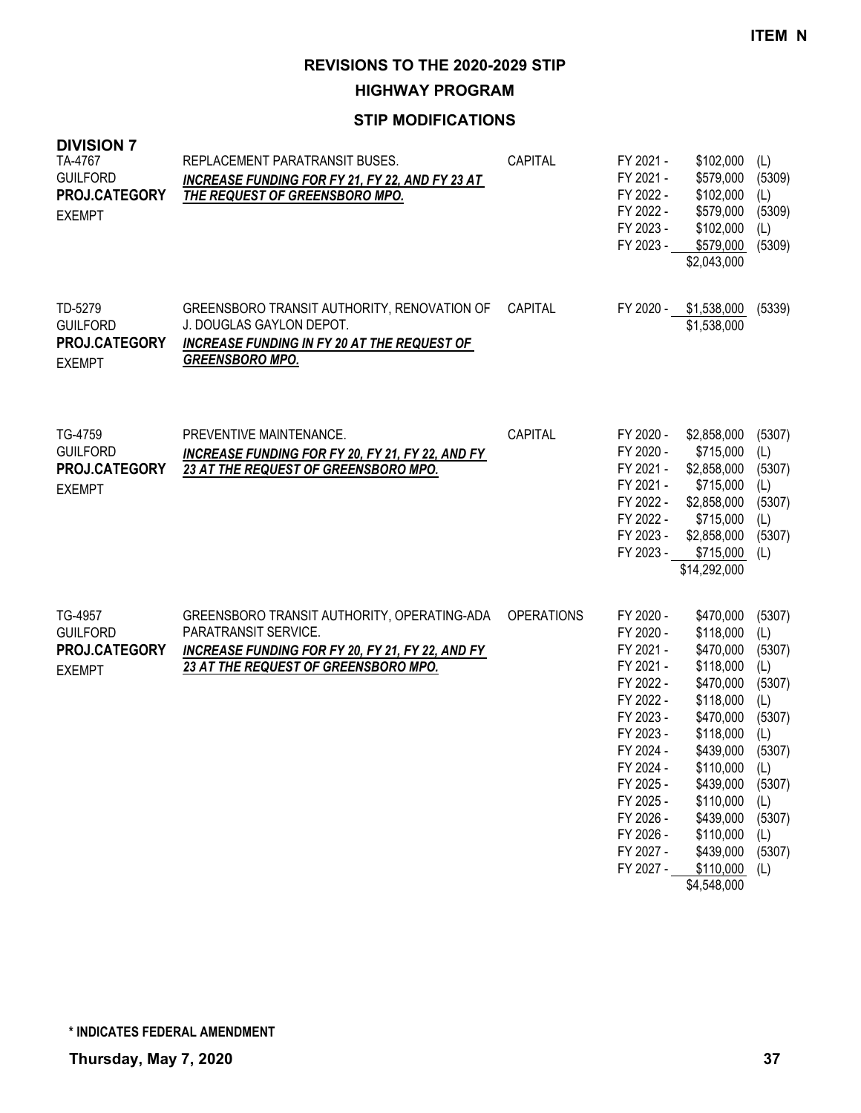**HIGHWAY PROGRAM**

| <b>DIVISION 7</b><br>TA-4767<br><b>GUILFORD</b><br>PROJ.CATEGORY<br><b>EXEMPT</b> | REPLACEMENT PARATRANSIT BUSES.<br><b>INCREASE FUNDING FOR FY 21, FY 22, AND FY 23 AT</b><br>THE REQUEST OF GREENSBORO MPO.                                      | CAPITAL           | FY 2021 -<br>FY 2021 -<br>FY 2022 -<br>FY 2022 -<br>FY 2023 -<br>FY 2023 -                                                                                                                                   | \$102,000<br>\$579,000<br>\$102,000<br>\$579,000<br>\$102,000<br>\$579,000<br>\$2,043,000                                                                                                                                       | (L)<br>(5309)<br>(L)<br>(5309)<br>(L)<br>(5309)                                                                               |
|-----------------------------------------------------------------------------------|-----------------------------------------------------------------------------------------------------------------------------------------------------------------|-------------------|--------------------------------------------------------------------------------------------------------------------------------------------------------------------------------------------------------------|---------------------------------------------------------------------------------------------------------------------------------------------------------------------------------------------------------------------------------|-------------------------------------------------------------------------------------------------------------------------------|
| TD-5279<br><b>GUILFORD</b><br>PROJ.CATEGORY<br><b>EXEMPT</b>                      | GREENSBORO TRANSIT AUTHORITY, RENOVATION OF<br>J. DOUGLAS GAYLON DEPOT.<br><b>INCREASE FUNDING IN FY 20 AT THE REQUEST OF</b><br><b>GREENSBORO MPO.</b>         | CAPITAL           | FY 2020 -                                                                                                                                                                                                    | \$1,538,000<br>\$1,538,000                                                                                                                                                                                                      | (5339)                                                                                                                        |
| TG-4759<br><b>GUILFORD</b><br>PROJ.CATEGORY<br><b>EXEMPT</b>                      | PREVENTIVE MAINTENANCE.<br>INCREASE FUNDING FOR FY 20, FY 21, FY 22, AND FY<br>23 AT THE REQUEST OF GREENSBORO MPO.                                             | <b>CAPITAL</b>    | FY 2020 -<br>FY 2020 -<br>FY 2021 -<br>FY 2021 -<br>FY 2022 -<br>FY 2022 -<br>FY 2023 -<br>FY 2023 -                                                                                                         | \$2,858,000<br>\$715,000<br>\$2,858,000<br>\$715,000<br>\$2,858,000<br>\$715,000<br>\$2,858,000<br>\$715,000<br>\$14,292,000                                                                                                    | (5307)<br>(L)<br>(5307)<br>(L)<br>(5307)<br>(L)<br>(5307)<br>(L)                                                              |
| TG-4957<br><b>GUILFORD</b><br>PROJ.CATEGORY<br><b>EXEMPT</b>                      | GREENSBORO TRANSIT AUTHORITY, OPERATING-ADA<br>PARATRANSIT SERVICE.<br>INCREASE FUNDING FOR FY 20, FY 21, FY 22, AND FY<br>23 AT THE REQUEST OF GREENSBORO MPO. | <b>OPERATIONS</b> | FY 2020 -<br>FY 2020 -<br>FY 2021 -<br>FY 2021 -<br>FY 2022 -<br>FY 2022 -<br>FY 2023 -<br>FY 2023 -<br>FY 2024 -<br>FY 2024 -<br>FY 2025 -<br>FY 2025 -<br>FY 2026 -<br>FY 2026 -<br>FY 2027 -<br>FY 2027 - | \$470,000<br>\$118,000<br>\$470,000<br>\$118,000<br>\$470,000<br>\$118,000<br>\$470,000<br>\$118,000<br>\$439,000<br>\$110,000 (L)<br>\$439,000<br>\$110,000<br>\$439,000<br>\$110,000<br>\$439,000<br>\$110,000<br>\$4,548,000 | (5307)<br>(L)<br>(5307)<br>(L)<br>(5307)<br>(L)<br>(5307)<br>(L)<br>(5307)<br>(5307)<br>(L)<br>(5307)<br>(L)<br>(5307)<br>(L) |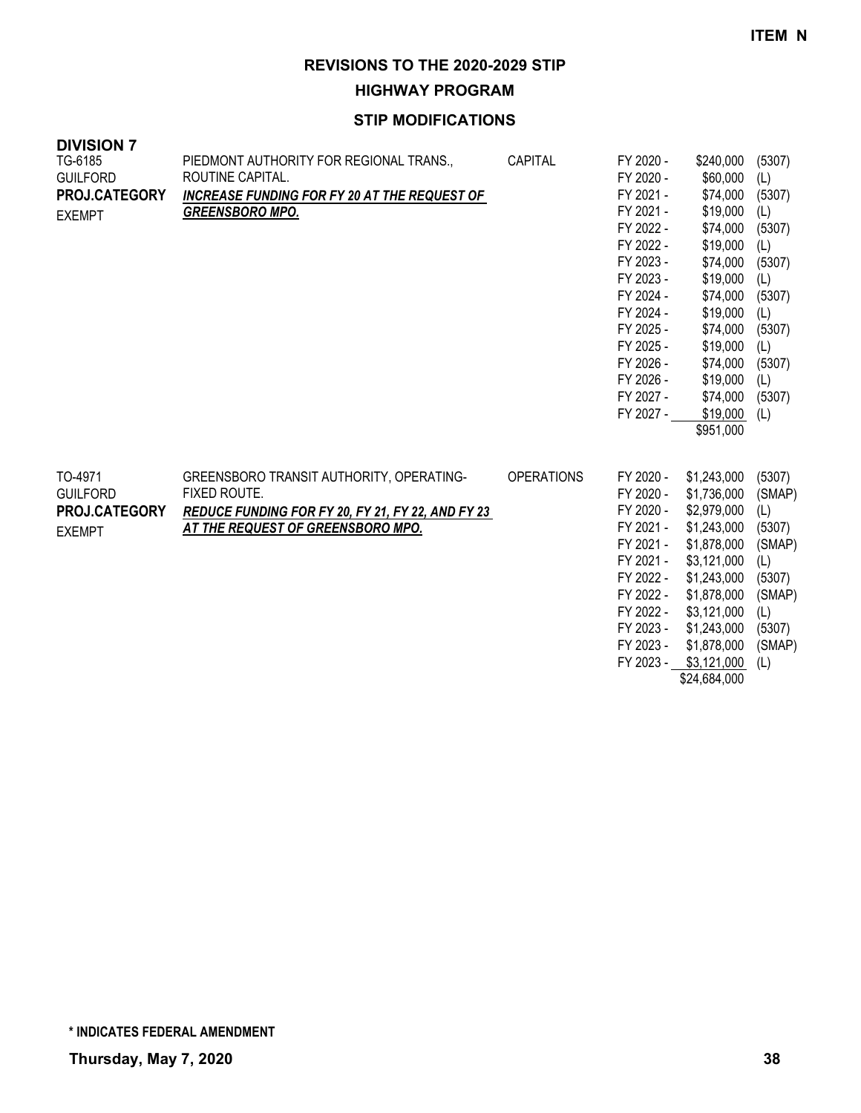**HIGHWAY PROGRAM**

| <b>DIVISION 7</b><br>TG-6185<br><b>GUILFORD</b><br>PROJ.CATEGORY<br><b>EXEMPT</b> | PIEDMONT AUTHORITY FOR REGIONAL TRANS.,<br>ROUTINE CAPITAL.<br><b>INCREASE FUNDING FOR FY 20 AT THE REQUEST OF</b><br><b>GREENSBORO MPO.</b>       | CAPITAL           | FY 2020 -<br>FY 2020 -<br>FY 2021 -<br>FY 2021 -<br>FY 2022 -<br>FY 2022 -<br>FY 2023 -<br>FY 2023 -<br>FY 2024 -<br>FY 2024 -<br>FY 2025 -<br>FY 2025 -<br>FY 2026 -<br>FY 2026 -<br>FY 2027 -<br>FY 2027 - | \$240,000<br>\$60,000<br>\$74,000<br>\$19,000<br>\$74,000<br>\$19,000<br>\$74,000<br>\$19,000<br>\$74,000<br>\$19,000<br>\$74,000<br>\$19,000<br>\$74,000<br>\$19,000<br>\$74,000<br>\$19,000<br>\$951,000 | (5307)<br>(L)<br>(5307)<br>(L)<br>(5307)<br>(L)<br>(5307)<br>(L)<br>(5307)<br>(L)<br>(5307)<br>(L)<br>(5307)<br>(L)<br>(5307)<br>(L) |
|-----------------------------------------------------------------------------------|----------------------------------------------------------------------------------------------------------------------------------------------------|-------------------|--------------------------------------------------------------------------------------------------------------------------------------------------------------------------------------------------------------|------------------------------------------------------------------------------------------------------------------------------------------------------------------------------------------------------------|--------------------------------------------------------------------------------------------------------------------------------------|
| TO-4971<br><b>GUILFORD</b><br>PROJ.CATEGORY<br><b>EXEMPT</b>                      | GREENSBORO TRANSIT AUTHORITY, OPERATING-<br>FIXED ROUTE.<br>REDUCE FUNDING FOR FY 20, FY 21, FY 22, AND FY 23<br>AT THE REQUEST OF GREENSBORO MPO. | <b>OPERATIONS</b> | FY 2020 -<br>FY 2020 -<br>FY 2020 -<br>FY 2021 -<br>FY 2021 -<br>FY 2021 -<br>FY 2022 -<br>FY 2022 -<br>FY 2022 -<br>FY 2023 -<br>FY 2023 -<br>FY 2023 -                                                     | \$1,243,000<br>\$1,736,000<br>\$2,979,000<br>\$1,243,000<br>\$1,878,000<br>\$3,121,000<br>\$1,243,000<br>\$1,878,000<br>\$3,121,000<br>\$1,243,000<br>\$1,878,000<br>\$3,121,000<br>\$24,684,000           | (5307)<br>(SMAP)<br>(L)<br>(5307)<br>(SMAP)<br>(L)<br>(5307)<br>(SMAP)<br>(L)<br>(5307)<br>(SMAP)<br>(L)                             |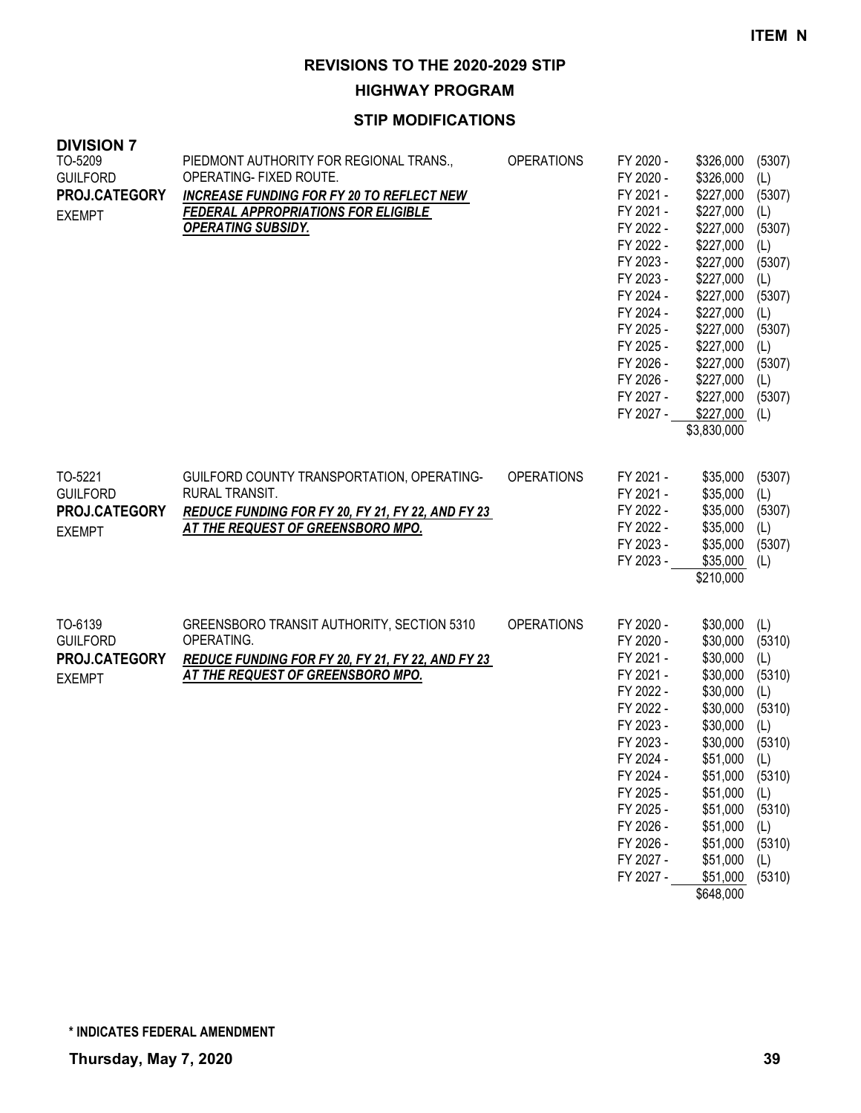**HIGHWAY PROGRAM**

| <b>DIVISION 7</b><br>TO-5209<br><b>GUILFORD</b><br>PROJ.CATEGORY<br><b>EXEMPT</b> | PIEDMONT AUTHORITY FOR REGIONAL TRANS.,<br>OPERATING- FIXED ROUTE.<br><b>INCREASE FUNDING FOR FY 20 TO REFLECT NEW</b><br><b>FEDERAL APPROPRIATIONS FOR ELIGIBLE</b><br><b>OPERATING SUBSIDY.</b> | <b>OPERATIONS</b> | FY 2020 -<br>FY 2020 -<br>FY 2021 -<br>FY 2021 -<br>FY 2022 -<br>FY 2022 -<br>FY 2023 -<br>FY 2023 -<br>FY 2024 -<br>FY 2024 -<br>FY 2025 -<br>FY 2025 -<br>FY 2026 -<br>FY 2026 -<br>FY 2027 -<br>FY 2027 - | \$326,000<br>\$326,000<br>\$227,000<br>\$227,000<br>\$227,000<br>\$227,000<br>\$227,000<br>\$227,000<br>\$227,000<br>\$227,000<br>\$227,000<br>\$227,000<br>\$227,000<br>\$227,000<br>\$227,000<br>\$227,000<br>\$3,830,000 | (5307)<br>(L)<br>(5307)<br>(L)<br>(5307)<br>(L)<br>(5307)<br>(L)<br>(5307)<br>(L)<br>(5307)<br>(L)<br>(5307)<br>(L)<br>(5307)<br>(L) |
|-----------------------------------------------------------------------------------|---------------------------------------------------------------------------------------------------------------------------------------------------------------------------------------------------|-------------------|--------------------------------------------------------------------------------------------------------------------------------------------------------------------------------------------------------------|-----------------------------------------------------------------------------------------------------------------------------------------------------------------------------------------------------------------------------|--------------------------------------------------------------------------------------------------------------------------------------|
| TO-5221<br><b>GUILFORD</b><br>PROJ.CATEGORY<br><b>EXEMPT</b>                      | GUILFORD COUNTY TRANSPORTATION, OPERATING-<br>RURAL TRANSIT.<br>REDUCE FUNDING FOR FY 20, FY 21, FY 22, AND FY 23<br>AT THE REQUEST OF GREENSBORO MPO.                                            | <b>OPERATIONS</b> | FY 2021 -<br>FY 2021 -<br>FY 2022 -<br>FY 2022 -<br>FY 2023 -<br>FY 2023 -                                                                                                                                   | \$35,000<br>\$35,000<br>\$35,000<br>\$35,000<br>\$35,000<br>\$35,000<br>\$210,000                                                                                                                                           | (5307)<br>(L)<br>(5307)<br>(L)<br>(5307)<br>(L)                                                                                      |
| TO-6139<br><b>GUILFORD</b><br>PROJ.CATEGORY<br><b>EXEMPT</b>                      | GREENSBORO TRANSIT AUTHORITY, SECTION 5310<br>OPERATING.<br>REDUCE FUNDING FOR FY 20, FY 21, FY 22, AND FY 23<br>AT THE REQUEST OF GREENSBORO MPO.                                                | <b>OPERATIONS</b> | FY 2020 -<br>FY 2020 -<br>FY 2021 -<br>FY 2021 -<br>FY 2022 -<br>FY 2022 -<br>FY 2023 -<br>FY 2023 -<br>FY 2024 -<br>FY 2024 -<br>FY 2025 -<br>FY 2025 -<br>FY 2026 -<br>FY 2026 -<br>FY 2027 -<br>FY 2027 - | \$30,000<br>\$30,000<br>\$30,000<br>\$30,000<br>\$30,000<br>\$30,000<br>\$30,000<br>\$30,000<br>\$51,000<br>\$51,000<br>\$51,000<br>\$51,000<br>\$51,000<br>\$51,000<br>\$51,000<br>\$51,000<br>\$648,000                   | (L)<br>(5310)<br>(L)<br>(5310)<br>(L)<br>(5310)<br>(L)<br>(5310)<br>(L)<br>(5310)<br>(L)<br>(5310)<br>(L)<br>(5310)<br>(L)<br>(5310) |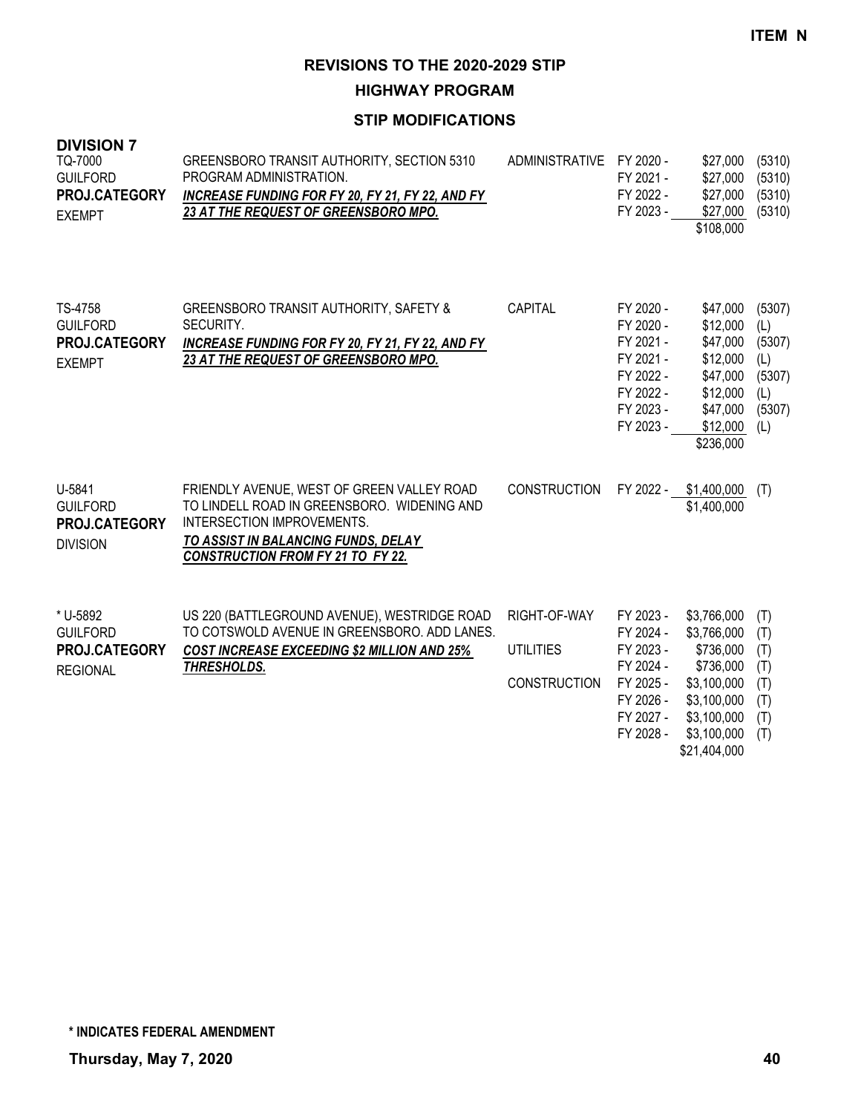**HIGHWAY PROGRAM**

## **STIP MODIFICATIONS**

| <b>DIVISION 7</b><br>TQ-7000<br><b>GUILFORD</b><br>PROJ.CATEGORY<br><b>EXEMPT</b> | GREENSBORO TRANSIT AUTHORITY, SECTION 5310<br>PROGRAM ADMINISTRATION.<br>INCREASE FUNDING FOR FY 20, FY 21, FY 22, AND FY<br>23 AT THE REQUEST OF GREENSBORO MPO.                                          | ADMINISTRATIVE                                          | FY 2020 -<br>FY 2021 -<br>FY 2022 -<br>FY 2023 -                                                     | \$27,000<br>\$27,000<br>\$27,000<br>\$27,000<br>\$108,000                                                                     | (5310)<br>(5310)<br>(5310)<br>(5310)                             |
|-----------------------------------------------------------------------------------|------------------------------------------------------------------------------------------------------------------------------------------------------------------------------------------------------------|---------------------------------------------------------|------------------------------------------------------------------------------------------------------|-------------------------------------------------------------------------------------------------------------------------------|------------------------------------------------------------------|
| TS-4758<br><b>GUILFORD</b><br>PROJ.CATEGORY<br><b>EXEMPT</b>                      | GREENSBORO TRANSIT AUTHORITY, SAFETY &<br>SECURITY.<br><b>INCREASE FUNDING FOR FY 20, FY 21, FY 22, AND FY</b><br>23 AT THE REQUEST OF GREENSBORO MPO.                                                     | CAPITAL                                                 | FY 2020 -<br>FY 2020 -<br>FY 2021 -<br>FY 2021 -<br>FY 2022 -<br>FY 2022 -<br>FY 2023 -<br>FY 2023 - | \$47,000<br>\$12,000<br>\$47,000<br>\$12,000<br>\$47,000<br>\$12,000<br>\$47,000<br>\$12,000<br>\$236,000                     | (5307)<br>(L)<br>(5307)<br>(L)<br>(5307)<br>(L)<br>(5307)<br>(L) |
| U-5841<br><b>GUILFORD</b><br>PROJ.CATEGORY<br><b>DIVISION</b>                     | FRIENDLY AVENUE, WEST OF GREEN VALLEY ROAD<br>TO LINDELL ROAD IN GREENSBORO. WIDENING AND<br>INTERSECTION IMPROVEMENTS.<br>TO ASSIST IN BALANCING FUNDS, DELAY<br><b>CONSTRUCTION FROM FY 21 TO FY 22.</b> | <b>CONSTRUCTION</b>                                     | FY 2022 -                                                                                            | \$1,400,000<br>\$1,400,000                                                                                                    | (T)                                                              |
| * U-5892<br><b>GUILFORD</b><br>PROJ.CATEGORY<br><b>REGIONAL</b>                   | US 220 (BATTLEGROUND AVENUE), WESTRIDGE ROAD<br>TO COTSWOLD AVENUE IN GREENSBORO. ADD LANES.<br><b>COST INCREASE EXCEEDING \$2 MILLION AND 25%</b><br>THRESHOLDS.                                          | RIGHT-OF-WAY<br><b>UTILITIES</b><br><b>CONSTRUCTION</b> | FY 2023 -<br>FY 2024 -<br>FY 2023 -<br>FY 2024 -<br>FY 2025 -<br>FY 2026 -<br>FY 2027 -<br>FY 2028 - | \$3,766,000<br>\$3,766,000<br>\$736,000<br>\$736,000<br>\$3,100,000<br>\$3,100,000<br>\$3,100,000<br>\$3,100,000<br>0.0110100 | (T)<br>(T)<br>(T)<br>(T)<br>(T)<br>(T)<br>(T)<br>(T)             |

\$21,404,000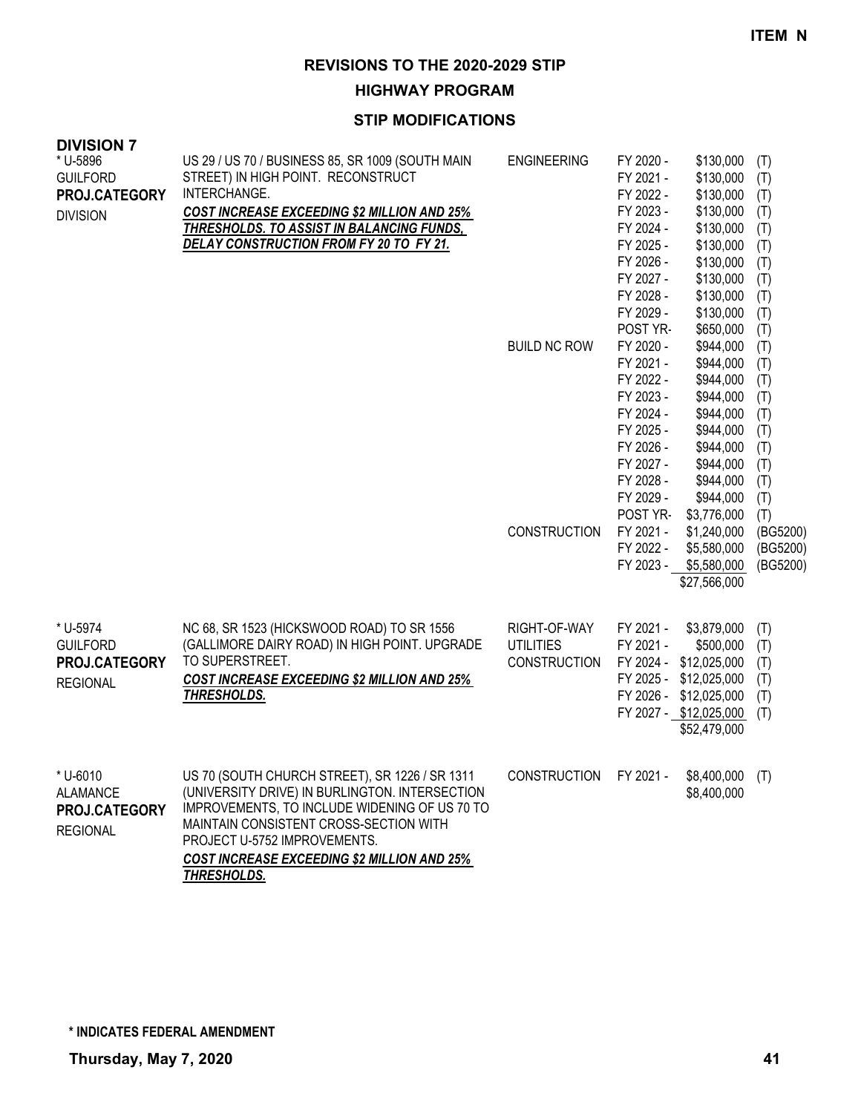**HIGHWAY PROGRAM**

| <b>DIVISION 7</b><br>* U-5896<br><b>GUILFORD</b><br>PROJ.CATEGORY<br><b>DIVISION</b> | US 29 / US 70 / BUSINESS 85, SR 1009 (SOUTH MAIN<br>STREET) IN HIGH POINT. RECONSTRUCT<br>INTERCHANGE.<br><b>COST INCREASE EXCEEDING \$2 MILLION AND 25%</b><br><b>THRESHOLDS. TO ASSIST IN BALANCING FUNDS,</b><br>DELAY CONSTRUCTION FROM FY 20 TO FY 21.                               | <b>ENGINEERING</b>                                      | FY 2020 -<br>FY 2021 -<br>FY 2022 -<br>FY 2023 -<br>FY 2024 -<br>FY 2025 -<br>FY 2026 -<br>FY 2027 -<br>FY 2028 -<br>FY 2029 -             | \$130,000<br>\$130,000<br>\$130,000<br>\$130,000<br>\$130,000<br>\$130,000<br>\$130,000<br>\$130,000<br>\$130,000<br>\$130,000              | (T)<br>(T)<br>(T)<br>(T)<br>(T)<br>(T)<br>(T)<br>(T)<br>(T)<br>(T)        |
|--------------------------------------------------------------------------------------|-------------------------------------------------------------------------------------------------------------------------------------------------------------------------------------------------------------------------------------------------------------------------------------------|---------------------------------------------------------|--------------------------------------------------------------------------------------------------------------------------------------------|---------------------------------------------------------------------------------------------------------------------------------------------|---------------------------------------------------------------------------|
|                                                                                      |                                                                                                                                                                                                                                                                                           | <b>BUILD NC ROW</b>                                     | POST YR-<br>FY 2020 -<br>FY 2021 -<br>FY 2022 -<br>FY 2023 -<br>FY 2024 -<br>FY 2025 -<br>FY 2026 -<br>FY 2027 -<br>FY 2028 -<br>FY 2029 - | \$650,000<br>\$944,000<br>\$944,000<br>\$944,000<br>\$944,000<br>\$944,000<br>\$944,000<br>\$944,000<br>\$944,000<br>\$944,000<br>\$944,000 | (T)<br>(T)<br>(T)<br>(T)<br>(T)<br>(T)<br>(T)<br>(T)<br>(T)<br>(T)<br>(T) |
|                                                                                      |                                                                                                                                                                                                                                                                                           | <b>CONSTRUCTION</b>                                     | POST YR-<br>FY 2021 -<br>FY 2022 -<br>FY 2023 -                                                                                            | \$3,776,000<br>\$1,240,000<br>\$5,580,000<br>\$5,580,000<br>\$27,566,000                                                                    | (T)<br>(BG5200)<br>(BG5200)<br>(BG5200)                                   |
| * U-5974<br><b>GUILFORD</b><br>PROJ.CATEGORY<br><b>REGIONAL</b>                      | NC 68, SR 1523 (HICKSWOOD ROAD) TO SR 1556<br>(GALLIMORE DAIRY ROAD) IN HIGH POINT. UPGRADE<br>TO SUPERSTREET.<br><b>COST INCREASE EXCEEDING \$2 MILLION AND 25%</b><br>THRESHOLDS.                                                                                                       | RIGHT-OF-WAY<br><b>UTILITIES</b><br><b>CONSTRUCTION</b> | FY 2021 -<br>FY 2021 -<br>FY 2024 -                                                                                                        | \$3,879,000<br>\$500,000<br>\$12,025,000<br>FY 2025 - \$12,025,000<br>FY 2026 - \$12,025,000<br>FY 2027 - \$12,025,000<br>\$52,479,000      | (T)<br>(T)<br>(T)<br>(T)<br>(T)<br>(T)                                    |
| * U-6010<br><b>ALAMANCE</b><br>PROJ.CATEGORY<br><b>REGIONAL</b>                      | US 70 (SOUTH CHURCH STREET), SR 1226 / SR 1311<br>(UNIVERSITY DRIVE) IN BURLINGTON. INTERSECTION<br>IMPROVEMENTS, TO INCLUDE WIDENING OF US 70 TO<br>MAINTAIN CONSISTENT CROSS-SECTION WITH<br>PROJECT U-5752 IMPROVEMENTS.<br>COST INCREASE EXCEEDING \$2 MILLION AND 25%<br>THRESHOLDS. | <b>CONSTRUCTION</b>                                     | FY 2021 -                                                                                                                                  | \$8,400,000<br>\$8,400,000                                                                                                                  | (T)                                                                       |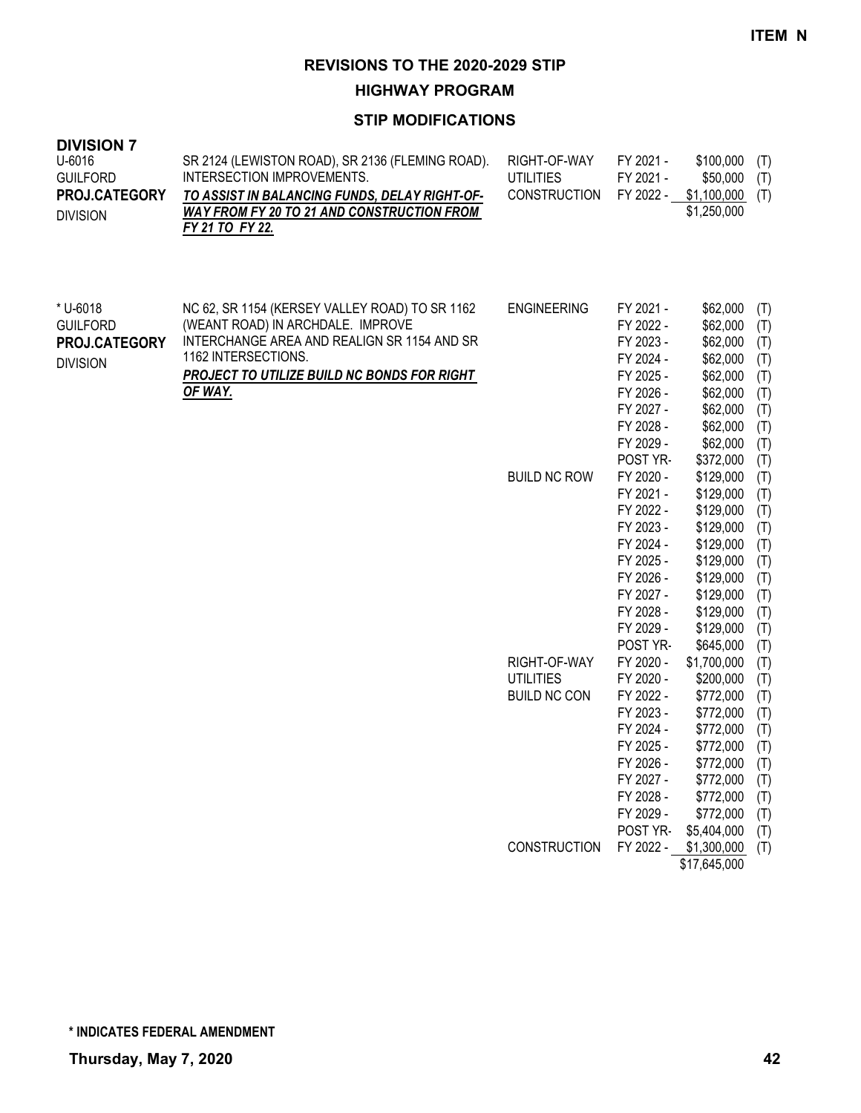**HIGHWAY PROGRAM**

| <b>DIVISION 7</b><br>U-6016<br><b>GUILFORD</b><br>PROJ.CATEGORY<br><b>DIVISION</b> | SR 2124 (LEWISTON ROAD), SR 2136 (FLEMING ROAD).<br>INTERSECTION IMPROVEMENTS.<br>TO ASSIST IN BALANCING FUNDS, DELAY RIGHT-OF-<br><b>WAY FROM FY 20 TO 21 AND CONSTRUCTION FROM</b><br>FY 21 TO FY 22.             | RIGHT-OF-WAY<br><b>UTILITIES</b><br><b>CONSTRUCTION</b> | FY 2021 -<br>FY 2021 -<br>FY 2022 -                                                                                                        | \$100,000<br>\$50,000<br>\$1,100,000<br>\$1,250,000                                                                                         | (T)<br>(T)<br>(T)                                                         |
|------------------------------------------------------------------------------------|---------------------------------------------------------------------------------------------------------------------------------------------------------------------------------------------------------------------|---------------------------------------------------------|--------------------------------------------------------------------------------------------------------------------------------------------|---------------------------------------------------------------------------------------------------------------------------------------------|---------------------------------------------------------------------------|
| * U-6018<br><b>GUILFORD</b><br>PROJ.CATEGORY<br><b>DIVISION</b>                    | NC 62, SR 1154 (KERSEY VALLEY ROAD) TO SR 1162<br>(WEANT ROAD) IN ARCHDALE. IMPROVE<br>INTERCHANGE AREA AND REALIGN SR 1154 AND SR<br>1162 INTERSECTIONS.<br>PROJECT TO UTILIZE BUILD NC BONDS FOR RIGHT<br>OF WAY. | <b>ENGINEERING</b>                                      | FY 2021 -<br>FY 2022 -<br>FY 2023 -<br>FY 2024 -<br>FY 2025 -<br>FY 2026 -<br>FY 2027 -<br>FY 2028 -<br>FY 2029 -<br>POST YR-              | \$62,000<br>\$62,000<br>\$62,000<br>\$62,000<br>\$62,000<br>\$62,000<br>\$62,000<br>\$62,000<br>\$62,000<br>\$372,000                       | (T)<br>(T)<br>(T)<br>(T)<br>(T)<br>(T)<br>(T)<br>(T)<br>(T)<br>(T)        |
|                                                                                    |                                                                                                                                                                                                                     | <b>BUILD NC ROW</b>                                     | FY 2020 -<br>FY 2021 -<br>FY 2022 -<br>FY 2023 -<br>FY 2024 -<br>FY 2025 -<br>FY 2026 -<br>FY 2027 -<br>FY 2028 -<br>FY 2029 -<br>POST YR- | \$129,000<br>\$129,000<br>\$129,000<br>\$129,000<br>\$129,000<br>\$129,000<br>\$129,000<br>\$129,000<br>\$129,000<br>\$129,000<br>\$645,000 | (T)<br>(T)<br>(T)<br>(T)<br>(T)<br>(T)<br>(T)<br>(T)<br>(T)<br>(T)<br>(T) |
|                                                                                    |                                                                                                                                                                                                                     | RIGHT-OF-WAY                                            | FY 2020 -                                                                                                                                  | \$1,700,000                                                                                                                                 | (T)                                                                       |
|                                                                                    |                                                                                                                                                                                                                     | <b>UTILITIES</b>                                        | FY 2020 -                                                                                                                                  | \$200,000                                                                                                                                   | (T)                                                                       |
|                                                                                    |                                                                                                                                                                                                                     | <b>BUILD NC CON</b>                                     | FY 2022 -<br>FY 2023 -                                                                                                                     | \$772,000<br>\$772,000                                                                                                                      | (T)<br>(T)                                                                |
|                                                                                    |                                                                                                                                                                                                                     |                                                         | FY 2024 -                                                                                                                                  | \$772,000                                                                                                                                   | (T)                                                                       |
|                                                                                    |                                                                                                                                                                                                                     |                                                         | FY 2025 -                                                                                                                                  | \$772,000                                                                                                                                   | (T)                                                                       |
|                                                                                    |                                                                                                                                                                                                                     |                                                         | FY 2026 -                                                                                                                                  | \$772,000 (T)                                                                                                                               |                                                                           |
|                                                                                    |                                                                                                                                                                                                                     |                                                         | FY 2027 -                                                                                                                                  | \$772,000                                                                                                                                   | (T)                                                                       |
|                                                                                    |                                                                                                                                                                                                                     |                                                         | FY 2028 -                                                                                                                                  | \$772,000                                                                                                                                   | (T)                                                                       |
|                                                                                    |                                                                                                                                                                                                                     |                                                         | FY 2029 -<br>POST YR-                                                                                                                      | \$772,000<br>\$5,404,000                                                                                                                    | (T)<br>(T)                                                                |
|                                                                                    |                                                                                                                                                                                                                     | CONSTRUCTION                                            | FY 2022 -                                                                                                                                  | \$1,300,000                                                                                                                                 | (T)                                                                       |
|                                                                                    |                                                                                                                                                                                                                     |                                                         |                                                                                                                                            | \$17,645,000                                                                                                                                |                                                                           |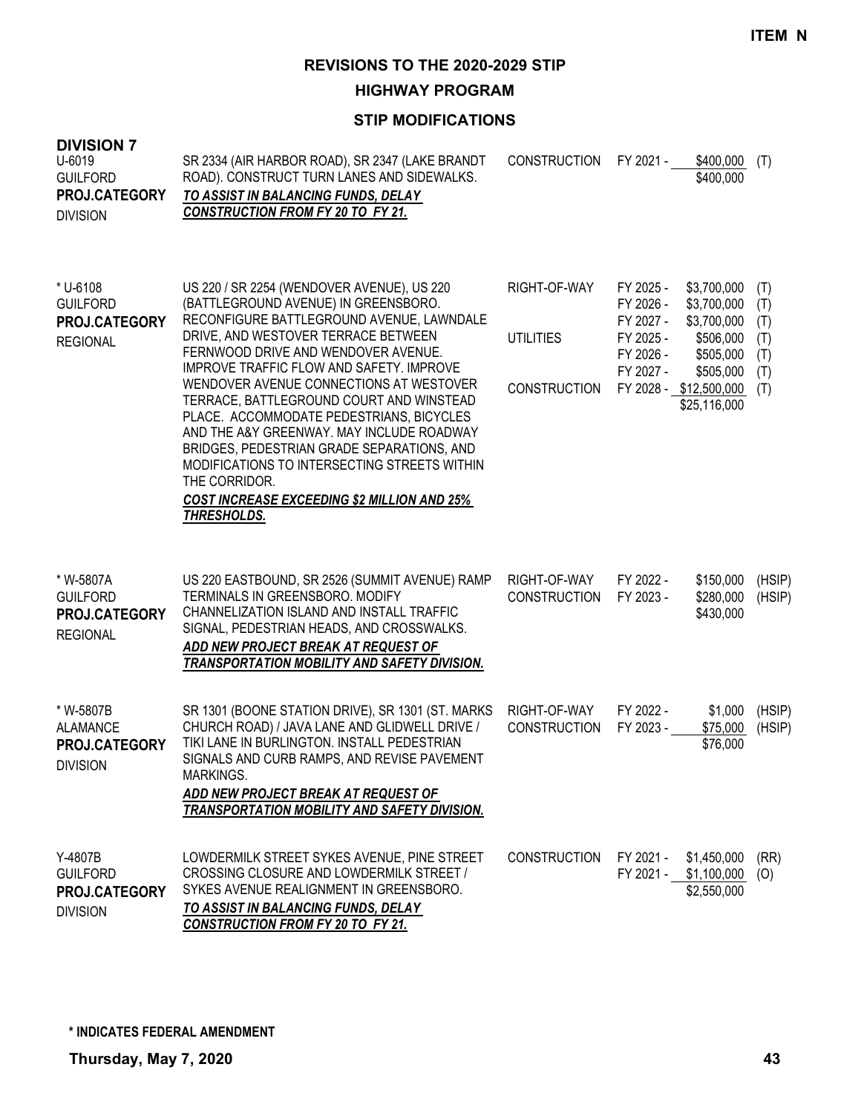**HIGHWAY PROGRAM**

| <b>DIVISION 7</b><br>$U-6019$<br><b>GUILFORD</b><br>PROJ.CATEGORY<br><b>DIVISION</b> | SR 2334 (AIR HARBOR ROAD), SR 2347 (LAKE BRANDT<br>ROAD). CONSTRUCT TURN LANES AND SIDEWALKS.<br>TO ASSIST IN BALANCING FUNDS, DELAY<br><b>CONSTRUCTION FROM FY 20 TO FY 21.</b>                                                                                                                                                                                                                                                                                                                                                                                                                                              | <b>CONSTRUCTION</b>                                     | FY 2021 -                                                                  | \$400,000<br>\$400,000                                                                                                     | (T)                                           |
|--------------------------------------------------------------------------------------|-------------------------------------------------------------------------------------------------------------------------------------------------------------------------------------------------------------------------------------------------------------------------------------------------------------------------------------------------------------------------------------------------------------------------------------------------------------------------------------------------------------------------------------------------------------------------------------------------------------------------------|---------------------------------------------------------|----------------------------------------------------------------------------|----------------------------------------------------------------------------------------------------------------------------|-----------------------------------------------|
| * U-6108<br><b>GUILFORD</b><br>PROJ.CATEGORY<br><b>REGIONAL</b>                      | US 220 / SR 2254 (WENDOVER AVENUE), US 220<br>(BATTLEGROUND AVENUE) IN GREENSBORO.<br>RECONFIGURE BATTLEGROUND AVENUE, LAWNDALE<br>DRIVE, AND WESTOVER TERRACE BETWEEN<br>FERNWOOD DRIVE AND WENDOVER AVENUE.<br>IMPROVE TRAFFIC FLOW AND SAFETY. IMPROVE<br>WENDOVER AVENUE CONNECTIONS AT WESTOVER<br>TERRACE, BATTLEGROUND COURT AND WINSTEAD<br>PLACE. ACCOMMODATE PEDESTRIANS, BICYCLES<br>AND THE A&Y GREENWAY. MAY INCLUDE ROADWAY<br>BRIDGES, PEDESTRIAN GRADE SEPARATIONS, AND<br>MODIFICATIONS TO INTERSECTING STREETS WITHIN<br>THE CORRIDOR.<br><b>COST INCREASE EXCEEDING \$2 MILLION AND 25%</b><br>THRESHOLDS. | RIGHT-OF-WAY<br><b>UTILITIES</b><br><b>CONSTRUCTION</b> | FY 2025 -<br>FY 2026 -<br>FY 2027 -<br>FY 2025 -<br>FY 2026 -<br>FY 2027 - | \$3,700,000<br>\$3,700,000<br>\$3,700,000<br>\$506,000<br>\$505,000<br>\$505,000<br>FY 2028 - \$12,500,000<br>\$25,116,000 | (T)<br>(T)<br>(T)<br>(T)<br>(T)<br>(T)<br>(T) |
| * W-5807A<br><b>GUILFORD</b><br>PROJ.CATEGORY<br><b>REGIONAL</b>                     | US 220 EASTBOUND, SR 2526 (SUMMIT AVENUE) RAMP<br>TERMINALS IN GREENSBORO. MODIFY<br>CHANNELIZATION ISLAND AND INSTALL TRAFFIC<br>SIGNAL, PEDESTRIAN HEADS, AND CROSSWALKS.<br>ADD NEW PROJECT BREAK AT REQUEST OF<br>TRANSPORTATION MOBILITY AND SAFETY DIVISION.                                                                                                                                                                                                                                                                                                                                                            | RIGHT-OF-WAY<br><b>CONSTRUCTION</b>                     | FY 2022 -<br>FY 2023 -                                                     | \$150,000<br>\$280,000<br>\$430,000                                                                                        | (HSIP)<br>(HSIP)                              |
| * W-5807B<br><b>ALAMANCE</b><br>PROJ.CATEGORY<br><b>DIVISION</b>                     | SR 1301 (BOONE STATION DRIVE), SR 1301 (ST. MARKS<br>CHURCH ROAD) / JAVA LANE AND GLIDWELL DRIVE /<br>TIKI LANE IN BURLINGTON. INSTALL PEDESTRIAN<br>SIGNALS AND CURB RAMPS, AND REVISE PAVEMENT<br>MARKINGS.<br>ADD NEW PROJECT BREAK AT REQUEST OF<br>TRANSPORTATION MOBILITY AND SAFETY DIVISION.                                                                                                                                                                                                                                                                                                                          | RIGHT-OF-WAY<br><b>CONSTRUCTION</b>                     | FY 2022 -<br>FY 2023 -                                                     | \$1,000<br>\$75,000<br>\$76,000                                                                                            | (HSIP)<br>(HSIP)                              |
| Y-4807B<br><b>GUILFORD</b><br>PROJ.CATEGORY<br><b>DIVISION</b>                       | LOWDERMILK STREET SYKES AVENUE, PINE STREET<br>CROSSING CLOSURE AND LOWDERMILK STREET /<br>SYKES AVENUE REALIGNMENT IN GREENSBORO.<br>TO ASSIST IN BALANCING FUNDS, DELAY<br><b>CONSTRUCTION FROM FY 20 TO FY 21.</b>                                                                                                                                                                                                                                                                                                                                                                                                         | <b>CONSTRUCTION</b>                                     | FY 2021 -                                                                  | \$1,450,000<br>FY 2021 - \$1,100,000<br>\$2,550,000                                                                        | (RR)<br>(O)                                   |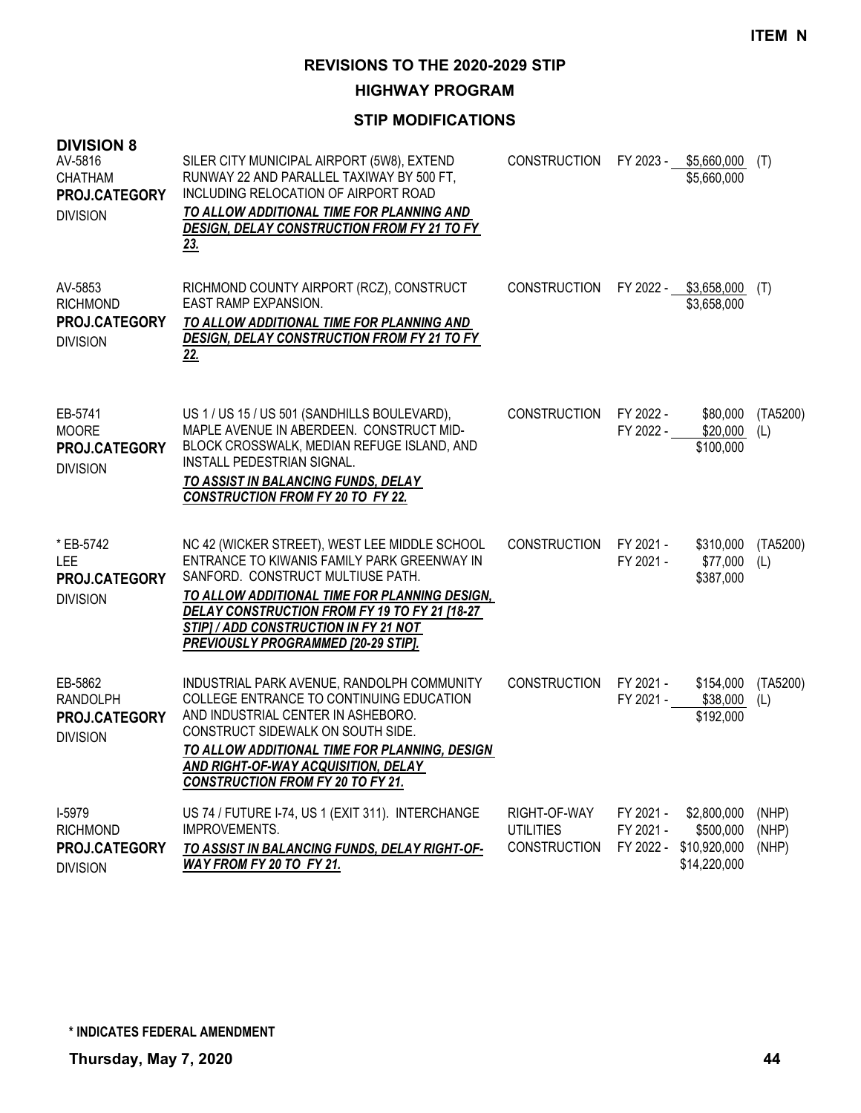**HIGHWAY PROGRAM**

| <b>DIVISION 8</b><br>AV-5816<br><b>CHATHAM</b><br>PROJ.CATEGORY<br><b>DIVISION</b> | SILER CITY MUNICIPAL AIRPORT (5W8), EXTEND<br>RUNWAY 22 AND PARALLEL TAXIWAY BY 500 FT,<br>INCLUDING RELOCATION OF AIRPORT ROAD<br>TO ALLOW ADDITIONAL TIME FOR PLANNING AND<br><b>DESIGN, DELAY CONSTRUCTION FROM FY 21 TO FY</b><br>23.                                                                           | CONSTRUCTION                                            | FY 2023 -                           | \$5,660,000<br>\$5,660,000                               | (T)                     |
|------------------------------------------------------------------------------------|---------------------------------------------------------------------------------------------------------------------------------------------------------------------------------------------------------------------------------------------------------------------------------------------------------------------|---------------------------------------------------------|-------------------------------------|----------------------------------------------------------|-------------------------|
| AV-5853<br><b>RICHMOND</b><br>PROJ.CATEGORY<br><b>DIVISION</b>                     | RICHMOND COUNTY AIRPORT (RCZ), CONSTRUCT<br><b>EAST RAMP EXPANSION.</b><br>TO ALLOW ADDITIONAL TIME FOR PLANNING AND<br><b>DESIGN, DELAY CONSTRUCTION FROM FY 21 TO FY</b><br><u>22.</u>                                                                                                                            | <b>CONSTRUCTION</b>                                     |                                     | FY 2022 - \$3,658,000<br>\$3,658,000                     | (T)                     |
| EB-5741<br><b>MOORE</b><br>PROJ.CATEGORY<br><b>DIVISION</b>                        | US 1 / US 15 / US 501 (SANDHILLS BOULEVARD),<br>MAPLE AVENUE IN ABERDEEN. CONSTRUCT MID-<br>BLOCK CROSSWALK, MEDIAN REFUGE ISLAND, AND<br>INSTALL PEDESTRIAN SIGNAL.<br>TO ASSIST IN BALANCING FUNDS, DELAY<br><b>CONSTRUCTION FROM FY 20 TO FY 22.</b>                                                             | <b>CONSTRUCTION</b>                                     | FY 2022 -<br>FY 2022 -              | \$80,000<br>\$20,000<br>\$100,000                        | (TA5200)<br>(L)         |
| * EB-5742<br><b>LEE</b><br>PROJ.CATEGORY<br><b>DIVISION</b>                        | NC 42 (WICKER STREET), WEST LEE MIDDLE SCHOOL<br>ENTRANCE TO KIWANIS FAMILY PARK GREENWAY IN<br>SANFORD. CONSTRUCT MULTIUSE PATH.<br>TO ALLOW ADDITIONAL TIME FOR PLANNING DESIGN,<br>DELAY CONSTRUCTION FROM FY 19 TO FY 21 [18-27<br>STIP] / ADD CONSTRUCTION IN FY 21 NOT<br>PREVIOUSLY PROGRAMMED [20-29 STIP]. | <b>CONSTRUCTION</b>                                     | FY 2021 -<br>FY 2021 -              | \$310,000<br>\$77,000<br>\$387,000                       | (TA5200)<br>(L)         |
| EB-5862<br><b>RANDOLPH</b><br>PROJ.CATEGORY<br><b>DIVISION</b>                     | INDUSTRIAL PARK AVENUE, RANDOLPH COMMUNITY<br>COLLEGE ENTRANCE TO CONTINUING EDUCATION<br>AND INDUSTRIAL CENTER IN ASHEBORO.<br>CONSTRUCT SIDEWALK ON SOUTH SIDE.<br>TO ALLOW ADDITIONAL TIME FOR PLANNING, DESIGN<br><b>AND RIGHT-OF-WAY ACQUISITION, DELAY</b><br><b>CONSTRUCTION FROM FY 20 TO FY 21.</b>        | <b>CONSTRUCTION</b>                                     | FY 2021 -<br>FY 2021 -              | \$154,000<br>\$38,000<br>\$192,000                       | (TA5200)<br>(L)         |
| I-5979<br><b>RICHMOND</b><br>PROJ.CATEGORY<br><b>DIVISION</b>                      | US 74 / FUTURE I-74, US 1 (EXIT 311). INTERCHANGE<br>IMPROVEMENTS.<br>TO ASSIST IN BALANCING FUNDS, DELAY RIGHT-OF-<br>WAY FROM FY 20 TO FY 21.                                                                                                                                                                     | RIGHT-OF-WAY<br><b>UTILITIES</b><br><b>CONSTRUCTION</b> | FY 2021 -<br>FY 2021 -<br>FY 2022 - | \$2,800,000<br>\$500,000<br>\$10,920,000<br>\$14,220,000 | (NHP)<br>(NHP)<br>(NHP) |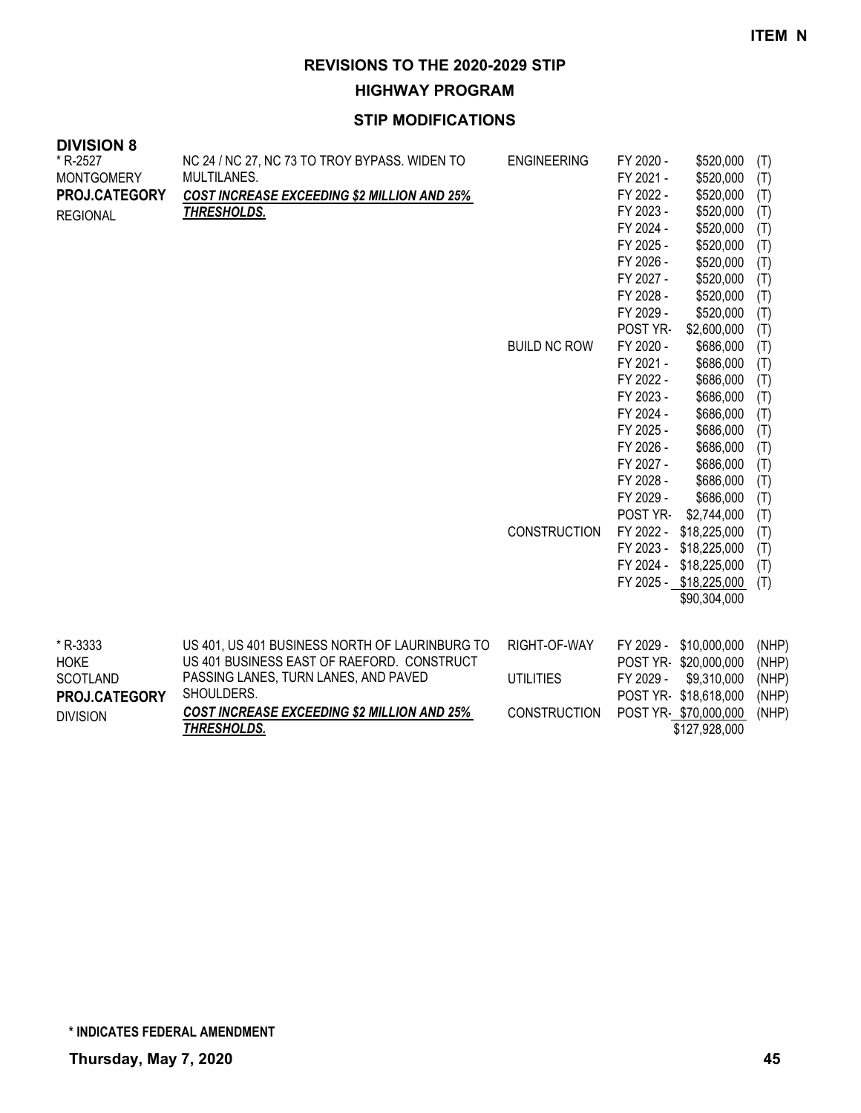**HIGHWAY PROGRAM**

| <b>DIVISION 8</b> |                                                    |                     |           |                        |       |
|-------------------|----------------------------------------------------|---------------------|-----------|------------------------|-------|
| * R-2527          | NC 24 / NC 27, NC 73 TO TROY BYPASS. WIDEN TO      | <b>ENGINEERING</b>  | FY 2020 - | \$520,000              | (T)   |
| <b>MONTGOMERY</b> | MULTILANES.                                        |                     | FY 2021 - | \$520,000              | (T)   |
| PROJ.CATEGORY     | <b>COST INCREASE EXCEEDING \$2 MILLION AND 25%</b> |                     | FY 2022 - | \$520,000              | (T)   |
| <b>REGIONAL</b>   | <b>THRESHOLDS.</b>                                 |                     | FY 2023 - | \$520,000              | (T)   |
|                   |                                                    |                     | FY 2024 - | \$520,000              | (T)   |
|                   |                                                    |                     | FY 2025 - | \$520,000              | (T)   |
|                   |                                                    |                     | FY 2026 - | \$520,000              | (T)   |
|                   |                                                    |                     | FY 2027 - | \$520,000              | (T)   |
|                   |                                                    |                     | FY 2028 - | \$520,000              | (T)   |
|                   |                                                    |                     | FY 2029 - | \$520,000              | (T)   |
|                   |                                                    |                     | POST YR-  | \$2,600,000            | (T)   |
|                   |                                                    | <b>BUILD NC ROW</b> | FY 2020 - | \$686,000              | (T)   |
|                   |                                                    |                     | FY 2021 - | \$686,000              | (T)   |
|                   |                                                    |                     | FY 2022 - | \$686,000              | (T)   |
|                   |                                                    |                     | FY 2023 - | \$686,000              | (T)   |
|                   |                                                    |                     | FY 2024 - | \$686,000              | (T)   |
|                   |                                                    |                     | FY 2025 - | \$686,000              | (T)   |
|                   |                                                    |                     | FY 2026 - | \$686,000              | (T)   |
|                   |                                                    |                     | FY 2027 - | \$686,000              | (T)   |
|                   |                                                    |                     | FY 2028 - | \$686,000              | (T)   |
|                   |                                                    |                     | FY 2029 - | \$686,000              | (T)   |
|                   |                                                    |                     | POST YR-  | \$2,744,000            | (T)   |
|                   |                                                    | <b>CONSTRUCTION</b> | FY 2022 - | \$18,225,000           | (T)   |
|                   |                                                    |                     | FY 2023 - | \$18,225,000           | (T)   |
|                   |                                                    |                     | FY 2024 - | \$18,225,000           | (T)   |
|                   |                                                    |                     |           | FY 2025 - \$18,225,000 | (T)   |
|                   |                                                    |                     |           | \$90,304,000           |       |
|                   |                                                    |                     |           |                        |       |
| * R-3333          | US 401, US 401 BUSINESS NORTH OF LAURINBURG TO     | RIGHT-OF-WAY        | FY 2029 - | \$10,000,000           | (NHP) |
| <b>HOKE</b>       | US 401 BUSINESS EAST OF RAEFORD. CONSTRUCT         |                     | POST YR-  | \$20,000,000           | (NHP) |
| <b>SCOTLAND</b>   | PASSING LANES, TURN LANES, AND PAVED               | <b>UTILITIES</b>    | FY 2029 - | \$9,310,000            | (NHP) |
| PROJ.CATEGORY     | SHOULDERS.                                         |                     |           | POST YR-\$18,618,000   | (NHP) |
| <b>DIVISION</b>   | <b>COST INCREASE EXCEEDING \$2 MILLION AND 25%</b> | <b>CONSTRUCTION</b> |           | POST YR-\$70,000,000   | (NHP) |
|                   | <u>THRESHOLDS.</u>                                 |                     |           | \$127,928,000          |       |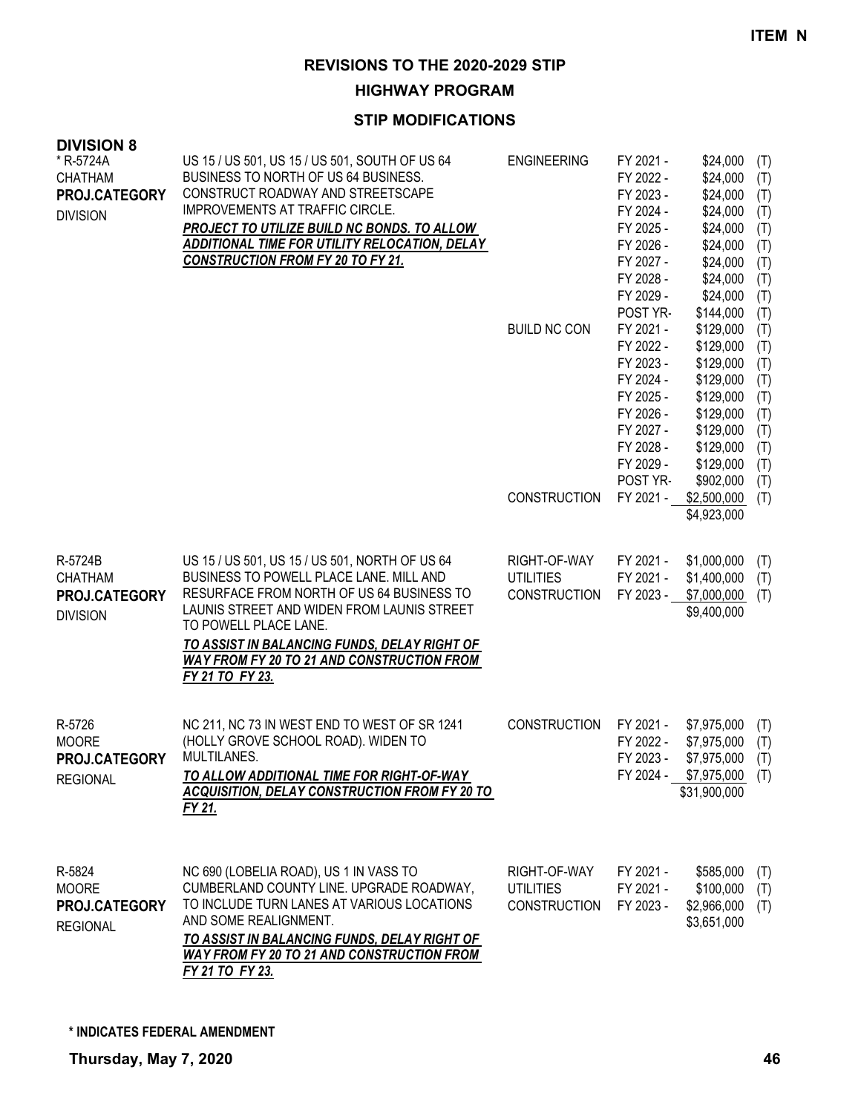**HIGHWAY PROGRAM**

| <b>DIVISION 8</b><br>* R-5724A<br><b>CHATHAM</b><br>PROJ.CATEGORY<br><b>DIVISION</b> | US 15 / US 501, US 15 / US 501, SOUTH OF US 64<br>BUSINESS TO NORTH OF US 64 BUSINESS.<br>CONSTRUCT ROADWAY AND STREETSCAPE<br>IMPROVEMENTS AT TRAFFIC CIRCLE.<br>PROJECT TO UTILIZE BUILD NC BONDS. TO ALLOW<br><u>ADDITIONAL TIME FOR UTILITY RELOCATION, DELAY</u><br><b>CONSTRUCTION FROM FY 20 TO FY 21.</b>                     | <b>ENGINEERING</b><br><b>BUILD NC CON</b><br><b>CONSTRUCTION</b> | FY 2021 -<br>FY 2022 -<br>FY 2023 -<br>FY 2024 -<br>FY 2025 -<br>FY 2026 -<br>FY 2027 -<br>FY 2028 -<br>FY 2029 -<br>POST YR-<br>FY 2021 -<br>FY 2022 -<br>FY 2023 -<br>FY 2024 -<br>FY 2025 -<br>FY 2026 -<br>FY 2027 -<br>FY 2028 -<br>FY 2029 -<br>POST YR-<br>FY 2021 - | \$24,000<br>\$24,000<br>\$24,000<br>\$24,000<br>\$24,000<br>\$24,000<br>\$24,000<br>\$24,000<br>\$24,000<br>\$144,000<br>\$129,000<br>\$129,000<br>\$129,000<br>\$129,000<br>\$129,000<br>\$129,000<br>\$129,000<br>\$129,000<br>\$129,000<br>\$902,000<br>\$2,500,000<br>\$4,923,000 | (T)<br>(T)<br>(T)<br>(T)<br>(T)<br>(T)<br>(T)<br>(T)<br>(T)<br>(T)<br>(T)<br>(T)<br>(T)<br>(T)<br>(T)<br>(T)<br>(T)<br>(T)<br>(T)<br>(T)<br>(T) |
|--------------------------------------------------------------------------------------|---------------------------------------------------------------------------------------------------------------------------------------------------------------------------------------------------------------------------------------------------------------------------------------------------------------------------------------|------------------------------------------------------------------|-----------------------------------------------------------------------------------------------------------------------------------------------------------------------------------------------------------------------------------------------------------------------------|---------------------------------------------------------------------------------------------------------------------------------------------------------------------------------------------------------------------------------------------------------------------------------------|-------------------------------------------------------------------------------------------------------------------------------------------------|
| R-5724B<br><b>CHATHAM</b><br>PROJ.CATEGORY<br><b>DIVISION</b>                        | US 15 / US 501, US 15 / US 501, NORTH OF US 64<br>BUSINESS TO POWELL PLACE LANE. MILL AND<br>RESURFACE FROM NORTH OF US 64 BUSINESS TO<br>LAUNIS STREET AND WIDEN FROM LAUNIS STREET<br>TO POWELL PLACE LANE.<br>TO ASSIST IN BALANCING FUNDS, DELAY RIGHT OF<br><b>WAY FROM FY 20 TO 21 AND CONSTRUCTION FROM</b><br>FY 21 TO FY 23. | RIGHT-OF-WAY<br><b>UTILITIES</b><br><b>CONSTRUCTION</b>          | FY 2021 -<br>FY 2021 -<br>FY 2023 -                                                                                                                                                                                                                                         | \$1,000,000<br>\$1,400,000<br>\$7,000,000<br>\$9,400,000                                                                                                                                                                                                                              | (T)<br>(T)<br>(T)                                                                                                                               |
| R-5726<br><b>MOORE</b><br>PROJ.CATEGORY<br><b>REGIONAL</b>                           | NC 211, NC 73 IN WEST END TO WEST OF SR 1241<br>(HOLLY GROVE SCHOOL ROAD). WIDEN TO<br>MULTILANES.<br>TO ALLOW ADDITIONAL TIME FOR RIGHT-OF-WAY<br><b>ACQUISITION, DELAY CONSTRUCTION FROM FY 20 TO</b><br>FY 21.                                                                                                                     | <b>CONSTRUCTION</b>                                              | FY 2021 -<br>FY 2022 -<br>FY 2023 -                                                                                                                                                                                                                                         | \$7,975,000<br>\$7,975,000<br>\$7,975,000<br>FY 2024 - \$7,975,000<br>\$31,900,000                                                                                                                                                                                                    | (T)<br>(T)<br>(T)<br>(T)                                                                                                                        |
| R-5824<br><b>MOORE</b><br>PROJ.CATEGORY<br><b>REGIONAL</b>                           | NC 690 (LOBELIA ROAD), US 1 IN VASS TO<br>CUMBERLAND COUNTY LINE. UPGRADE ROADWAY,<br>TO INCLUDE TURN LANES AT VARIOUS LOCATIONS<br>AND SOME REALIGNMENT.<br>TO ASSIST IN BALANCING FUNDS, DELAY RIGHT OF<br><b>WAY FROM FY 20 TO 21 AND CONSTRUCTION FROM</b><br>FY 21 TO FY 23.                                                     | RIGHT-OF-WAY<br><b>UTILITIES</b><br><b>CONSTRUCTION</b>          | FY 2021 -<br>FY 2021 -<br>FY 2023 -                                                                                                                                                                                                                                         | \$585,000<br>\$100,000<br>\$2,966,000<br>\$3,651,000                                                                                                                                                                                                                                  | (T)<br>(T)<br>(T)                                                                                                                               |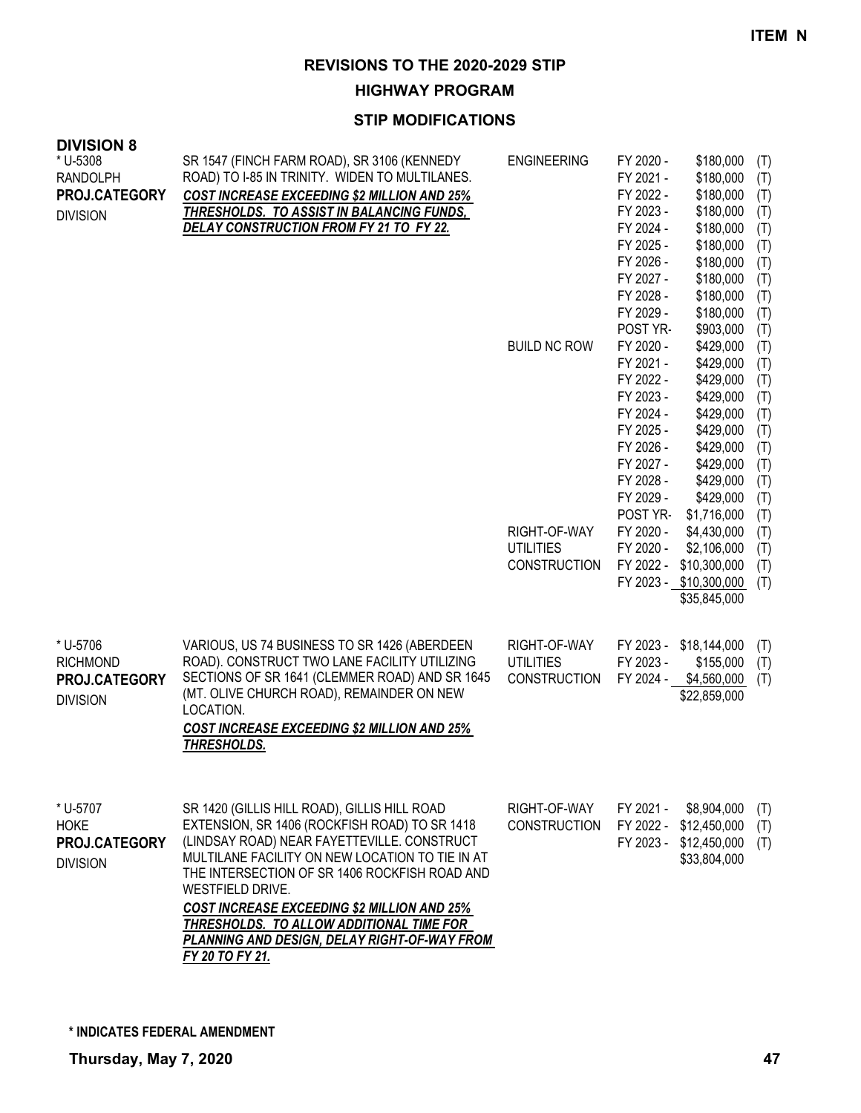**HIGHWAY PROGRAM**

### **STIP MODIFICATIONS**

| <b>DIVISION 8</b><br>* U-5308<br><b>RANDOLPH</b><br>PROJ.CATEGORY<br><b>DIVISION</b> | SR 1547 (FINCH FARM ROAD), SR 3106 (KENNEDY<br>ROAD) TO I-85 IN TRINITY. WIDEN TO MULTILANES.<br><b>COST INCREASE EXCEEDING \$2 MILLION AND 25%</b><br><b>THRESHOLDS. TO ASSIST IN BALANCING FUNDS,</b><br>DELAY CONSTRUCTION FROM FY 21 TO FY 22.                                                                                                                                                                                        | <b>ENGINEERING</b><br><b>BUILD NC ROW</b><br>RIGHT-OF-WAY<br><b>UTILITIES</b><br><b>CONSTRUCTION</b> | FY 2020 -<br>FY 2021 -<br>FY 2022 -<br>FY 2023 -<br>FY 2024 -<br>FY 2025 -<br>FY 2026 -<br>FY 2027 -<br>FY 2028 -<br>FY 2029 -<br>POST YR-<br>FY 2020 -<br>FY 2021 -<br>FY 2022 -<br>FY 2023 -<br>FY 2024 -<br>FY 2025 -<br>FY 2026 -<br>FY 2027 -<br>FY 2028 -<br>FY 2029 -<br>POST YR-<br>FY 2020 -<br>FY 2020 -<br>FY 2022 - | \$180,000<br>\$180,000<br>\$180,000<br>\$180,000<br>\$180,000<br>\$180,000<br>\$180,000<br>\$180,000<br>\$180,000<br>\$180,000<br>\$903,000<br>\$429,000<br>\$429,000<br>\$429,000<br>\$429,000<br>\$429,000<br>\$429,000<br>\$429,000<br>\$429,000<br>\$429,000<br>\$429,000<br>\$1,716,000<br>\$4,430,000<br>\$2,106,000<br>\$10,300,000<br>FY 2023 - \$10,300,000<br>\$35,845,000 | (T)<br>(T)<br>(T)<br>(T)<br>(T)<br>(T)<br>(T)<br>(T)<br>(T)<br>(T)<br>(T)<br>(T)<br>(T)<br>(T)<br>(T)<br>(T)<br>(T)<br>(T)<br>(T)<br>(T)<br>(T)<br>(T)<br>(T)<br>(T)<br>(T)<br>(T) |
|--------------------------------------------------------------------------------------|-------------------------------------------------------------------------------------------------------------------------------------------------------------------------------------------------------------------------------------------------------------------------------------------------------------------------------------------------------------------------------------------------------------------------------------------|------------------------------------------------------------------------------------------------------|---------------------------------------------------------------------------------------------------------------------------------------------------------------------------------------------------------------------------------------------------------------------------------------------------------------------------------|--------------------------------------------------------------------------------------------------------------------------------------------------------------------------------------------------------------------------------------------------------------------------------------------------------------------------------------------------------------------------------------|------------------------------------------------------------------------------------------------------------------------------------------------------------------------------------|
| * U-5706<br><b>RICHMOND</b><br>PROJ.CATEGORY<br><b>DIVISION</b>                      | VARIOUS, US 74 BUSINESS TO SR 1426 (ABERDEEN<br>ROAD). CONSTRUCT TWO LANE FACILITY UTILIZING<br>SECTIONS OF SR 1641 (CLEMMER ROAD) AND SR 1645<br>(MT. OLIVE CHURCH ROAD), REMAINDER ON NEW<br>LOCATION.<br><b>COST INCREASE EXCEEDING \$2 MILLION AND 25%</b><br>THRESHOLDS.                                                                                                                                                             | RIGHT-OF-WAY<br><b>UTILITIES</b><br><b>CONSTRUCTION</b>                                              | FY 2023 -<br>FY 2023 -<br>FY 2024 -                                                                                                                                                                                                                                                                                             | \$18,144,000<br>\$155,000<br>\$4,560,000<br>\$22,859,000                                                                                                                                                                                                                                                                                                                             | (T)<br>(T)<br>(T)                                                                                                                                                                  |
| * U-5707<br><b>HOKE</b><br>PROJ.CATEGORY<br><b>DIVISION</b>                          | SR 1420 (GILLIS HILL ROAD), GILLIS HILL ROAD<br>EXTENSION, SR 1406 (ROCKFISH ROAD) TO SR 1418<br>(LINDSAY ROAD) NEAR FAYETTEVILLE. CONSTRUCT<br>MULTILANE FACILITY ON NEW LOCATION TO TIE IN AT<br>THE INTERSECTION OF SR 1406 ROCKFISH ROAD AND<br>WESTFIELD DRIVE.<br><b>COST INCREASE EXCEEDING \$2 MILLION AND 25%</b><br>THRESHOLDS. TO ALLOW ADDITIONAL TIME FOR<br>PLANNING AND DESIGN, DELAY RIGHT-OF-WAY FROM<br>FY 20 TO FY 21. | RIGHT-OF-WAY<br><b>CONSTRUCTION</b>                                                                  | FY 2021 -<br>FY 2022 -<br>FY 2023 -                                                                                                                                                                                                                                                                                             | \$8,904,000<br>\$12,450,000<br>\$12,450,000<br>\$33,804,000                                                                                                                                                                                                                                                                                                                          | (T)<br>(T)<br>(T)                                                                                                                                                                  |

**\* INDICATES FEDERAL AMENDMENT**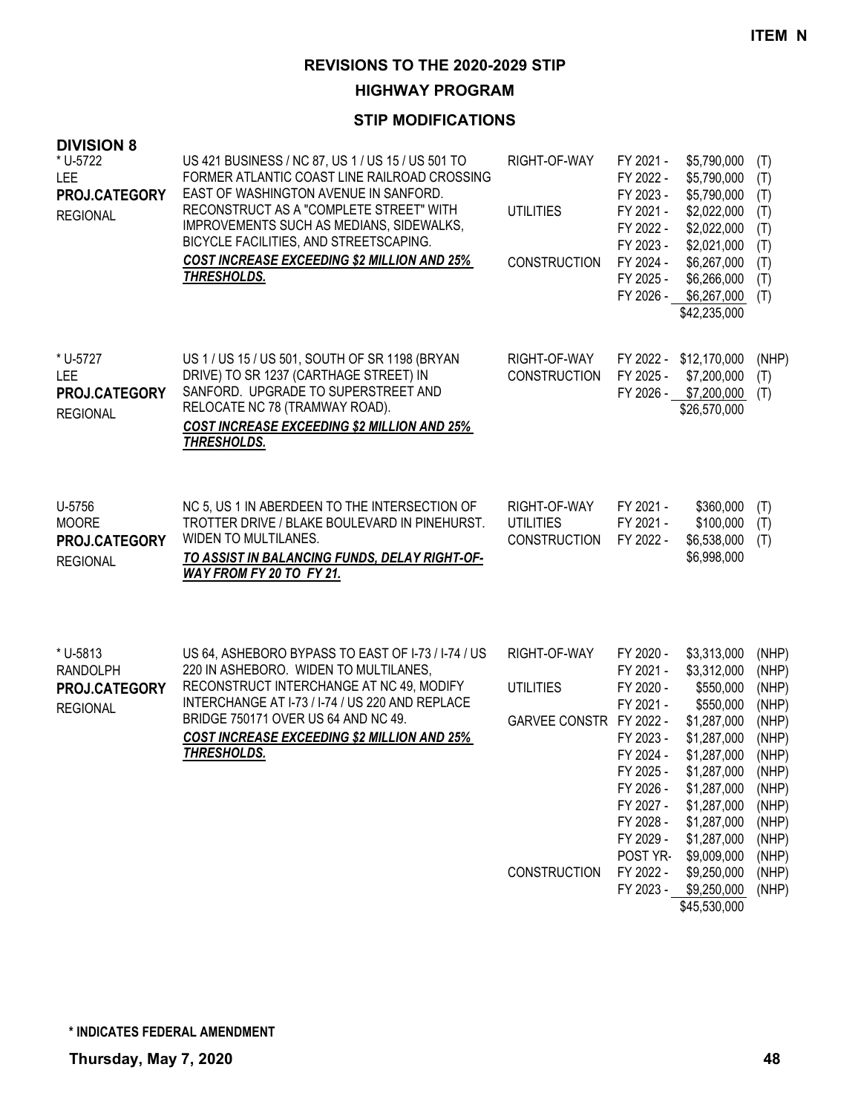**HIGHWAY PROGRAM**

| <b>DIVISION 8</b><br>* U-5722<br><b>LEE</b><br>PROJ.CATEGORY<br><b>REGIONAL</b> | US 421 BUSINESS / NC 87, US 1 / US 15 / US 501 TO<br>FORMER ATLANTIC COAST LINE RAILROAD CROSSING<br>EAST OF WASHINGTON AVENUE IN SANFORD.<br>RECONSTRUCT AS A "COMPLETE STREET" WITH<br>IMPROVEMENTS SUCH AS MEDIANS, SIDEWALKS,<br>BICYCLE FACILITIES, AND STREETSCAPING.<br><b>COST INCREASE EXCEEDING \$2 MILLION AND 25%</b><br>THRESHOLDS. | RIGHT-OF-WAY<br><b>UTILITIES</b><br><b>CONSTRUCTION</b>                            | FY 2021 -<br>FY 2022 -<br>FY 2023 -<br>FY 2021 -<br>FY 2022 -<br>FY 2023 -<br>FY 2024 -<br>FY 2025 -                                                                              | \$5,790,000<br>\$5,790,000<br>\$5,790,000<br>\$2,022,000<br>\$2,022,000<br>\$2,021,000<br>\$6,267,000<br>\$6,266,000<br>FY 2026 - \$6,267,000<br>\$42,235,000                                                             | (T)<br>(T)<br>(T)<br>(T)<br>(T)<br>(T)<br>(T)<br>(T)<br>(T)                                                                         |
|---------------------------------------------------------------------------------|--------------------------------------------------------------------------------------------------------------------------------------------------------------------------------------------------------------------------------------------------------------------------------------------------------------------------------------------------|------------------------------------------------------------------------------------|-----------------------------------------------------------------------------------------------------------------------------------------------------------------------------------|---------------------------------------------------------------------------------------------------------------------------------------------------------------------------------------------------------------------------|-------------------------------------------------------------------------------------------------------------------------------------|
| * U-5727<br><b>LEE</b><br>PROJ.CATEGORY<br><b>REGIONAL</b>                      | US 1 / US 15 / US 501, SOUTH OF SR 1198 (BRYAN<br>DRIVE) TO SR 1237 (CARTHAGE STREET) IN<br>SANFORD. UPGRADE TO SUPERSTREET AND<br>RELOCATE NC 78 (TRAMWAY ROAD).<br><b>COST INCREASE EXCEEDING \$2 MILLION AND 25%</b><br>THRESHOLDS.                                                                                                           | RIGHT-OF-WAY<br><b>CONSTRUCTION</b>                                                | FY 2025 -                                                                                                                                                                         | FY 2022 - \$12,170,000<br>\$7,200,000<br>FY 2026 - \$7,200,000<br>\$26,570,000                                                                                                                                            | (NHP)<br>(T)<br>(T)                                                                                                                 |
| U-5756<br><b>MOORE</b><br>PROJ.CATEGORY<br><b>REGIONAL</b>                      | NC 5, US 1 IN ABERDEEN TO THE INTERSECTION OF<br>TROTTER DRIVE / BLAKE BOULEVARD IN PINEHURST.<br>WIDEN TO MULTILANES.<br>TO ASSIST IN BALANCING FUNDS, DELAY RIGHT-OF-<br>WAY FROM FY 20 TO FY 21.                                                                                                                                              | RIGHT-OF-WAY<br><b>UTILITIES</b><br><b>CONSTRUCTION</b>                            | FY 2021 -<br>FY 2021 -<br>FY 2022 -                                                                                                                                               | \$360,000<br>\$100,000<br>\$6,538,000<br>\$6,998,000                                                                                                                                                                      | (T)<br>(T)<br>(T)                                                                                                                   |
| * U-5813<br><b>RANDOLPH</b><br>PROJ.CATEGORY<br><b>REGIONAL</b>                 | US 64, ASHEBORO BYPASS TO EAST OF I-73 / I-74 / US<br>220 IN ASHEBORO. WIDEN TO MULTILANES,<br>RECONSTRUCT INTERCHANGE AT NC 49, MODIFY<br>INTERCHANGE AT I-73 / I-74 / US 220 AND REPLACE<br>BRIDGE 750171 OVER US 64 AND NC 49.<br><b>COST INCREASE EXCEEDING \$2 MILLION AND 25%</b><br>THRESHOLDS.                                           | RIGHT-OF-WAY<br><b>UTILITIES</b><br>GARVEE CONSTR FY 2022 -<br><b>CONSTRUCTION</b> | FY 2020 -<br>FY 2021 -<br>FY 2020 -<br>FY 2021 -<br>FY 2023 -<br>FY 2024 -<br>FY 2025 -<br>FY 2026 -<br>FY 2027 -<br>FY 2028 -<br>FY 2029 -<br>POST YR-<br>FY 2022 -<br>FY 2023 - | \$3,313,000<br>\$3,312,000<br>\$550,000<br>\$550,000<br>\$1,287,000<br>\$1,287,000<br>\$1,287,000<br>\$1,287,000<br>\$1,287,000<br>\$1,287,000<br>\$1,287,000<br>\$1,287,000<br>\$9,009,000<br>\$9,250,000<br>\$9,250,000 | (NHP)<br>(NHP)<br>(NHP)<br>(NHP)<br>(NHP)<br>(NHP)<br>(NHP)<br>(NHP)<br>(NHP)<br>(NHP)<br>(NHP)<br>(NHP)<br>(NHP)<br>(NHP)<br>(NHP) |
|                                                                                 |                                                                                                                                                                                                                                                                                                                                                  |                                                                                    |                                                                                                                                                                                   | \$45,530,000                                                                                                                                                                                                              |                                                                                                                                     |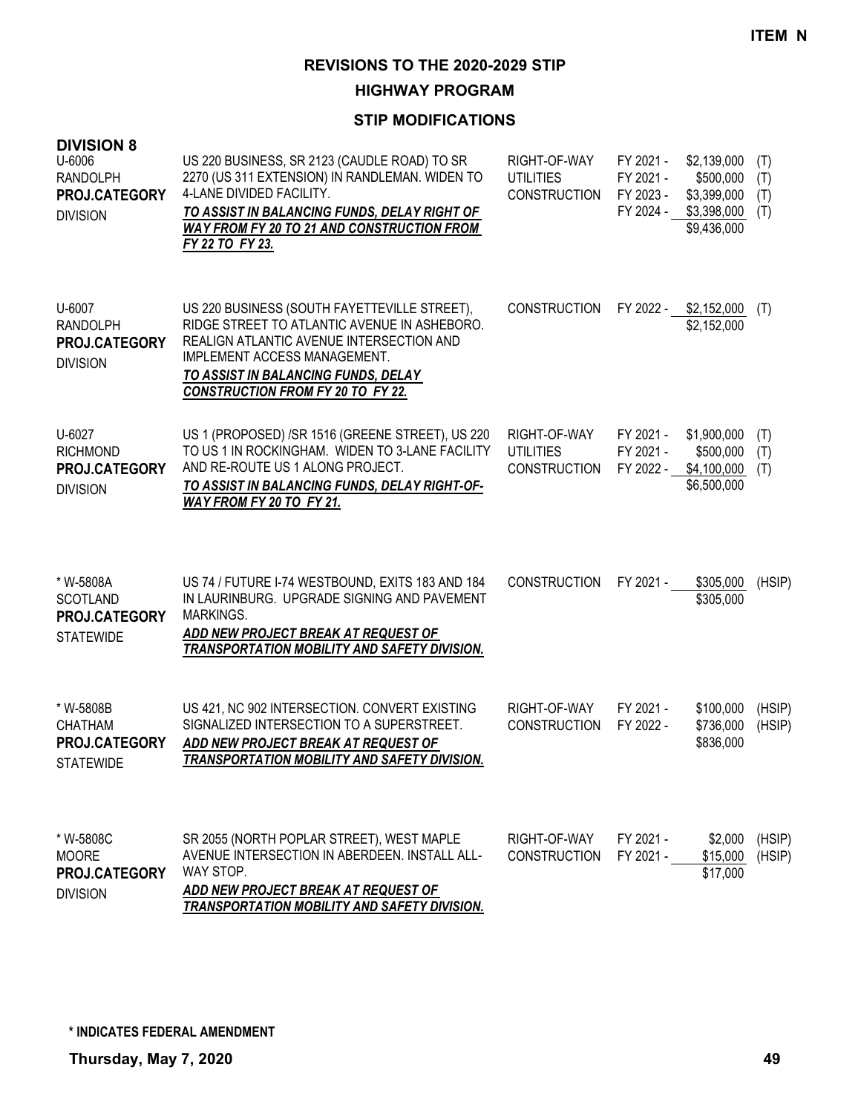**HIGHWAY PROGRAM**

## **STIP MODIFICATIONS**

| <b>DIVISION 8</b><br>U-6006<br><b>RANDOLPH</b><br>PROJ.CATEGORY<br><b>DIVISION</b> | US 220 BUSINESS, SR 2123 (CAUDLE ROAD) TO SR<br>2270 (US 311 EXTENSION) IN RANDLEMAN. WIDEN TO<br>4-LANE DIVIDED FACILITY.<br>TO ASSIST IN BALANCING FUNDS, DELAY RIGHT OF<br><b>WAY FROM FY 20 TO 21 AND CONSTRUCTION FROM</b><br>FY 22 TO FY 23.          | RIGHT-OF-WAY<br><b>UTILITIES</b><br><b>CONSTRUCTION</b> | FY 2021 -<br>FY 2021 -<br>FY 2023 -<br>FY 2024 - | \$2,139,000<br>\$500,000<br>\$3,399,000<br>\$3,398,000<br>\$9,436,000 | (T)<br>(T)<br>(T)<br>(T) |
|------------------------------------------------------------------------------------|-------------------------------------------------------------------------------------------------------------------------------------------------------------------------------------------------------------------------------------------------------------|---------------------------------------------------------|--------------------------------------------------|-----------------------------------------------------------------------|--------------------------|
| U-6007<br><b>RANDOLPH</b><br>PROJ.CATEGORY<br><b>DIVISION</b>                      | US 220 BUSINESS (SOUTH FAYETTEVILLE STREET),<br>RIDGE STREET TO ATLANTIC AVENUE IN ASHEBORO.<br>REALIGN ATLANTIC AVENUE INTERSECTION AND<br>IMPLEMENT ACCESS MANAGEMENT.<br>TO ASSIST IN BALANCING FUNDS, DELAY<br><b>CONSTRUCTION FROM FY 20 TO FY 22.</b> | <b>CONSTRUCTION</b>                                     |                                                  | FY 2022 - \$2,152,000<br>\$2,152,000                                  | (T)                      |
| U-6027<br><b>RICHMOND</b><br>PROJ.CATEGORY<br><b>DIVISION</b>                      | US 1 (PROPOSED) /SR 1516 (GREENE STREET), US 220<br>TO US 1 IN ROCKINGHAM. WIDEN TO 3-LANE FACILITY<br>AND RE-ROUTE US 1 ALONG PROJECT.<br>TO ASSIST IN BALANCING FUNDS, DELAY RIGHT-OF-<br>WAY FROM FY 20 TO FY 21.                                        | RIGHT-OF-WAY<br><b>UTILITIES</b><br><b>CONSTRUCTION</b> | FY 2021 -<br>FY 2021 -<br>FY 2022 -              | \$1,900,000<br>\$500,000<br>\$4,100,000<br>\$6,500,000                | (T)<br>(T)<br>(T)        |
| * W-5808A<br><b>SCOTLAND</b><br>PROJ.CATEGORY<br><b>STATEWIDE</b>                  | US 74 / FUTURE I-74 WESTBOUND, EXITS 183 AND 184<br>IN LAURINBURG. UPGRADE SIGNING AND PAVEMENT<br>MARKINGS.<br>ADD NEW PROJECT BREAK AT REQUEST OF<br>TRANSPORTATION MOBILITY AND SAFETY DIVISION.                                                         | <b>CONSTRUCTION</b>                                     | FY 2021 -                                        | \$305,000<br>\$305,000                                                | (HSIP)                   |
| * W-5808B<br><b>CHATHAM</b><br>PROJ.CATEGORY<br><b>STATEWIDE</b>                   | US 421, NC 902 INTERSECTION. CONVERT EXISTING<br>SIGNALIZED INTERSECTION TO A SUPERSTREET.<br>ADD NEW PROJECT BREAK AT REQUEST OF<br><b>TRANSPORTATION MOBILITY AND SAFETY DIVISION.</b>                                                                    | RIGHT-OF-WAY<br><b>CONSTRUCTION</b>                     | FY 2021 -<br>FY 2022 -                           | \$100,000<br>\$736,000<br>\$836,000                                   | (HSIP)<br>(HSIP)         |
| * W-5808C<br><b>MOORE</b><br>PROJ.CATEGORY<br><b>DIVISION</b>                      | SR 2055 (NORTH POPLAR STREET), WEST MAPLE<br>AVENUE INTERSECTION IN ABERDEEN. INSTALL ALL-<br>WAY STOP.<br>ADD NEW PROJECT BREAK AT REQUEST OF<br>TRANSPORTATION MOBILITY AND SAFETY DIVISION.                                                              | RIGHT-OF-WAY<br><b>CONSTRUCTION</b>                     | FY 2021 -<br>FY 2021 -                           | \$2,000<br>\$15,000<br>\$17,000                                       | (HSIP)<br>(HSIP)         |

**\* INDICATES FEDERAL AMENDMENT**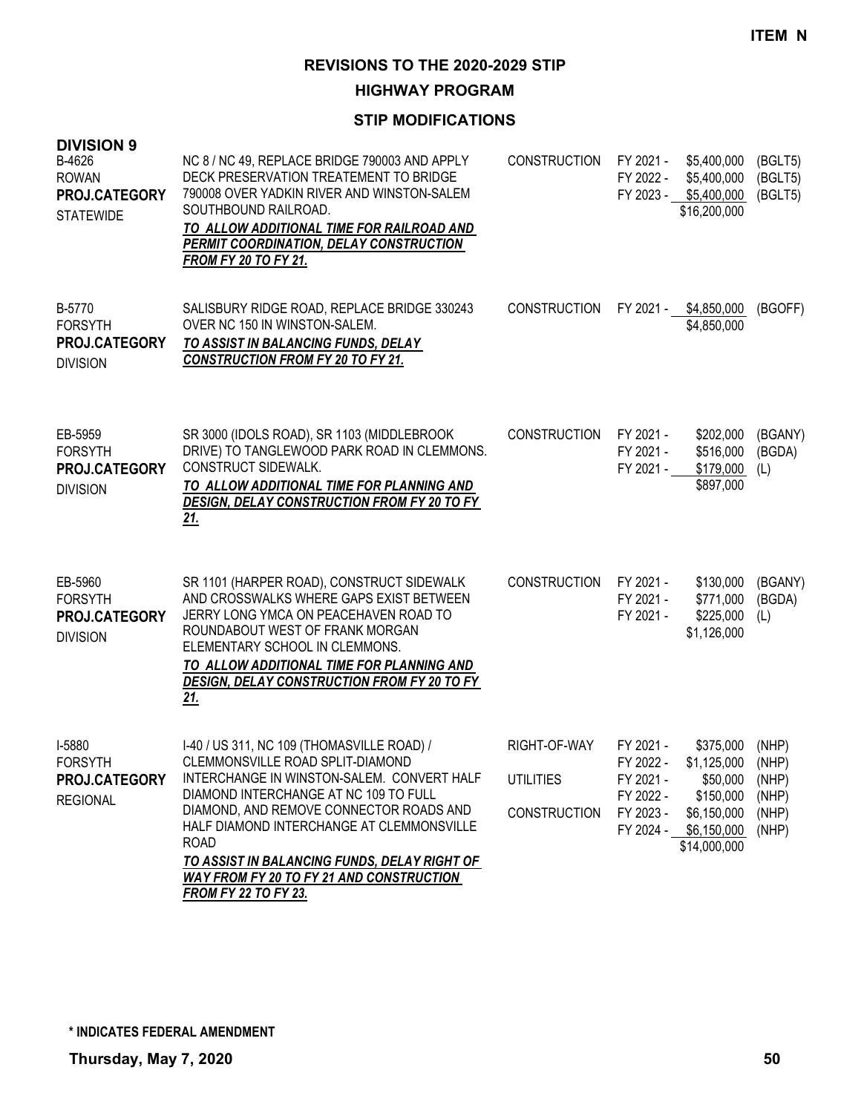**HIGHWAY PROGRAM**

| <b>DIVISION 9</b><br>B-4626<br><b>ROWAN</b><br>PROJ.CATEGORY<br><b>STATEWIDE</b> | NC 8 / NC 49, REPLACE BRIDGE 790003 AND APPLY<br>DECK PRESERVATION TREATEMENT TO BRIDGE<br>790008 OVER YADKIN RIVER AND WINSTON-SALEM<br>SOUTHBOUND RAILROAD.<br>TO ALLOW ADDITIONAL TIME FOR RAILROAD AND<br>PERMIT COORDINATION, DELAY CONSTRUCTION<br><b>FROM FY 20 TO FY 21.</b>                                                                                                                           | <b>CONSTRUCTION</b>                                     | FY 2021 -<br>FY 2022 -                                                     | \$5,400,000<br>\$5,400,000<br>FY 2023 - \$5,400,000<br>\$16,200,000                                   | (BGLT5)<br>(BGLT5)<br>(BGLT5)             |
|----------------------------------------------------------------------------------|----------------------------------------------------------------------------------------------------------------------------------------------------------------------------------------------------------------------------------------------------------------------------------------------------------------------------------------------------------------------------------------------------------------|---------------------------------------------------------|----------------------------------------------------------------------------|-------------------------------------------------------------------------------------------------------|-------------------------------------------|
| B-5770<br><b>FORSYTH</b><br>PROJ.CATEGORY<br><b>DIVISION</b>                     | SALISBURY RIDGE ROAD, REPLACE BRIDGE 330243<br>OVER NC 150 IN WINSTON-SALEM.<br>TO ASSIST IN BALANCING FUNDS, DELAY<br><b>CONSTRUCTION FROM FY 20 TO FY 21.</b>                                                                                                                                                                                                                                                | <b>CONSTRUCTION</b>                                     |                                                                            | FY 2021 - \$4,850,000<br>\$4,850,000                                                                  | (BGOFF)                                   |
| EB-5959<br><b>FORSYTH</b><br>PROJ.CATEGORY<br><b>DIVISION</b>                    | SR 3000 (IDOLS ROAD), SR 1103 (MIDDLEBROOK<br>DRIVE) TO TANGLEWOOD PARK ROAD IN CLEMMONS.<br>CONSTRUCT SIDEWALK.<br>TO ALLOW ADDITIONAL TIME FOR PLANNING AND<br>DESIGN, DELAY CONSTRUCTION FROM FY 20 TO FY<br><u>21.</u>                                                                                                                                                                                     | <b>CONSTRUCTION</b>                                     | FY 2021 -<br>FY 2021 -<br>FY 2021 -                                        | \$202,000<br>\$516,000<br>\$179,000<br>\$897,000                                                      | (BGANY)<br>(BGDA)<br>(L)                  |
| EB-5960<br><b>FORSYTH</b><br>PROJ.CATEGORY<br><b>DIVISION</b>                    | SR 1101 (HARPER ROAD), CONSTRUCT SIDEWALK<br>AND CROSSWALKS WHERE GAPS EXIST BETWEEN<br>JERRY LONG YMCA ON PEACEHAVEN ROAD TO<br>ROUNDABOUT WEST OF FRANK MORGAN<br>ELEMENTARY SCHOOL IN CLEMMONS.<br>TO ALLOW ADDITIONAL TIME FOR PLANNING AND<br>DESIGN, DELAY CONSTRUCTION FROM FY 20 TO FY<br><u>21.</u>                                                                                                   | <b>CONSTRUCTION</b>                                     | FY 2021 -<br>FY 2021 -<br>FY 2021 -                                        | \$130,000<br>\$771,000<br>\$225,000<br>\$1,126,000                                                    | (BGANY)<br>(BGDA)<br>(L)                  |
| I-5880<br><b>FORSYTH</b><br>PROJ.CATEGORY<br><b>REGIONAL</b>                     | I-40 / US 311, NC 109 (THOMASVILLE ROAD) /<br>CLEMMONSVILLE ROAD SPLIT-DIAMOND<br>INTERCHANGE IN WINSTON-SALEM. CONVERT HALF<br>DIAMOND INTERCHANGE AT NC 109 TO FULL<br>DIAMOND, AND REMOVE CONNECTOR ROADS AND<br>HALF DIAMOND INTERCHANGE AT CLEMMONSVILLE<br><b>ROAD</b><br>TO ASSIST IN BALANCING FUNDS, DELAY RIGHT OF<br><b>WAY FROM FY 20 TO FY 21 AND CONSTRUCTION</b><br><b>FROM FY 22 TO FY 23.</b> | RIGHT-OF-WAY<br><b>UTILITIES</b><br><b>CONSTRUCTION</b> | FY 2021 -<br>FY 2022 -<br>FY 2021 -<br>FY 2022 -<br>FY 2023 -<br>FY 2024 - | \$375,000<br>\$1,125,000 (NHP)<br>\$50,000<br>\$150,000<br>\$6,150,000<br>\$6,150,000<br>\$14,000,000 | (NHP)<br>(NHP)<br>(NHP)<br>(NHP)<br>(NHP) |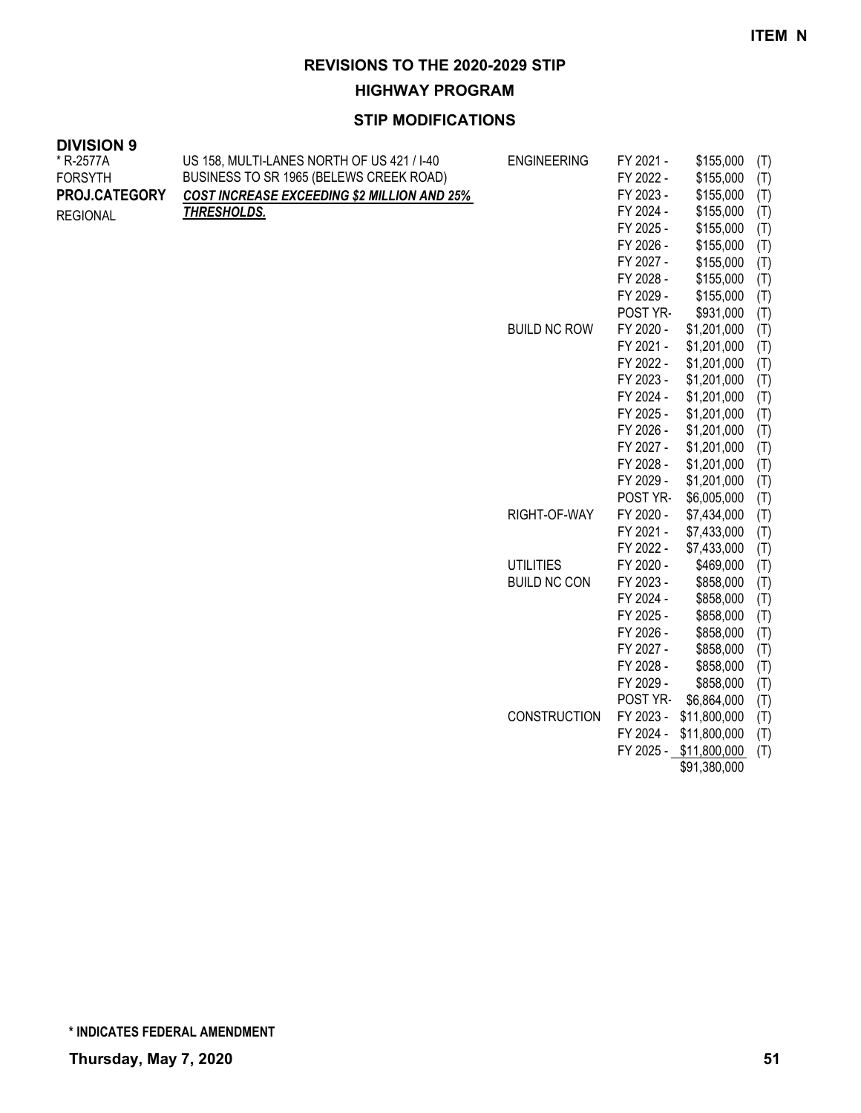**HIGHWAY PROGRAM**

| <b>DIVISION 9</b> |                                                    |                     |                        |                          |            |
|-------------------|----------------------------------------------------|---------------------|------------------------|--------------------------|------------|
| * R-2577A         | US 158, MULTI-LANES NORTH OF US 421 / I-40         | <b>ENGINEERING</b>  | FY 2021 -              | \$155,000                | (T)        |
| <b>FORSYTH</b>    | BUSINESS TO SR 1965 (BELEWS CREEK ROAD)            |                     | FY 2022 -              | \$155,000                | (T)        |
| PROJ.CATEGORY     | <b>COST INCREASE EXCEEDING \$2 MILLION AND 25%</b> |                     | FY 2023 -              | \$155,000                | (T)        |
| <b>REGIONAL</b>   | <b>THRESHOLDS.</b>                                 |                     | FY 2024 -              | \$155,000                | (T)        |
|                   |                                                    |                     | FY 2025 -              | \$155,000                | (T)        |
|                   |                                                    |                     | FY 2026 -              | \$155,000                | (T)        |
|                   |                                                    |                     | FY 2027 -              | \$155,000                | (T)        |
|                   |                                                    |                     | FY 2028 -              | \$155,000                | (T)        |
|                   |                                                    |                     | FY 2029 -              | \$155,000                | (T)        |
|                   |                                                    |                     | POST YR-               | \$931,000                | (T)        |
|                   |                                                    | <b>BUILD NC ROW</b> | FY 2020 -              | \$1,201,000              | (T)        |
|                   |                                                    |                     | FY 2021 -              | \$1,201,000              | (T)        |
|                   |                                                    |                     | FY 2022 -              | \$1,201,000              | (T)        |
|                   |                                                    |                     | FY 2023 -              | \$1,201,000              | (T)        |
|                   |                                                    |                     | FY 2024 -              | \$1,201,000              | (T)        |
|                   |                                                    |                     | FY 2025 -              | \$1,201,000              | (T)        |
|                   |                                                    |                     | FY 2026 -              | \$1,201,000              | (T)        |
|                   |                                                    |                     | FY 2027 -              | \$1,201,000              | (T)        |
|                   |                                                    |                     | FY 2028 -              | \$1,201,000              | (T)        |
|                   |                                                    |                     | FY 2029 -              | \$1,201,000              | (T)        |
|                   |                                                    |                     | POST YR-               | \$6,005,000              | (T)        |
|                   |                                                    | RIGHT-OF-WAY        | FY 2020 -              | \$7,434,000              | (T)        |
|                   |                                                    |                     | FY 2021 -<br>FY 2022 - | \$7,433,000              | (T)        |
|                   |                                                    | <b>UTILITIES</b>    | FY 2020 -              | \$7,433,000<br>\$469,000 | (T)        |
|                   |                                                    | <b>BUILD NC CON</b> | FY 2023 -              | \$858,000                | (T)<br>(T) |
|                   |                                                    |                     | FY 2024 -              | \$858,000                | (T)        |
|                   |                                                    |                     | FY 2025 -              | \$858,000                | (T)        |
|                   |                                                    |                     | FY 2026 -              | \$858,000                | (T)        |
|                   |                                                    |                     | FY 2027 -              | \$858,000                | (T)        |
|                   |                                                    |                     | FY 2028 -              | \$858,000                | (T)        |
|                   |                                                    |                     | FY 2029 -              | \$858,000                | (T)        |
|                   |                                                    |                     | POST YR-               | \$6,864,000              | (T)        |
|                   |                                                    | <b>CONSTRUCTION</b> | FY 2023 -              | \$11,800,000             | (T)        |
|                   |                                                    |                     | FY 2024 -              | \$11,800,000             | (T)        |
|                   |                                                    |                     |                        | FY 2025 - \$11,800,000   | (T)        |
|                   |                                                    |                     |                        | \$91,380,000             |            |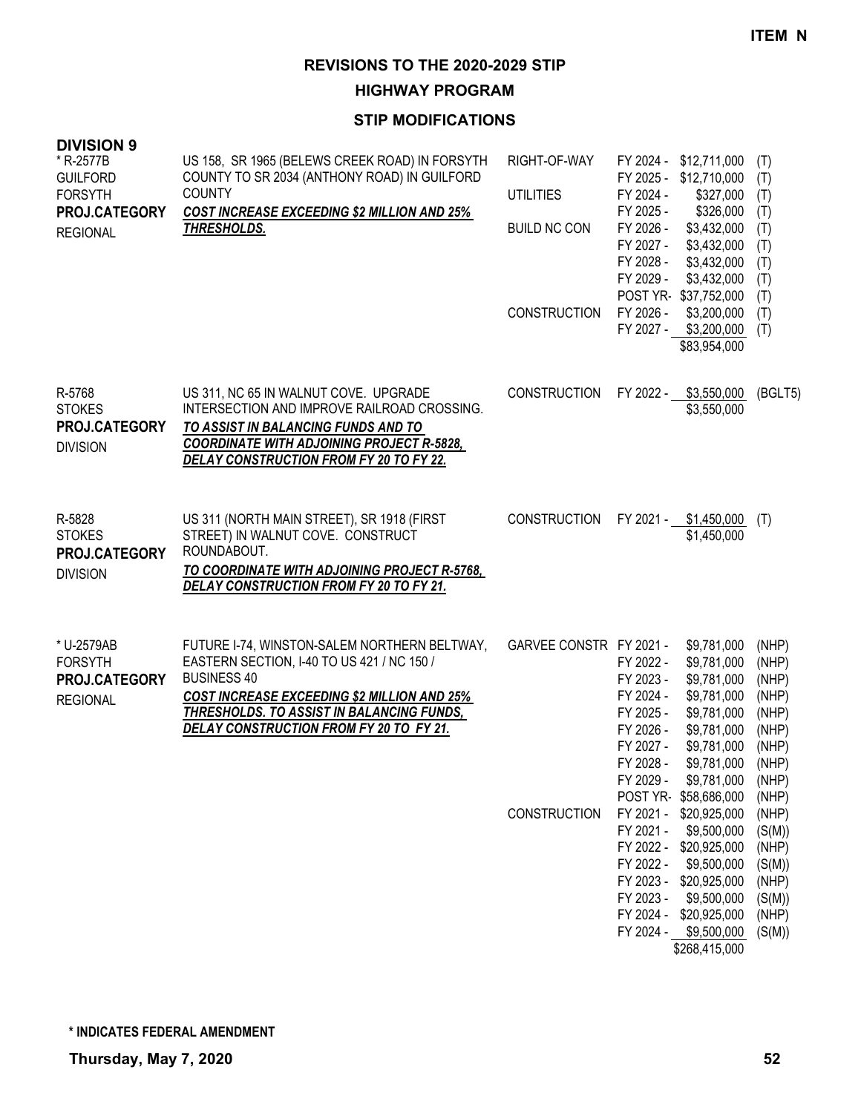**HIGHWAY PROGRAM**

| US 158, SR 1965 (BELEWS CREEK ROAD) IN FORSYTH<br>COUNTY TO SR 2034 (ANTHONY ROAD) IN GUILFORD<br><b>COUNTY</b><br><b>COST INCREASE EXCEEDING \$2 MILLION AND 25%</b><br>THRESHOLDS.                                                                           | RIGHT-OF-WAY<br><b>UTILITIES</b><br><b>BUILD NC CON</b><br><b>CONSTRUCTION</b> | FY 2024 -<br>FY 2025 -<br>FY 2024 -<br>FY 2025 -<br>FY 2026 -<br>FY 2027 -<br>FY 2028 -<br>FY 2029 -<br>FY 2026 -<br>FY 2027 -              | \$12,711,000<br>\$12,710,000<br>\$327,000<br>\$326,000<br>\$3,432,000<br>\$3,432,000<br>\$3,432,000<br>\$3,432,000<br>\$37,752,000<br>\$3,200,000<br>\$3,200,000<br>\$83,954,000                                                                  | (T)<br>(T)<br>(T)<br>(T)<br>(T)<br>(T)<br>(T)<br>(T)<br>(T)<br>(T)<br>(T)                                                                                          |
|----------------------------------------------------------------------------------------------------------------------------------------------------------------------------------------------------------------------------------------------------------------|--------------------------------------------------------------------------------|---------------------------------------------------------------------------------------------------------------------------------------------|---------------------------------------------------------------------------------------------------------------------------------------------------------------------------------------------------------------------------------------------------|--------------------------------------------------------------------------------------------------------------------------------------------------------------------|
| US 311, NC 65 IN WALNUT COVE. UPGRADE<br>INTERSECTION AND IMPROVE RAILROAD CROSSING.<br>TO ASSIST IN BALANCING FUNDS AND TO<br><b>COORDINATE WITH ADJOINING PROJECT R-5828,</b><br>DELAY CONSTRUCTION FROM FY 20 TO FY 22.                                     | <b>CONSTRUCTION</b>                                                            |                                                                                                                                             | \$3,550,000<br>\$3,550,000                                                                                                                                                                                                                        | (BGLT5)                                                                                                                                                            |
| US 311 (NORTH MAIN STREET), SR 1918 (FIRST<br>STREET) IN WALNUT COVE. CONSTRUCT<br>ROUNDABOUT.<br>TO COORDINATE WITH ADJOINING PROJECT R-5768,<br>DELAY CONSTRUCTION FROM FY 20 TO FY 21.                                                                      | <b>CONSTRUCTION</b>                                                            |                                                                                                                                             | \$1,450,000<br>\$1,450,000                                                                                                                                                                                                                        | (T)                                                                                                                                                                |
| FUTURE I-74, WINSTON-SALEM NORTHERN BELTWAY,<br>EASTERN SECTION, I-40 TO US 421 / NC 150 /<br><b>BUSINESS 40</b><br><b>COST INCREASE EXCEEDING \$2 MILLION AND 25%</b><br>THRESHOLDS. TO ASSIST IN BALANCING FUNDS,<br>DELAY CONSTRUCTION FROM FY 20 TO FY 21. | CONSTRUCTION                                                                   | FY 2022 -<br>FY 2023 -<br>FY 2024 -<br>FY 2025 -<br>FY 2026 -<br>FY 2027 -<br>FY 2028 -<br>FY 2029 -<br>FY 2021 -<br>FY 2022 -<br>FY 2023 - | \$9,781,000<br>\$9,781,000<br>\$9,781,000<br>\$9,781,000<br>\$9,781,000<br>\$9,781,000<br>\$9,781,000<br>\$9,781,000<br>\$58,686,000<br>\$20,925,000<br>\$9,500,000<br>\$20,925,000<br>\$9,500,000<br>\$20,925,000<br>\$9,500,000<br>\$20,925,000 | (NHP)<br>(NHP)<br>(NHP)<br>(NHP)<br>(NHP)<br>(NHP)<br>(NHP)<br>(NHP)<br>(NHP)<br>(NHP)<br>(NHP)<br>(S(M))<br>(NHP)<br>(S(M))<br>(NHP)<br>(S(M))<br>(NHP)<br>(S(M)) |
|                                                                                                                                                                                                                                                                |                                                                                |                                                                                                                                             | GARVEE CONSTR FY 2021 -                                                                                                                                                                                                                           | POST YR-<br>FY 2022 -<br>FY 2021 -<br>\$9,781,000<br>POST YR-<br>FY 2021 -<br>FY 2022 -<br>FY 2023 -<br>FY 2024 -<br>FY 2024 - \$9,500,000<br>\$268,415,000        |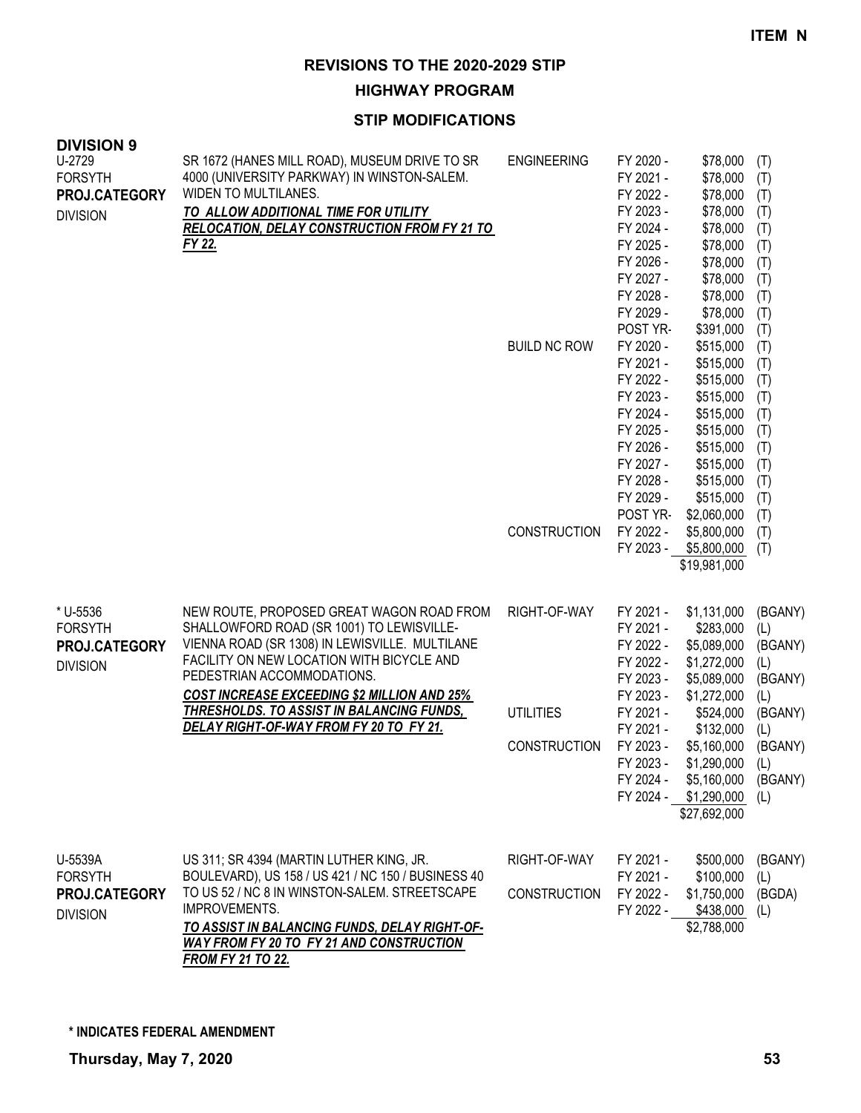#### **HIGHWAY PROGRAM**

| <b>DIVISION 9</b><br>U-2729<br><b>FORSYTH</b><br>PROJ.CATEGORY<br><b>DIVISION</b> | SR 1672 (HANES MILL ROAD), MUSEUM DRIVE TO SR<br>4000 (UNIVERSITY PARKWAY) IN WINSTON-SALEM.<br>WIDEN TO MULTILANES.<br>TO ALLOW ADDITIONAL TIME FOR UTILITY<br><b>RELOCATION, DELAY CONSTRUCTION FROM FY 21 TO</b><br>FY 22.                                                                                                                                            | <b>ENGINEERING</b><br><b>BUILD NC ROW</b>               | FY 2020 -<br>FY 2021 -<br>FY 2022 -<br>FY 2023 -<br>FY 2024 -<br>FY 2025 -<br>FY 2026 -<br>FY 2027 -<br>FY 2028 -<br>FY 2029 -<br>POST YR-<br>FY 2020 -<br>FY 2021 -<br>FY 2022 -<br>FY 2023 -<br>FY 2024 -<br>FY 2025 -<br>FY 2026 -<br>FY 2027 -<br>FY 2028 -<br>FY 2029 - | \$78,000<br>\$78,000<br>\$78,000<br>\$78,000<br>\$78,000<br>\$78,000<br>\$78,000<br>\$78,000<br>\$78,000<br>\$78,000<br>\$391,000<br>\$515,000<br>\$515,000<br>\$515,000<br>\$515,000<br>\$515,000<br>\$515,000<br>\$515,000<br>\$515,000<br>\$515,000<br>\$515,000 | (T)<br>(T)<br>(T)<br>(T)<br>(T)<br>(T)<br>(T)<br>(T)<br>(T)<br>(T)<br>(T)<br>(T)<br>(T)<br>(T)<br>(T)<br>(T)<br>(T)<br>(T)<br>(T)<br>(T)<br>(T) |
|-----------------------------------------------------------------------------------|--------------------------------------------------------------------------------------------------------------------------------------------------------------------------------------------------------------------------------------------------------------------------------------------------------------------------------------------------------------------------|---------------------------------------------------------|------------------------------------------------------------------------------------------------------------------------------------------------------------------------------------------------------------------------------------------------------------------------------|---------------------------------------------------------------------------------------------------------------------------------------------------------------------------------------------------------------------------------------------------------------------|-------------------------------------------------------------------------------------------------------------------------------------------------|
|                                                                                   |                                                                                                                                                                                                                                                                                                                                                                          | <b>CONSTRUCTION</b>                                     | POST YR-<br>FY 2022 -<br>FY 2023 -                                                                                                                                                                                                                                           | \$2,060,000<br>\$5,800,000<br>\$5,800,000<br>\$19,981,000                                                                                                                                                                                                           | (T)<br>(T)<br>(T)                                                                                                                               |
| * U-5536<br><b>FORSYTH</b><br>PROJ.CATEGORY<br><b>DIVISION</b>                    | NEW ROUTE, PROPOSED GREAT WAGON ROAD FROM<br>SHALLOWFORD ROAD (SR 1001) TO LEWISVILLE-<br>VIENNA ROAD (SR 1308) IN LEWISVILLE. MULTILANE<br>FACILITY ON NEW LOCATION WITH BICYCLE AND<br>PEDESTRIAN ACCOMMODATIONS.<br><b>COST INCREASE EXCEEDING \$2 MILLION AND 25%</b><br><u>THRESHOLDS. TO ASSIST IN BALANCING FUNDS,</u><br>DELAY RIGHT-OF-WAY FROM FY 20 TO FY 21. | RIGHT-OF-WAY<br><b>UTILITIES</b><br><b>CONSTRUCTION</b> | FY 2021 -<br>FY 2021 -<br>FY 2022 -<br>FY 2022 -<br>FY 2023 -<br>FY 2023 -<br>FY 2021 -<br>FY 2021 -<br>FY 2023 -<br>FY 2023 -                                                                                                                                               | \$1,131,000<br>\$283,000<br>\$5,089,000<br>\$1,272,000<br>\$5,089,000<br>\$1,272,000<br>\$524,000<br>\$132,000<br>\$5,160,000<br>\$1,290,000<br>FY 2024 - \$5,160,000 (BGANY)<br>FY 2024 - \$1,290,000<br>\$27,692,000                                              | (BGANY)<br>(L)<br>(BGANY)<br>(L)<br>(BGANY)<br>(L)<br>(BGANY)<br>(L)<br>(BGANY)<br>(L)<br>(L)                                                   |
| U-5539A<br><b>FORSYTH</b><br>PROJ.CATEGORY<br><b>DIVISION</b>                     | US 311; SR 4394 (MARTIN LUTHER KING, JR.<br>BOULEVARD), US 158 / US 421 / NC 150 / BUSINESS 40<br>TO US 52 / NC 8 IN WINSTON-SALEM. STREETSCAPE<br>IMPROVEMENTS.<br>TO ASSIST IN BALANCING FUNDS, DELAY RIGHT-OF-<br>WAY FROM FY 20 TO FY 21 AND CONSTRUCTION<br><b>FROM FY 21 TO 22.</b>                                                                                | RIGHT-OF-WAY<br><b>CONSTRUCTION</b>                     | FY 2021 -<br>FY 2021 -<br>FY 2022 -<br>FY 2022 -                                                                                                                                                                                                                             | \$500,000<br>\$100,000<br>\$1,750,000<br>\$438,000<br>\$2,788,000                                                                                                                                                                                                   | (BGANY)<br>(L)<br>(BGDA)<br>(L)                                                                                                                 |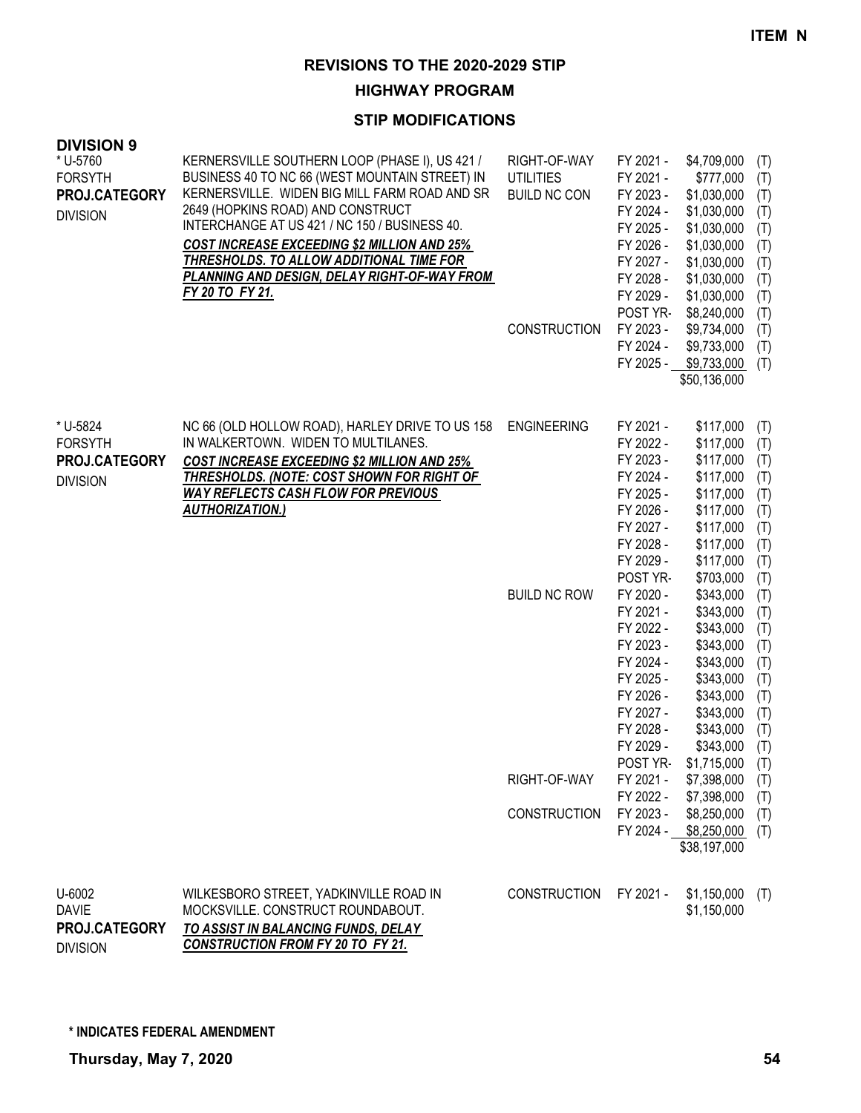**HIGHWAY PROGRAM**

| <b>DIVISION 9</b><br>* U-5760<br><b>FORSYTH</b><br>PROJ.CATEGORY<br><b>DIVISION</b> | KERNERSVILLE SOUTHERN LOOP (PHASE I), US 421 /<br>BUSINESS 40 TO NC 66 (WEST MOUNTAIN STREET) IN<br>KERNERSVILLE. WIDEN BIG MILL FARM ROAD AND SR<br>2649 (HOPKINS ROAD) AND CONSTRUCT<br>INTERCHANGE AT US 421 / NC 150 / BUSINESS 40.<br><b>COST INCREASE EXCEEDING \$2 MILLION AND 25%</b><br><b>THRESHOLDS. TO ALLOW ADDITIONAL TIME FOR</b><br>PLANNING AND DESIGN, DELAY RIGHT-OF-WAY FROM<br>FY 20 TO FY 21. | RIGHT-OF-WAY<br><b>UTILITIES</b><br><b>BUILD NC CON</b><br><b>CONSTRUCTION</b> | FY 2021 -<br>FY 2021 -<br>FY 2023 -<br>FY 2024 -<br>FY 2025 -<br>FY 2026 -<br>FY 2027 -<br>FY 2028 -<br>FY 2029 -<br>POST YR-<br>FY 2023 -<br>FY 2024 -<br>FY 2025 - | \$4,709,000<br>\$777,000<br>\$1,030,000<br>\$1,030,000<br>\$1,030,000<br>\$1,030,000<br>\$1,030,000<br>\$1,030,000<br>\$1,030,000<br>\$8,240,000<br>\$9,734,000<br>\$9,733,000<br>\$9,733,000<br>\$50,136,000 | (T)<br>(T)<br>(T)<br>(T)<br>(T)<br>(T)<br>(T)<br>(T)<br>(T)<br>(T)<br>(T)<br>(T)<br>(T) |
|-------------------------------------------------------------------------------------|---------------------------------------------------------------------------------------------------------------------------------------------------------------------------------------------------------------------------------------------------------------------------------------------------------------------------------------------------------------------------------------------------------------------|--------------------------------------------------------------------------------|----------------------------------------------------------------------------------------------------------------------------------------------------------------------|---------------------------------------------------------------------------------------------------------------------------------------------------------------------------------------------------------------|-----------------------------------------------------------------------------------------|
| * U-5824<br><b>FORSYTH</b><br>PROJ.CATEGORY<br><b>DIVISION</b>                      | NC 66 (OLD HOLLOW ROAD), HARLEY DRIVE TO US 158<br>IN WALKERTOWN. WIDEN TO MULTILANES.<br>COST INCREASE EXCEEDING \$2 MILLION AND 25%<br>THRESHOLDS. (NOTE: COST SHOWN FOR RIGHT OF<br><b>WAY REFLECTS CASH FLOW FOR PREVIOUS</b><br><b>AUTHORIZATION.)</b>                                                                                                                                                         | <b>ENGINEERING</b>                                                             | FY 2021 -<br>FY 2022 -<br>FY 2023 -<br>FY 2024 -<br>FY 2025 -<br>FY 2026 -<br>FY 2027 -<br>FY 2028 -<br>FY 2029 -                                                    | \$117,000<br>\$117,000<br>\$117,000<br>\$117,000<br>\$117,000<br>\$117,000<br>\$117,000<br>\$117,000<br>\$117,000                                                                                             | (T)<br>(T)<br>(T)<br>(T)<br>(T)<br>(T)<br>(T)<br>(T)<br>(T)                             |
|                                                                                     |                                                                                                                                                                                                                                                                                                                                                                                                                     | <b>BUILD NC ROW</b>                                                            | POST YR-<br>FY 2020 -<br>FY 2021 -<br>FY 2022 -<br>FY 2023 -<br>FY 2024 -<br>FY 2025 -<br>FY 2026 -<br>FY 2027 -<br>FY 2028 -<br>FY 2029 -<br>POST YR-               | \$703,000<br>\$343,000<br>\$343,000<br>\$343,000<br>\$343,000<br>\$343,000<br>\$343,000<br>\$343,000<br>\$343,000<br>\$343,000<br>\$343,000<br>$$1,715,000$ (T)                                               | (T)<br>(T)<br>(T)<br>(T)<br>(T)<br>(T)<br>(T)<br>(T)<br>(T)<br>(T)<br>(T)               |
|                                                                                     |                                                                                                                                                                                                                                                                                                                                                                                                                     | RIGHT-OF-WAY                                                                   | FY 2021 -<br>FY 2022 -                                                                                                                                               | \$7,398,000<br>\$7,398,000                                                                                                                                                                                    | (T)<br>(T)                                                                              |
|                                                                                     |                                                                                                                                                                                                                                                                                                                                                                                                                     | <b>CONSTRUCTION</b>                                                            | FY 2023 -                                                                                                                                                            | \$8,250,000<br>FY 2024 - \$8,250,000<br>\$38,197,000                                                                                                                                                          | (T)<br>(T)                                                                              |
| U-6002<br><b>DAVIE</b><br>PROJ.CATEGORY<br><b>DIVISION</b>                          | WILKESBORO STREET, YADKINVILLE ROAD IN<br>MOCKSVILLE. CONSTRUCT ROUNDABOUT.<br>TO ASSIST IN BALANCING FUNDS, DELAY<br><b>CONSTRUCTION FROM FY 20 TO FY 21.</b>                                                                                                                                                                                                                                                      | <b>CONSTRUCTION</b>                                                            | FY 2021 -                                                                                                                                                            | \$1,150,000<br>\$1,150,000                                                                                                                                                                                    | (T)                                                                                     |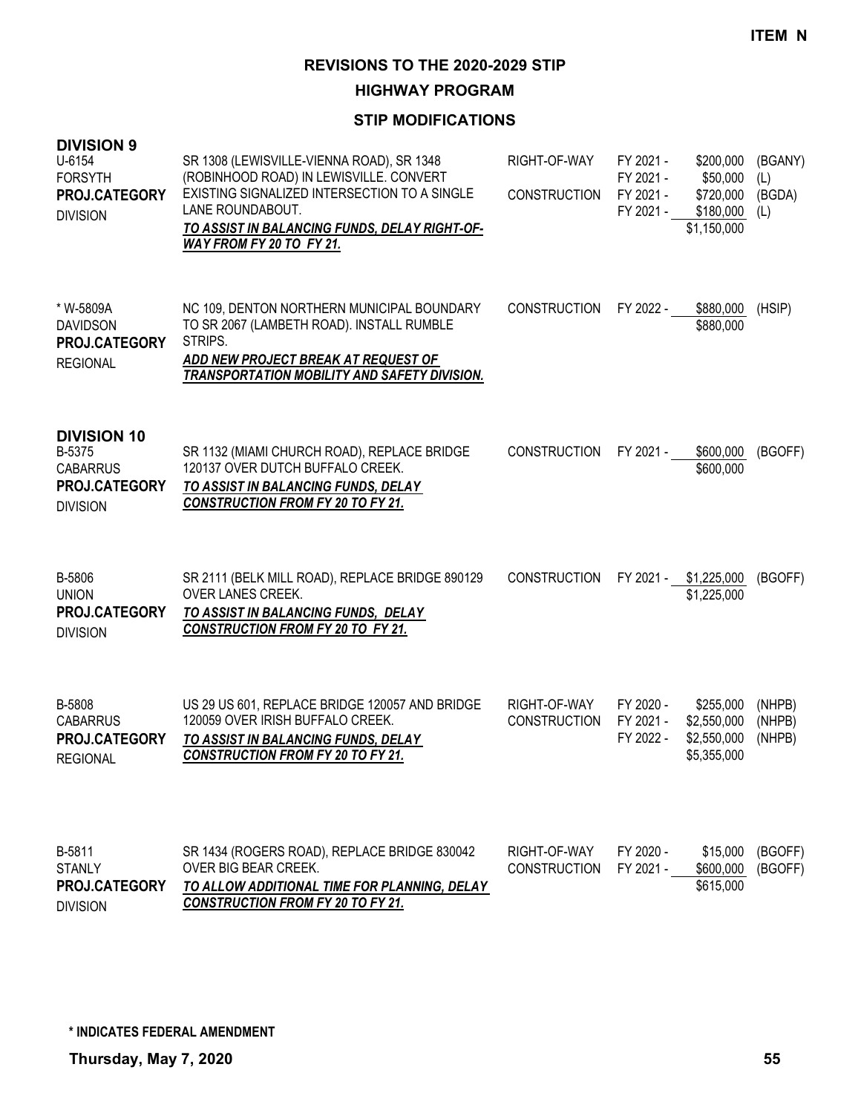**HIGHWAY PROGRAM**

#### **STIP MODIFICATIONS**

| <b>DIVISION 9</b><br>U-6154<br><b>FORSYTH</b><br>PROJ.CATEGORY<br><b>DIVISION</b>          | SR 1308 (LEWISVILLE-VIENNA ROAD), SR 1348<br>(ROBINHOOD ROAD) IN LEWISVILLE. CONVERT<br>EXISTING SIGNALIZED INTERSECTION TO A SINGLE<br>LANE ROUNDABOUT.<br>TO ASSIST IN BALANCING FUNDS, DELAY RIGHT-OF-<br>WAY FROM FY 20 TO FY 21. | RIGHT-OF-WAY<br><b>CONSTRUCTION</b> | FY 2021 -<br>FY 2021 -<br>FY 2021 -<br>FY 2021 - | \$200,000<br>\$50,000<br>\$720,000<br>\$180,000<br>\$1,150,000 | (BGANY)<br>(L)<br>(BGDA)<br>(L) |
|--------------------------------------------------------------------------------------------|---------------------------------------------------------------------------------------------------------------------------------------------------------------------------------------------------------------------------------------|-------------------------------------|--------------------------------------------------|----------------------------------------------------------------|---------------------------------|
| * W-5809A<br><b>DAVIDSON</b><br><b>PROJ.CATEGORY</b><br><b>REGIONAL</b>                    | NC 109, DENTON NORTHERN MUNICIPAL BOUNDARY<br>TO SR 2067 (LAMBETH ROAD). INSTALL RUMBLE<br>STRIPS.<br>ADD NEW PROJECT BREAK AT REQUEST OF<br>TRANSPORTATION MOBILITY AND SAFETY DIVISION.                                             | <b>CONSTRUCTION</b>                 | FY 2022 -                                        | \$880,000<br>\$880,000                                         | (HSIP)                          |
| <b>DIVISION 10</b><br>B-5375<br><b>CABARRUS</b><br><b>PROJ.CATEGORY</b><br><b>DIVISION</b> | SR 1132 (MIAMI CHURCH ROAD), REPLACE BRIDGE<br>120137 OVER DUTCH BUFFALO CREEK.<br>TO ASSIST IN BALANCING FUNDS, DELAY<br><b>CONSTRUCTION FROM FY 20 TO FY 21.</b>                                                                    | <b>CONSTRUCTION</b>                 | FY 2021 -                                        | \$600,000<br>\$600,000                                         | (BGOFF)                         |
| B-5806<br><b>UNION</b><br>PROJ.CATEGORY<br><b>DIVISION</b>                                 | SR 2111 (BELK MILL ROAD), REPLACE BRIDGE 890129<br>OVER LANES CREEK.<br>TO ASSIST IN BALANCING FUNDS, DELAY<br><b>CONSTRUCTION FROM FY 20 TO FY 21.</b>                                                                               | <b>CONSTRUCTION</b>                 |                                                  | FY 2021 - \$1,225,000<br>\$1,225,000                           | (BGOFF)                         |
| B-5808<br><b>CABARRUS</b><br><b>PROJ.CATEGORY</b><br><b>REGIONAL</b>                       | US 29 US 601, REPLACE BRIDGE 120057 AND BRIDGE<br>120059 OVER IRISH BUFFALO CREEK.<br>TO ASSIST IN BALANCING FUNDS, DELAY<br><b>CONSTRUCTION FROM FY 20 TO FY 21.</b>                                                                 | RIGHT-OF-WAY<br><b>CONSTRUCTION</b> | FY 2020 -<br>FY 2021 -<br>FY 2022 -              | \$255,000<br>\$2,550,000<br>\$2,550,000<br>\$5,355,000         | (NHPB)<br>(NHPB)<br>(NHPB)      |
| B-5811<br><b>STANLY</b><br>PROJ.CATEGORY                                                   | SR 1434 (ROGERS ROAD), REPLACE BRIDGE 830042<br>OVER BIG BEAR CREEK.<br>TO ALLOW ADDITIONAL TIME FOR PLANNING, DELAY                                                                                                                  | RIGHT-OF-WAY<br><b>CONSTRUCTION</b> | FY 2020 -<br>FY 2021 -                           | \$15,000<br>\$600,000<br>\$615,000                             | (BGOFF)<br>(BGOFF)              |

*CONSTRUCTION FROM FY 20 TO FY 21.* DIVISION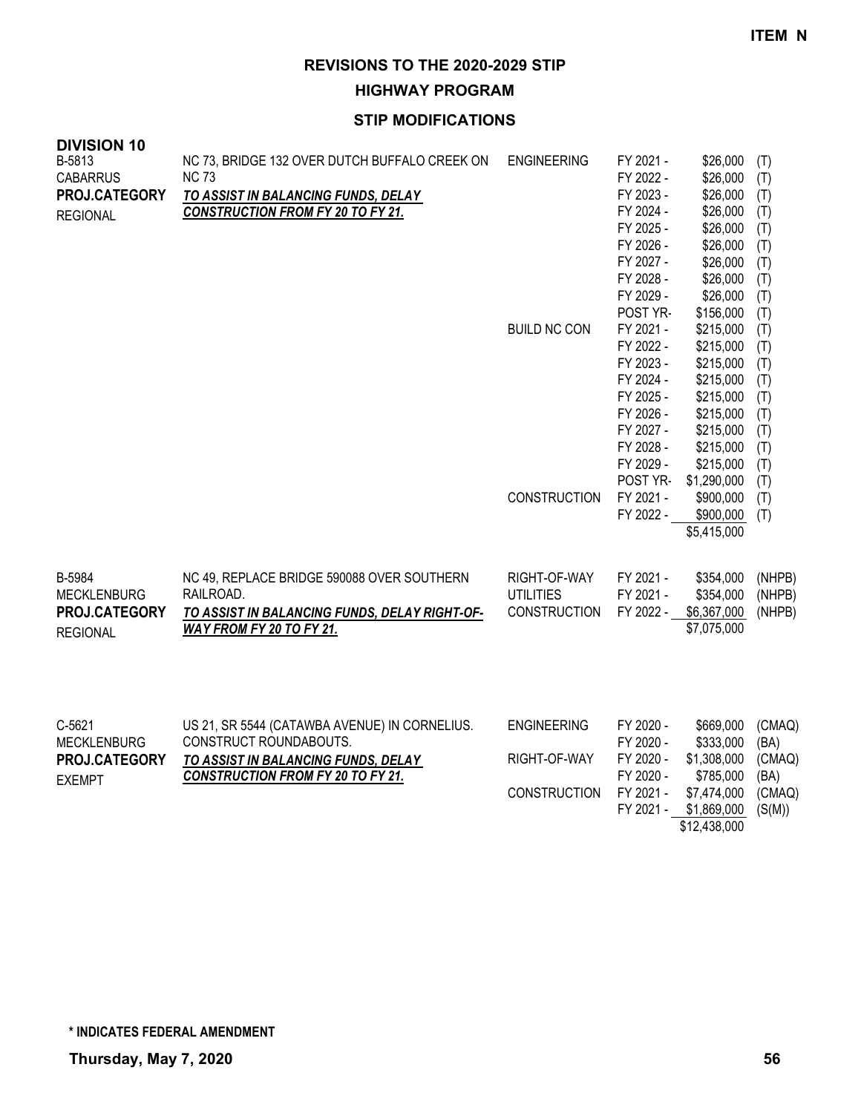**HIGHWAY PROGRAM**

## **STIP MODIFICATIONS**

| <b>DIVISION 10</b><br>B-5813<br><b>CABARRUS</b><br>PROJ.CATEGORY<br><b>REGIONAL</b> | NC 73, BRIDGE 132 OVER DUTCH BUFFALO CREEK ON<br><b>NC 73</b><br>TO ASSIST IN BALANCING FUNDS, DELAY<br><b>CONSTRUCTION FROM FY 20 TO FY 21.</b>           | <b>ENGINEERING</b><br><b>BUILD NC CON</b>                 | FY 2021 -<br>FY 2022 -<br>FY 2023 -<br>FY 2024 -<br>FY 2025 -<br>FY 2026 -<br>FY 2027 -<br>FY 2028 -<br>FY 2029 -<br>POST YR-<br>FY 2021 - | \$26,000<br>\$26,000<br>\$26,000<br>\$26,000<br>\$26,000<br>\$26,000<br>\$26,000<br>\$26,000<br>\$26,000<br>\$156,000<br>\$215,000 | (T)<br>(T)<br>(T)<br>(T)<br>(T)<br>(T)<br>(T)<br>(T)<br>(T)<br>(T)<br>(T) |
|-------------------------------------------------------------------------------------|------------------------------------------------------------------------------------------------------------------------------------------------------------|-----------------------------------------------------------|--------------------------------------------------------------------------------------------------------------------------------------------|------------------------------------------------------------------------------------------------------------------------------------|---------------------------------------------------------------------------|
|                                                                                     |                                                                                                                                                            | <b>CONSTRUCTION</b>                                       | FY 2022 -<br>FY 2023 -<br>FY 2024 -<br>FY 2025 -<br>FY 2026 -<br>FY 2027 -<br>FY 2028 -<br>FY 2029 -<br>POST YR-<br>FY 2021 -              | \$215,000<br>\$215,000<br>\$215,000<br>\$215,000<br>\$215,000<br>\$215,000<br>\$215,000<br>\$215,000<br>\$1,290,000<br>\$900,000   | (T)<br>(T)<br>(T)<br>(T)<br>(T)<br>(T)<br>(T)<br>(T)<br>(T)<br>(T)        |
| B-5984                                                                              | NC 49, REPLACE BRIDGE 590088 OVER SOUTHERN                                                                                                                 | RIGHT-OF-WAY                                              | FY 2022 -<br>FY 2021 -                                                                                                                     | \$900,000<br>\$5,415,000<br>\$354,000                                                                                              | (T)<br>(NHPB)                                                             |
| <b>MECKLENBURG</b><br>PROJ.CATEGORY<br><b>REGIONAL</b>                              | RAILROAD.<br>TO ASSIST IN BALANCING FUNDS, DELAY RIGHT-OF-<br>WAY FROM FY 20 TO FY 21.                                                                     | <b>UTILITIES</b><br><b>CONSTRUCTION</b>                   | FY 2021 -<br>FY 2022 -                                                                                                                     | \$354,000<br>\$6,367,000<br>\$7,075,000                                                                                            | (NHPB)<br>(NHPB)                                                          |
| C-5621<br><b>MECKLENBURG</b><br>PROJ.CATEGORY<br><b>EXEMPT</b>                      | US 21, SR 5544 (CATAWBA AVENUE) IN CORNELIUS.<br>CONSTRUCT ROUNDABOUTS.<br>TO ASSIST IN BALANCING FUNDS, DELAY<br><b>CONSTRUCTION FROM FY 20 TO FY 21.</b> | <b>ENGINEERING</b><br>RIGHT-OF-WAY<br><b>CONSTRUCTION</b> | FY 2020 -<br>FY 2020 -<br>FY 2020 -<br>FY 2020 -<br>FY 2021 -<br>FY 2021 -                                                                 | \$669,000<br>\$333,000<br>\$1,308,000<br>\$785,000<br>\$7,474,000<br>\$1,869,000                                                   | (CMAQ)<br>(BA)<br>(CMAQ)<br>(BA)<br>(CMAQ)<br>(S(M))                      |

\$12,438,000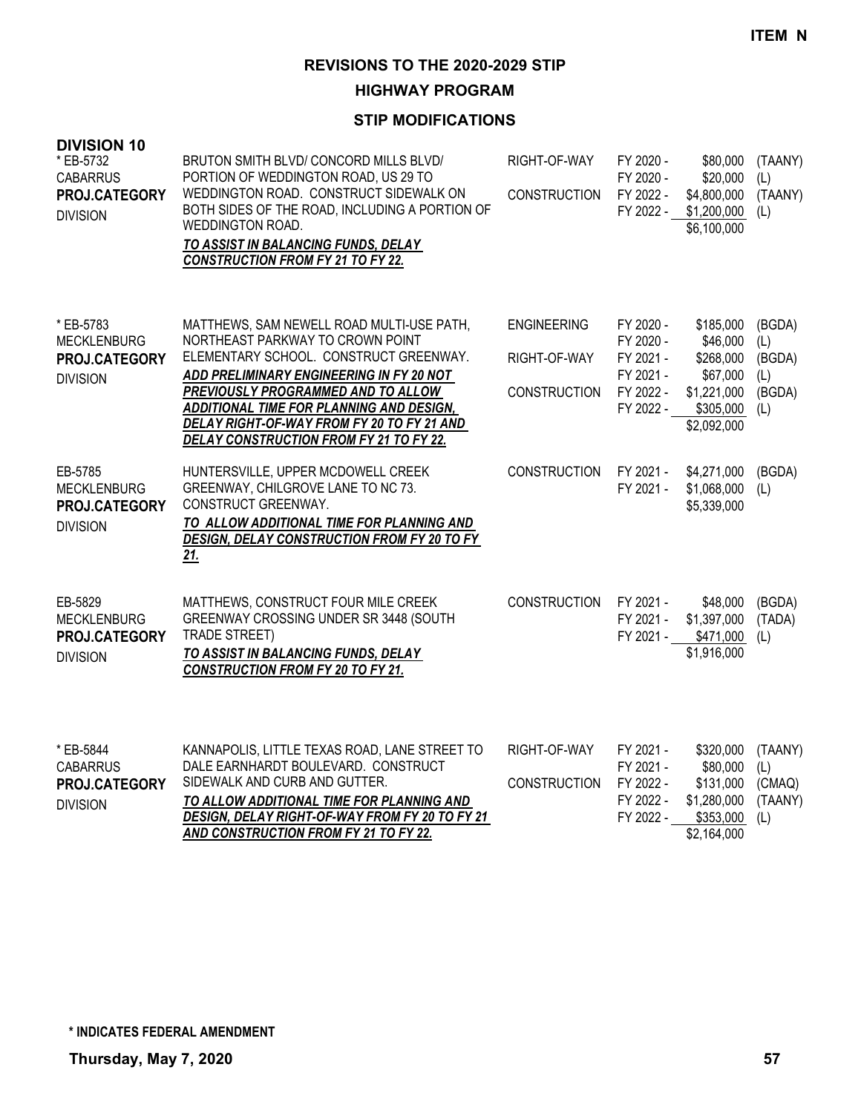# **HIGHWAY PROGRAM**

| <b>DIVISION 10</b><br>* EB-5732<br><b>CABARRUS</b><br>PROJ.CATEGORY<br><b>DIVISION</b> | BRUTON SMITH BLVD/ CONCORD MILLS BLVD/<br>PORTION OF WEDDINGTON ROAD, US 29 TO<br>WEDDINGTON ROAD. CONSTRUCT SIDEWALK ON<br>BOTH SIDES OF THE ROAD, INCLUDING A PORTION OF<br>WEDDINGTON ROAD.<br>TO ASSIST IN BALANCING FUNDS, DELAY<br><b>CONSTRUCTION FROM FY 21 TO FY 22.</b>                                                              | RIGHT-OF-WAY<br><b>CONSTRUCTION</b>                       | FY 2020 -<br>FY 2020 -<br>FY 2022 -<br>FY 2022 -                           | \$80,000<br>\$20,000<br>\$4,800,000<br>\$1,200,000<br>\$6,100,000                         | (TAANY)<br>(L)<br>(TAANY)<br>(L)                |
|----------------------------------------------------------------------------------------|------------------------------------------------------------------------------------------------------------------------------------------------------------------------------------------------------------------------------------------------------------------------------------------------------------------------------------------------|-----------------------------------------------------------|----------------------------------------------------------------------------|-------------------------------------------------------------------------------------------|-------------------------------------------------|
| * EB-5783<br><b>MECKLENBURG</b><br><b>PROJ.CATEGORY</b><br><b>DIVISION</b>             | MATTHEWS, SAM NEWELL ROAD MULTI-USE PATH,<br>NORTHEAST PARKWAY TO CROWN POINT<br>ELEMENTARY SCHOOL. CONSTRUCT GREENWAY.<br>ADD PRELIMINARY ENGINEERING IN FY 20 NOT<br>PREVIOUSLY PROGRAMMED AND TO ALLOW<br>ADDITIONAL TIME FOR PLANNING AND DESIGN,<br>DELAY RIGHT-OF-WAY FROM FY 20 TO FY 21 AND<br>DELAY CONSTRUCTION FROM FY 21 TO FY 22. | <b>ENGINEERING</b><br>RIGHT-OF-WAY<br><b>CONSTRUCTION</b> | FY 2020 -<br>FY 2020 -<br>FY 2021 -<br>FY 2021 -<br>FY 2022 -<br>FY 2022 - | \$185,000<br>\$46,000<br>\$268,000<br>\$67,000<br>\$1,221,000<br>\$305,000<br>\$2,092,000 | (BGDA)<br>(L)<br>(BGDA)<br>(L)<br>(BGDA)<br>(L) |
| EB-5785<br><b>MECKLENBURG</b><br>PROJ.CATEGORY<br><b>DIVISION</b>                      | HUNTERSVILLE, UPPER MCDOWELL CREEK<br>GREENWAY, CHILGROVE LANE TO NC 73.<br>CONSTRUCT GREENWAY.<br>TO ALLOW ADDITIONAL TIME FOR PLANNING AND<br>DESIGN, DELAY CONSTRUCTION FROM FY 20 TO FY<br><u>21.</u>                                                                                                                                      | <b>CONSTRUCTION</b>                                       | FY 2021 -<br>FY 2021 -                                                     | \$4,271,000<br>\$1,068,000<br>\$5,339,000                                                 | (BGDA)<br>(L)                                   |
| EB-5829<br><b>MECKLENBURG</b><br>PROJ.CATEGORY<br><b>DIVISION</b>                      | MATTHEWS, CONSTRUCT FOUR MILE CREEK<br>GREENWAY CROSSING UNDER SR 3448 (SOUTH<br><b>TRADE STREET)</b><br>TO ASSIST IN BALANCING FUNDS, DELAY<br><b>CONSTRUCTION FROM FY 20 TO FY 21.</b>                                                                                                                                                       | <b>CONSTRUCTION</b>                                       | FY 2021 -<br>FY 2021 -                                                     | \$48,000<br>\$1,397,000<br>FY 2021 - \$471,000<br>\$1,916,000                             | (BGDA)<br>(TADA)<br>(L)                         |
| * EB-5844<br><b>CABARRUS</b><br>PROJ.CATEGORY<br><b>DIVISION</b>                       | KANNAPOLIS, LITTLE TEXAS ROAD, LANE STREET TO<br>DALE EARNHARDT BOULEVARD. CONSTRUCT<br>SIDEWALK AND CURB AND GUTTER.<br>TO ALLOW ADDITIONAL TIME FOR PLANNING AND<br>DESIGN, DELAY RIGHT-OF-WAY FROM FY 20 TO FY 21<br>AND CONSTRUCTION FROM FY 21 TO FY 22.                                                                                  | RIGHT-OF-WAY<br><b>CONSTRUCTION</b>                       | FY 2021 -<br>FY 2021 -<br>FY 2022 -<br>FY 2022 -<br>FY 2022 -              | \$320,000<br>\$80,000<br>\$131,000<br>\$1,280,000<br>\$353,000<br>\$2,164,000             | (TAANY)<br>(L)<br>(CMAQ)<br>(TAANY)<br>(L)      |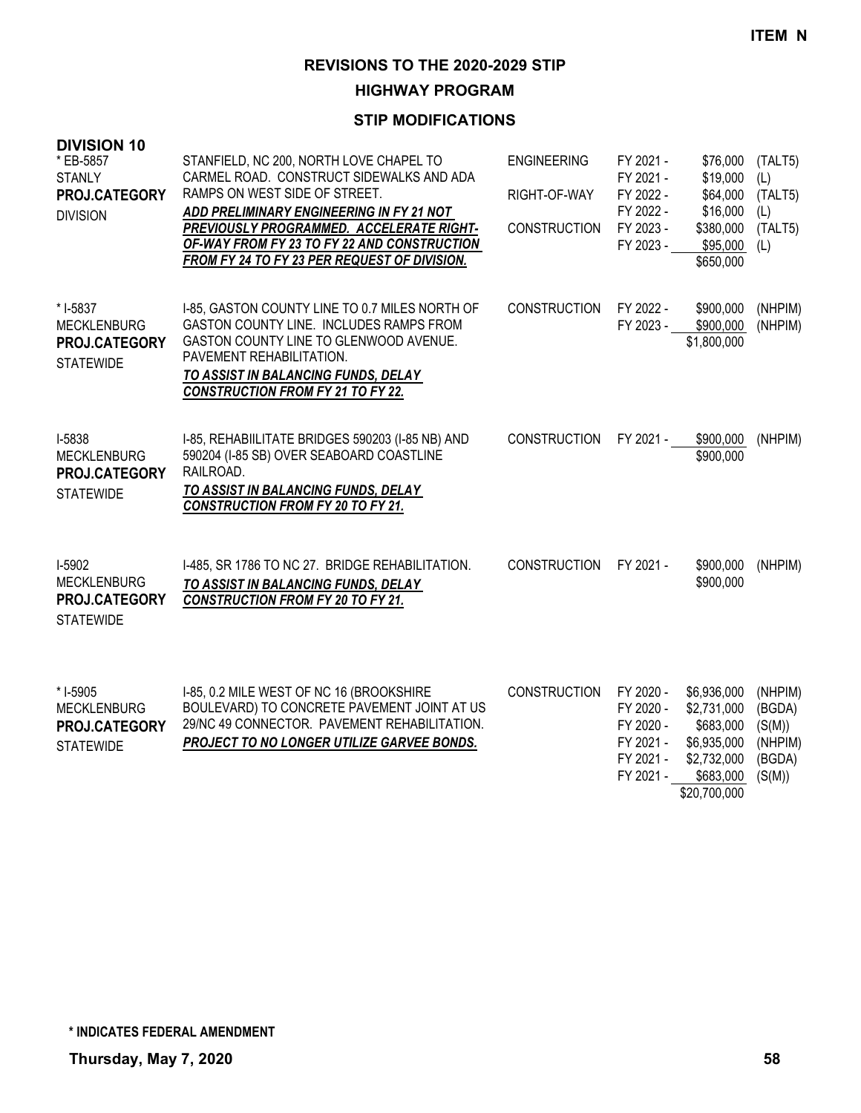**HIGHWAY PROGRAM**

| <b>DIVISION 10</b><br>* EB-5857<br><b>STANLY</b><br>PROJ.CATEGORY<br><b>DIVISION</b> | STANFIELD, NC 200, NORTH LOVE CHAPEL TO<br>CARMEL ROAD. CONSTRUCT SIDEWALKS AND ADA<br>RAMPS ON WEST SIDE OF STREET.<br>ADD PRELIMINARY ENGINEERING IN FY 21 NOT<br>PREVIOUSLY PROGRAMMED. ACCELERATE RIGHT-<br>OF-WAY FROM FY 23 TO FY 22 AND CONSTRUCTION<br>FROM FY 24 TO FY 23 PER REQUEST OF DIVISION. | <b>ENGINEERING</b><br>RIGHT-OF-WAY<br><b>CONSTRUCTION</b> | FY 2021 -<br>FY 2021 -<br>FY 2022 -<br>FY 2022 -<br>FY 2023 -<br>FY 2023 - | \$76,000<br>\$19,000<br>\$64,000<br>\$16,000<br>\$380,000<br>\$95,000<br>\$650,000                 | (TALT5)<br>(L)<br>(TALT5)<br>(L)<br>(TALT5)<br>(L)         |
|--------------------------------------------------------------------------------------|-------------------------------------------------------------------------------------------------------------------------------------------------------------------------------------------------------------------------------------------------------------------------------------------------------------|-----------------------------------------------------------|----------------------------------------------------------------------------|----------------------------------------------------------------------------------------------------|------------------------------------------------------------|
| * I-5837<br><b>MECKLENBURG</b><br><b>PROJ.CATEGORY</b><br><b>STATEWIDE</b>           | I-85, GASTON COUNTY LINE TO 0.7 MILES NORTH OF<br>GASTON COUNTY LINE. INCLUDES RAMPS FROM<br>GASTON COUNTY LINE TO GLENWOOD AVENUE.<br>PAVEMENT REHABILITATION.<br>TO ASSIST IN BALANCING FUNDS, DELAY<br><b>CONSTRUCTION FROM FY 21 TO FY 22.</b>                                                          | <b>CONSTRUCTION</b>                                       | FY 2022 -<br>FY 2023 -                                                     | \$900,000<br>\$900,000<br>\$1,800,000                                                              | (NHPIM)<br>(NHPIM)                                         |
| I-5838<br><b>MECKLENBURG</b><br>PROJ.CATEGORY<br><b>STATEWIDE</b>                    | I-85, REHABIILITATE BRIDGES 590203 (I-85 NB) AND<br>590204 (I-85 SB) OVER SEABOARD COASTLINE<br>RAILROAD.<br>TO ASSIST IN BALANCING FUNDS, DELAY<br><b>CONSTRUCTION FROM FY 20 TO FY 21.</b>                                                                                                                | <b>CONSTRUCTION</b>                                       | FY 2021 -                                                                  | \$900,000<br>\$900,000                                                                             | (NHPIM)                                                    |
| I-5902<br><b>MECKLENBURG</b><br><b>PROJ.CATEGORY</b><br><b>STATEWIDE</b>             | I-485, SR 1786 TO NC 27. BRIDGE REHABILITATION.<br>TO ASSIST IN BALANCING FUNDS, DELAY<br><b>CONSTRUCTION FROM FY 20 TO FY 21.</b>                                                                                                                                                                          | <b>CONSTRUCTION</b>                                       | FY 2021 -                                                                  | \$900,000<br>\$900,000                                                                             | (NHPIM)                                                    |
| * I-5905<br><b>MECKLENBURG</b><br>PROJ.CATEGORY<br><b>STATEWIDE</b>                  | I-85, 0.2 MILE WEST OF NC 16 (BROOKSHIRE<br>BOULEVARD) TO CONCRETE PAVEMENT JOINT AT US<br>29/NC 49 CONNECTOR. PAVEMENT REHABILITATION.<br>PROJECT TO NO LONGER UTILIZE GARVEE BONDS.                                                                                                                       | <b>CONSTRUCTION</b>                                       | FY 2020 -<br>FY 2020 -<br>FY 2020 -<br>FY 2021 -<br>FY 2021 -<br>FY 2021 - | \$6,936,000<br>\$2,731,000<br>\$683,000<br>\$6,935,000<br>\$2,732,000<br>\$683,000<br>\$20,700,000 | (NHPIM)<br>(BGDA)<br>(S(M))<br>(NHPIM)<br>(BGDA)<br>(S(M)) |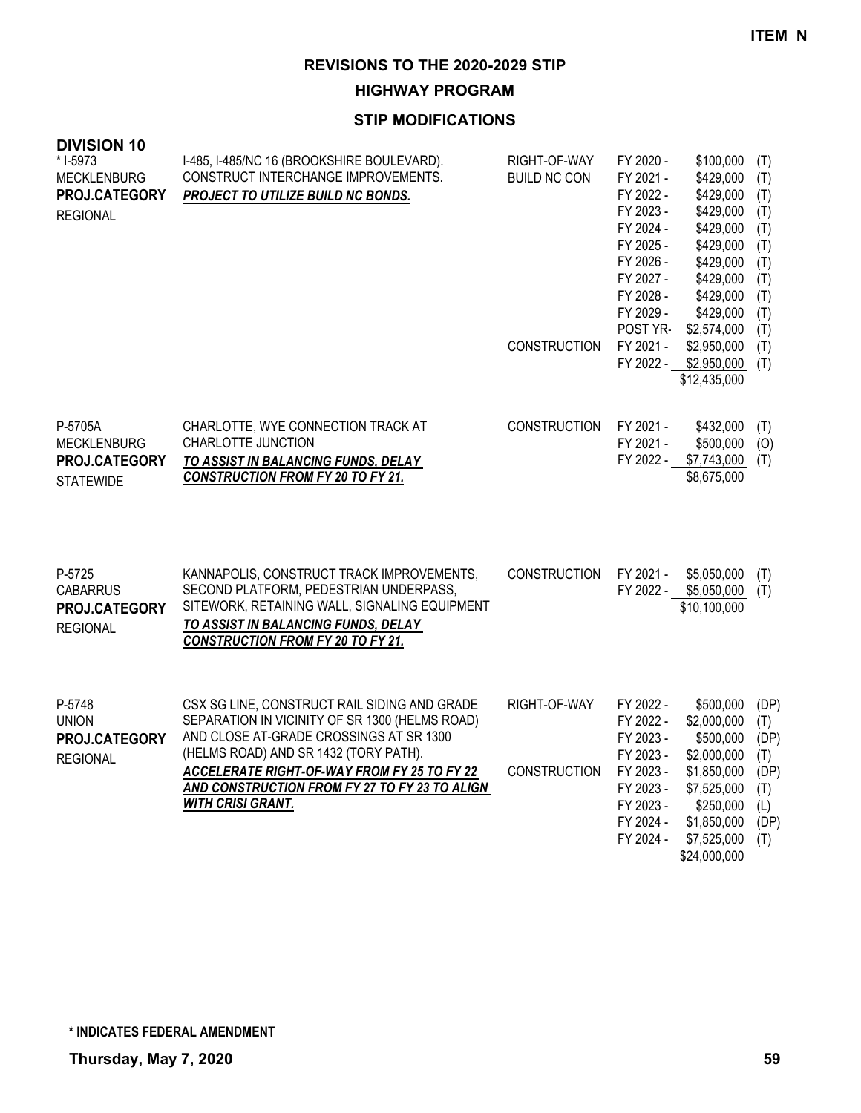**HIGHWAY PROGRAM**

| <b>DIVISION 10</b><br>* I-5973<br><b>MECKLENBURG</b><br>PROJ.CATEGORY<br><b>REGIONAL</b> | I-485, I-485/NC 16 (BROOKSHIRE BOULEVARD).<br>CONSTRUCT INTERCHANGE IMPROVEMENTS.<br>PROJECT TO UTILIZE BUILD NC BONDS.                                                                                                                                                                                               | RIGHT-OF-WAY<br><b>BUILD NC CON</b><br><b>CONSTRUCTION</b> | FY 2020 -<br>FY 2021 -<br>FY 2022 -<br>FY 2023 -<br>FY 2024 -<br>FY 2025 -<br>FY 2026 -<br>FY 2027 -<br>FY 2028 -<br>FY 2029 -<br>POST YR-<br>FY 2021 - | \$100,000<br>\$429,000<br>\$429,000<br>\$429,000<br>\$429,000<br>\$429,000<br>\$429,000<br>\$429,000<br>\$429,000<br>\$429,000<br>\$2,574,000<br>\$2,950,000<br>FY 2022 - \$2,950,000<br>\$12,435,000 | (T)<br>(T)<br>(T)<br>(T)<br>(T)<br>(T)<br>(T)<br>(T)<br>(T)<br>(T)<br>(T)<br>(T)<br>(T) |
|------------------------------------------------------------------------------------------|-----------------------------------------------------------------------------------------------------------------------------------------------------------------------------------------------------------------------------------------------------------------------------------------------------------------------|------------------------------------------------------------|---------------------------------------------------------------------------------------------------------------------------------------------------------|-------------------------------------------------------------------------------------------------------------------------------------------------------------------------------------------------------|-----------------------------------------------------------------------------------------|
| P-5705A<br><b>MECKLENBURG</b><br>PROJ.CATEGORY<br><b>STATEWIDE</b>                       | CHARLOTTE, WYE CONNECTION TRACK AT<br>CHARLOTTE JUNCTION<br>TO ASSIST IN BALANCING FUNDS, DELAY<br><b>CONSTRUCTION FROM FY 20 TO FY 21.</b>                                                                                                                                                                           | <b>CONSTRUCTION</b>                                        | FY 2021 -<br>FY 2021 -<br>FY 2022 -                                                                                                                     | \$432,000<br>\$500,000<br>\$7,743,000<br>\$8,675,000                                                                                                                                                  | (T)<br>(0)<br>(T)                                                                       |
| P-5725<br><b>CABARRUS</b><br>PROJ.CATEGORY<br><b>REGIONAL</b>                            | KANNAPOLIS, CONSTRUCT TRACK IMPROVEMENTS,<br>SECOND PLATFORM, PEDESTRIAN UNDERPASS,<br>SITEWORK, RETAINING WALL, SIGNALING EQUIPMENT<br>TO ASSIST IN BALANCING FUNDS, DELAY<br><b>CONSTRUCTION FROM FY 20 TO FY 21.</b>                                                                                               | <b>CONSTRUCTION</b>                                        | FY 2021 -                                                                                                                                               | \$5,050,000<br>FY 2022 - \$5,050,000<br>\$10,100,000                                                                                                                                                  | (T)<br>(T)                                                                              |
| P-5748<br><b>UNION</b><br>PROJ.CATEGORY<br><b>REGIONAL</b>                               | CSX SG LINE, CONSTRUCT RAIL SIDING AND GRADE<br>SEPARATION IN VICINITY OF SR 1300 (HELMS ROAD)<br>AND CLOSE AT-GRADE CROSSINGS AT SR 1300<br>(HELMS ROAD) AND SR 1432 (TORY PATH).<br><b>ACCELERATE RIGHT-OF-WAY FROM FY 25 TO FY 22</b><br>AND CONSTRUCTION FROM FY 27 TO FY 23 TO ALIGN<br><b>WITH CRISI GRANT.</b> | RIGHT-OF-WAY<br><b>CONSTRUCTION</b>                        | FY 2022 -<br>FY 2022 -<br>FY 2023 -<br>FY 2023 -<br>FY 2023 -<br>FY 2023 -<br>FY 2023 -<br>FY 2024 -<br>FY 2024 -                                       | \$500,000<br>\$2,000,000<br>\$500,000<br>\$2,000,000<br>\$1,850,000<br>\$7,525,000<br>\$250,000<br>\$1,850,000<br>\$7,525,000<br>\$24,000,000                                                         | (DP)<br>(T)<br>(DP)<br>(T)<br>(DP)<br>(T)<br>(L)<br>(DP)<br>(T)                         |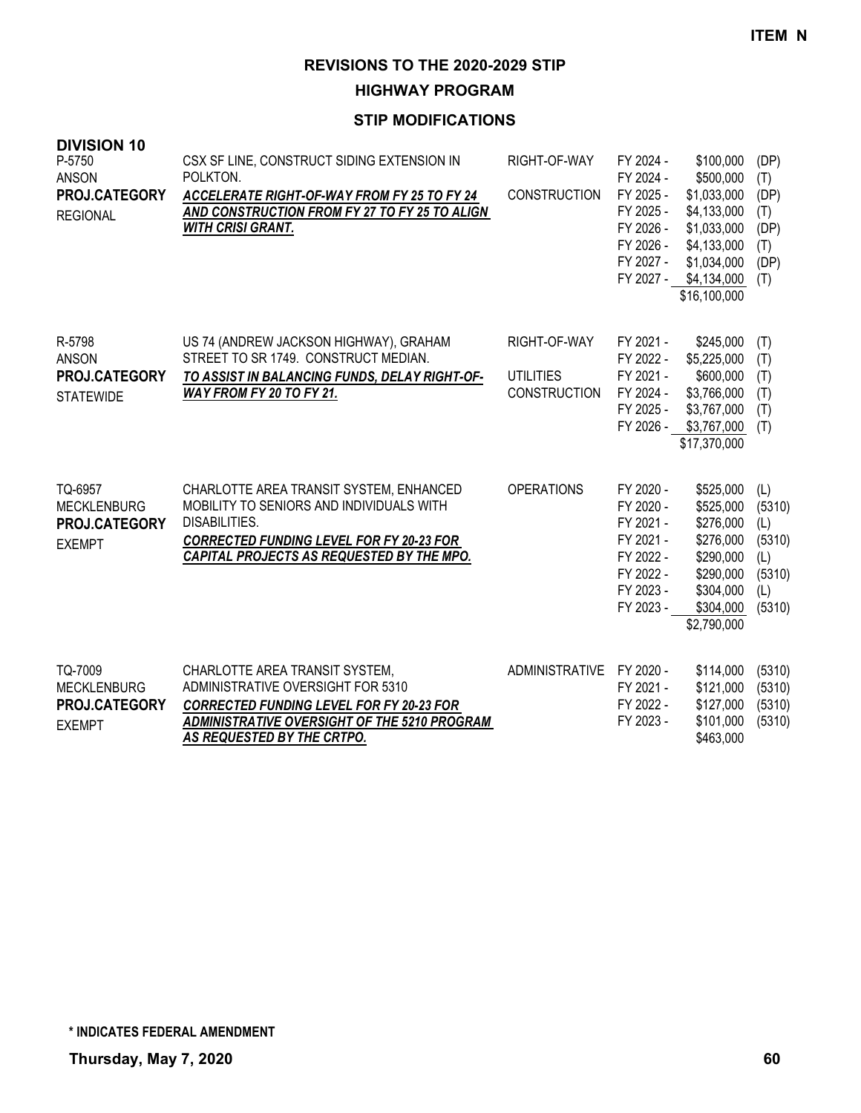**HIGHWAY PROGRAM**

| <b>DIVISION 10</b><br>P-5750<br><b>ANSON</b><br>PROJ.CATEGORY<br><b>REGIONAL</b> | CSX SF LINE, CONSTRUCT SIDING EXTENSION IN<br>POLKTON.<br>ACCELERATE RIGHT-OF-WAY FROM FY 25 TO FY 24<br>AND CONSTRUCTION FROM FY 27 TO FY 25 TO ALIGN<br><b>WITH CRISI GRANT.</b>                   | RIGHT-OF-WAY<br><b>CONSTRUCTION</b>                     | FY 2024 -<br>FY 2024 -<br>FY 2025 -<br>FY 2025 -<br>FY 2026 -<br>FY 2026 -<br>FY 2027 -<br>FY 2027 - | \$100,000<br>\$500,000<br>\$1,033,000<br>\$4,133,000<br>\$1,033,000<br>\$4,133,000<br>\$1,034,000<br>\$4,134,000<br>\$16,100,000 | (DP)<br>(T)<br>(DP)<br>(T)<br>(DP)<br>(T)<br>(DP)<br>(T)         |
|----------------------------------------------------------------------------------|------------------------------------------------------------------------------------------------------------------------------------------------------------------------------------------------------|---------------------------------------------------------|------------------------------------------------------------------------------------------------------|----------------------------------------------------------------------------------------------------------------------------------|------------------------------------------------------------------|
| R-5798<br><b>ANSON</b><br>PROJ.CATEGORY<br><b>STATEWIDE</b>                      | US 74 (ANDREW JACKSON HIGHWAY), GRAHAM<br>STREET TO SR 1749. CONSTRUCT MEDIAN.<br>TO ASSIST IN BALANCING FUNDS, DELAY RIGHT-OF-<br>WAY FROM FY 20 TO FY 21.                                          | RIGHT-OF-WAY<br><b>UTILITIES</b><br><b>CONSTRUCTION</b> | FY 2021 -<br>FY 2022 -<br>FY 2021 -<br>FY 2024 -<br>FY 2025 -<br>FY 2026 -                           | \$245,000<br>\$5,225,000<br>\$600,000<br>\$3,766,000<br>\$3,767,000<br>\$3,767,000<br>\$17,370,000                               | (T)<br>(T)<br>(T)<br>(T)<br>(T)<br>(T)                           |
| TQ-6957<br><b>MECKLENBURG</b><br>PROJ.CATEGORY<br><b>EXEMPT</b>                  | CHARLOTTE AREA TRANSIT SYSTEM, ENHANCED<br>MOBILITY TO SENIORS AND INDIVIDUALS WITH<br>DISABILITIES.<br><b>CORRECTED FUNDING LEVEL FOR FY 20-23 FOR</b><br>CAPITAL PROJECTS AS REQUESTED BY THE MPO. | <b>OPERATIONS</b>                                       | FY 2020 -<br>FY 2020 -<br>FY 2021 -<br>FY 2021 -<br>FY 2022 -<br>FY 2022 -<br>FY 2023 -<br>FY 2023 - | \$525,000<br>\$525,000<br>\$276,000<br>\$276,000<br>\$290,000<br>\$290,000<br>\$304,000<br>\$304,000<br>\$2,790,000              | (L)<br>(5310)<br>(L)<br>(5310)<br>(L)<br>(5310)<br>(L)<br>(5310) |
| TQ-7009<br><b>MECKLENBURG</b><br><b>PROJ.CATEGORY</b><br><b>EXEMPT</b>           | CHARLOTTE AREA TRANSIT SYSTEM,<br>ADMINISTRATIVE OVERSIGHT FOR 5310<br><b>CORRECTED FUNDING LEVEL FOR FY 20-23 FOR</b><br>ADMINISTRATIVE OVERSIGHT OF THE 5210 PROGRAM<br>AS REQUESTED BY THE CRTPO. | ADMINISTRATIVE FY 2020 -                                | FY 2021 -<br>FY 2022 -<br>FY 2023 -                                                                  | \$114,000<br>\$121,000<br>\$127,000<br>\$101,000<br>\$463,000                                                                    | (5310)<br>(5310)<br>(5310)<br>(5310)                             |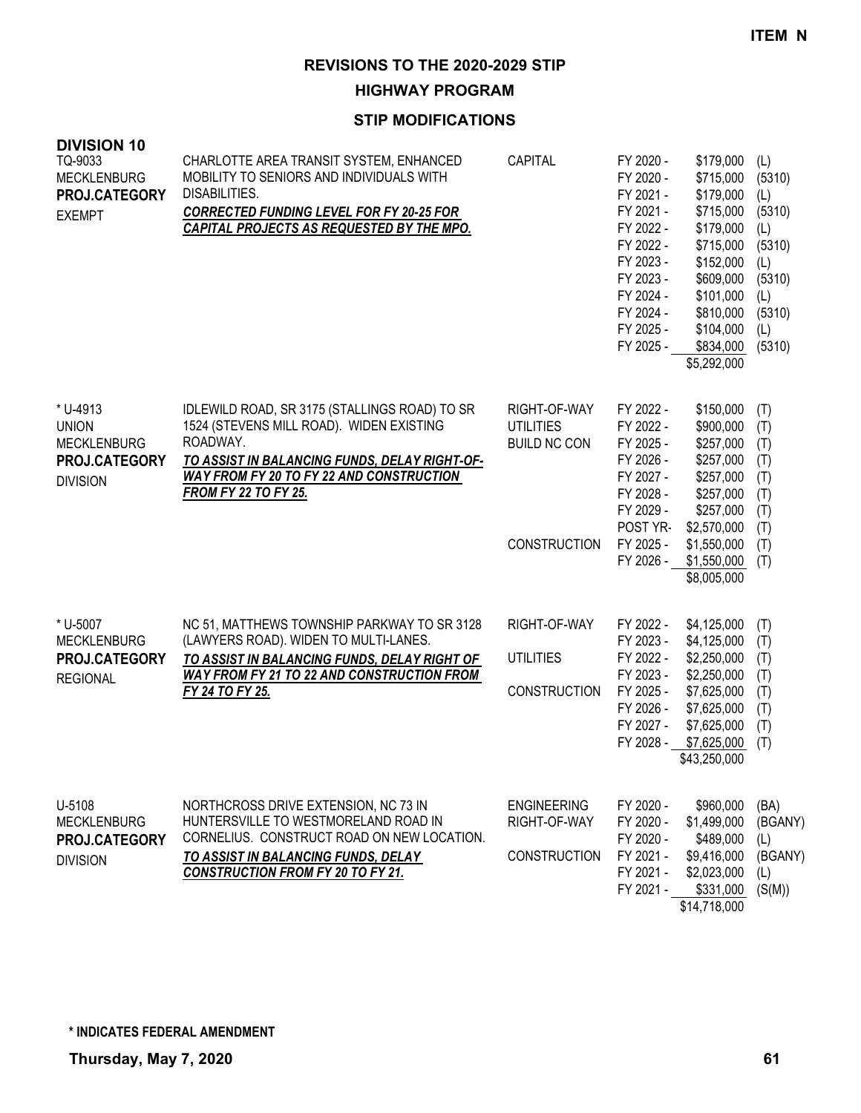**HIGHWAY PROGRAM**

| <b>DIVISION 10</b><br>TQ-9033<br><b>MECKLENBURG</b><br>PROJ.CATEGORY<br><b>EXEMPT</b> | CHARLOTTE AREA TRANSIT SYSTEM, ENHANCED<br>MOBILITY TO SENIORS AND INDIVIDUALS WITH<br>DISABILITIES.<br><b>CORRECTED FUNDING LEVEL FOR FY 20-25 FOR</b><br>CAPITAL PROJECTS AS REQUESTED BY THE MPO.                              | CAPITAL                                                                        | FY 2020 -<br>FY 2020 -<br>FY 2021 -<br>FY 2021 -<br>FY 2022 -<br>FY 2022 -<br>FY 2023 -<br>FY 2023 -<br>FY 2024 -<br>FY 2024 -<br>FY 2025 -<br>FY 2025 - | \$179,000<br>\$715,000<br>\$179,000<br>\$715,000<br>\$179,000<br>\$715,000<br>\$152,000<br>\$609,000<br>\$101,000<br>\$810,000<br>\$104,000<br>\$834,000<br>\$5,292,000 | (L)<br>(5310)<br>(L)<br>(5310)<br>(L)<br>(5310)<br>(L)<br>(5310)<br>(L)<br>(5310)<br>(L)<br>(5310) |
|---------------------------------------------------------------------------------------|-----------------------------------------------------------------------------------------------------------------------------------------------------------------------------------------------------------------------------------|--------------------------------------------------------------------------------|----------------------------------------------------------------------------------------------------------------------------------------------------------|-------------------------------------------------------------------------------------------------------------------------------------------------------------------------|----------------------------------------------------------------------------------------------------|
| * U-4913<br><b>UNION</b><br><b>MECKLENBURG</b><br>PROJ.CATEGORY<br><b>DIVISION</b>    | IDLEWILD ROAD, SR 3175 (STALLINGS ROAD) TO SR<br>1524 (STEVENS MILL ROAD). WIDEN EXISTING<br>ROADWAY.<br>TO ASSIST IN BALANCING FUNDS, DELAY RIGHT-OF-<br>WAY FROM FY 20 TO FY 22 AND CONSTRUCTION<br><b>FROM FY 22 TO FY 25.</b> | RIGHT-OF-WAY<br><b>UTILITIES</b><br><b>BUILD NC CON</b><br><b>CONSTRUCTION</b> | FY 2022 -<br>FY 2022 -<br>FY 2025 -<br>FY 2026 -<br>FY 2027 -<br>FY 2028 -<br>FY 2029 -<br>POST YR-<br>FY 2025 -                                         | \$150,000<br>\$900,000<br>\$257,000<br>\$257,000<br>\$257,000<br>\$257,000<br>\$257,000<br>\$2,570,000<br>\$1,550,000                                                   | (T)<br>(T)<br>(T)<br>(T)<br>(T)<br>(T)<br>(T)<br>(T)<br>(T)                                        |
| * U-5007<br><b>MECKLENBURG</b><br>PROJ.CATEGORY<br><b>REGIONAL</b>                    | NC 51, MATTHEWS TOWNSHIP PARKWAY TO SR 3128<br>(LAWYERS ROAD). WIDEN TO MULTI-LANES.<br>TO ASSIST IN BALANCING FUNDS, DELAY RIGHT OF<br><b>WAY FROM FY 21 TO 22 AND CONSTRUCTION FROM</b><br>FY 24 TO FY 25.                      | RIGHT-OF-WAY<br><b>UTILITIES</b><br><b>CONSTRUCTION</b>                        | FY 2026 -<br>FY 2022 -<br>FY 2023 -<br>FY 2022 -<br>FY 2023 -<br>FY 2025 -<br>FY 2026 -<br>FY 2027 -<br>FY 2028 -                                        | \$1,550,000<br>\$8,005,000<br>\$4,125,000<br>\$4,125,000<br>\$2,250,000<br>\$2,250,000<br>\$7,625,000<br>\$7,625,000<br>\$7,625,000<br>\$7,625,000<br>\$43,250,000      | (T)<br>(T)<br>(T)<br>(T)<br>(T)<br>(T)<br>(T)<br>(T)<br>(T)                                        |
| U-5108<br><b>MECKLENBURG</b><br>PROJ.CATEGORY<br><b>DIVISION</b>                      | NORTHCROSS DRIVE EXTENSION, NC 73 IN<br>HUNTERSVILLE TO WESTMORELAND ROAD IN<br>CORNELIUS. CONSTRUCT ROAD ON NEW LOCATION.<br><b>TO ASSIST IN BALANCING FUNDS, DELAY</b><br><b>CONSTRUCTION FROM FY 20 TO FY 21.</b>              | <b>ENGINEERING</b><br>RIGHT-OF-WAY<br><b>CONSTRUCTION</b>                      | FY 2020 -<br>FY 2020 -<br>FY 2020 -<br>FY 2021 -<br>FY 2021 -<br>FY 2021 -                                                                               | \$960,000<br>\$1,499,000<br>\$489,000<br>\$9,416,000<br>\$2,023,000<br>\$331,000<br>\$14,718,000                                                                        | (BA)<br>(BGANY)<br>(L)<br>(BGANY)<br>(L)<br>(S(M))                                                 |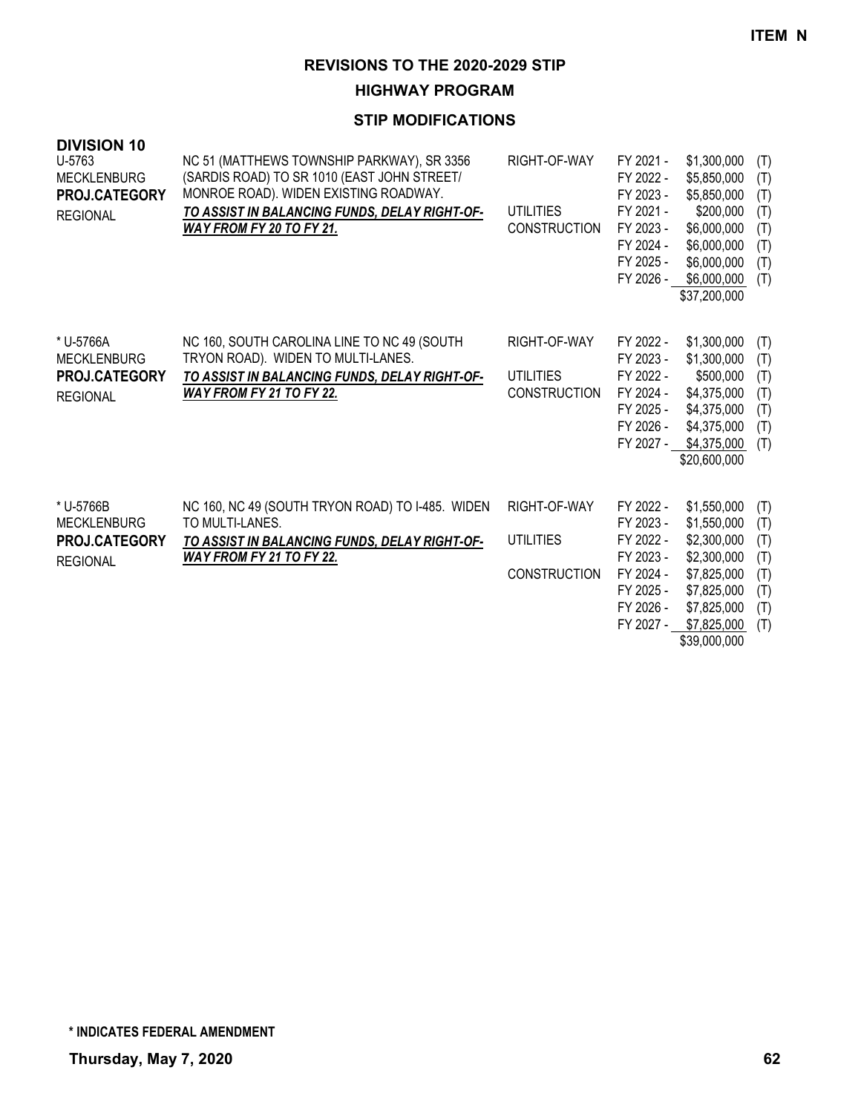# **HIGHWAY PROGRAM**

| <b>DIVISION 10</b><br>U-5763<br><b>MECKLENBURG</b><br>PROJ.CATEGORY<br><b>REGIONAL</b> | NC 51 (MATTHEWS TOWNSHIP PARKWAY), SR 3356<br>(SARDIS ROAD) TO SR 1010 (EAST JOHN STREET/<br>MONROE ROAD). WIDEN EXISTING ROADWAY.<br>TO ASSIST IN BALANCING FUNDS, DELAY RIGHT-OF-<br>WAY FROM FY 20 TO FY 21. | RIGHT-OF-WAY<br><b>UTILITIES</b><br><b>CONSTRUCTION</b> | FY 2021 -<br>FY 2022 -<br>FY 2023 -<br>FY 2021 -<br>FY 2023 -<br>FY 2024 -<br>FY 2025 -<br>FY 2026 - | \$1,300,000<br>\$5,850,000<br>\$5,850,000<br>\$200,000<br>\$6,000,000<br>\$6,000,000<br>\$6,000,000<br>\$6,000,000<br>\$37,200,000   | (T)<br>(T)<br>(T)<br>(T)<br>(T)<br>(T)<br>(T)<br>(T) |
|----------------------------------------------------------------------------------------|-----------------------------------------------------------------------------------------------------------------------------------------------------------------------------------------------------------------|---------------------------------------------------------|------------------------------------------------------------------------------------------------------|--------------------------------------------------------------------------------------------------------------------------------------|------------------------------------------------------|
| * U-5766A<br><b>MECKLENBURG</b><br><b>PROJ.CATEGORY</b><br><b>REGIONAL</b>             | NC 160, SOUTH CAROLINA LINE TO NC 49 (SOUTH<br>TRYON ROAD). WIDEN TO MULTI-LANES.<br>TO ASSIST IN BALANCING FUNDS, DELAY RIGHT-OF-<br>WAY FROM FY 21 TO FY 22.                                                  | RIGHT-OF-WAY<br>UTILITIES<br><b>CONSTRUCTION</b>        | FY 2022 -<br>FY 2023 -<br>FY 2022 -<br>FY 2024 -<br>FY 2025 -<br>FY 2026 -<br>FY 2027 -              | \$1,300,000<br>\$1,300,000<br>\$500,000<br>\$4,375,000<br>\$4,375,000<br>\$4,375,000<br>\$4,375,000<br>\$20,600,000                  | (T)<br>(T)<br>(T)<br>(T)<br>(T)<br>(T)<br>(T)        |
| * U-5766B<br><b>MECKLENBURG</b><br>PROJ.CATEGORY<br><b>REGIONAL</b>                    | NC 160, NC 49 (SOUTH TRYON ROAD) TO I-485. WIDEN<br>TO MULTI-LANES.<br>TO ASSIST IN BALANCING FUNDS, DELAY RIGHT-OF-<br>WAY FROM FY 21 TO FY 22.                                                                | RIGHT-OF-WAY<br><b>UTILITIES</b><br><b>CONSTRUCTION</b> | FY 2022 -<br>FY 2023 -<br>FY 2022 -<br>FY 2023 -<br>FY 2024 -<br>FY 2025 -<br>FY 2026 -<br>FY 2027 - | \$1,550,000<br>\$1,550,000<br>\$2,300,000<br>\$2,300,000<br>\$7,825,000<br>\$7,825,000<br>\$7,825,000<br>\$7,825,000<br>\$39,000,000 | (T)<br>(T)<br>(T)<br>(T)<br>(T)<br>(T)<br>(T)<br>(T) |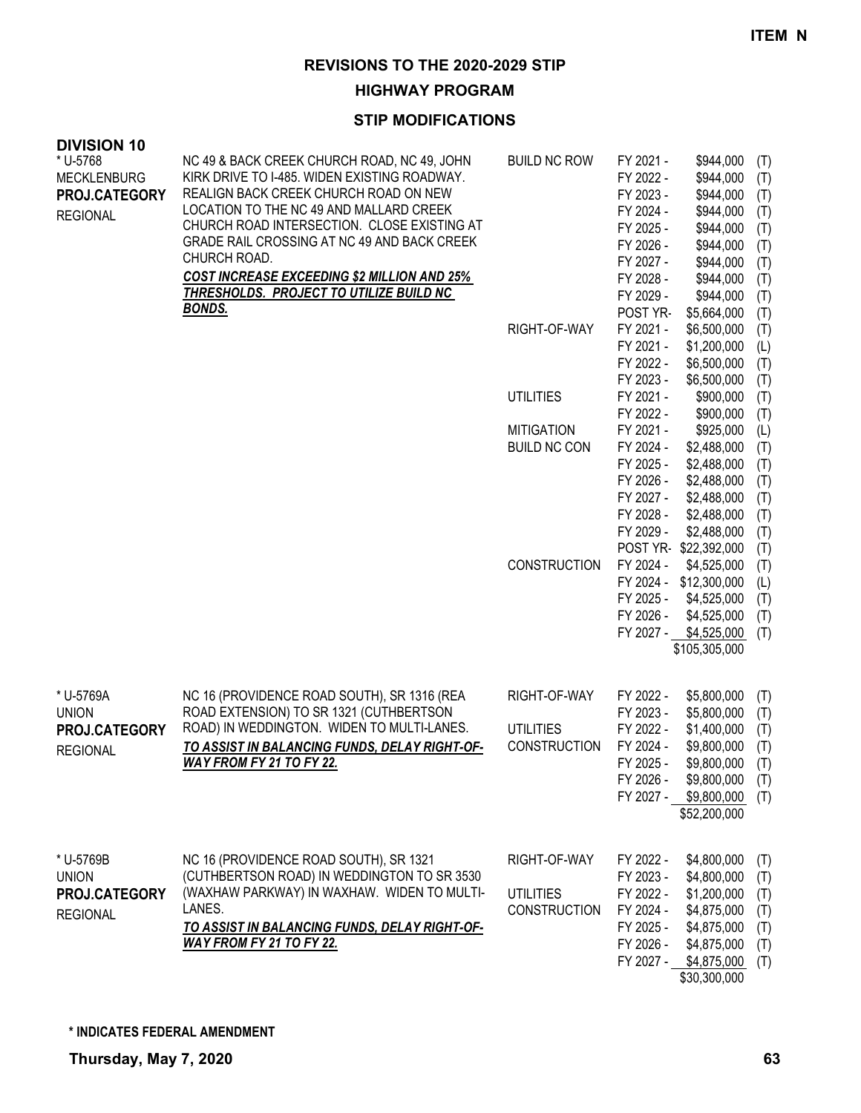**HIGHWAY PROGRAM**

| <b>DIVISION 10</b>             |                                                                                             |                     |                        |                           |            |
|--------------------------------|---------------------------------------------------------------------------------------------|---------------------|------------------------|---------------------------|------------|
| * U-5768<br><b>MECKLENBURG</b> | NC 49 & BACK CREEK CHURCH ROAD, NC 49, JOHN<br>KIRK DRIVE TO I-485. WIDEN EXISTING ROADWAY. | <b>BUILD NC ROW</b> | FY 2021 -<br>FY 2022 - | \$944,000<br>\$944,000    | (T)<br>(T) |
| PROJ.CATEGORY                  | REALIGN BACK CREEK CHURCH ROAD ON NEW                                                       |                     | FY 2023 -              | \$944,000                 | (T)        |
| <b>REGIONAL</b>                | LOCATION TO THE NC 49 AND MALLARD CREEK                                                     |                     | FY 2024 -              | \$944,000                 | (T)        |
|                                | CHURCH ROAD INTERSECTION. CLOSE EXISTING AT                                                 |                     | FY 2025 -              | \$944,000                 | (T)        |
|                                | GRADE RAIL CROSSING AT NC 49 AND BACK CREEK                                                 |                     | FY 2026 -              | \$944,000                 | (T)        |
|                                | CHURCH ROAD.                                                                                |                     | FY 2027 -              | \$944,000                 | (T)        |
|                                | <b>COST INCREASE EXCEEDING \$2 MILLION AND 25%</b>                                          |                     | FY 2028 -              | \$944,000                 | (T)        |
|                                | THRESHOLDS. PROJECT TO UTILIZE BUILD NC                                                     |                     | FY 2029 -              | \$944,000                 | (T)        |
|                                | <b>BONDS.</b>                                                                               |                     | POST YR-               | \$5,664,000               | (T)        |
|                                |                                                                                             | RIGHT-OF-WAY        | FY 2021 -              | \$6,500,000               | (T)        |
|                                |                                                                                             |                     | FY 2021 -              | \$1,200,000               | (L)        |
|                                |                                                                                             |                     | FY 2022 -              | \$6,500,000               | (T)        |
|                                |                                                                                             |                     | FY 2023 -              | \$6,500,000               | (T)        |
|                                |                                                                                             | <b>UTILITIES</b>    | FY 2021 -              | \$900,000                 | (T)        |
|                                |                                                                                             |                     | FY 2022 -              | \$900,000                 | (T)        |
|                                |                                                                                             | <b>MITIGATION</b>   | FY 2021 -              | \$925,000                 | (L)        |
|                                |                                                                                             | <b>BUILD NC CON</b> | FY 2024 -              | \$2,488,000               | (T)        |
|                                |                                                                                             |                     | FY 2025 -              | \$2,488,000               | (T)        |
|                                |                                                                                             |                     | FY 2026 -              | \$2,488,000               | (T)        |
|                                |                                                                                             |                     | FY 2027 -              | \$2,488,000               | (T)        |
|                                |                                                                                             |                     | FY 2028 -              | \$2,488,000               | (T)        |
|                                |                                                                                             |                     | FY 2029 -              | \$2,488,000               | (T)        |
|                                |                                                                                             |                     |                        | POST YR-\$22,392,000      | (T)        |
|                                |                                                                                             | <b>CONSTRUCTION</b> | FY 2024 -              | \$4,525,000               | (T)        |
|                                |                                                                                             |                     | FY 2024 -              | \$12,300,000              | (L)        |
|                                |                                                                                             |                     | FY 2025 -              | \$4,525,000               | (T)        |
|                                |                                                                                             |                     | FY 2026 -              | \$4,525,000               | (T)        |
|                                |                                                                                             |                     | FY 2027 -              | \$4,525,000               | (T)        |
|                                |                                                                                             |                     |                        | \$105,305,000             |            |
| * U-5769A                      | NC 16 (PROVIDENCE ROAD SOUTH), SR 1316 (REA                                                 | RIGHT-OF-WAY        | FY 2022 -              | \$5,800,000               | (T)        |
| <b>UNION</b>                   | ROAD EXTENSION) TO SR 1321 (CUTHBERTSON                                                     |                     | FY 2023 -              | \$5,800,000               | (T)        |
| PROJ.CATEGORY                  | ROAD) IN WEDDINGTON. WIDEN TO MULTI-LANES.                                                  | <b>UTILITIES</b>    | FY 2022 -              | \$1,400,000               | (T)        |
| <b>REGIONAL</b>                | TO ASSIST IN BALANCING FUNDS, DELAY RIGHT-OF-                                               | <b>CONSTRUCTION</b> | FY 2024 -              | \$9,800,000               | (T)        |
|                                | WAY FROM FY 21 TO FY 22.                                                                    |                     |                        | FY 2025 - \$9,800,000 (T) |            |
|                                |                                                                                             |                     | FY 2026 -              | \$9,800,000               | (T)        |
|                                |                                                                                             |                     |                        | FY 2027 - \$9,800,000     | (T)        |
|                                |                                                                                             |                     |                        | \$52,200,000              |            |
| * U-5769B                      | NC 16 (PROVIDENCE ROAD SOUTH), SR 1321                                                      | RIGHT-OF-WAY        | FY 2022 -              | \$4,800,000               | (T)        |
| <b>UNION</b>                   | (CUTHBERTSON ROAD) IN WEDDINGTON TO SR 3530                                                 |                     | FY 2023 -              | \$4,800,000               | (T)        |
| PROJ.CATEGORY                  | (WAXHAW PARKWAY) IN WAXHAW. WIDEN TO MULTI-                                                 | <b>UTILITIES</b>    | FY 2022 -              | \$1,200,000               | (T)        |
| <b>REGIONAL</b>                | LANES.                                                                                      | <b>CONSTRUCTION</b> | FY 2024 -              | \$4,875,000               | (T)        |
|                                | TO ASSIST IN BALANCING FUNDS, DELAY RIGHT-OF-                                               |                     | FY 2025 -              | \$4,875,000               | (T)        |
|                                | WAY FROM FY 21 TO FY 22.                                                                    |                     | FY 2026 -              | \$4,875,000               | (T)        |
|                                |                                                                                             |                     | FY 2027 -              | \$4,875,000               | (T)        |
|                                |                                                                                             |                     |                        | \$30,300,000              |            |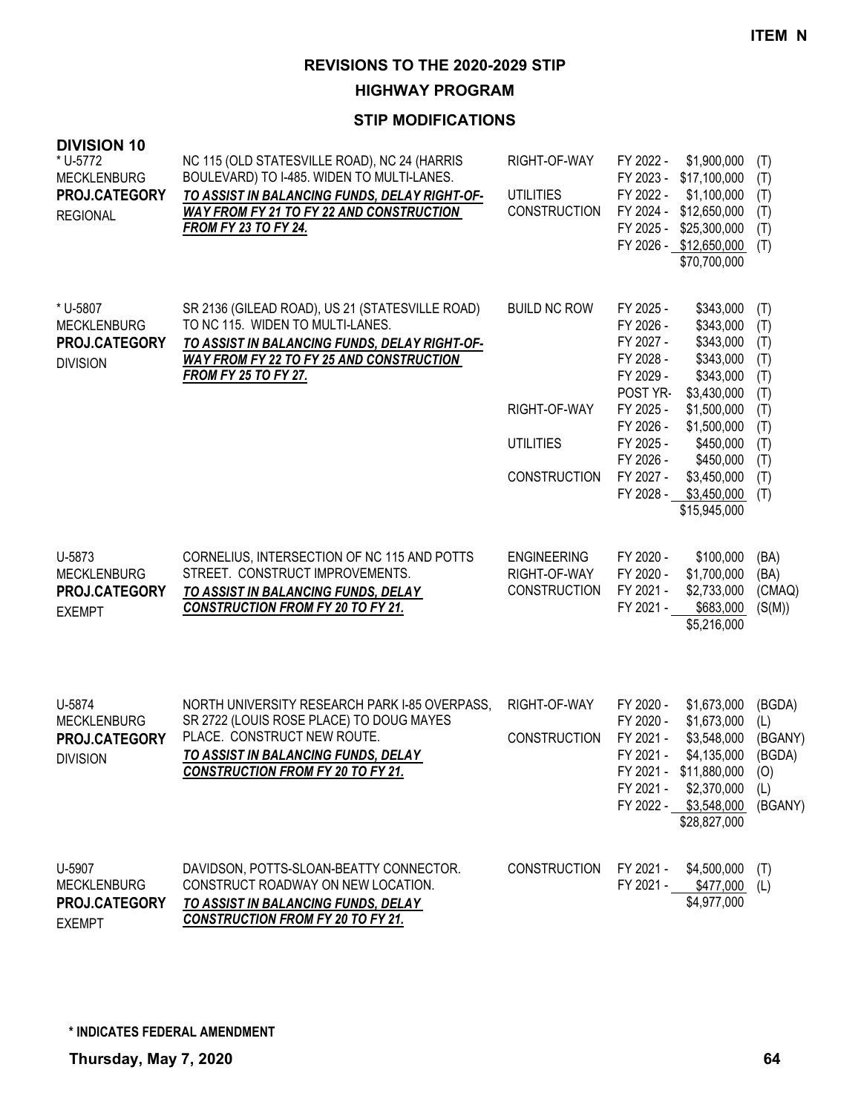**HIGHWAY PROGRAM**

| <b>DIVISION 10</b><br>* U-5772<br><b>MECKLENBURG</b><br>PROJ.CATEGORY<br><b>REGIONAL</b> | NC 115 (OLD STATESVILLE ROAD), NC 24 (HARRIS<br>BOULEVARD) TO I-485. WIDEN TO MULTI-LANES.<br>TO ASSIST IN BALANCING FUNDS, DELAY RIGHT-OF-<br><b>WAY FROM FY 21 TO FY 22 AND CONSTRUCTION</b><br><b>FROM FY 23 TO FY 24.</b> | RIGHT-OF-WAY<br><b>UTILITIES</b><br><b>CONSTRUCTION</b>                        | FY 2022 -<br>FY 2023 -<br>FY 2022 -<br>FY 2024 -<br>FY 2025 -                                                                                           | \$1,900,000<br>\$17,100,000<br>\$1,100,000<br>\$12,650,000<br>\$25,300,000<br>FY 2026 - \$12,650,000<br>\$70,700,000                                                               | (T)<br>(T)<br>(T)<br>(T)<br>(T)<br>(T)                                           |
|------------------------------------------------------------------------------------------|-------------------------------------------------------------------------------------------------------------------------------------------------------------------------------------------------------------------------------|--------------------------------------------------------------------------------|---------------------------------------------------------------------------------------------------------------------------------------------------------|------------------------------------------------------------------------------------------------------------------------------------------------------------------------------------|----------------------------------------------------------------------------------|
| * U-5807<br><b>MECKLENBURG</b><br>PROJ.CATEGORY<br><b>DIVISION</b>                       | SR 2136 (GILEAD ROAD), US 21 (STATESVILLE ROAD)<br>TO NC 115. WIDEN TO MULTI-LANES.<br>TO ASSIST IN BALANCING FUNDS, DELAY RIGHT-OF-<br>WAY FROM FY 22 TO FY 25 AND CONSTRUCTION<br><b>FROM FY 25 TO FY 27.</b>               | <b>BUILD NC ROW</b><br>RIGHT-OF-WAY<br><b>UTILITIES</b><br><b>CONSTRUCTION</b> | FY 2025 -<br>FY 2026 -<br>FY 2027 -<br>FY 2028 -<br>FY 2029 -<br>POST YR-<br>FY 2025 -<br>FY 2026 -<br>FY 2025 -<br>FY 2026 -<br>FY 2027 -<br>FY 2028 - | \$343,000<br>\$343,000<br>\$343,000<br>\$343,000<br>\$343,000<br>\$3,430,000<br>\$1,500,000<br>\$1,500,000<br>\$450,000<br>\$450,000<br>\$3,450,000<br>\$3,450,000<br>\$15,945,000 | (T)<br>(T)<br>(T)<br>(T)<br>(T)<br>(T)<br>(T)<br>(T)<br>(T)<br>(T)<br>(T)<br>(T) |
| U-5873<br><b>MECKLENBURG</b><br>PROJ.CATEGORY<br><b>EXEMPT</b>                           | CORNELIUS, INTERSECTION OF NC 115 AND POTTS<br>STREET. CONSTRUCT IMPROVEMENTS.<br>TO ASSIST IN BALANCING FUNDS, DELAY<br><b>CONSTRUCTION FROM FY 20 TO FY 21.</b>                                                             | <b>ENGINEERING</b><br>RIGHT-OF-WAY<br><b>CONSTRUCTION</b>                      | FY 2020 -<br>FY 2020 -<br>FY 2021 -<br>FY 2021 -                                                                                                        | \$100,000<br>\$1,700,000<br>\$2,733,000<br>\$683,000<br>\$5,216,000                                                                                                                | (BA)<br>(BA)<br>(CMAQ)<br>(S(M))                                                 |
| U-5874<br><b>MECKLENBURG</b><br>PROJ.CATEGORY<br><b>DIVISION</b>                         | NORTH UNIVERSITY RESEARCH PARK I-85 OVERPASS,<br>SR 2722 (LOUIS ROSE PLACE) TO DOUG MAYES<br>PLACE. CONSTRUCT NEW ROUTE.<br>TO ASSIST IN BALANCING FUNDS, DELAY<br><b>CONSTRUCTION FROM FY 20 TO FY 21.</b>                   | RIGHT-OF-WAY<br><b>CONSTRUCTION</b>                                            | FY 2020 -<br>FY 2020 -<br>FY 2021 -<br>FY 2021 -<br>FY 2021 -                                                                                           | \$1,673,000<br>\$1,673,000<br>\$3,548,000<br>\$4,135,000<br>FY 2021 - \$11,880,000<br>\$2,370,000<br>FY 2022 - \$3,548,000<br>\$28,827,000                                         | (BGDA)<br>(L)<br>(BGANY)<br>(BGDA)<br>(0)<br>(L)<br>(BGANY)                      |
| U-5907<br><b>MECKLENBURG</b><br>PROJ.CATEGORY<br><b>EXEMPT</b>                           | DAVIDSON, POTTS-SLOAN-BEATTY CONNECTOR.<br>CONSTRUCT ROADWAY ON NEW LOCATION.<br>TO ASSIST IN BALANCING FUNDS, DELAY<br><b>CONSTRUCTION FROM FY 20 TO FY 21.</b>                                                              | <b>CONSTRUCTION</b>                                                            | FY 2021 -<br>FY 2021 -                                                                                                                                  | \$4,500,000<br>\$477,000<br>\$4,977,000                                                                                                                                            | (T)<br>(L)                                                                       |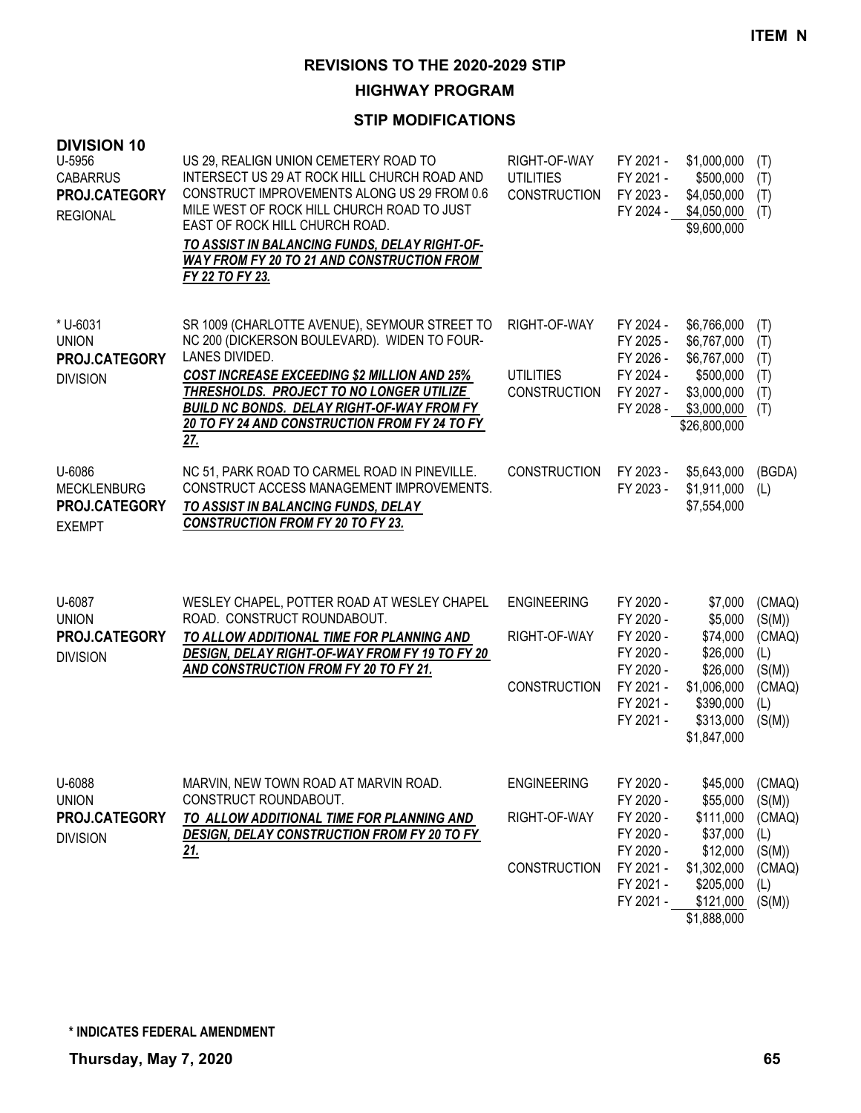**HIGHWAY PROGRAM**

## **STIP MODIFICATIONS**

| <b>DIVISION 10</b><br>U-5956<br><b>CABARRUS</b><br>PROJ.CATEGORY<br><b>REGIONAL</b> | US 29, REALIGN UNION CEMETERY ROAD TO<br>INTERSECT US 29 AT ROCK HILL CHURCH ROAD AND<br>CONSTRUCT IMPROVEMENTS ALONG US 29 FROM 0.6<br>MILE WEST OF ROCK HILL CHURCH ROAD TO JUST<br>EAST OF ROCK HILL CHURCH ROAD.<br>TO ASSIST IN BALANCING FUNDS, DELAY RIGHT-OF-<br><b>WAY FROM FY 20 TO 21 AND CONSTRUCTION FROM</b><br>FY 22 TO FY 23. | RIGHT-OF-WAY<br><b>UTILITIES</b><br><b>CONSTRUCTION</b>   | FY 2021 -<br>FY 2021 -<br>FY 2023 -<br>FY 2024 -                                                     | \$1,000,000<br>\$500,000<br>\$4,050,000<br>\$4,050,000<br>\$9,600,000                                          | (T)<br>(T)<br>(T)<br>(T)                                               |
|-------------------------------------------------------------------------------------|-----------------------------------------------------------------------------------------------------------------------------------------------------------------------------------------------------------------------------------------------------------------------------------------------------------------------------------------------|-----------------------------------------------------------|------------------------------------------------------------------------------------------------------|----------------------------------------------------------------------------------------------------------------|------------------------------------------------------------------------|
| * U-6031<br><b>UNION</b><br>PROJ.CATEGORY<br><b>DIVISION</b>                        | SR 1009 (CHARLOTTE AVENUE), SEYMOUR STREET TO<br>NC 200 (DICKERSON BOULEVARD). WIDEN TO FOUR-<br>LANES DIVIDED.<br><b>COST INCREASE EXCEEDING \$2 MILLION AND 25%</b><br>THRESHOLDS. PROJECT TO NO LONGER UTILIZE<br><b>BUILD NC BONDS. DELAY RIGHT-OF-WAY FROM FY</b><br>20 TO FY 24 AND CONSTRUCTION FROM FY 24 TO FY<br><u>27.</u>         | RIGHT-OF-WAY<br><b>UTILITIES</b><br><b>CONSTRUCTION</b>   | FY 2024 -<br>FY 2025 -<br>FY 2026 -<br>FY 2024 -<br>FY 2027 -<br>FY 2028 -                           | \$6,766,000<br>\$6,767,000<br>\$6,767,000<br>\$500,000<br>\$3,000,000<br>\$3,000,000<br>\$26,800,000           | (T)<br>(T)<br>(T)<br>(T)<br>(T)<br>(T)                                 |
| U-6086<br><b>MECKLENBURG</b><br>PROJ.CATEGORY<br><b>EXEMPT</b>                      | NC 51, PARK ROAD TO CARMEL ROAD IN PINEVILLE.<br>CONSTRUCT ACCESS MANAGEMENT IMPROVEMENTS.<br>TO ASSIST IN BALANCING FUNDS, DELAY<br><b>CONSTRUCTION FROM FY 20 TO FY 23.</b>                                                                                                                                                                 | <b>CONSTRUCTION</b>                                       | FY 2023 -<br>FY 2023 -                                                                               | \$5,643,000<br>\$1,911,000<br>\$7,554,000                                                                      | (BGDA)<br>(L)                                                          |
| U-6087<br><b>UNION</b><br>PROJ.CATEGORY<br><b>DIVISION</b>                          | WESLEY CHAPEL, POTTER ROAD AT WESLEY CHAPEL<br>ROAD. CONSTRUCT ROUNDABOUT.<br>TO ALLOW ADDITIONAL TIME FOR PLANNING AND<br>DESIGN, DELAY RIGHT-OF-WAY FROM FY 19 TO FY 20<br>AND CONSTRUCTION FROM FY 20 TO FY 21.                                                                                                                            | <b>ENGINEERING</b><br>RIGHT-OF-WAY<br><b>CONSTRUCTION</b> | FY 2020 -<br>FY 2020 -<br>FY 2020 -<br>FY 2020 -<br>FY 2020 -<br>FY 2021 -<br>FY 2021 -<br>FY 2021 - | \$7,000<br>\$5,000<br>\$74,000<br>\$26,000<br>\$26,000<br>\$1,006,000<br>\$390,000<br>\$313,000<br>\$1,847,000 | (CMAQ)<br>(S(M))<br>(CMAQ)<br>(L)<br>(S(M))<br>(CMAQ)<br>(L)<br>(S(M)) |
| U-6088<br><b>UNION</b><br>PROJ.CATEGORY<br><b>DIVISION</b>                          | MARVIN, NEW TOWN ROAD AT MARVIN ROAD.<br>CONSTRUCT ROUNDABOUT.<br>TO ALLOW ADDITIONAL TIME FOR PLANNING AND<br>DESIGN, DELAY CONSTRUCTION FROM FY 20 TO FY<br><u>21.</u>                                                                                                                                                                      | <b>ENGINEERING</b><br>RIGHT-OF-WAY<br>CONSTRUCTION        | FY 2020 -<br>FY 2020 -<br>FY 2020 -<br>FY 2020 -<br>FY 2020 -<br>FY 2021 -<br>FY 2021 -<br>FY 2021 - | \$45,000<br>\$55,000<br>\$111,000<br>\$37,000<br>\$12,000<br>\$1,302,000<br>\$205,000<br>\$121,000             | (CMAQ)<br>(S(M))<br>(CMAQ)<br>(L)<br>(S(M))<br>(CMAQ)<br>(L)<br>(S(M)) |

\$1,888,000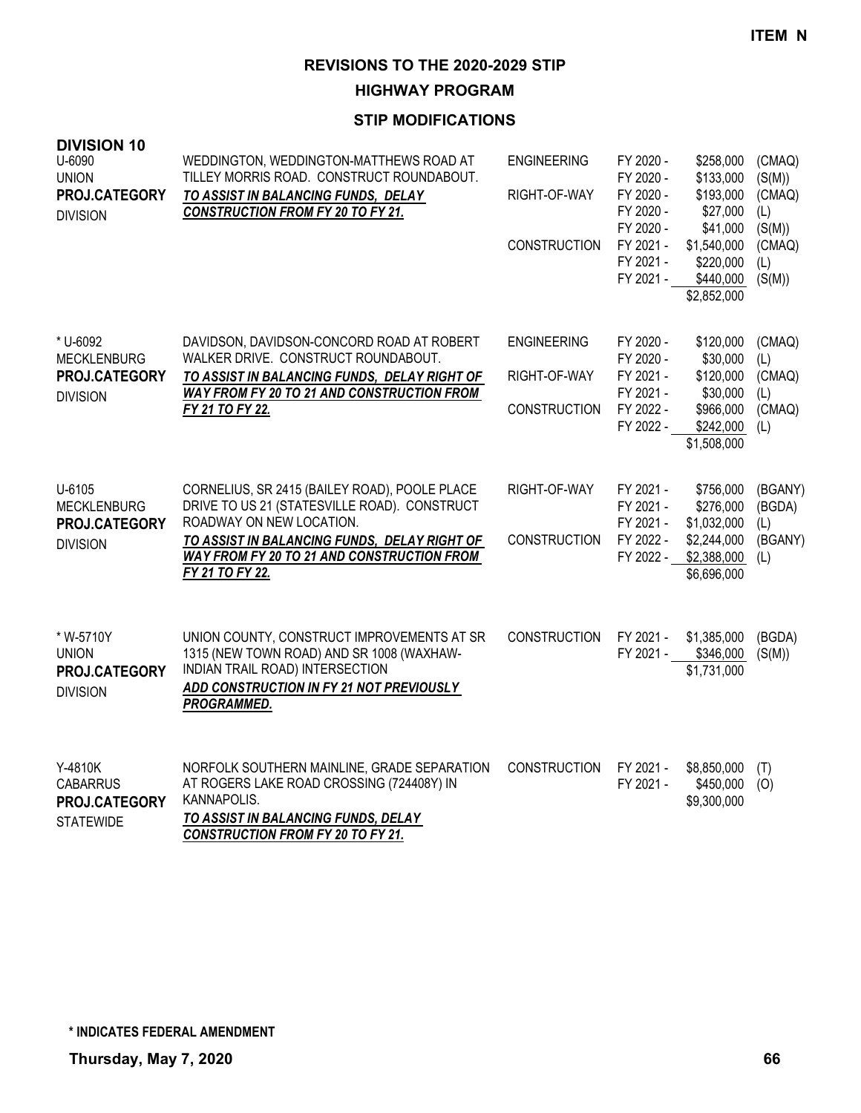**HIGHWAY PROGRAM**

| <b>DIVISION 10</b><br>U-6090<br><b>UNION</b><br>PROJ.CATEGORY<br><b>DIVISION</b> | WEDDINGTON, WEDDINGTON-MATTHEWS ROAD AT<br>TILLEY MORRIS ROAD. CONSTRUCT ROUNDABOUT.<br>TO ASSIST IN BALANCING FUNDS, DELAY<br><b>CONSTRUCTION FROM FY 20 TO FY 21.</b>                                                                           | <b>ENGINEERING</b><br>RIGHT-OF-WAY<br><b>CONSTRUCTION</b> | FY 2020 -<br>FY 2020 -<br>FY 2020 -<br>FY 2020 -<br>FY 2020 -<br>FY 2021 -<br>FY 2021 -<br>FY 2021 - | \$258,000<br>\$133,000<br>\$193,000<br>\$27,000<br>\$41,000<br>\$1,540,000<br>\$220,000<br>\$440,000<br>\$2,852,000 | (CMAQ)<br>(S(M))<br>(CMAQ)<br>(L)<br>(S(M))<br>(CMAQ)<br>(L)<br>(S(M)) |
|----------------------------------------------------------------------------------|---------------------------------------------------------------------------------------------------------------------------------------------------------------------------------------------------------------------------------------------------|-----------------------------------------------------------|------------------------------------------------------------------------------------------------------|---------------------------------------------------------------------------------------------------------------------|------------------------------------------------------------------------|
| * U-6092<br><b>MECKLENBURG</b><br>PROJ.CATEGORY<br><b>DIVISION</b>               | DAVIDSON, DAVIDSON-CONCORD ROAD AT ROBERT<br>WALKER DRIVE. CONSTRUCT ROUNDABOUT.<br>TO ASSIST IN BALANCING FUNDS, DELAY RIGHT OF<br>WAY FROM FY 20 TO 21 AND CONSTRUCTION FROM<br>FY 21 TO FY 22.                                                 | <b>ENGINEERING</b><br>RIGHT-OF-WAY<br><b>CONSTRUCTION</b> | FY 2020 -<br>FY 2020 -<br>FY 2021 -<br>FY 2021 -<br>FY 2022 -<br>FY 2022 -                           | \$120,000<br>\$30,000<br>\$120,000<br>\$30,000<br>\$966,000<br>\$242,000<br>\$1,508,000                             | (CMAQ)<br>(L)<br>(CMAQ)<br>(L)<br>(CMAQ)<br>(L)                        |
| U-6105<br><b>MECKLENBURG</b><br>PROJ.CATEGORY<br><b>DIVISION</b>                 | CORNELIUS, SR 2415 (BAILEY ROAD), POOLE PLACE<br>DRIVE TO US 21 (STATESVILLE ROAD). CONSTRUCT<br>ROADWAY ON NEW LOCATION.<br>TO ASSIST IN BALANCING FUNDS, DELAY RIGHT OF<br><b>WAY FROM FY 20 TO 21 AND CONSTRUCTION FROM</b><br>FY 21 TO FY 22. | RIGHT-OF-WAY<br><b>CONSTRUCTION</b>                       | FY 2021 -<br>FY 2021 -<br>FY 2021 -<br>FY 2022 -<br>FY 2022 -                                        | \$756,000<br>\$276,000<br>\$1,032,000<br>\$2,244,000<br>\$2,388,000<br>\$6,696,000                                  | (BGANY)<br>(BGDA)<br>(L)<br>(BGANY)<br>(L)                             |
| * W-5710Y<br><b>UNION</b><br>PROJ.CATEGORY<br><b>DIVISION</b>                    | UNION COUNTY, CONSTRUCT IMPROVEMENTS AT SR<br>1315 (NEW TOWN ROAD) AND SR 1008 (WAXHAW-<br>INDIAN TRAIL ROAD) INTERSECTION<br>ADD CONSTRUCTION IN FY 21 NOT PREVIOUSLY<br>PROGRAMMED.                                                             | <b>CONSTRUCTION</b>                                       | FY 2021 -<br>FY 2021 -                                                                               | \$1,385,000<br>\$346,000<br>\$1,731,000                                                                             | (BGDA)<br>(S(M))                                                       |
| Y-4810K<br><b>CABARRUS</b><br>PROJ.CATEGORY<br><b>STATEWIDE</b>                  | NORFOLK SOUTHERN MAINLINE, GRADE SEPARATION<br>AT ROGERS LAKE ROAD CROSSING (724408Y) IN<br>KANNAPOLIS.<br>TO ASSIST IN BALANCING FUNDS, DELAY<br><b>CONSTRUCTION FROM FY 20 TO FY 21.</b>                                                        | <b>CONSTRUCTION</b>                                       | FY 2021 -<br>FY 2021 -                                                                               | \$8,850,000<br>\$450,000<br>\$9,300,000                                                                             | (T)<br>(O)                                                             |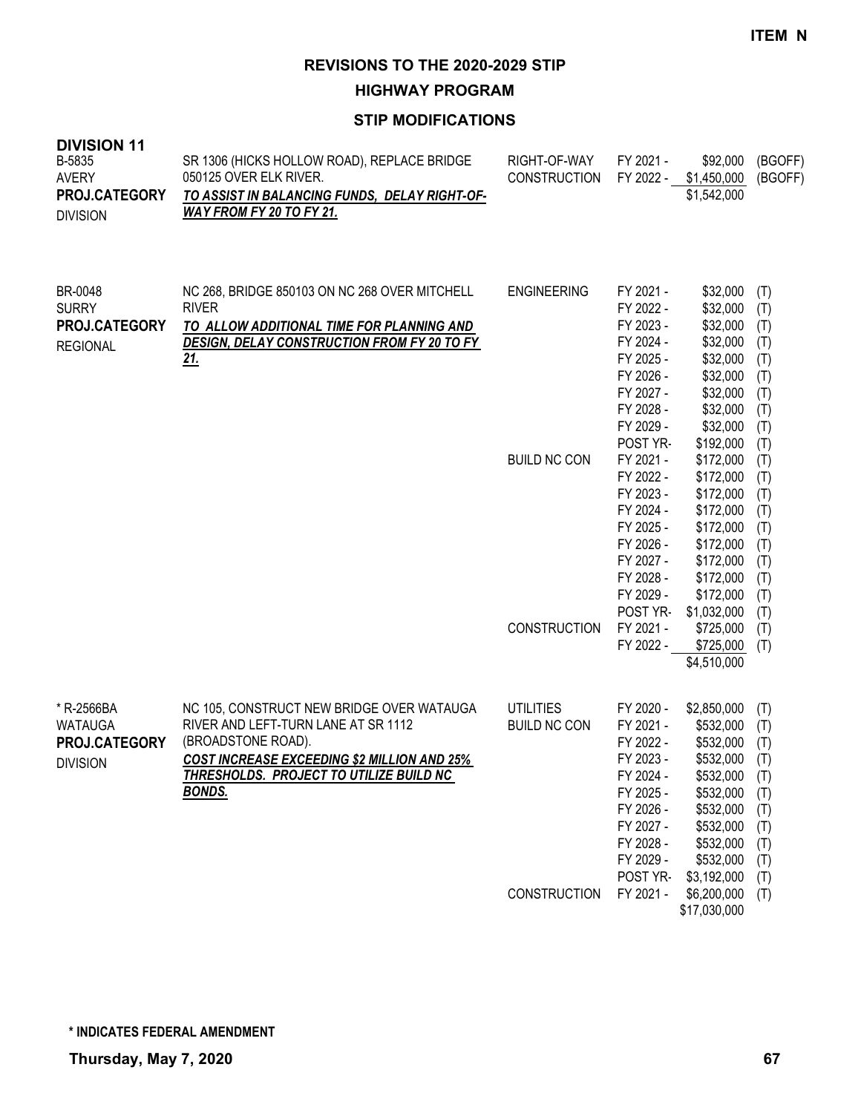**HIGHWAY PROGRAM**

| <b>DIVISION 11</b><br>B-5835<br><b>AVERY</b><br>PROJ.CATEGORY<br><b>DIVISION</b> | SR 1306 (HICKS HOLLOW ROAD), REPLACE BRIDGE<br>050125 OVER ELK RIVER.<br>TO ASSIST IN BALANCING FUNDS, DELAY RIGHT-OF-<br>WAY FROM FY 20 TO FY 21.                                                                       | RIGHT-OF-WAY<br><b>CONSTRUCTION</b>     | FY 2021 -<br>FY 2022 -                                                                                                                     | \$92,000<br>\$1,450,000<br>\$1,542,000                                                                                                          | (BGOFF)<br>(BGOFF)                                                        |
|----------------------------------------------------------------------------------|--------------------------------------------------------------------------------------------------------------------------------------------------------------------------------------------------------------------------|-----------------------------------------|--------------------------------------------------------------------------------------------------------------------------------------------|-------------------------------------------------------------------------------------------------------------------------------------------------|---------------------------------------------------------------------------|
| BR-0048<br><b>SURRY</b><br>PROJ.CATEGORY<br><b>REGIONAL</b>                      | NC 268, BRIDGE 850103 ON NC 268 OVER MITCHELL<br><b>RIVER</b><br>TO ALLOW ADDITIONAL TIME FOR PLANNING AND<br><b>DESIGN, DELAY CONSTRUCTION FROM FY 20 TO FY</b><br><u> 21.</u>                                          | <b>ENGINEERING</b>                      | FY 2021 -<br>FY 2022 -<br>FY 2023 -<br>FY 2024 -<br>FY 2025 -<br>FY 2026 -<br>FY 2027 -<br>FY 2028 -<br>FY 2029 -<br>POST YR-              | \$32,000<br>\$32,000<br>\$32,000<br>\$32,000<br>\$32,000<br>\$32,000<br>\$32,000<br>\$32,000<br>\$32,000<br>\$192,000                           | (T)<br>(T)<br>(T)<br>(T)<br>(T)<br>(T)<br>(T)<br>(T)<br>(T)<br>(T)        |
|                                                                                  |                                                                                                                                                                                                                          | <b>BUILD NC CON</b>                     | FY 2021 -<br>FY 2022 -<br>FY 2023 -<br>FY 2024 -<br>FY 2025 -<br>FY 2026 -<br>FY 2027 -<br>FY 2028 -<br>FY 2029 -<br>POST YR-              | \$172,000<br>\$172,000<br>\$172,000<br>\$172,000<br>\$172,000<br>\$172,000<br>\$172,000<br>\$172,000<br>\$172,000<br>\$1,032,000                | (T)<br>(T)<br>(T)<br>(T)<br>(T)<br>(T)<br>(T)<br>(T)<br>(T)<br>(T)        |
|                                                                                  |                                                                                                                                                                                                                          | <b>CONSTRUCTION</b>                     | FY 2021 -<br>FY 2022 -                                                                                                                     | \$725,000<br>\$725,000<br>\$4,510,000                                                                                                           | (T)<br>(T)                                                                |
| * R-2566BA<br><b>WATAUGA</b><br>PROJ.CATEGORY<br><b>DIVISION</b>                 | NC 105, CONSTRUCT NEW BRIDGE OVER WATAUGA<br>RIVER AND LEFT-TURN LANE AT SR 1112<br>(BROADSTONE ROAD).<br><b>COST INCREASE EXCEEDING \$2 MILLION AND 25%</b><br>THRESHOLDS. PROJECT TO UTILIZE BUILD NC<br><b>BONDS.</b> | <b>UTILITIES</b><br><b>BUILD NC CON</b> | FY 2020 -<br>FY 2021 -<br>FY 2022 -<br>FY 2023 -<br>FY 2024 -<br>FY 2025 -<br>FY 2026 -<br>FY 2027 -<br>FY 2028 -<br>FY 2029 -<br>POST YR- | \$2,850,000<br>\$532,000<br>\$532,000<br>\$532,000<br>\$532,000<br>\$532,000<br>\$532,000<br>\$532,000<br>\$532,000<br>\$532,000<br>\$3,192,000 | (T)<br>(T)<br>(T)<br>(T)<br>(T)<br>(T)<br>(T)<br>(T)<br>(T)<br>(T)<br>(T) |
|                                                                                  |                                                                                                                                                                                                                          | <b>CONSTRUCTION</b>                     | FY 2021 -                                                                                                                                  | \$6,200,000<br>\$17,030,000                                                                                                                     | (T)                                                                       |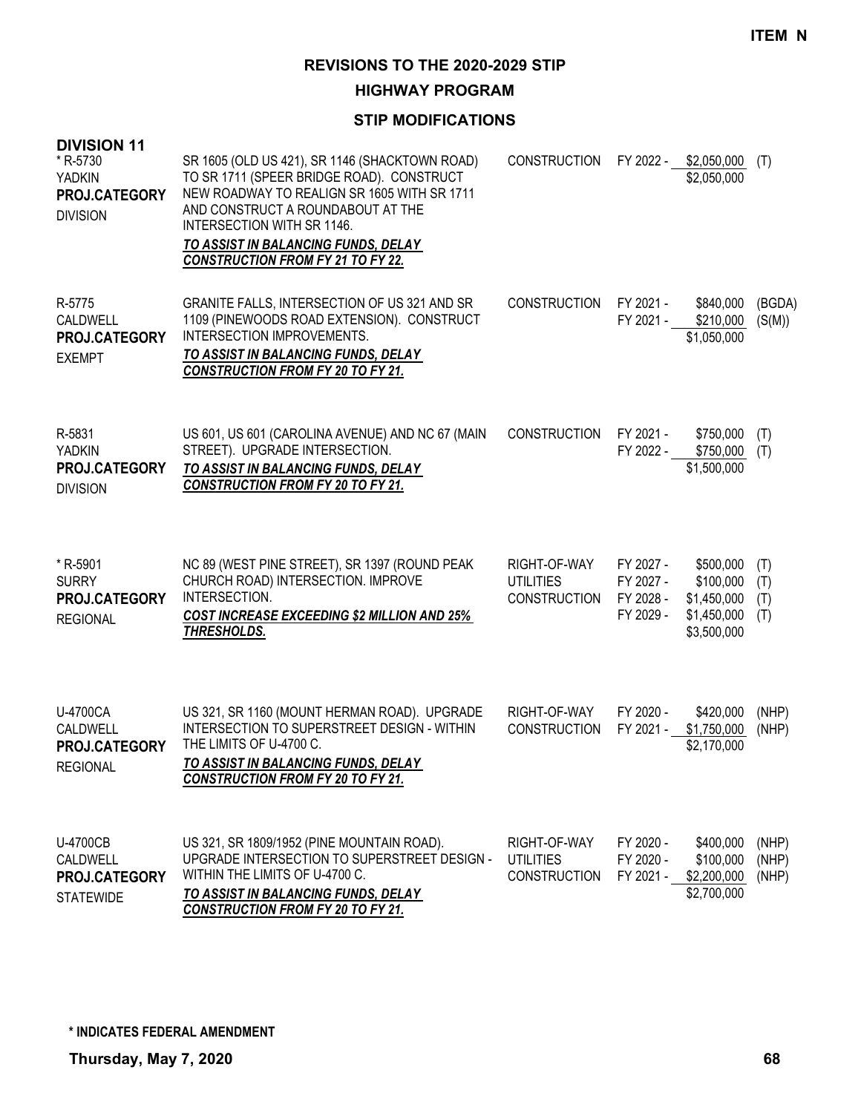**HIGHWAY PROGRAM**

| <b>DIVISION 11</b><br>* R-5730<br><b>YADKIN</b><br>PROJ.CATEGORY<br><b>DIVISION</b> | SR 1605 (OLD US 421), SR 1146 (SHACKTOWN ROAD)<br>TO SR 1711 (SPEER BRIDGE ROAD). CONSTRUCT<br>NEW ROADWAY TO REALIGN SR 1605 WITH SR 1711<br>AND CONSTRUCT A ROUNDABOUT AT THE<br>INTERSECTION WITH SR 1146.<br>TO ASSIST IN BALANCING FUNDS, DELAY<br><b>CONSTRUCTION FROM FY 21 TO FY 22.</b> | <b>CONSTRUCTION</b>                                     |                                                  | FY 2022 - \$2,050,000<br>\$2,050,000                                | (T)                      |
|-------------------------------------------------------------------------------------|--------------------------------------------------------------------------------------------------------------------------------------------------------------------------------------------------------------------------------------------------------------------------------------------------|---------------------------------------------------------|--------------------------------------------------|---------------------------------------------------------------------|--------------------------|
| R-5775<br>CALDWELL<br>PROJ.CATEGORY<br><b>EXEMPT</b>                                | GRANITE FALLS, INTERSECTION OF US 321 AND SR<br>1109 (PINEWOODS ROAD EXTENSION). CONSTRUCT<br>INTERSECTION IMPROVEMENTS.<br>TO ASSIST IN BALANCING FUNDS, DELAY<br><b>CONSTRUCTION FROM FY 20 TO FY 21.</b>                                                                                      | <b>CONSTRUCTION</b>                                     | FY 2021 -<br>FY 2021 -                           | \$840,000<br>\$210,000<br>\$1,050,000                               | (BGDA)<br>(S(M))         |
| R-5831<br><b>YADKIN</b><br>PROJ.CATEGORY<br><b>DIVISION</b>                         | US 601, US 601 (CAROLINA AVENUE) AND NC 67 (MAIN<br>STREET). UPGRADE INTERSECTION.<br>TO ASSIST IN BALANCING FUNDS, DELAY<br><b>CONSTRUCTION FROM FY 20 TO FY 21.</b>                                                                                                                            | <b>CONSTRUCTION</b>                                     | FY 2021 -<br>FY 2022 -                           | \$750,000<br>\$750,000<br>\$1,500,000                               | (T)<br>(T)               |
| * R-5901<br><b>SURRY</b><br>PROJ.CATEGORY<br><b>REGIONAL</b>                        | NC 89 (WEST PINE STREET), SR 1397 (ROUND PEAK<br>CHURCH ROAD) INTERSECTION. IMPROVE<br>INTERSECTION.<br><b>COST INCREASE EXCEEDING \$2 MILLION AND 25%</b><br>THRESHOLDS.                                                                                                                        | RIGHT-OF-WAY<br><b>UTILITIES</b><br><b>CONSTRUCTION</b> | FY 2027 -<br>FY 2027 -<br>FY 2028 -<br>FY 2029 - | \$500,000<br>\$100,000<br>\$1,450,000<br>\$1,450,000<br>\$3,500,000 | (T)<br>(T)<br>(T)<br>(T) |
| U-4700CA<br>CALDWELL<br>PROJ.CATEGORY<br><b>REGIONAL</b>                            | US 321, SR 1160 (MOUNT HERMAN ROAD). UPGRADE<br>INTERSECTION TO SUPERSTREET DESIGN - WITHIN<br>THE LIMITS OF U-4700 C.<br>TO ASSIST IN BALANCING FUNDS, DELAY<br><b>CONSTRUCTION FROM FY 20 TO FY 21.</b>                                                                                        | RIGHT-OF-WAY<br><b>CONSTRUCTION</b>                     | FY 2020 -<br>FY 2021 -                           | \$420,000<br>\$1,750,000<br>\$2,170,000                             | (NHP)<br>(NHP)           |
| <b>U-4700CB</b><br>CALDWELL<br>PROJ.CATEGORY<br><b>STATEWIDE</b>                    | US 321, SR 1809/1952 (PINE MOUNTAIN ROAD).<br>UPGRADE INTERSECTION TO SUPERSTREET DESIGN -<br>WITHIN THE LIMITS OF U-4700 C.<br>TO ASSIST IN BALANCING FUNDS, DELAY<br><b>CONSTRUCTION FROM FY 20 TO FY 21.</b>                                                                                  | RIGHT-OF-WAY<br><b>UTILITIES</b><br><b>CONSTRUCTION</b> | FY 2020 -<br>FY 2020 -<br>FY 2021 -              | \$400,000<br>\$100,000<br>\$2,200,000<br>\$2,700,000                | (NHP)<br>(NHP)<br>(NHP)  |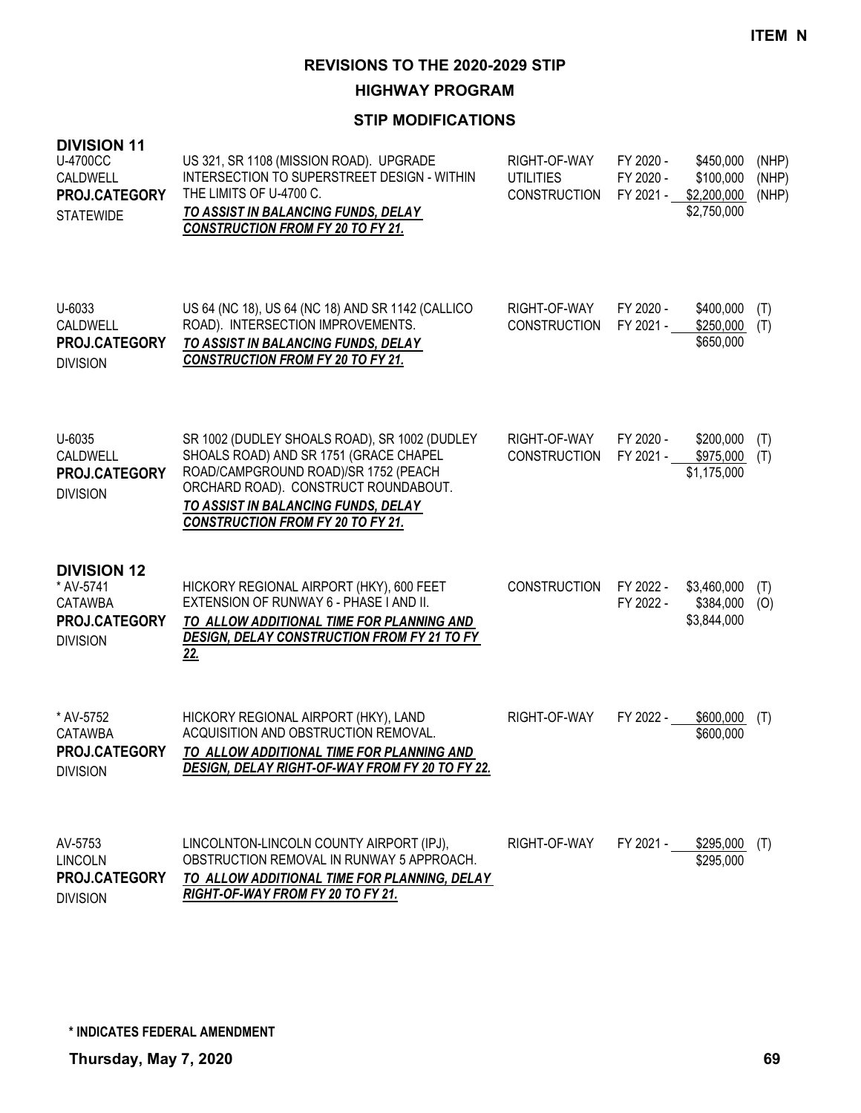**HIGHWAY PROGRAM**

| <b>DIVISION 11</b><br><b>U-4700CC</b><br>CALDWELL<br>PROJ.CATEGORY<br><b>STATEWIDE</b> | US 321, SR 1108 (MISSION ROAD). UPGRADE<br><b>INTERSECTION TO SUPERSTREET DESIGN - WITHIN</b><br>THE LIMITS OF U-4700 C.<br>TO ASSIST IN BALANCING FUNDS, DELAY<br><b>CONSTRUCTION FROM FY 20 TO FY 21.</b>                                                | RIGHT-OF-WAY<br><b>UTILITIES</b><br><b>CONSTRUCTION</b> | FY 2020 -<br>FY 2020 -<br>FY 2021 - | \$450,000<br>\$100,000<br>\$2,200,000<br>\$2,750,000 | (NHP)<br>(NHP)<br>(NHP) |
|----------------------------------------------------------------------------------------|------------------------------------------------------------------------------------------------------------------------------------------------------------------------------------------------------------------------------------------------------------|---------------------------------------------------------|-------------------------------------|------------------------------------------------------|-------------------------|
| U-6033<br>CALDWELL<br>PROJ.CATEGORY<br><b>DIVISION</b>                                 | US 64 (NC 18), US 64 (NC 18) AND SR 1142 (CALLICO<br>ROAD). INTERSECTION IMPROVEMENTS.<br>TO ASSIST IN BALANCING FUNDS, DELAY<br><b>CONSTRUCTION FROM FY 20 TO FY 21.</b>                                                                                  | RIGHT-OF-WAY<br><b>CONSTRUCTION</b>                     | FY 2020 -<br>FY 2021 -              | \$400,000<br>\$250,000<br>\$650,000                  | (T)<br>(T)              |
| U-6035<br>CALDWELL<br>PROJ.CATEGORY<br><b>DIVISION</b>                                 | SR 1002 (DUDLEY SHOALS ROAD), SR 1002 (DUDLEY<br>SHOALS ROAD) AND SR 1751 (GRACE CHAPEL<br>ROAD/CAMPGROUND ROAD)/SR 1752 (PEACH<br>ORCHARD ROAD). CONSTRUCT ROUNDABOUT.<br>TO ASSIST IN BALANCING FUNDS, DELAY<br><b>CONSTRUCTION FROM FY 20 TO FY 21.</b> | RIGHT-OF-WAY<br><b>CONSTRUCTION</b>                     | FY 2020 -<br>FY 2021 -              | \$200,000<br>\$975,000<br>\$1,175,000                | (T)<br>(T)              |
| <b>DIVISION 12</b><br>* AV-5741<br><b>CATAWBA</b><br>PROJ.CATEGORY<br><b>DIVISION</b>  | HICKORY REGIONAL AIRPORT (HKY), 600 FEET<br>EXTENSION OF RUNWAY 6 - PHASE I AND II.<br>TO ALLOW ADDITIONAL TIME FOR PLANNING AND<br>DESIGN, DELAY CONSTRUCTION FROM FY 21 TO FY<br><u>22.</u>                                                              | <b>CONSTRUCTION</b>                                     | FY 2022 -<br>FY 2022 -              | \$3,460,000<br>\$384,000<br>\$3,844,000              | (T)<br>(O)              |
| * AV-5752<br><b>CATAWBA</b><br>PROJ.CATEGORY<br><b>DIVISION</b>                        | HICKORY REGIONAL AIRPORT (HKY), LAND<br>ACQUISITION AND OBSTRUCTION REMOVAL.<br>TO ALLOW ADDITIONAL TIME FOR PLANNING AND<br>DESIGN, DELAY RIGHT-OF-WAY FROM FY 20 TO FY 22.                                                                               | RIGHT-OF-WAY                                            | FY 2022 -                           | \$600,000<br>\$600,000                               | (T)                     |
| AV-5753<br><b>LINCOLN</b><br>PROJ.CATEGORY<br><b>DIVISION</b>                          | LINCOLNTON-LINCOLN COUNTY AIRPORT (IPJ),<br>OBSTRUCTION REMOVAL IN RUNWAY 5 APPROACH.<br>TO ALLOW ADDITIONAL TIME FOR PLANNING, DELAY<br>RIGHT-OF-WAY FROM FY 20 TO FY 21.                                                                                 | RIGHT-OF-WAY                                            | FY 2021 -                           | $$295,000$ (T)<br>\$295,000                          |                         |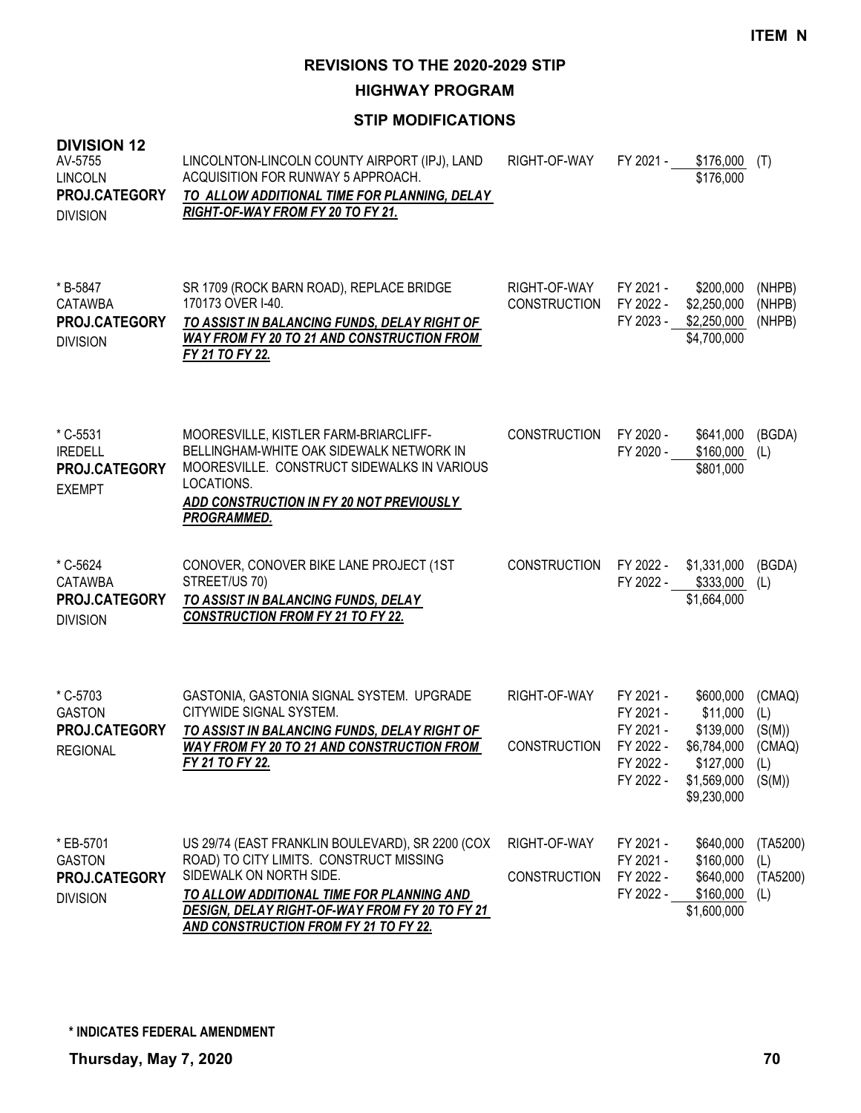**HIGHWAY PROGRAM**

| <b>DIVISION 12</b><br>AV-5755<br><b>LINCOLN</b><br>PROJ.CATEGORY<br><b>DIVISION</b> | LINCOLNTON-LINCOLN COUNTY AIRPORT (IPJ), LAND<br>ACQUISITION FOR RUNWAY 5 APPROACH.<br>TO ALLOW ADDITIONAL TIME FOR PLANNING, DELAY<br>RIGHT-OF-WAY FROM FY 20 TO FY 21.                                                                                                     | RIGHT-OF-WAY                        | FY 2021 -                                                                  | \$176,000<br>\$176,000                                                                       | (T)                                                |
|-------------------------------------------------------------------------------------|------------------------------------------------------------------------------------------------------------------------------------------------------------------------------------------------------------------------------------------------------------------------------|-------------------------------------|----------------------------------------------------------------------------|----------------------------------------------------------------------------------------------|----------------------------------------------------|
| * B-5847<br><b>CATAWBA</b><br>PROJ.CATEGORY<br><b>DIVISION</b>                      | SR 1709 (ROCK BARN ROAD), REPLACE BRIDGE<br>170173 OVER I-40.<br>TO ASSIST IN BALANCING FUNDS, DELAY RIGHT OF<br><b>WAY FROM FY 20 TO 21 AND CONSTRUCTION FROM</b><br>FY 21 TO FY 22.                                                                                        | RIGHT-OF-WAY<br><b>CONSTRUCTION</b> | FY 2021 -<br>FY 2022 -<br>FY 2023 -                                        | \$200,000<br>\$2,250,000<br>\$2,250,000<br>\$4,700,000                                       | (NHPB)<br>(NHPB)<br>(NHPB)                         |
| * C-5531<br><b>IREDELL</b><br>PROJ.CATEGORY<br><b>EXEMPT</b>                        | MOORESVILLE, KISTLER FARM-BRIARCLIFF-<br>BELLINGHAM-WHITE OAK SIDEWALK NETWORK IN<br>MOORESVILLE. CONSTRUCT SIDEWALKS IN VARIOUS<br>LOCATIONS.<br>ADD CONSTRUCTION IN FY 20 NOT PREVIOUSLY<br><b>PROGRAMMED.</b>                                                             | <b>CONSTRUCTION</b>                 | FY 2020 -<br>FY 2020 -                                                     | \$641,000<br>\$160,000<br>\$801,000                                                          | (BGDA)<br>(L)                                      |
| * C-5624<br><b>CATAWBA</b><br>PROJ.CATEGORY<br><b>DIVISION</b>                      | CONOVER, CONOVER BIKE LANE PROJECT (1ST<br>STREET/US 70)<br>TO ASSIST IN BALANCING FUNDS, DELAY<br><b>CONSTRUCTION FROM FY 21 TO FY 22.</b>                                                                                                                                  | <b>CONSTRUCTION</b>                 | FY 2022 -                                                                  | \$1,331,000<br>FY 2022 - \$333,000<br>\$1,664,000                                            | (BGDA)<br>(L)                                      |
| * C-5703<br><b>GASTON</b><br>PROJ.CATEGORY<br><b>REGIONAL</b>                       | GASTONIA, GASTONIA SIGNAL SYSTEM. UPGRADE<br>CITYWIDE SIGNAL SYSTEM.<br>TO ASSIST IN BALANCING FUNDS, DELAY RIGHT OF<br><b>WAY FROM FY 20 TO 21 AND CONSTRUCTION FROM</b><br>FY 21 TO FY 22.                                                                                 | RIGHT-OF-WAY<br><b>CONSTRUCTION</b> | FY 2021 -<br>FY 2021 -<br>FY 2021 -<br>FY 2022 -<br>FY 2022 -<br>FY 2022 - | \$600,000<br>\$11,000<br>\$139,000<br>\$6,784,000<br>\$127,000<br>\$1,569,000<br>\$9,230,000 | (CMAQ)<br>(L)<br>(S(M))<br>(CMAQ)<br>(L)<br>(S(M)) |
| * EB-5701<br><b>GASTON</b><br>PROJ.CATEGORY<br><b>DIVISION</b>                      | US 29/74 (EAST FRANKLIN BOULEVARD), SR 2200 (COX<br>ROAD) TO CITY LIMITS. CONSTRUCT MISSING<br>SIDEWALK ON NORTH SIDE.<br><b>TO ALLOW ADDITIONAL TIME FOR PLANNING AND</b><br><b>DESIGN, DELAY RIGHT-OF-WAY FROM FY 20 TO FY 21</b><br>AND CONSTRUCTION FROM FY 21 TO FY 22. | RIGHT-OF-WAY<br><b>CONSTRUCTION</b> | FY 2021 -<br>FY 2021 -<br>FY 2022 -<br>FY 2022 -                           | \$640,000<br>\$160,000<br>\$640,000<br>\$160,000<br>\$1,600,000                              | (TA5200)<br>(L)<br>(TA5200)<br>(L)                 |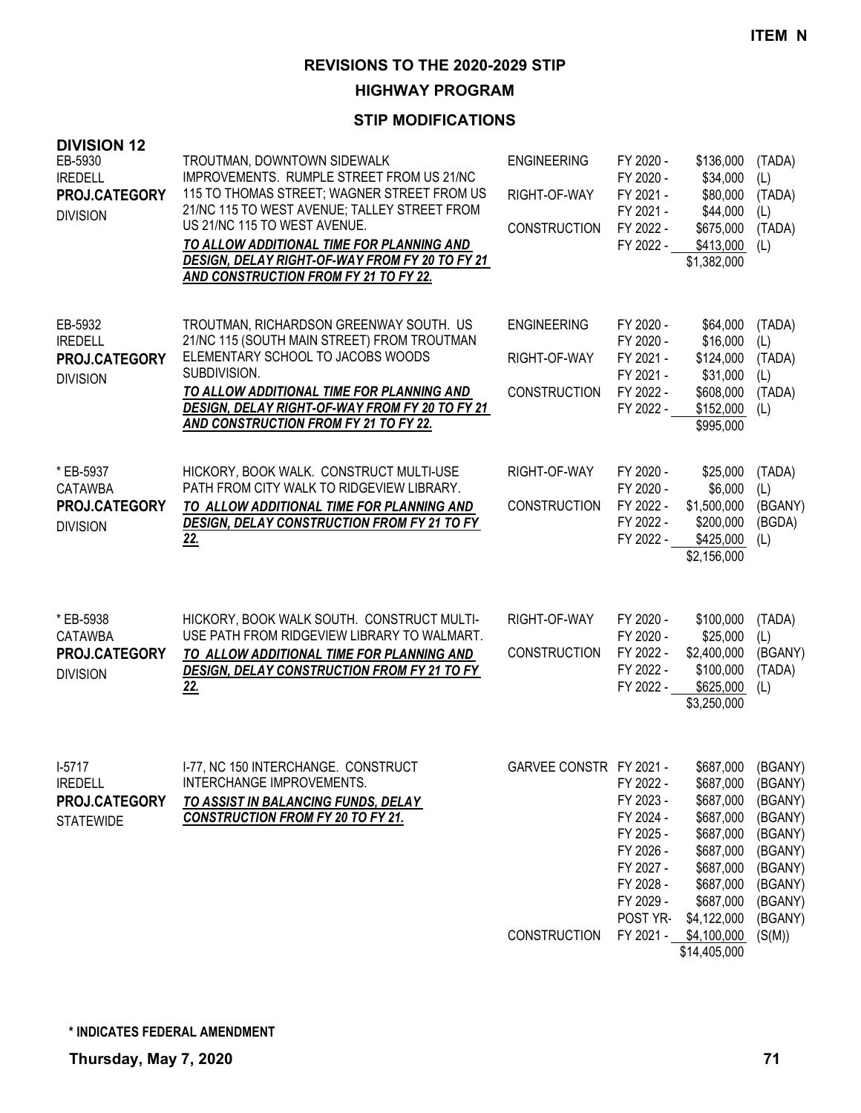#### **HIGHWAY PROGRAM**

| <b>DIVISION 12</b><br>EB-5930<br><b>IREDELL</b><br>PROJ.CATEGORY<br><b>DIVISION</b> | TROUTMAN, DOWNTOWN SIDEWALK<br>IMPROVEMENTS. RUMPLE STREET FROM US 21/NC<br>115 TO THOMAS STREET; WAGNER STREET FROM US<br>21/NC 115 TO WEST AVENUE; TALLEY STREET FROM<br>US 21/NC 115 TO WEST AVENUE.<br>TO ALLOW ADDITIONAL TIME FOR PLANNING AND<br>DESIGN, DELAY RIGHT-OF-WAY FROM FY 20 TO FY 21<br><b>AND CONSTRUCTION FROM FY 21 TO FY 22.</b> | <b>ENGINEERING</b><br>RIGHT-OF-WAY<br><b>CONSTRUCTION</b> | FY 2020 -<br>FY 2020 -<br>FY 2021 -<br>FY 2021 -<br>FY 2022 -<br>FY 2022 -                                       | \$136,000<br>\$34,000<br>\$80,000<br>\$44,000<br>\$675,000<br>\$413,000<br>\$1,382,000                                           | (TADA)<br>(L)<br>(TADA)<br>(L)<br>(TADA)<br>(L)                                                            |
|-------------------------------------------------------------------------------------|--------------------------------------------------------------------------------------------------------------------------------------------------------------------------------------------------------------------------------------------------------------------------------------------------------------------------------------------------------|-----------------------------------------------------------|------------------------------------------------------------------------------------------------------------------|----------------------------------------------------------------------------------------------------------------------------------|------------------------------------------------------------------------------------------------------------|
| EB-5932<br><b>IREDELL</b><br>PROJ.CATEGORY<br><b>DIVISION</b>                       | TROUTMAN, RICHARDSON GREENWAY SOUTH. US<br>21/NC 115 (SOUTH MAIN STREET) FROM TROUTMAN<br>ELEMENTARY SCHOOL TO JACOBS WOODS<br>SUBDIVISION.<br>TO ALLOW ADDITIONAL TIME FOR PLANNING AND<br>DESIGN, DELAY RIGHT-OF-WAY FROM FY 20 TO FY 21<br><b>AND CONSTRUCTION FROM FY 21 TO FY 22.</b>                                                             | <b>ENGINEERING</b><br>RIGHT-OF-WAY<br><b>CONSTRUCTION</b> | FY 2020 -<br>FY 2020 -<br>FY 2021 -<br>FY 2021 -<br>FY 2022 -<br>FY 2022 -                                       | \$64,000<br>\$16,000<br>\$124,000<br>\$31,000<br>\$608,000<br>\$152,000<br>\$995,000                                             | (TADA)<br>(L)<br>(TADA)<br>(L)<br>(TADA)<br>(L)                                                            |
| * EB-5937<br><b>CATAWBA</b><br>PROJ.CATEGORY<br><b>DIVISION</b>                     | HICKORY, BOOK WALK. CONSTRUCT MULTI-USE<br>PATH FROM CITY WALK TO RIDGEVIEW LIBRARY.<br>TO ALLOW ADDITIONAL TIME FOR PLANNING AND<br>DESIGN, DELAY CONSTRUCTION FROM FY 21 TO FY<br><u>22.</u>                                                                                                                                                         | RIGHT-OF-WAY<br><b>CONSTRUCTION</b>                       | FY 2020 -<br>FY 2020 -<br>FY 2022 -<br>FY 2022 -<br>FY 2022 -                                                    | \$25,000<br>\$6,000<br>\$1,500,000<br>\$200,000<br>\$425,000<br>\$2,156,000                                                      | (TADA)<br>(1)<br>(BGANY)<br>(BGDA)<br>(L)                                                                  |
| * EB-5938<br><b>CATAWBA</b><br>PROJ.CATEGORY<br><b>DIVISION</b>                     | HICKORY, BOOK WALK SOUTH. CONSTRUCT MULTI-<br>USE PATH FROM RIDGEVIEW LIBRARY TO WALMART.<br>TO ALLOW ADDITIONAL TIME FOR PLANNING AND<br>DESIGN, DELAY CONSTRUCTION FROM FY 21 TO FY<br><u>22.</u>                                                                                                                                                    | RIGHT-OF-WAY<br><b>CONSTRUCTION</b>                       | FY 2020 -<br>FY 2020 -<br>FY 2022 -<br>FY 2022 -<br>FY 2022 -                                                    | \$100,000<br>\$25,000<br>\$2,400,000<br>\$100,000<br>\$625,000<br>\$3,250,000                                                    | (TADA)<br>(L)<br>(BGANY)<br>(TADA)<br>(L)                                                                  |
| $1-5717$<br><b>IREDELL</b><br>PROJ.CATEGORY<br><b>STATEWIDE</b>                     | I-77, NC 150 INTERCHANGE. CONSTRUCT<br>INTERCHANGE IMPROVEMENTS.<br>TO ASSIST IN BALANCING FUNDS, DELAY<br><b>CONSTRUCTION FROM FY 20 TO FY 21.</b>                                                                                                                                                                                                    | GARVEE CONSTR FY 2021 -                                   | FY 2022 -<br>FY 2023 -<br>FY 2024 -<br>FY 2025 -<br>FY 2026 -<br>FY 2027 -<br>FY 2028 -<br>FY 2029 -<br>POST YR- | \$687,000<br>\$687,000<br>\$687,000<br>\$687,000<br>\$687,000<br>\$687,000<br>\$687,000<br>\$687,000<br>\$687,000<br>\$4,122,000 | (BGANY)<br>(BGANY)<br>(BGANY)<br>(BGANY)<br>(BGANY)<br>(BGANY)<br>(BGANY)<br>(BGANY)<br>(BGANY)<br>(BGANY) |
|                                                                                     |                                                                                                                                                                                                                                                                                                                                                        | <b>CONSTRUCTION</b>                                       | FY 2021 -                                                                                                        | \$4,100,000                                                                                                                      | (S(M))                                                                                                     |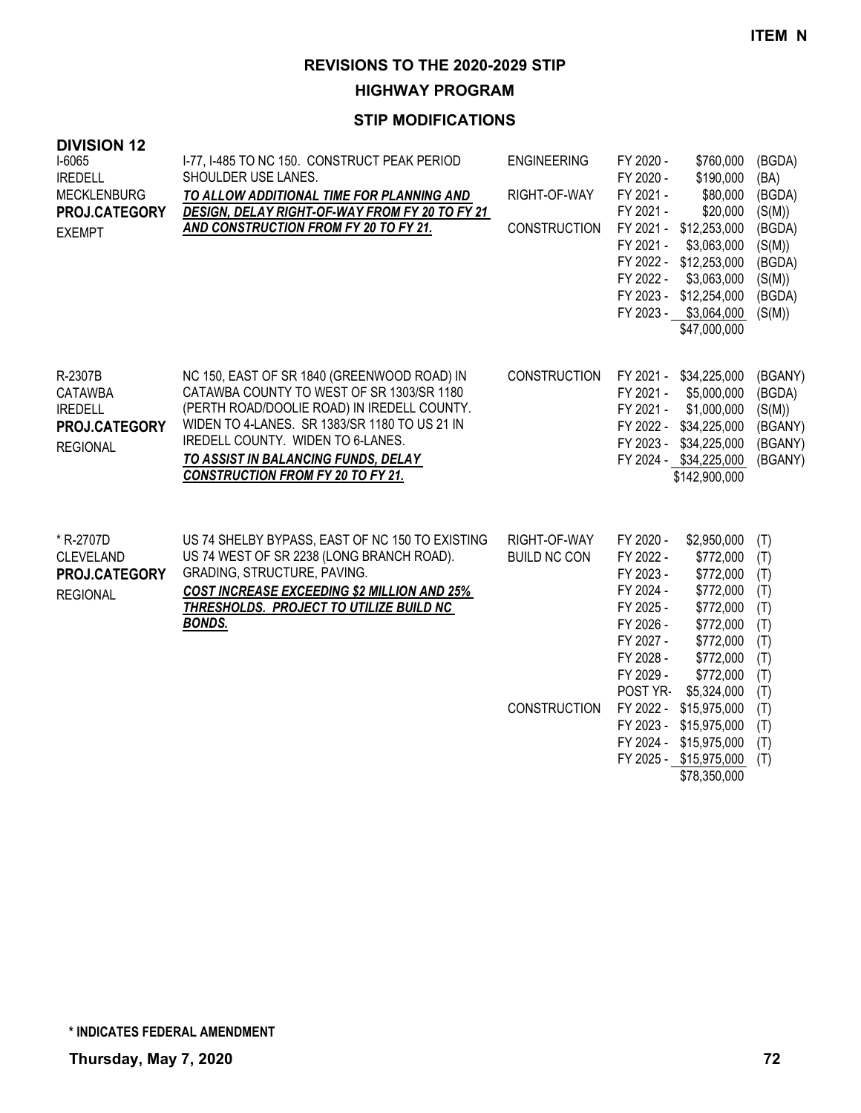**HIGHWAY PROGRAM**

## **STIP MODIFICATIONS**

| <b>DIVISION 12</b><br>I-6065<br><b>IREDELL</b><br><b>MECKLENBURG</b><br>PROJ.CATEGORY<br><b>EXEMPT</b> | I-77, I-485 TO NC 150. CONSTRUCT PEAK PERIOD<br>SHOULDER USE LANES.<br>TO ALLOW ADDITIONAL TIME FOR PLANNING AND<br>DESIGN, DELAY RIGHT-OF-WAY FROM FY 20 TO FY 21<br>AND CONSTRUCTION FROM FY 20 TO FY 21.                                                                                                      | <b>ENGINEERING</b><br>RIGHT-OF-WAY<br><b>CONSTRUCTION</b>  | FY 2020 -<br>\$760,000<br>FY 2020 -<br>\$190,000<br>FY 2021 -<br>\$80,000<br>FY 2021 -<br>\$20,000<br>FY 2021 -<br>\$12,253,000<br>FY 2021 -<br>\$3,063,000<br>FY 2022 -<br>\$12,253,000<br>FY 2022 -<br>\$3,063,000<br>FY 2023 -<br>\$12,254,000<br>FY 2023 - \$3,064,000<br>\$47,000,000                                                                                           | (BGDA)<br>(BA)<br>(BGDA)<br>(S(M))<br>(BGDA)<br>(S(M))<br>(BGDA)<br>(S(M))<br>(BGDA)<br>(S(M)) |
|--------------------------------------------------------------------------------------------------------|------------------------------------------------------------------------------------------------------------------------------------------------------------------------------------------------------------------------------------------------------------------------------------------------------------------|------------------------------------------------------------|--------------------------------------------------------------------------------------------------------------------------------------------------------------------------------------------------------------------------------------------------------------------------------------------------------------------------------------------------------------------------------------|------------------------------------------------------------------------------------------------|
| R-2307B<br><b>CATAWBA</b><br><b>IREDELL</b><br>PROJ.CATEGORY<br><b>REGIONAL</b>                        | NC 150, EAST OF SR 1840 (GREENWOOD ROAD) IN<br>CATAWBA COUNTY TO WEST OF SR 1303/SR 1180<br>(PERTH ROAD/DOOLIE ROAD) IN IREDELL COUNTY.<br>WIDEN TO 4-LANES. SR 1383/SR 1180 TO US 21 IN<br>IREDELL COUNTY. WIDEN TO 6-LANES.<br>TO ASSIST IN BALANCING FUNDS, DELAY<br><b>CONSTRUCTION FROM FY 20 TO FY 21.</b> | <b>CONSTRUCTION</b>                                        | FY 2021 - \$34,225,000<br>FY 2021 -<br>\$5,000,000<br>FY 2021 -<br>\$1,000,000<br>\$34,225,000<br>FY 2022 -<br>FY 2023 -<br>\$34,225,000<br>FY 2024 - \$34,225,000<br>\$142,900,000                                                                                                                                                                                                  | (BGANY)<br>(BGDA)<br>(S(M))<br>(BGANY)<br>(BGANY)<br>(BGANY)                                   |
| * R-2707D<br><b>CLEVELAND</b><br>PROJ.CATEGORY<br><b>REGIONAL</b>                                      | US 74 SHELBY BYPASS, EAST OF NC 150 TO EXISTING<br>US 74 WEST OF SR 2238 (LONG BRANCH ROAD).<br><b>GRADING, STRUCTURE, PAVING.</b><br><b>COST INCREASE EXCEEDING \$2 MILLION AND 25%</b><br><b>THRESHOLDS. PROJECT TO UTILIZE BUILD NC</b><br><b>BONDS.</b>                                                      | RIGHT-OF-WAY<br><b>BUILD NC CON</b><br><b>CONSTRUCTION</b> | FY 2020 -<br>\$2,950,000<br>FY 2022 -<br>\$772,000<br>FY 2023 -<br>\$772,000<br>FY 2024 -<br>\$772,000<br>FY 2025 -<br>\$772,000<br>FY 2026 -<br>\$772,000<br>FY 2027 -<br>\$772,000<br>FY 2028 -<br>\$772,000<br>FY 2029 -<br>\$772,000<br>POST YR-<br>\$5,324,000<br>FY 2022 -<br>\$15,975,000<br>FY 2023 -<br>\$15,975,000<br>FY 2024 -<br>\$15,975,000<br>FY 2025 - \$15,975,000 | (T)<br>(T)<br>(T)<br>(T)<br>(T)<br>(T)<br>(T)<br>(T)<br>(T)<br>(T)<br>(T)<br>(T)<br>(T)<br>(T) |

\$78,350,000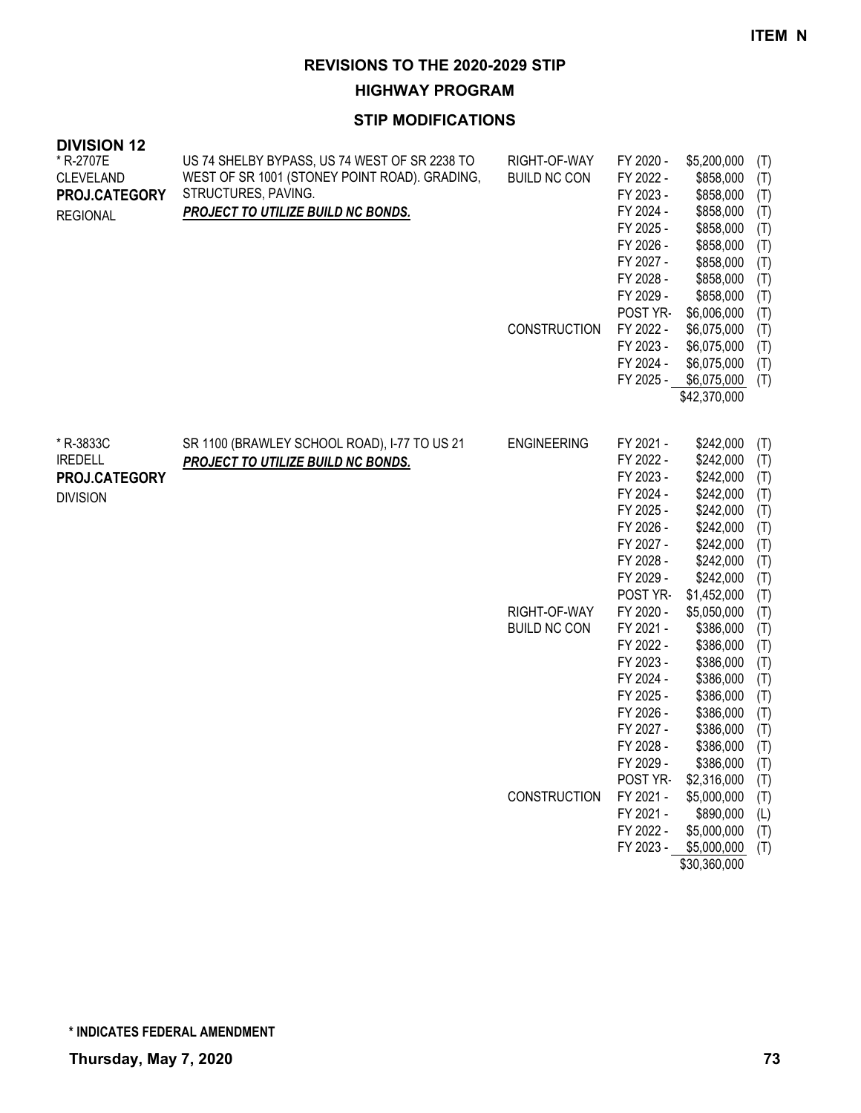# **HIGHWAY PROGRAM**

| <b>DIVISION 12</b>            |                                                                                                |                                     |                        |                          |            |
|-------------------------------|------------------------------------------------------------------------------------------------|-------------------------------------|------------------------|--------------------------|------------|
| * R-2707E<br><b>CLEVELAND</b> | US 74 SHELBY BYPASS, US 74 WEST OF SR 2238 TO<br>WEST OF SR 1001 (STONEY POINT ROAD). GRADING, | RIGHT-OF-WAY<br><b>BUILD NC CON</b> | FY 2020 -<br>FY 2022 - | \$5,200,000<br>\$858,000 | (T)<br>(T) |
| PROJ.CATEGORY                 | STRUCTURES, PAVING.                                                                            |                                     | FY 2023 -              | \$858,000                | (T)        |
| <b>REGIONAL</b>               | PROJECT TO UTILIZE BUILD NC BONDS.                                                             |                                     | FY 2024 -              | \$858,000                | (T)        |
|                               |                                                                                                |                                     | FY 2025 -              | \$858,000                | (T)        |
|                               |                                                                                                |                                     | FY 2026 -              | \$858,000                | (T)        |
|                               |                                                                                                |                                     | FY 2027 -              | \$858,000                | (T)        |
|                               |                                                                                                |                                     | FY 2028 -              | \$858,000                | (T)        |
|                               |                                                                                                |                                     | FY 2029 -              | \$858,000                | (T)        |
|                               |                                                                                                |                                     | POST YR-               | \$6,006,000              | (T)        |
|                               |                                                                                                | <b>CONSTRUCTION</b>                 | FY 2022 -              | \$6,075,000              | (T)        |
|                               |                                                                                                |                                     | FY 2023 -              | \$6,075,000              | (T)        |
|                               |                                                                                                |                                     | FY 2024 -              | \$6,075,000              | (T)        |
|                               |                                                                                                |                                     |                        | FY 2025 - \$6,075,000    | (T)        |
|                               |                                                                                                |                                     |                        | \$42,370,000             |            |
|                               |                                                                                                |                                     |                        |                          |            |
| * R-3833C                     | SR 1100 (BRAWLEY SCHOOL ROAD), I-77 TO US 21                                                   | <b>ENGINEERING</b>                  | FY 2021 -              | \$242,000                | (T)        |
| <b>IREDELL</b>                | PROJECT TO UTILIZE BUILD NC BONDS.                                                             |                                     | FY 2022 -<br>FY 2023 - | \$242,000                | (T)        |
| PROJ.CATEGORY                 |                                                                                                |                                     | FY 2024 -              | \$242,000<br>\$242,000   | (T)        |
| <b>DIVISION</b>               |                                                                                                |                                     | FY 2025 -              | \$242,000                | (T)        |
|                               |                                                                                                |                                     | FY 2026 -              | \$242,000                | (T)<br>(T) |
|                               |                                                                                                |                                     | FY 2027 -              | \$242,000                | (T)        |
|                               |                                                                                                |                                     | FY 2028 -              | \$242,000                | (T)        |
|                               |                                                                                                |                                     | FY 2029 -              | \$242,000                | (T)        |
|                               |                                                                                                |                                     | POST YR-               | \$1,452,000              | (T)        |
|                               |                                                                                                | RIGHT-OF-WAY                        | FY 2020 -              | \$5,050,000              | (T)        |
|                               |                                                                                                | <b>BUILD NC CON</b>                 | FY 2021 -              | \$386,000                | (T)        |
|                               |                                                                                                |                                     | FY 2022 -              | \$386,000                | (T)        |
|                               |                                                                                                |                                     | FY 2023 -              | \$386,000                | (T)        |
|                               |                                                                                                |                                     | FY 2024 -              | \$386,000                | (T)        |
|                               |                                                                                                |                                     | FY 2025 -              | \$386,000                | (T)        |
|                               |                                                                                                |                                     | FY 2026 -              | \$386,000                | (T)        |
|                               |                                                                                                |                                     | FY 2027 -              | \$386,000                | (T)        |
|                               |                                                                                                |                                     | FY 2028 -              | \$386,000                | (T)        |
|                               |                                                                                                |                                     | FY 2029 -              | \$386,000                | (T)        |
|                               |                                                                                                |                                     | POST YR-               | \$2,316,000              | (T)        |
|                               |                                                                                                | CONSTRUCTION                        | FY 2021 -              | \$5,000,000              | (T)        |
|                               |                                                                                                |                                     | FY 2021 -              | \$890,000                | (L)        |
|                               |                                                                                                |                                     | FY 2022 -              | \$5,000,000              | (T)        |
|                               |                                                                                                |                                     | FY 2023 -              | \$5,000,000              | (T)        |
|                               |                                                                                                |                                     |                        | \$30,360,000             |            |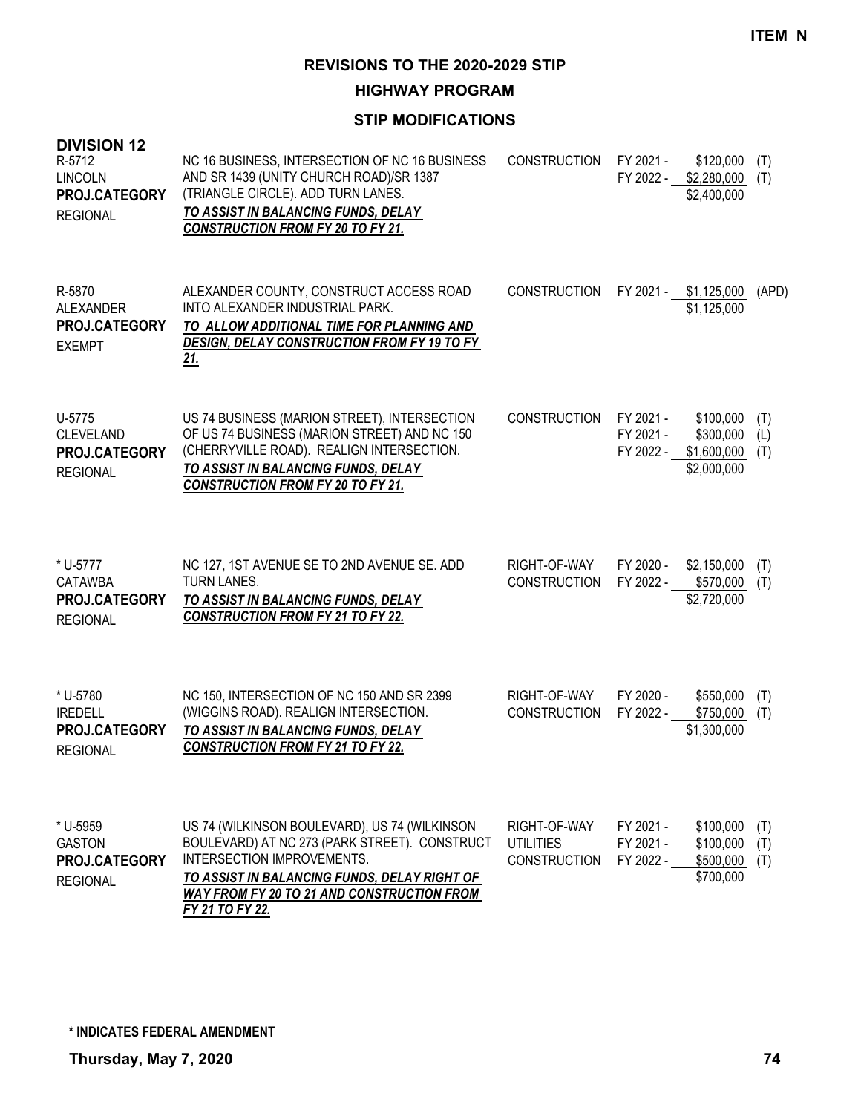**HIGHWAY PROGRAM**

| <b>DIVISION 12</b><br>R-5712<br><b>LINCOLN</b><br>PROJ.CATEGORY<br><b>REGIONAL</b> | NC 16 BUSINESS, INTERSECTION OF NC 16 BUSINESS<br>AND SR 1439 (UNITY CHURCH ROAD)/SR 1387<br>(TRIANGLE CIRCLE). ADD TURN LANES.<br>TO ASSIST IN BALANCING FUNDS, DELAY<br><b>CONSTRUCTION FROM FY 20 TO FY 21.</b>                                   | <b>CONSTRUCTION</b>                                     | FY 2021 -<br>FY 2022 -              | \$120,000<br>\$2,280,000<br>\$2,400,000              | (T)<br>(T)        |
|------------------------------------------------------------------------------------|------------------------------------------------------------------------------------------------------------------------------------------------------------------------------------------------------------------------------------------------------|---------------------------------------------------------|-------------------------------------|------------------------------------------------------|-------------------|
| R-5870<br>ALEXANDER<br><b>PROJ.CATEGORY</b><br><b>EXEMPT</b>                       | ALEXANDER COUNTY, CONSTRUCT ACCESS ROAD<br>INTO ALEXANDER INDUSTRIAL PARK.<br>TO ALLOW ADDITIONAL TIME FOR PLANNING AND<br><b>DESIGN, DELAY CONSTRUCTION FROM FY 19 TO FY</b><br><u>21.</u>                                                          | <b>CONSTRUCTION</b>                                     | FY 2021 -                           | \$1,125,000<br>\$1,125,000                           | (APD)             |
| U-5775<br><b>CLEVELAND</b><br>PROJ.CATEGORY<br><b>REGIONAL</b>                     | US 74 BUSINESS (MARION STREET), INTERSECTION<br>OF US 74 BUSINESS (MARION STREET) AND NC 150<br>(CHERRYVILLE ROAD). REALIGN INTERSECTION.<br>TO ASSIST IN BALANCING FUNDS, DELAY<br>CONSTRUCTION FROM FY 20 TO FY 21.                                | <b>CONSTRUCTION</b>                                     | FY 2021 -<br>FY 2021 -<br>FY 2022 - | \$100,000<br>\$300,000<br>\$1,600,000<br>\$2,000,000 | (T)<br>(L)<br>(T) |
| * U-5777<br><b>CATAWBA</b><br>PROJ.CATEGORY<br><b>REGIONAL</b>                     | NC 127, 1ST AVENUE SE TO 2ND AVENUE SE. ADD<br>TURN LANES.<br>TO ASSIST IN BALANCING FUNDS, DELAY<br><b>CONSTRUCTION FROM FY 21 TO FY 22.</b>                                                                                                        | RIGHT-OF-WAY<br><b>CONSTRUCTION</b>                     | FY 2020 -<br>FY 2022 -              | \$2,150,000<br>\$570,000<br>\$2,720,000              | (T)<br>(T)        |
| * U-5780<br><b>IREDELL</b><br>PROJ.CATEGORY<br><b>REGIONAL</b>                     | NC 150, INTERSECTION OF NC 150 AND SR 2399<br>(WIGGINS ROAD). REALIGN INTERSECTION.<br>TO ASSIST IN BALANCING FUNDS, DELAY<br><b>CONSTRUCTION FROM FY 21 TO FY 22.</b>                                                                               | RIGHT-OF-WAY<br><b>CONSTRUCTION</b>                     | FY 2020 -<br>FY 2022 -              | \$550,000<br>\$750,000<br>\$1,300,000                | (T)<br>(T)        |
| * U-5959<br><b>GASTON</b><br>PROJ.CATEGORY<br><b>REGIONAL</b>                      | US 74 (WILKINSON BOULEVARD), US 74 (WILKINSON<br>BOULEVARD) AT NC 273 (PARK STREET). CONSTRUCT<br>INTERSECTION IMPROVEMENTS.<br>TO ASSIST IN BALANCING FUNDS, DELAY RIGHT OF<br><b>WAY FROM FY 20 TO 21 AND CONSTRUCTION FROM</b><br>FY 21 TO FY 22. | RIGHT-OF-WAY<br><b>UTILITIES</b><br><b>CONSTRUCTION</b> | FY 2021 -<br>FY 2021 -<br>FY 2022 - | \$100,000<br>\$100,000<br>\$500,000<br>\$700,000     | (T)<br>(T)<br>(T) |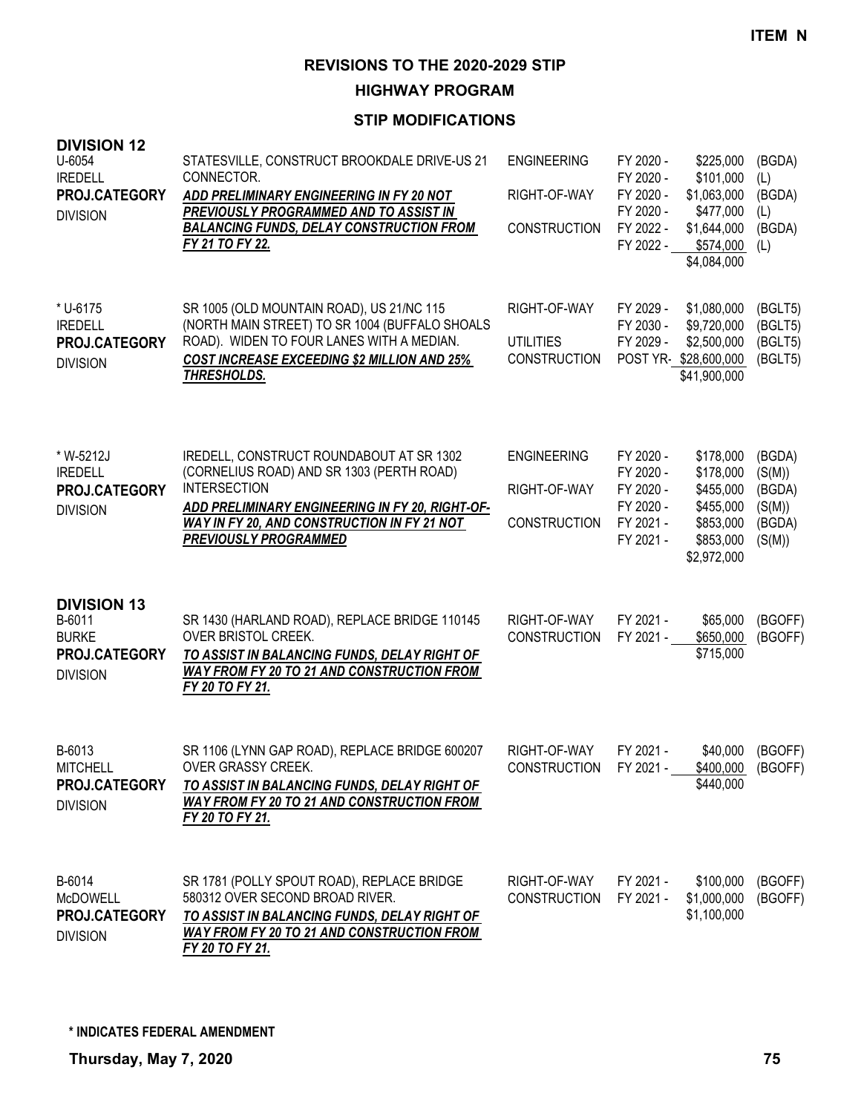**HIGHWAY PROGRAM**

| <b>DIVISION 12</b><br>U-6054<br><b>IREDELL</b><br>PROJ.CATEGORY<br><b>DIVISION</b> | STATESVILLE, CONSTRUCT BROOKDALE DRIVE-US 21<br>CONNECTOR.<br>ADD PRELIMINARY ENGINEERING IN FY 20 NOT<br>PREVIOUSLY PROGRAMMED AND TO ASSIST IN<br><b>BALANCING FUNDS, DELAY CONSTRUCTION FROM</b><br>FY 21 TO FY 22.                         | <b>ENGINEERING</b><br>RIGHT-OF-WAY<br><b>CONSTRUCTION</b> | FY 2020 -<br>FY 2020 -<br>FY 2020 -<br>FY 2020 -<br>FY 2022 -<br>FY 2022 - | \$225,000<br>\$101,000<br>\$1,063,000<br>\$477,000<br>\$1,644,000<br>\$574,000<br>\$4,084,000 | (BGDA)<br>(L)<br>(BGDA)<br>(L)<br>(BGDA)<br>(L)          |
|------------------------------------------------------------------------------------|------------------------------------------------------------------------------------------------------------------------------------------------------------------------------------------------------------------------------------------------|-----------------------------------------------------------|----------------------------------------------------------------------------|-----------------------------------------------------------------------------------------------|----------------------------------------------------------|
| * U-6175<br><b>IREDELL</b><br>PROJ.CATEGORY<br><b>DIVISION</b>                     | SR 1005 (OLD MOUNTAIN ROAD), US 21/NC 115<br>(NORTH MAIN STREET) TO SR 1004 (BUFFALO SHOALS<br>ROAD). WIDEN TO FOUR LANES WITH A MEDIAN.<br><b>COST INCREASE EXCEEDING \$2 MILLION AND 25%</b><br>THRESHOLDS.                                  | RIGHT-OF-WAY<br><b>UTILITIES</b><br><b>CONSTRUCTION</b>   | FY 2029 -<br>FY 2030 -<br>FY 2029 -                                        | \$1,080,000<br>\$9,720,000<br>\$2,500,000<br>POST YR-\$28,600,000<br>\$41,900,000             | (BGLT5)<br>(BGLT5)<br>(BGLT5)<br>(BGLT5)                 |
| * W-5212J<br><b>IREDELL</b><br><b>PROJ.CATEGORY</b><br><b>DIVISION</b>             | IREDELL, CONSTRUCT ROUNDABOUT AT SR 1302<br>(CORNELIUS ROAD) AND SR 1303 (PERTH ROAD)<br><b>INTERSECTION</b><br>ADD PRELIMINARY ENGINEERING IN FY 20, RIGHT-OF-<br>WAY IN FY 20, AND CONSTRUCTION IN FY 21 NOT<br><b>PREVIOUSLY PROGRAMMED</b> | <b>ENGINEERING</b><br>RIGHT-OF-WAY<br><b>CONSTRUCTION</b> | FY 2020 -<br>FY 2020 -<br>FY 2020 -<br>FY 2020 -<br>FY 2021 -<br>FY 2021 - | \$178,000<br>\$178,000<br>\$455,000<br>\$455,000<br>\$853,000<br>\$853,000<br>\$2,972,000     | (BGDA)<br>(S(M))<br>(BGDA)<br>(S(M))<br>(BGDA)<br>(S(M)) |
| <b>DIVISION 13</b><br>B-6011<br><b>BURKE</b><br>PROJ.CATEGORY<br><b>DIVISION</b>   | SR 1430 (HARLAND ROAD), REPLACE BRIDGE 110145<br>OVER BRISTOL CREEK.<br>TO ASSIST IN BALANCING FUNDS, DELAY RIGHT OF<br><b>WAY FROM FY 20 TO 21 AND CONSTRUCTION FROM</b><br>FY 20 TO FY 21.                                                   | RIGHT-OF-WAY<br><b>CONSTRUCTION</b>                       | FY 2021 -<br>FY 2021 -                                                     | \$65,000<br>\$650,000<br>\$715,000                                                            | (BGOFF)<br>(BGOFF)                                       |
| B-6013<br><b>MITCHELL</b><br>PROJ.CATEGORY<br><b>DIVISION</b>                      | SR 1106 (LYNN GAP ROAD), REPLACE BRIDGE 600207<br>OVER GRASSY CREEK.<br>TO ASSIST IN BALANCING FUNDS, DELAY RIGHT OF<br><b>WAY FROM FY 20 TO 21 AND CONSTRUCTION FROM</b><br>FY 20 TO FY 21.                                                   | RIGHT-OF-WAY<br><b>CONSTRUCTION</b>                       | FY 2021 -<br>FY 2021 -                                                     | \$40,000<br>\$400,000<br>\$440,000                                                            | (BGOFF)<br>(BGOFF)                                       |
| B-6014<br><b>McDOWELL</b><br>PROJ.CATEGORY<br><b>DIVISION</b>                      | SR 1781 (POLLY SPOUT ROAD), REPLACE BRIDGE<br>580312 OVER SECOND BROAD RIVER.<br>TO ASSIST IN BALANCING FUNDS, DELAY RIGHT OF<br><b>WAY FROM FY 20 TO 21 AND CONSTRUCTION FROM</b><br>FY 20 TO FY 21.                                          | RIGHT-OF-WAY<br><b>CONSTRUCTION</b>                       | FY 2021 -<br>FY 2021 -                                                     | \$100,000<br>\$1,000,000<br>\$1,100,000                                                       | (BGOFF)<br>(BGOFF)                                       |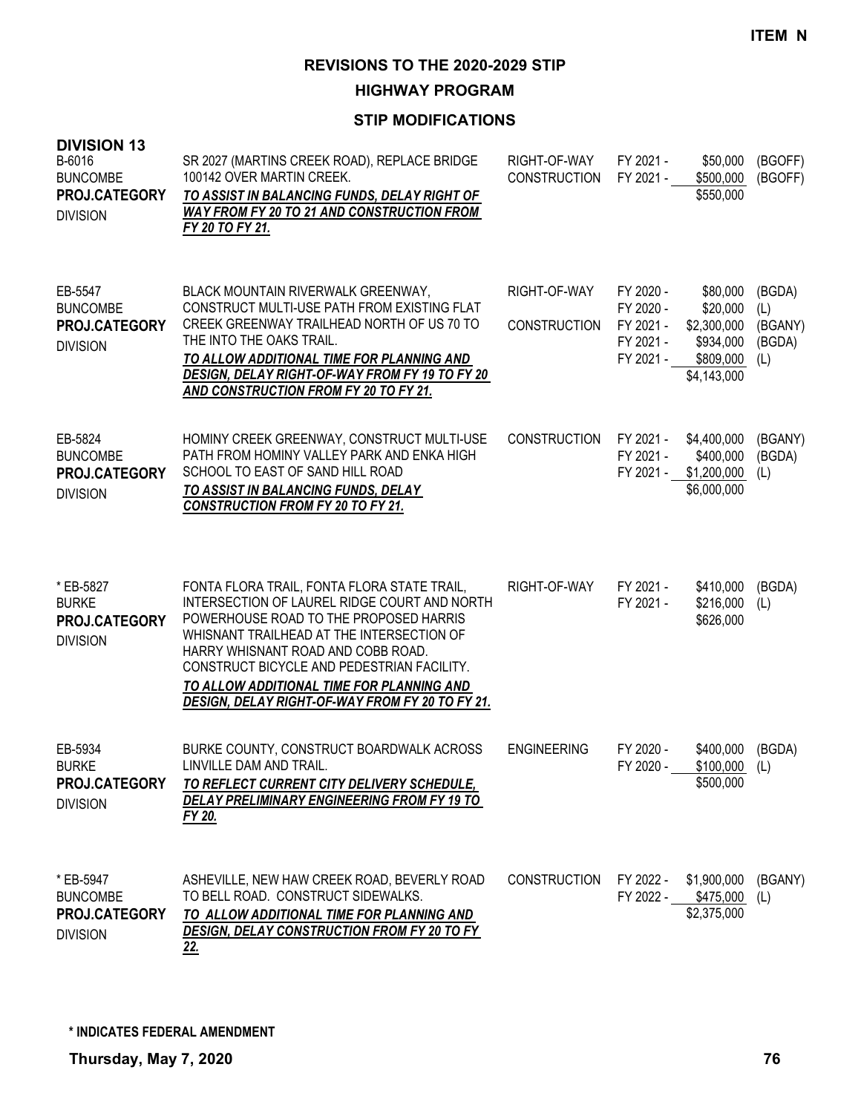**HIGHWAY PROGRAM**

| <b>DIVISION 13</b><br>B-6016<br><b>BUNCOMBE</b><br>PROJ.CATEGORY<br><b>DIVISION</b> | SR 2027 (MARTINS CREEK ROAD), REPLACE BRIDGE<br>100142 OVER MARTIN CREEK.<br>TO ASSIST IN BALANCING FUNDS, DELAY RIGHT OF<br><b>WAY FROM FY 20 TO 21 AND CONSTRUCTION FROM</b><br>FY 20 TO FY 21.                                                                                                                                                                      | RIGHT-OF-WAY<br><b>CONSTRUCTION</b> | FY 2021 -<br>FY 2021 -                                        | \$50,000<br>\$500,000<br>\$550,000                                           | (BGOFF)<br>(BGOFF)                        |
|-------------------------------------------------------------------------------------|------------------------------------------------------------------------------------------------------------------------------------------------------------------------------------------------------------------------------------------------------------------------------------------------------------------------------------------------------------------------|-------------------------------------|---------------------------------------------------------------|------------------------------------------------------------------------------|-------------------------------------------|
| EB-5547<br><b>BUNCOMBE</b><br>PROJ.CATEGORY<br><b>DIVISION</b>                      | BLACK MOUNTAIN RIVERWALK GREENWAY,<br>CONSTRUCT MULTI-USE PATH FROM EXISTING FLAT<br>CREEK GREENWAY TRAILHEAD NORTH OF US 70 TO<br>THE INTO THE OAKS TRAIL.<br>TO ALLOW ADDITIONAL TIME FOR PLANNING AND<br>DESIGN, DELAY RIGHT-OF-WAY FROM FY 19 TO FY 20<br>AND CONSTRUCTION FROM FY 20 TO FY 21.                                                                    | RIGHT-OF-WAY<br><b>CONSTRUCTION</b> | FY 2020 -<br>FY 2020 -<br>FY 2021 -<br>FY 2021 -<br>FY 2021 - | \$80,000<br>\$20,000<br>\$2,300,000<br>\$934,000<br>\$809,000<br>\$4,143,000 | (BGDA)<br>(L)<br>(BGANY)<br>(BGDA)<br>(L) |
| EB-5824<br><b>BUNCOMBE</b><br>PROJ.CATEGORY<br><b>DIVISION</b>                      | HOMINY CREEK GREENWAY, CONSTRUCT MULTI-USE<br>PATH FROM HOMINY VALLEY PARK AND ENKA HIGH<br>SCHOOL TO EAST OF SAND HILL ROAD<br>TO ASSIST IN BALANCING FUNDS, DELAY<br><b>CONSTRUCTION FROM FY 20 TO FY 21.</b>                                                                                                                                                        | <b>CONSTRUCTION</b>                 | FY 2021 -<br>FY 2021 -<br>FY 2021 -                           | \$4,400,000<br>\$400,000<br>\$1,200,000<br>\$6,000,000                       | (BGANY)<br>(BGDA)<br>(L)                  |
| * EB-5827<br><b>BURKE</b><br>PROJ.CATEGORY<br><b>DIVISION</b>                       | FONTA FLORA TRAIL, FONTA FLORA STATE TRAIL,<br>INTERSECTION OF LAUREL RIDGE COURT AND NORTH<br>POWERHOUSE ROAD TO THE PROPOSED HARRIS<br>WHISNANT TRAILHEAD AT THE INTERSECTION OF<br>HARRY WHISNANT ROAD AND COBB ROAD.<br>CONSTRUCT BICYCLE AND PEDESTRIAN FACILITY.<br>TO ALLOW ADDITIONAL TIME FOR PLANNING AND<br>DESIGN, DELAY RIGHT-OF-WAY FROM FY 20 TO FY 21. | RIGHT-OF-WAY                        | FY 2021 -<br>FY 2021 -                                        | \$410,000<br>\$216,000<br>\$626,000                                          | (BGDA)<br>(L)                             |
| EB-5934<br><b>BURKE</b><br>PROJ.CATEGORY<br><b>DIVISION</b>                         | BURKE COUNTY, CONSTRUCT BOARDWALK ACROSS<br>LINVILLE DAM AND TRAIL.<br><u>TO REFLECT CURRENT CITY DELIVERY SCHEDULE,</u><br>DELAY PRELIMINARY ENGINEERING FROM FY 19 TO<br>FY 20.                                                                                                                                                                                      | <b>ENGINEERING</b>                  | FY 2020 -<br>FY 2020 -                                        | \$400,000<br>$$100,000$ (L)<br>\$500,000                                     | (BGDA)                                    |
| * EB-5947<br><b>BUNCOMBE</b><br>PROJ.CATEGORY<br><b>DIVISION</b>                    | ASHEVILLE, NEW HAW CREEK ROAD, BEVERLY ROAD<br>TO BELL ROAD. CONSTRUCT SIDEWALKS.<br>TO ALLOW ADDITIONAL TIME FOR PLANNING AND<br>DESIGN, DELAY CONSTRUCTION FROM FY 20 TO FY<br><u>22.</u>                                                                                                                                                                            | <b>CONSTRUCTION</b>                 |                                                               | FY 2022 - \$1,900,000<br>FY 2022 - \$475,000<br>\$2,375,000                  | (BGANY)<br>(L)                            |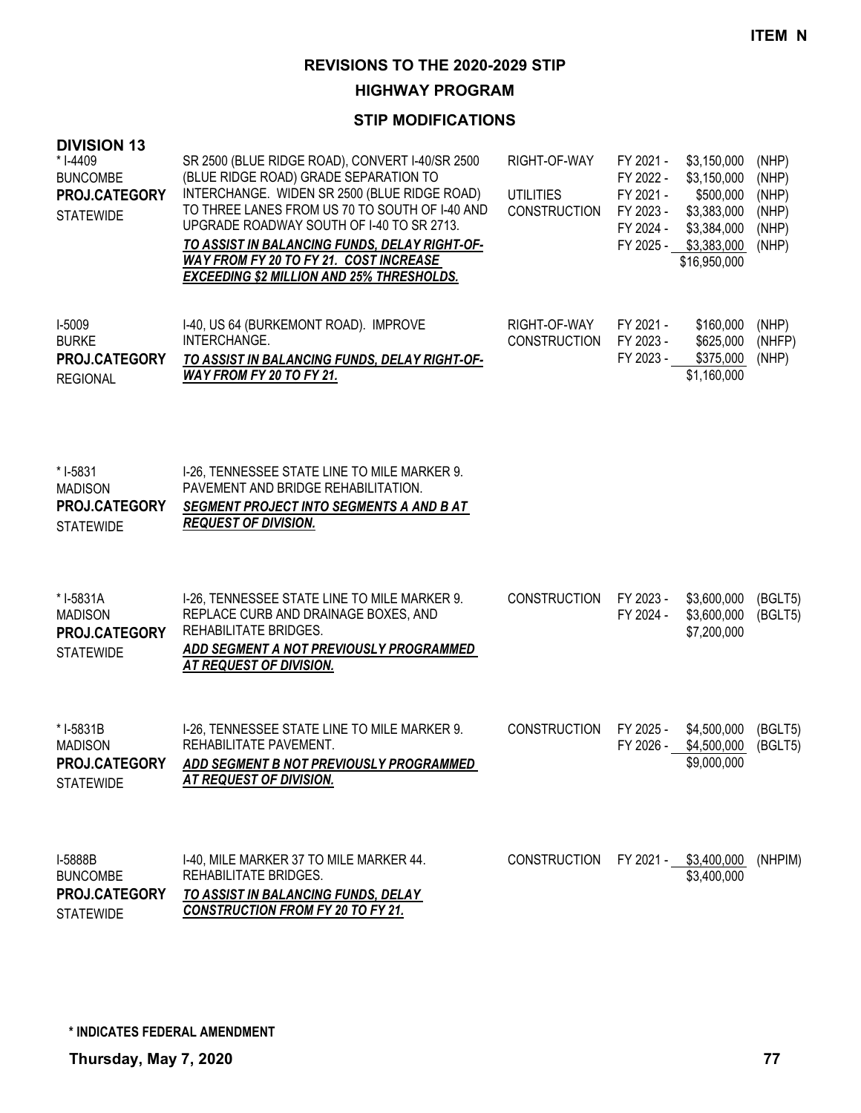**HIGHWAY PROGRAM**

| <b>DIVISION 13</b><br>* I-4409<br><b>BUNCOMBE</b><br>PROJ.CATEGORY<br><b>STATEWIDE</b> | SR 2500 (BLUE RIDGE ROAD), CONVERT I-40/SR 2500<br>(BLUE RIDGE ROAD) GRADE SEPARATION TO<br>INTERCHANGE. WIDEN SR 2500 (BLUE RIDGE ROAD)<br>TO THREE LANES FROM US 70 TO SOUTH OF I-40 AND<br>UPGRADE ROADWAY SOUTH OF 1-40 TO SR 2713.<br>TO ASSIST IN BALANCING FUNDS, DELAY RIGHT-OF-<br>WAY FROM FY 20 TO FY 21. COST INCREASE<br><b>EXCEEDING \$2 MILLION AND 25% THRESHOLDS.</b> | RIGHT-OF-WAY<br><b>UTILITIES</b><br><b>CONSTRUCTION</b> | FY 2021 -<br>FY 2022 -<br>FY 2021 -<br>FY 2023 -<br>FY 2024 -<br>FY 2025 - | \$3,150,000<br>\$3,150,000<br>\$500,000<br>\$3,383,000<br>\$3,384,000<br>\$3,383,000<br>\$16,950,000 | (NHP)<br>(NHP)<br>(NHP)<br>(NHP)<br>(NHP)<br>(NHP) |
|----------------------------------------------------------------------------------------|----------------------------------------------------------------------------------------------------------------------------------------------------------------------------------------------------------------------------------------------------------------------------------------------------------------------------------------------------------------------------------------|---------------------------------------------------------|----------------------------------------------------------------------------|------------------------------------------------------------------------------------------------------|----------------------------------------------------|
| I-5009<br><b>BURKE</b><br>PROJ.CATEGORY<br><b>REGIONAL</b>                             | I-40, US 64 (BURKEMONT ROAD). IMPROVE<br>INTERCHANGE.<br>TO ASSIST IN BALANCING FUNDS, DELAY RIGHT-OF-<br>WAY FROM FY 20 TO FY 21.                                                                                                                                                                                                                                                     | RIGHT-OF-WAY<br><b>CONSTRUCTION</b>                     | FY 2021 -<br>FY 2023 -<br>FY 2023 -                                        | \$160,000<br>\$625,000<br>\$375,000<br>\$1,160,000                                                   | (NHP)<br>(NHFP)<br>(NHP)                           |
| * I-5831<br><b>MADISON</b><br>PROJ.CATEGORY<br><b>STATEWIDE</b>                        | I-26, TENNESSEE STATE LINE TO MILE MARKER 9.<br>PAVEMENT AND BRIDGE REHABILITATION.<br>SEGMENT PROJECT INTO SEGMENTS A AND B AT<br><b>REQUEST OF DIVISION.</b>                                                                                                                                                                                                                         |                                                         |                                                                            |                                                                                                      |                                                    |
| * I-5831A<br><b>MADISON</b><br>PROJ.CATEGORY<br><b>STATEWIDE</b>                       | I-26, TENNESSEE STATE LINE TO MILE MARKER 9.<br>REPLACE CURB AND DRAINAGE BOXES, AND<br>REHABILITATE BRIDGES.<br>ADD SEGMENT A NOT PREVIOUSLY PROGRAMMED<br>AT REQUEST OF DIVISION.                                                                                                                                                                                                    | <b>CONSTRUCTION</b>                                     | FY 2023 -<br>FY 2024 -                                                     | \$3,600,000<br>\$3,600,000<br>\$7,200,000                                                            | (BGLT5)<br>(BGLT5)                                 |
| *I-5831B<br><b>MADISON</b><br>PROJ.CATEGORY<br><b>STATEWIDE</b>                        | I-26, TENNESSEE STATE LINE TO MILE MARKER 9.<br>REHABILITATE PAVEMENT.<br>ADD SEGMENT B NOT PREVIOUSLY PROGRAMMED<br><b>AT REQUEST OF DIVISION.</b>                                                                                                                                                                                                                                    | <b>CONSTRUCTION</b>                                     | FY 2025 -<br>FY 2026 -                                                     | \$4,500,000<br>\$4,500,000<br>\$9,000,000                                                            | (BGLT5)<br>(BGLT5)                                 |
| I-5888B<br><b>BUNCOMBE</b><br>PROJ.CATEGORY<br><b>STATEWIDE</b>                        | 1-40, MILE MARKER 37 TO MILE MARKER 44.<br>REHABILITATE BRIDGES.<br>TO ASSIST IN BALANCING FUNDS, DELAY<br><b>CONSTRUCTION FROM FY 20 TO FY 21.</b>                                                                                                                                                                                                                                    | <b>CONSTRUCTION</b>                                     |                                                                            | FY 2021 - \$3,400,000<br>\$3,400,000                                                                 | (NHPIM)                                            |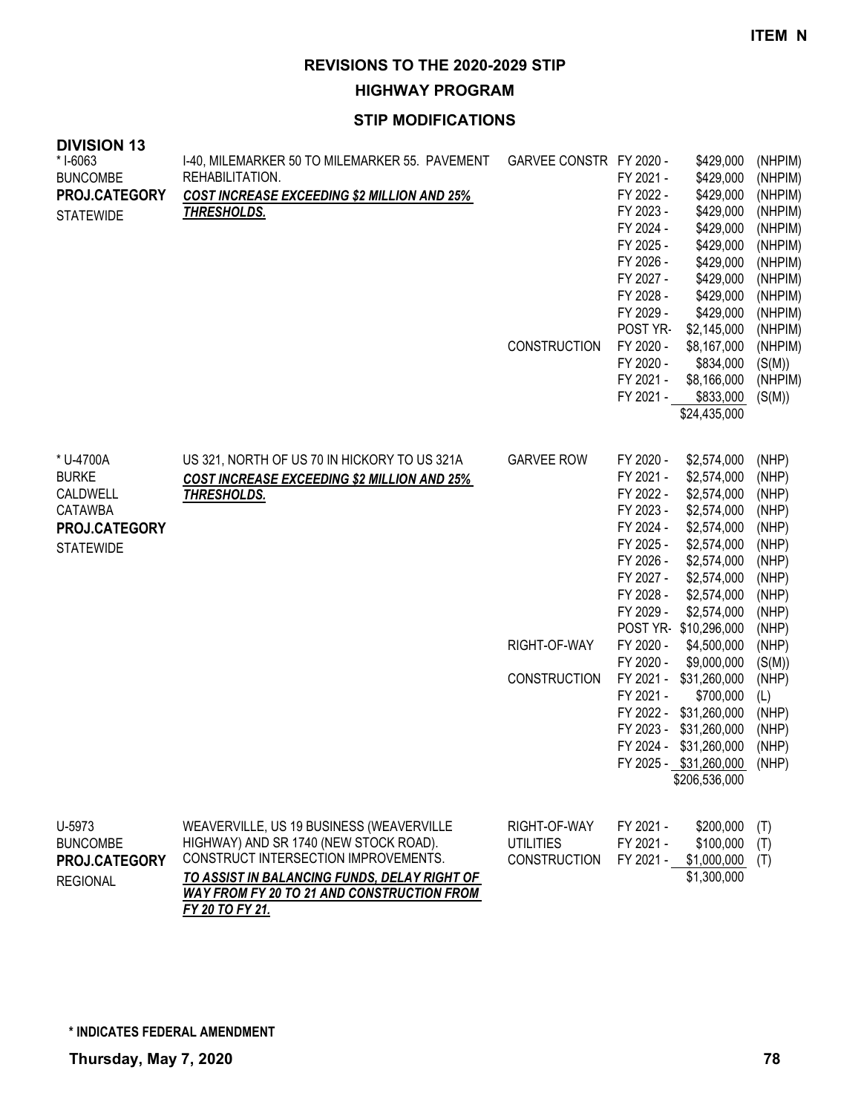**HIGHWAY PROGRAM**

| <b>DIVISION 13</b><br>* I-6063<br><b>BUNCOMBE</b><br>PROJ.CATEGORY<br><b>STATEWIDE</b>       | I-40, MILEMARKER 50 TO MILEMARKER 55. PAVEMENT<br>REHABILITATION.<br><b>COST INCREASE EXCEEDING \$2 MILLION AND 25%</b><br><b>THRESHOLDS.</b>                                                                                                      | GARVEE CONSTR FY 2020 -<br><b>CONSTRUCTION</b>           | \$429,000<br>\$429,000<br>FY 2021 -<br>FY 2022 -<br>\$429,000<br>\$429,000<br>FY 2023 -<br>\$429,000<br>FY 2024 -<br>\$429,000<br>FY 2025 -<br>\$429,000<br>FY 2026 -<br>\$429,000<br>FY 2027 -<br>\$429,000<br>FY 2028 -<br>\$429,000<br>FY 2029 -<br>POST YR-<br>\$2,145,000<br>FY 2020 -<br>\$8,167,000<br>FY 2020 -<br>\$834,000<br>FY 2021 -<br>\$8,166,000<br>FY 2021 -<br>\$833,000<br>\$24,435,000                                                                                                                                                 | (NHPIM)<br>(NHPIM)<br>(NHPIM)<br>(NHPIM)<br>(NHPIM)<br>(NHPIM)<br>(NHPIM)<br>(NHPIM)<br>(NHPIM)<br>(NHPIM)<br>(NHPIM)<br>(NHPIM)<br>(S(M))<br>(NHPIM)<br>(S(M)) |
|----------------------------------------------------------------------------------------------|----------------------------------------------------------------------------------------------------------------------------------------------------------------------------------------------------------------------------------------------------|----------------------------------------------------------|------------------------------------------------------------------------------------------------------------------------------------------------------------------------------------------------------------------------------------------------------------------------------------------------------------------------------------------------------------------------------------------------------------------------------------------------------------------------------------------------------------------------------------------------------------|-----------------------------------------------------------------------------------------------------------------------------------------------------------------|
| * U-4700A<br><b>BURKE</b><br>CALDWELL<br><b>CATAWBA</b><br>PROJ.CATEGORY<br><b>STATEWIDE</b> | US 321, NORTH OF US 70 IN HICKORY TO US 321A<br><b>COST INCREASE EXCEEDING \$2 MILLION AND 25%</b><br><b>THRESHOLDS.</b>                                                                                                                           | <b>GARVEE ROW</b><br>RIGHT-OF-WAY<br><b>CONSTRUCTION</b> | FY 2020 -<br>\$2,574,000<br>FY 2021 -<br>\$2,574,000<br>FY 2022 -<br>\$2,574,000<br>FY 2023 -<br>\$2,574,000<br>FY 2024 -<br>\$2,574,000<br>FY 2025 -<br>\$2,574,000<br>FY 2026 -<br>\$2,574,000<br>FY 2027 -<br>\$2,574,000<br>FY 2028 -<br>\$2,574,000<br>FY 2029 -<br>\$2,574,000<br>POST YR \$10,296,000<br>FY 2020 -<br>\$4,500,000<br>FY 2020 -<br>\$9,000,000<br>FY 2021 -<br>\$31,260,000<br>FY 2021 -<br>\$700,000<br>FY 2022 - \$31,260,000<br>FY 2023 - \$31,260,000<br>FY 2024 - \$31,260,000<br>FY 2025 - \$31,260,000 (NHP)<br>\$206,536,000 | (NHP)<br>(NHP)<br>(NHP)<br>(NHP)<br>(NHP)<br>(NHP)<br>(NHP)<br>(NHP)<br>(NHP)<br>(NHP)<br>(NHP)<br>(NHP)<br>(S(M))<br>(NHP)<br>(L)<br>(NHP)<br>(NHP)<br>(NHP)   |
| U-5973<br><b>BUNCOMBE</b><br>PROJ.CATEGORY<br><b>REGIONAL</b>                                | WEAVERVILLE, US 19 BUSINESS (WEAVERVILLE<br>HIGHWAY) AND SR 1740 (NEW STOCK ROAD).<br>CONSTRUCT INTERSECTION IMPROVEMENTS.<br>TO ASSIST IN BALANCING FUNDS, DELAY RIGHT OF<br><b>WAY FROM FY 20 TO 21 AND CONSTRUCTION FROM</b><br>FY 20 TO FY 21. | RIGHT-OF-WAY<br><b>UTILITIES</b><br><b>CONSTRUCTION</b>  | FY 2021 -<br>\$200,000<br>FY 2021 -<br>\$100,000<br>FY 2021 -<br>\$1,000,000<br>\$1,300,000                                                                                                                                                                                                                                                                                                                                                                                                                                                                | (T)<br>(T)<br>(T)                                                                                                                                               |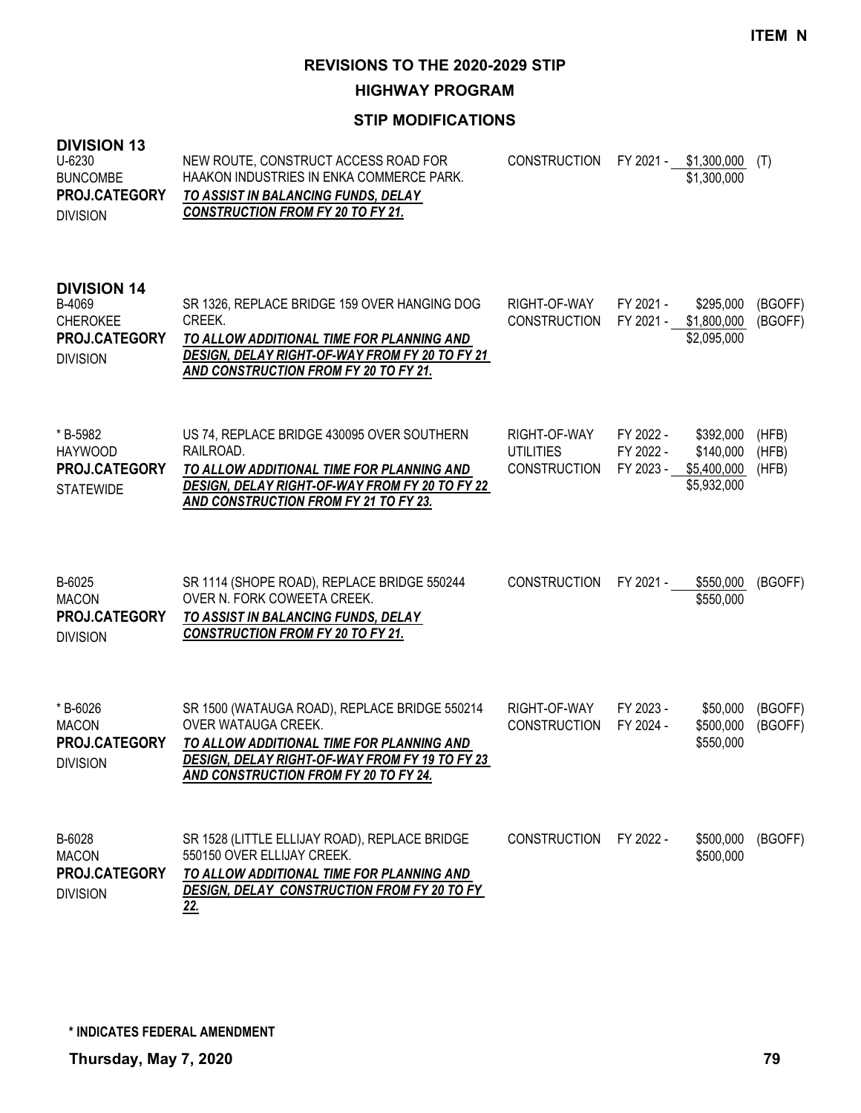**HIGHWAY PROGRAM**

### **STIP MODIFICATIONS**

| טו זוטוטוז<br>$U - 6230$<br><b>BUNCOMBE</b><br>PROJ.CATEGORY<br><b>DIVISION</b>     | NEW ROUTE, CONSTRUCT ACCESS ROAD FOR<br>HAAKON INDUSTRIES IN ENKA COMMERCE PARK.<br>TO ASSIST IN BALANCING FUNDS, DELAY<br><b>CONSTRUCTION FROM FY 20 TO FY 21.</b>                                                 | <b>CONSTRUCTION</b>                                     |                                     | FY 2021 - \$1,300,000<br>\$1,300,000                 | (T)                     |
|-------------------------------------------------------------------------------------|---------------------------------------------------------------------------------------------------------------------------------------------------------------------------------------------------------------------|---------------------------------------------------------|-------------------------------------|------------------------------------------------------|-------------------------|
| <b>DIVISION 14</b><br>B-4069<br><b>CHEROKEE</b><br>PROJ.CATEGORY<br><b>DIVISION</b> | SR 1326, REPLACE BRIDGE 159 OVER HANGING DOG<br>CREEK.<br>TO ALLOW ADDITIONAL TIME FOR PLANNING AND<br>DESIGN, DELAY RIGHT-OF-WAY FROM FY 20 TO FY 21<br>AND CONSTRUCTION FROM FY 20 TO FY 21.                      | RIGHT-OF-WAY<br><b>CONSTRUCTION</b>                     | FY 2021 -<br>FY 2021 -              | \$295,000<br>\$1,800,000<br>\$2,095,000              | (BGOFF)<br>(BGOFF)      |
| * B-5982<br><b>HAYWOOD</b><br>PROJ.CATEGORY<br><b>STATEWIDE</b>                     | US 74, REPLACE BRIDGE 430095 OVER SOUTHERN<br>RAILROAD.<br>TO ALLOW ADDITIONAL TIME FOR PLANNING AND<br>DESIGN, DELAY RIGHT-OF-WAY FROM FY 20 TO FY 22<br>AND CONSTRUCTION FROM FY 21 TO FY 23.                     | RIGHT-OF-WAY<br><b>UTILITIES</b><br><b>CONSTRUCTION</b> | FY 2022 -<br>FY 2022 -<br>FY 2023 - | \$392,000<br>\$140,000<br>\$5,400,000<br>\$5,932,000 | (HFB)<br>(HFB)<br>(HFB) |
| B-6025<br><b>MACON</b><br>PROJ.CATEGORY<br><b>DIVISION</b>                          | SR 1114 (SHOPE ROAD), REPLACE BRIDGE 550244<br>OVER N. FORK COWEETA CREEK.<br>TO ASSIST IN BALANCING FUNDS, DELAY<br><b>CONSTRUCTION FROM FY 20 TO FY 21.</b>                                                       | <b>CONSTRUCTION</b>                                     | FY 2021 -                           | \$550,000<br>\$550,000                               | (BGOFF)                 |
| *B-6026<br><b>MACON</b><br>PROJ.CATEGORY<br><b>DIVISION</b>                         | SR 1500 (WATAUGA ROAD), REPLACE BRIDGE 550214<br>OVER WATAUGA CREEK.<br>TO ALLOW ADDITIONAL TIME FOR PLANNING AND<br>DESIGN, DELAY RIGHT-OF-WAY FROM FY 19 TO FY 23<br><u>AND CONSTRUCTION FROM FY 20 TO FY 24.</u> | RIGHT-OF-WAY<br><b>CONSTRUCTION</b>                     | FY 2023 -<br>FY 2024 -              | \$50,000<br>\$500,000<br>\$550,000                   | (BGOFF)<br>(BGOFF)      |
| B-6028<br><b>MACON</b><br>PROJ.CATEGORY<br><b>DIVISION</b>                          | SR 1528 (LITTLE ELLIJAY ROAD), REPLACE BRIDGE<br>550150 OVER ELLIJAY CREEK.<br>TO ALLOW ADDITIONAL TIME FOR PLANNING AND<br>DESIGN, DELAY CONSTRUCTION FROM FY 20 TO FY<br>22.                                      | <b>CONSTRUCTION</b>                                     | FY 2022 -                           | \$500,000<br>\$500,000                               | (BGOFF)                 |

**DIVISION 13**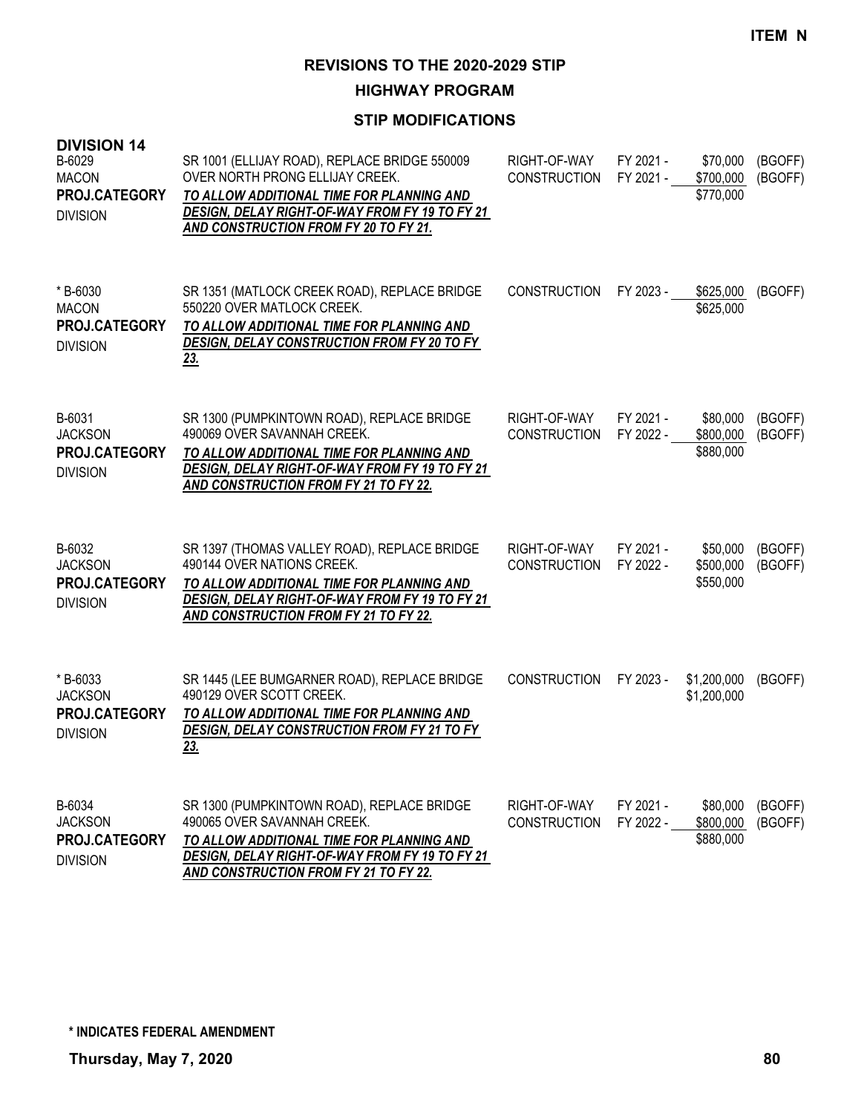**HIGHWAY PROGRAM**

| <b>DIVISION 14</b><br>B-6029<br><b>MACON</b><br>PROJ.CATEGORY<br><b>DIVISION</b> | SR 1001 (ELLIJAY ROAD), REPLACE BRIDGE 550009<br>OVER NORTH PRONG ELLIJAY CREEK.<br>TO ALLOW ADDITIONAL TIME FOR PLANNING AND<br>DESIGN, DELAY RIGHT-OF-WAY FROM FY 19 TO FY 21<br>AND CONSTRUCTION FROM FY 20 TO FY 21. | RIGHT-OF-WAY<br><b>CONSTRUCTION</b> | FY 2021 -<br>FY 2021 - | \$70,000<br>\$700,000<br>\$770,000 | (BGOFF)<br>(BGOFF) |
|----------------------------------------------------------------------------------|--------------------------------------------------------------------------------------------------------------------------------------------------------------------------------------------------------------------------|-------------------------------------|------------------------|------------------------------------|--------------------|
| * B-6030<br><b>MACON</b><br>PROJ.CATEGORY<br><b>DIVISION</b>                     | SR 1351 (MATLOCK CREEK ROAD), REPLACE BRIDGE<br>550220 OVER MATLOCK CREEK.<br>TO ALLOW ADDITIONAL TIME FOR PLANNING AND<br>DESIGN, DELAY CONSTRUCTION FROM FY 20 TO FY<br>23.                                            | <b>CONSTRUCTION</b>                 | FY 2023 -              | \$625,000<br>\$625,000             | (BGOFF)            |
| B-6031<br><b>JACKSON</b><br>PROJ.CATEGORY<br><b>DIVISION</b>                     | SR 1300 (PUMPKINTOWN ROAD), REPLACE BRIDGE<br>490069 OVER SAVANNAH CREEK.<br>TO ALLOW ADDITIONAL TIME FOR PLANNING AND<br>DESIGN, DELAY RIGHT-OF-WAY FROM FY 19 TO FY 21<br>AND CONSTRUCTION FROM FY 21 TO FY 22.        | RIGHT-OF-WAY<br><b>CONSTRUCTION</b> | FY 2021 -<br>FY 2022 - | \$80,000<br>\$800,000<br>\$880,000 | (BGOFF)<br>(BGOFF) |
| B-6032<br><b>JACKSON</b><br><b>PROJ.CATEGORY</b><br><b>DIVISION</b>              | SR 1397 (THOMAS VALLEY ROAD), REPLACE BRIDGE<br>490144 OVER NATIONS CREEK.<br>TO ALLOW ADDITIONAL TIME FOR PLANNING AND<br>DESIGN, DELAY RIGHT-OF-WAY FROM FY 19 TO FY 21<br>AND CONSTRUCTION FROM FY 21 TO FY 22.       | RIGHT-OF-WAY<br><b>CONSTRUCTION</b> | FY 2021 -<br>FY 2022 - | \$50,000<br>\$500,000<br>\$550,000 | (BGOFF)<br>(BGOFF) |
| * B-6033<br><b>JACKSON</b><br>PROJ.CATEGORY<br><b>DIVISION</b>                   | SR 1445 (LEE BUMGARNER ROAD), REPLACE BRIDGE<br>490129 OVER SCOTT CREEK.<br>TO ALLOW ADDITIONAL TIME FOR PLANNING AND<br>DESIGN, DELAY CONSTRUCTION FROM FY 21 TO FY<br>23.                                              | <b>CONSTRUCTION</b>                 | FY 2023 -              | \$1,200,000<br>\$1,200,000         | (BGOFF)            |
| B-6034<br><b>JACKSON</b><br><b>PROJ.CATEGORY</b><br><b>DIVISION</b>              | SR 1300 (PUMPKINTOWN ROAD), REPLACE BRIDGE<br>490065 OVER SAVANNAH CREEK.<br>TO ALLOW ADDITIONAL TIME FOR PLANNING AND<br><b>DESIGN, DELAY RIGHT-OF-WAY FROM FY 19 TO FY 21</b><br>AND CONSTRUCTION FROM FY 21 TO FY 22. | RIGHT-OF-WAY<br><b>CONSTRUCTION</b> | FY 2021 -<br>FY 2022 - | \$80,000<br>\$800,000<br>\$880,000 | (BGOFF)<br>(BGOFF) |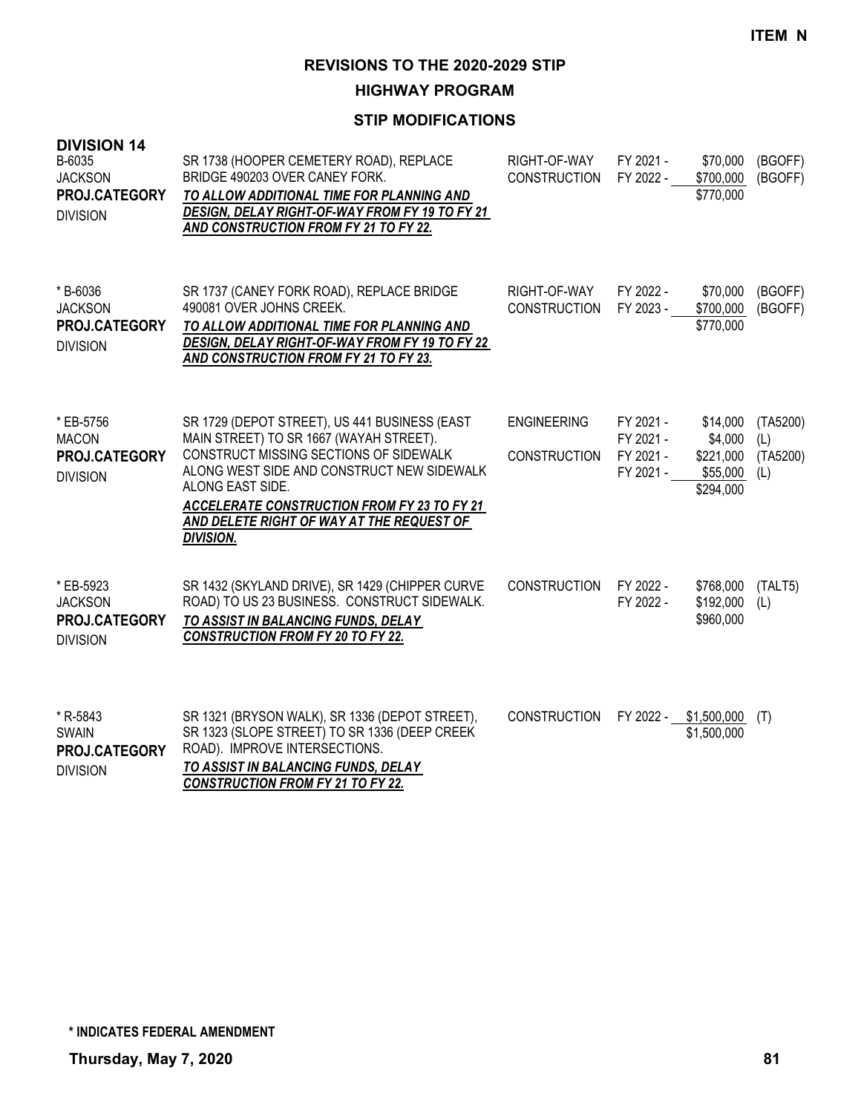**HIGHWAY PROGRAM**

| <b>DIVISION 14</b><br>B-6035<br><b>JACKSON</b><br>PROJ.CATEGORY<br><b>DIVISION</b> | SR 1738 (HOOPER CEMETERY ROAD), REPLACE<br>BRIDGE 490203 OVER CANEY FORK.<br>TO ALLOW ADDITIONAL TIME FOR PLANNING AND<br>DESIGN, DELAY RIGHT-OF-WAY FROM FY 19 TO FY 21<br>AND CONSTRUCTION FROM FY 21 TO FY 22.                                                                                                           | RIGHT-OF-WAY<br><b>CONSTRUCTION</b>       | FY 2021 -<br>FY 2022 -                           | \$70,000<br>\$700,000<br>\$770,000                        | (BGOFF)<br>(BGOFF)                 |
|------------------------------------------------------------------------------------|-----------------------------------------------------------------------------------------------------------------------------------------------------------------------------------------------------------------------------------------------------------------------------------------------------------------------------|-------------------------------------------|--------------------------------------------------|-----------------------------------------------------------|------------------------------------|
| *B-6036<br><b>JACKSON</b><br>PROJ.CATEGORY<br><b>DIVISION</b>                      | SR 1737 (CANEY FORK ROAD), REPLACE BRIDGE<br>490081 OVER JOHNS CREEK.<br>TO ALLOW ADDITIONAL TIME FOR PLANNING AND<br>DESIGN, DELAY RIGHT-OF-WAY FROM FY 19 TO FY 22<br><b>AND CONSTRUCTION FROM FY 21 TO FY 23.</b>                                                                                                        | RIGHT-OF-WAY<br><b>CONSTRUCTION</b>       | FY 2022 -<br>FY 2023 -                           | \$70,000<br>\$700,000<br>\$770,000                        | (BGOFF)<br>(BGOFF)                 |
| * EB-5756<br><b>MACON</b><br>PROJ.CATEGORY<br><b>DIVISION</b>                      | SR 1729 (DEPOT STREET), US 441 BUSINESS (EAST<br>MAIN STREET) TO SR 1667 (WAYAH STREET).<br>CONSTRUCT MISSING SECTIONS OF SIDEWALK<br>ALONG WEST SIDE AND CONSTRUCT NEW SIDEWALK<br>ALONG EAST SIDE.<br><b>ACCELERATE CONSTRUCTION FROM FY 23 TO FY 21</b><br>AND DELETE RIGHT OF WAY AT THE REQUEST OF<br><b>DIVISION.</b> | <b>ENGINEERING</b><br><b>CONSTRUCTION</b> | FY 2021 -<br>FY 2021 -<br>FY 2021 -<br>FY 2021 - | \$14,000<br>\$4,000<br>\$221,000<br>\$55,000<br>\$294,000 | (TA5200)<br>(L)<br>(TA5200)<br>(L) |
| * EB-5923<br><b>JACKSON</b><br>PROJ.CATEGORY<br><b>DIVISION</b>                    | SR 1432 (SKYLAND DRIVE), SR 1429 (CHIPPER CURVE<br>ROAD) TO US 23 BUSINESS. CONSTRUCT SIDEWALK.<br>TO ASSIST IN BALANCING FUNDS, DELAY<br><b>CONSTRUCTION FROM FY 20 TO FY 22.</b>                                                                                                                                          | <b>CONSTRUCTION</b>                       | FY 2022 -<br>FY 2022 -                           | \$768,000<br>\$192,000<br>\$960,000                       | (TALT5)<br>(L)                     |
| * R-5843<br><b>SWAIN</b><br>PROJ.CATEGORY<br><b>DIVISION</b>                       | SR 1321 (BRYSON WALK), SR 1336 (DEPOT STREET),<br>SR 1323 (SLOPE STREET) TO SR 1336 (DEEP CREEK<br>ROAD). IMPROVE INTERSECTIONS.<br>TO ASSIST IN BALANCING FUNDS, DELAY<br><b>CONSTRUCTION FROM FY 21 TO FY 22.</b>                                                                                                         | <b>CONSTRUCTION</b>                       | FY 2022 -                                        | \$1,500,000<br>\$1,500,000                                | (T)                                |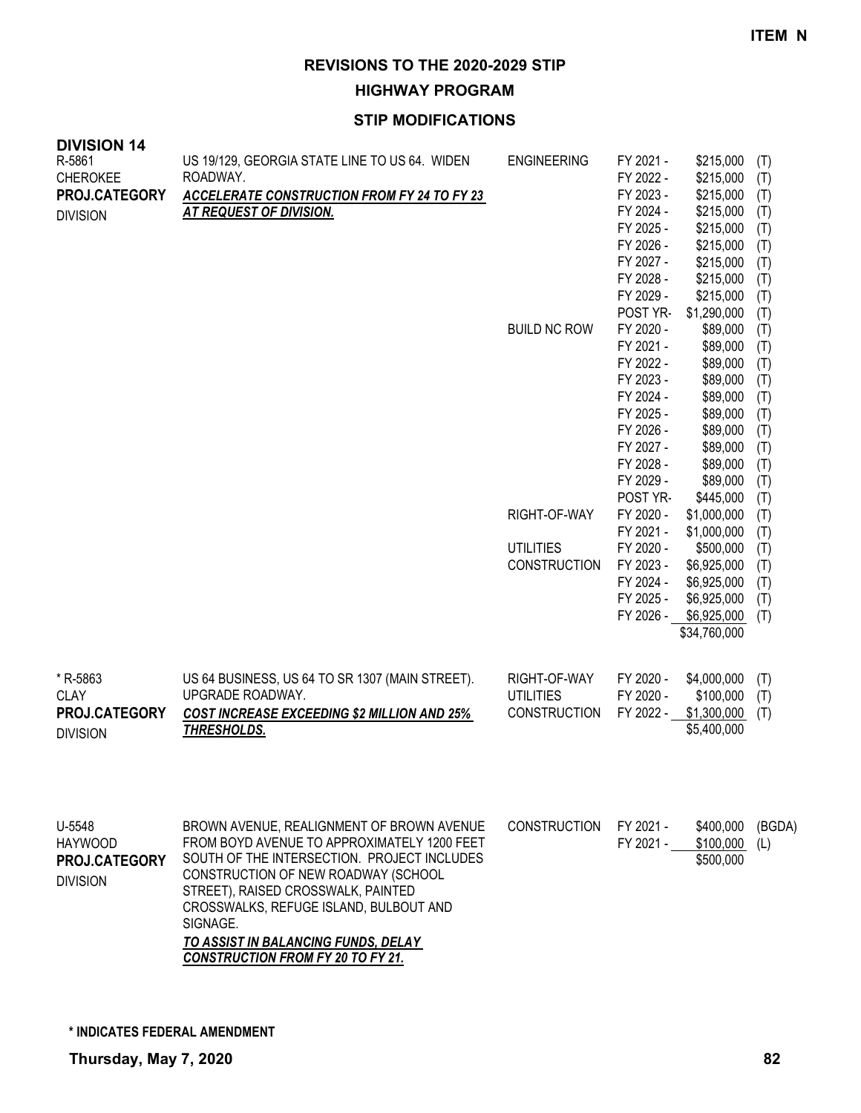**HIGHWAY PROGRAM**

| <b>DIVISION 14</b><br>R-5861<br><b>CHEROKEE</b><br>PROJ.CATEGORY<br><b>DIVISION</b> | US 19/129, GEORGIA STATE LINE TO US 64. WIDEN<br>ROADWAY.<br>ACCELERATE CONSTRUCTION FROM FY 24 TO FY 23<br><b>AT REQUEST OF DIVISION.</b>                                                                                                                                                                                                                    | <b>ENGINEERING</b><br><b>BUILD NC ROW</b><br>RIGHT-OF-WAY<br><b>UTILITIES</b><br><b>CONSTRUCTION</b> | FY 2021 -<br>FY 2022 -<br>FY 2023 -<br>FY 2024 -<br>FY 2025 -<br>FY 2026 -<br>FY 2027 -<br>FY 2028 -<br>FY 2029 -<br>POST YR-<br>FY 2020 -<br>FY 2021 -<br>FY 2022 -<br>FY 2023 -<br>FY 2024 -<br>FY 2025 -<br>FY 2026 -<br>FY 2027 -<br>FY 2028 -<br>FY 2029 -<br>POST YR-<br>FY 2020 -<br>FY 2021 -<br>FY 2020 -<br>FY 2023 -<br>FY 2024 -<br>FY 2025 -<br>FY 2026 - | \$215,000<br>\$215,000<br>\$215,000<br>\$215,000<br>\$215,000<br>\$215,000<br>\$215,000<br>\$215,000<br>\$215,000<br>\$1,290,000<br>\$89,000<br>\$89,000<br>\$89,000<br>\$89,000<br>\$89,000<br>\$89,000<br>\$89,000<br>\$89,000<br>\$89,000<br>\$89,000<br>\$445,000<br>\$1,000,000<br>\$1,000,000<br>\$500,000<br>\$6,925,000<br>\$6,925,000<br>\$6,925,000<br>\$6,925,000<br>\$34,760,000 | (T)<br>(T)<br>(T)<br>(T)<br>(T)<br>(T)<br>(T)<br>(T)<br>(T)<br>(T)<br>(T)<br>(T)<br>(T)<br>(T)<br>(T)<br>(T)<br>(T)<br>(T)<br>(T)<br>(T)<br>(T)<br>(T)<br>(T)<br>(T)<br>(T)<br>(T)<br>(T)<br>(T) |
|-------------------------------------------------------------------------------------|---------------------------------------------------------------------------------------------------------------------------------------------------------------------------------------------------------------------------------------------------------------------------------------------------------------------------------------------------------------|------------------------------------------------------------------------------------------------------|------------------------------------------------------------------------------------------------------------------------------------------------------------------------------------------------------------------------------------------------------------------------------------------------------------------------------------------------------------------------|----------------------------------------------------------------------------------------------------------------------------------------------------------------------------------------------------------------------------------------------------------------------------------------------------------------------------------------------------------------------------------------------|--------------------------------------------------------------------------------------------------------------------------------------------------------------------------------------------------|
| * R-5863<br><b>CLAY</b><br>PROJ.CATEGORY<br><b>DIVISION</b>                         | US 64 BUSINESS, US 64 TO SR 1307 (MAIN STREET).<br>UPGRADE ROADWAY.<br>COST INCREASE EXCEEDING \$2 MILLION AND 25%<br>THRESHOLDS.                                                                                                                                                                                                                             | RIGHT-OF-WAY<br><b>UTILITIES</b><br><b>CONSTRUCTION</b>                                              | FY 2020 -<br>FY 2020 -<br>FY 2022 -                                                                                                                                                                                                                                                                                                                                    | \$4,000,000<br>\$100,000<br>\$1,300,000<br>\$5,400,000                                                                                                                                                                                                                                                                                                                                       | (T)<br>(T)<br>(T)                                                                                                                                                                                |
| U-5548<br><b>HAYWOOD</b><br>PROJ.CATEGORY<br><b>DIVISION</b>                        | BROWN AVENUE, REALIGNMENT OF BROWN AVENUE<br>FROM BOYD AVENUE TO APPROXIMATELY 1200 FEET<br>SOUTH OF THE INTERSECTION. PROJECT INCLUDES<br>CONSTRUCTION OF NEW ROADWAY (SCHOOL<br>STREET), RAISED CROSSWALK, PAINTED<br>CROSSWALKS, REFUGE ISLAND, BULBOUT AND<br>SIGNAGE.<br>TO ASSIST IN BALANCING FUNDS, DELAY<br><b>CONSTRUCTION FROM FY 20 TO FY 21.</b> | <b>CONSTRUCTION</b>                                                                                  | FY 2021 -<br>FY 2021 -                                                                                                                                                                                                                                                                                                                                                 | \$400,000<br>\$100,000<br>\$500,000                                                                                                                                                                                                                                                                                                                                                          | (BGDA)<br>(L)                                                                                                                                                                                    |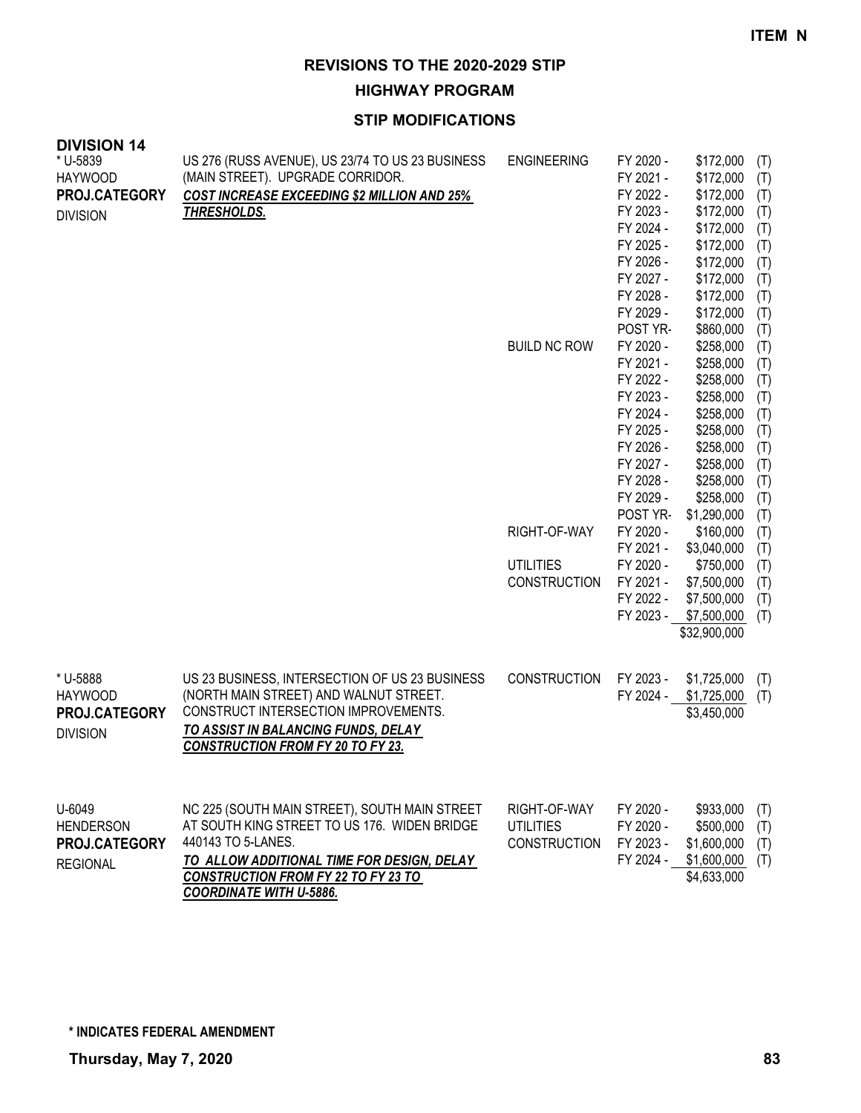**HIGHWAY PROGRAM**

## **STIP MODIFICATIONS**

| דו וטוטוט<br>* U-5839<br><b>HAYWOOD</b><br>PROJ.CATEGORY<br><b>DIVISION</b> | US 276 (RUSS AVENUE), US 23/74 TO US 23 BUSINESS<br>(MAIN STREET). UPGRADE CORRIDOR.<br><b>COST INCREASE EXCEEDING \$2 MILLION AND 25%</b><br><b>THRESHOLDS.</b>                                                    | <b>ENGINEERING</b><br><b>BUILD NC ROW</b>               | FY 2020 -<br>FY 2021 -<br>FY 2022 -<br>FY 2023 -<br>FY 2024 -<br>FY 2025 -<br>FY 2026 -<br>FY 2027 -<br>FY 2028 -<br>FY 2029 -<br>POST YR-<br>FY 2020 -<br>FY 2021 -<br>FY 2022 -<br>FY 2023 -<br>FY 2024 -<br>FY 2025 -<br>FY 2026 -<br>FY 2027 -<br>FY 2028 -<br>FY 2029 -<br>POST YR- | \$172,000<br>\$172,000<br>\$172,000<br>\$172,000<br>\$172,000<br>\$172,000<br>\$172,000<br>\$172,000<br>\$172,000<br>\$172,000<br>\$860,000<br>\$258,000<br>\$258,000<br>\$258,000<br>\$258,000<br>\$258,000<br>\$258,000<br>\$258,000<br>\$258,000<br>\$258,000<br>\$258,000<br>\$1,290,000 | (T)<br>(T)<br>(T)<br>(T)<br>(T)<br>(T)<br>(T)<br>(T)<br>(T)<br>(T)<br>(T)<br>(T)<br>(T)<br>(T)<br>(T)<br>(T)<br>(T)<br>(T)<br>(T)<br>(T)<br>(T)<br>(T) |
|-----------------------------------------------------------------------------|---------------------------------------------------------------------------------------------------------------------------------------------------------------------------------------------------------------------|---------------------------------------------------------|------------------------------------------------------------------------------------------------------------------------------------------------------------------------------------------------------------------------------------------------------------------------------------------|----------------------------------------------------------------------------------------------------------------------------------------------------------------------------------------------------------------------------------------------------------------------------------------------|--------------------------------------------------------------------------------------------------------------------------------------------------------|
|                                                                             |                                                                                                                                                                                                                     | RIGHT-OF-WAY<br><b>UTILITIES</b>                        | FY 2020 -<br>FY 2021 -<br>FY 2020 -                                                                                                                                                                                                                                                      | \$160,000<br>\$3,040,000<br>\$750,000                                                                                                                                                                                                                                                        | (T)<br>(T)<br>(T)                                                                                                                                      |
|                                                                             |                                                                                                                                                                                                                     | <b>CONSTRUCTION</b>                                     | FY 2021 -<br>FY 2022 -<br>FY 2023 -                                                                                                                                                                                                                                                      | \$7,500,000<br>\$7,500,000<br>\$7,500,000<br>\$32,900,000                                                                                                                                                                                                                                    | (T)<br>(T)<br>(T)                                                                                                                                      |
| * U-5888<br><b>HAYWOOD</b><br>PROJ.CATEGORY<br><b>DIVISION</b>              | US 23 BUSINESS, INTERSECTION OF US 23 BUSINESS<br>(NORTH MAIN STREET) AND WALNUT STREET.<br>CONSTRUCT INTERSECTION IMPROVEMENTS.<br>TO ASSIST IN BALANCING FUNDS, DELAY<br><b>CONSTRUCTION FROM FY 20 TO FY 23.</b> | CONSTRUCTION                                            | FY 2023 -<br>FY 2024 -                                                                                                                                                                                                                                                                   | \$1,725,000<br>\$1,725,000<br>\$3,450,000                                                                                                                                                                                                                                                    | (T)<br>(T)                                                                                                                                             |
| U-6049<br><b>HENDERSON</b><br>PROJ.CATEGORY<br><b>REGIONAL</b>              | NC 225 (SOUTH MAIN STREET), SOUTH MAIN STREET<br>AT SOUTH KING STREET TO US 176. WIDEN BRIDGE<br>440143 TO 5-LANES.<br>TO ALLOW ADDITIONAL TIME FOR DESIGN, DELAY<br><b>CONSTRUCTION FROM FY 22 TO FY 23 TO</b>     | RIGHT-OF-WAY<br><b>UTILITIES</b><br><b>CONSTRUCTION</b> | FY 2020 -<br>FY 2020 -<br>FY 2023 -<br>FY 2024 -                                                                                                                                                                                                                                         | \$933,000<br>\$500,000<br>\$1,600,000<br>\$1,600,000<br>\$4,633,000                                                                                                                                                                                                                          | (T)<br>(T)<br>(T)<br>(T)                                                                                                                               |

*COORDINATE WITH U-5886.*

**DIVISION 14**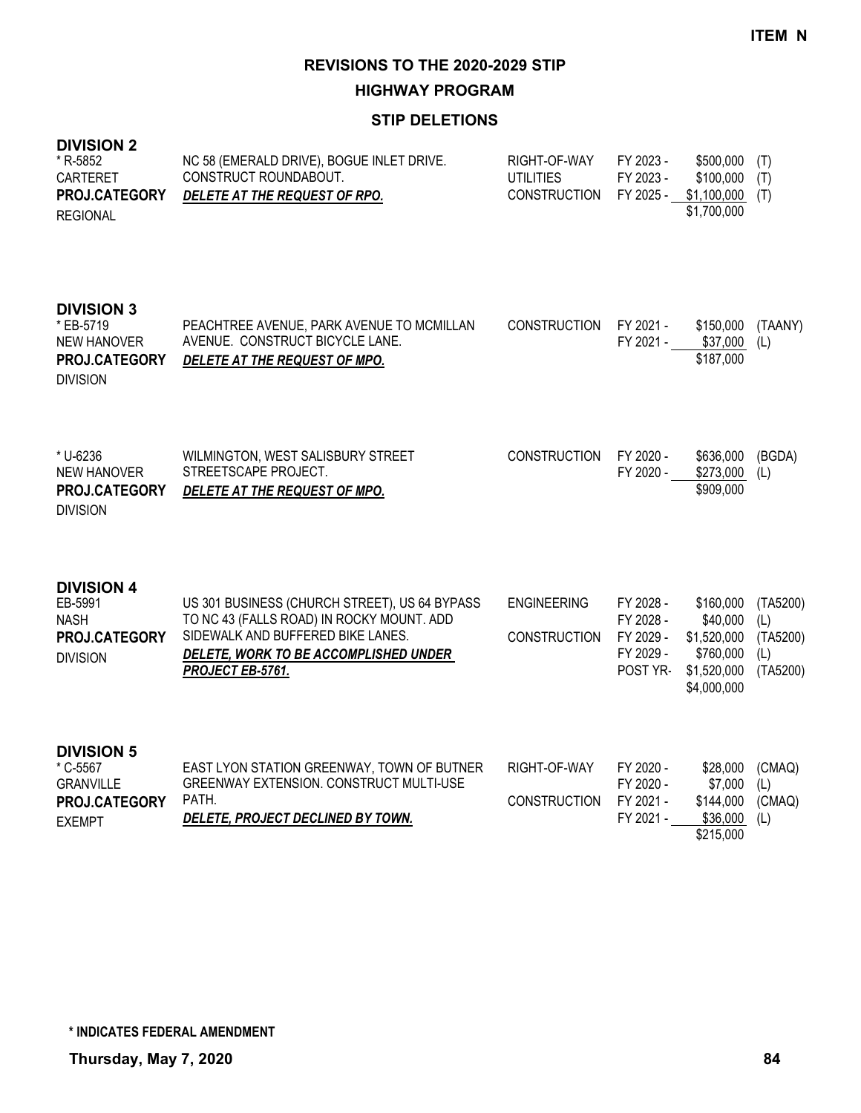**HIGHWAY PROGRAM**

### **STIP DELETIONS**

| <b>DIVISION 2</b><br>* R-5852<br>CARTERET<br>PROJ.CATEGORY<br><b>REGIONAL</b>            | NC 58 (EMERALD DRIVE), BOGUE INLET DRIVE.<br>CONSTRUCT ROUNDABOUT.<br>DELETE AT THE REQUEST OF RPO.                                                                                          | RIGHT-OF-WAY<br><b>UTILITIES</b><br><b>CONSTRUCTION</b> | FY 2023 -<br>FY 2023 -<br>FY 2025 -                          | \$500,000<br>\$100,000<br>\$1,100,000<br>\$1,700,000                            | (T)<br>(T)<br>(T)                              |
|------------------------------------------------------------------------------------------|----------------------------------------------------------------------------------------------------------------------------------------------------------------------------------------------|---------------------------------------------------------|--------------------------------------------------------------|---------------------------------------------------------------------------------|------------------------------------------------|
| <b>DIVISION 3</b><br>* EB-5719<br><b>NEW HANOVER</b><br>PROJ.CATEGORY<br><b>DIVISION</b> | PEACHTREE AVENUE, PARK AVENUE TO MCMILLAN<br>AVENUE. CONSTRUCT BICYCLE LANE.<br>DELETE AT THE REQUEST OF MPO.                                                                                | <b>CONSTRUCTION</b>                                     | FY 2021 -<br>FY 2021 -                                       | \$150,000<br>\$37,000<br>\$187,000                                              | (TAANY)<br>(L)                                 |
| * U-6236<br><b>NEW HANOVER</b><br>PROJ.CATEGORY<br><b>DIVISION</b>                       | WILMINGTON, WEST SALISBURY STREET<br>STREETSCAPE PROJECT.<br>DELETE AT THE REQUEST OF MPO.                                                                                                   | <b>CONSTRUCTION</b>                                     | FY 2020 -<br>FY 2020 -                                       | \$636,000<br>\$273,000<br>\$909,000                                             | (BGDA)<br>(L)                                  |
| <b>DIVISION 4</b><br>EB-5991<br><b>NASH</b><br>PROJ.CATEGORY<br><b>DIVISION</b>          | US 301 BUSINESS (CHURCH STREET), US 64 BYPASS<br>TO NC 43 (FALLS ROAD) IN ROCKY MOUNT. ADD<br>SIDEWALK AND BUFFERED BIKE LANES.<br>DELETE, WORK TO BE ACCOMPLISHED UNDER<br>PROJECT EB-5761. | <b>ENGINEERING</b><br><b>CONSTRUCTION</b>               | FY 2028 -<br>FY 2028 -<br>FY 2029 -<br>FY 2029 -<br>POST YR- | \$160,000<br>\$40,000<br>\$1,520,000<br>\$760,000<br>\$1,520,000<br>\$4,000,000 | (TA5200)<br>(L)<br>(TA5200)<br>(L)<br>(TA5200) |
| <b>DIVISION 5</b><br>* C-5567<br><b>GRANVILLE</b><br>PROJ.CATEGORY<br><b>EXEMPT</b>      | EAST LYON STATION GREENWAY, TOWN OF BUTNER<br>GREENWAY EXTENSION. CONSTRUCT MULTI-USE<br>PATH.<br>DELETE, PROJECT DECLINED BY TOWN.                                                          | RIGHT-OF-WAY<br><b>CONSTRUCTION</b>                     | FY 2020 -<br>FY 2020 -<br>FY 2021 -<br>FY 2021 -             | \$28,000<br>\$7,000<br>\$144,000<br>\$36,000<br>\$215,000                       | (CMAQ)<br>(L)<br>(CMAQ)<br>(L)                 |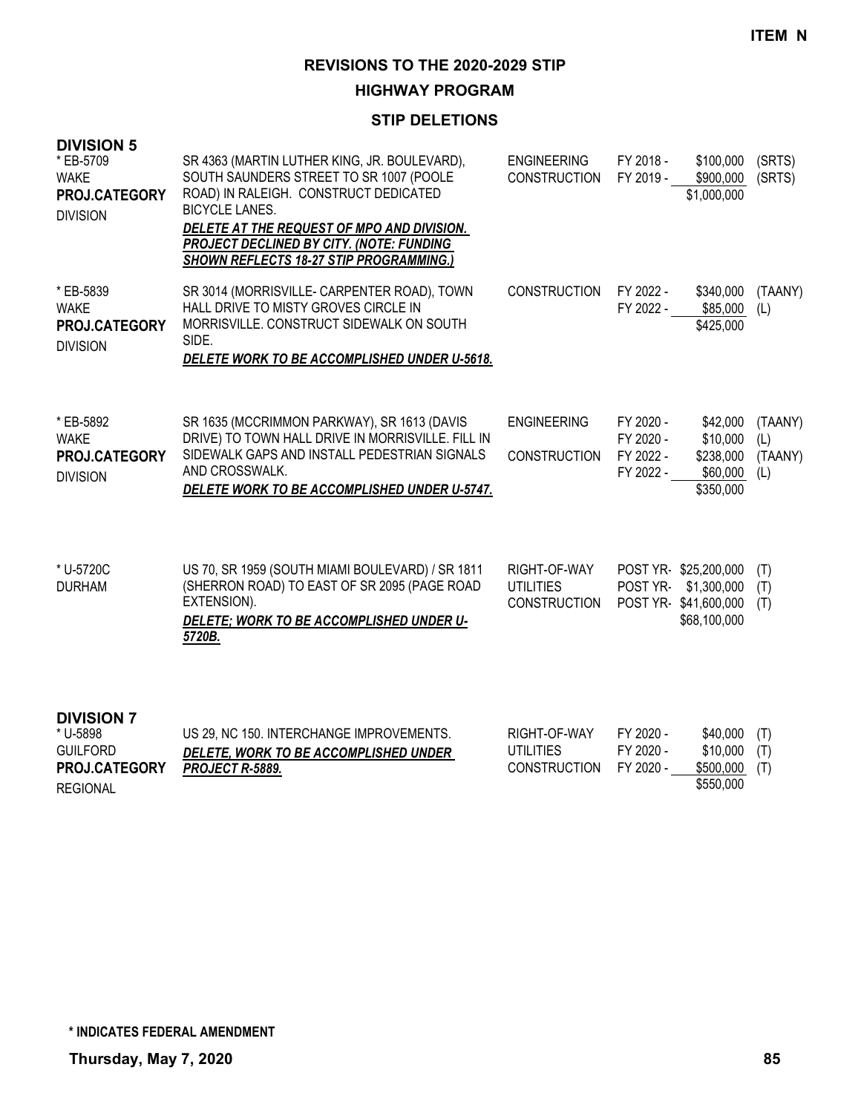#### **HIGHWAY PROGRAM**

# **STIP DELETIONS**

| <b>DIVISION 5</b><br>* EB-5709<br><b>WAKE</b><br>PROJ.CATEGORY<br><b>DIVISION</b> | SR 4363 (MARTIN LUTHER KING, JR. BOULEVARD),<br>SOUTH SAUNDERS STREET TO SR 1007 (POOLE<br>ROAD) IN RALEIGH. CONSTRUCT DEDICATED<br><b>BICYCLE LANES.</b><br>DELETE AT THE REQUEST OF MPO AND DIVISION.<br>PROJECT DECLINED BY CITY. (NOTE: FUNDING<br><b>SHOWN REFLECTS 18-27 STIP PROGRAMMING.)</b> | <b>ENGINEERING</b><br><b>CONSTRUCTION</b>               | FY 2018 -<br>FY 2019 -                           | \$100,000<br>\$900,000<br>\$1,000,000                                       | (SRTS)<br>(SRTS)                 |
|-----------------------------------------------------------------------------------|-------------------------------------------------------------------------------------------------------------------------------------------------------------------------------------------------------------------------------------------------------------------------------------------------------|---------------------------------------------------------|--------------------------------------------------|-----------------------------------------------------------------------------|----------------------------------|
| * EB-5839<br><b>WAKE</b><br>PROJ.CATEGORY<br><b>DIVISION</b>                      | SR 3014 (MORRISVILLE- CARPENTER ROAD), TOWN<br>HALL DRIVE TO MISTY GROVES CIRCLE IN<br>MORRISVILLE. CONSTRUCT SIDEWALK ON SOUTH<br>SIDE.<br>DELETE WORK TO BE ACCOMPLISHED UNDER U-5618.                                                                                                              | <b>CONSTRUCTION</b>                                     | FY 2022 -                                        | \$340,000<br>FY 2022 - \$85,000<br>\$425,000                                | (TAANY)<br>(L)                   |
| * EB-5892<br><b>WAKE</b><br><b>PROJ.CATEGORY</b><br><b>DIVISION</b>               | SR 1635 (MCCRIMMON PARKWAY), SR 1613 (DAVIS<br>DRIVE) TO TOWN HALL DRIVE IN MORRISVILLE. FILL IN<br>SIDEWALK GAPS AND INSTALL PEDESTRIAN SIGNALS<br>AND CROSSWALK.<br>DELETE WORK TO BE ACCOMPLISHED UNDER U-5747.                                                                                    | <b>ENGINEERING</b><br><b>CONSTRUCTION</b>               | FY 2020 -<br>FY 2020 -<br>FY 2022 -<br>FY 2022 - | \$42,000<br>\$10,000<br>\$238,000<br>\$60,000<br>\$350,000                  | (TAANY)<br>(L)<br>(TAANY)<br>(L) |
| * U-5720C<br><b>DURHAM</b>                                                        | US 70, SR 1959 (SOUTH MIAMI BOULEVARD) / SR 1811<br>(SHERRON ROAD) TO EAST OF SR 2095 (PAGE ROAD<br>EXTENSION).<br>DELETE; WORK TO BE ACCOMPLISHED UNDER U-<br>5720B.                                                                                                                                 | RIGHT-OF-WAY<br><b>UTILITIES</b><br><b>CONSTRUCTION</b> | POST YR-                                         | POST YR-\$25,200,000<br>\$1,300,000<br>POST YR-\$41,600,000<br>\$68,100,000 | (T)<br>(T)<br>(T)                |
| <b>DIVISION 7</b><br>* U-5898<br>CLIII EODD                                       | US 29, NC 150. INTERCHANGE IMPROVEMENTS.<br>DELETE MODIATO DE ACCOMPLICUED UNDER                                                                                                                                                                                                                      | RIGHT-OF-WAY<br>11TH1TIEC                               | FY 2020 -<br>EV 2020                             | \$40,000<br>40.000(T)                                                       | (T)                              |

| ື ∪-ວ໐ຯ໐             | US 29, NU 130. INTERUMANGE IMPROVEMENTS. | KIGHI-UF-WAY        | FY ZUZU - | \$40,000 (1)   |  |
|----------------------|------------------------------------------|---------------------|-----------|----------------|--|
| <b>GUILFORD</b>      | DELETE, WORK TO BE ACCOMPLISHED UNDER    | UTILITIES           | FY 2020 - | $$10,000$ (T)  |  |
| <b>PROJ.CATEGORY</b> | <b>PROJECT R-5889.</b>                   | <b>CONSTRUCTION</b> | FY 2020 - | $$500,000$ (T) |  |
| <b>REGIONAL</b>      |                                          |                     |           | \$550,000      |  |